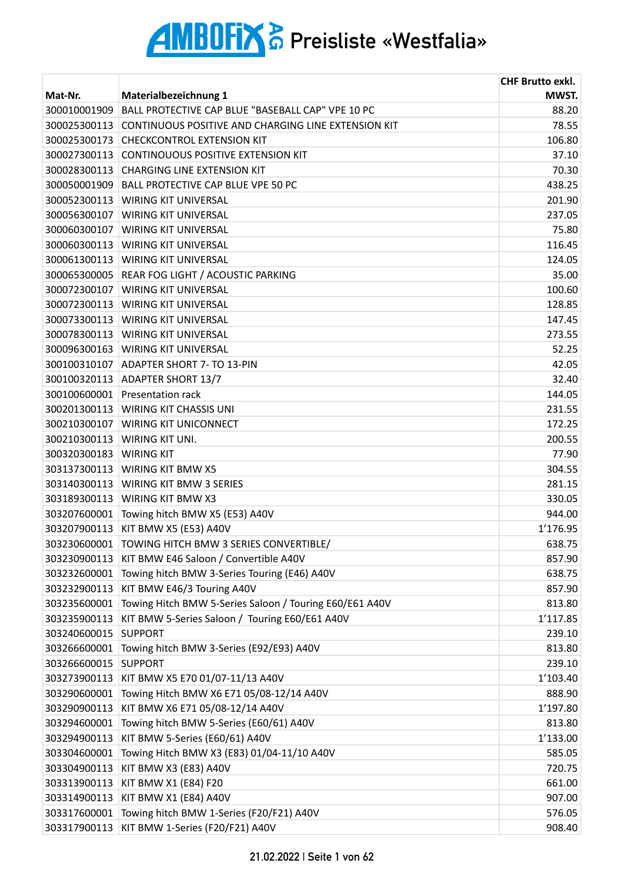|              |                                                         | <b>CHF Brutto exkl.</b> |
|--------------|---------------------------------------------------------|-------------------------|
| Mat-Nr.      | Materialbezeichnung 1                                   | MWST.                   |
| 300010001909 | BALL PROTECTIVE CAP BLUE "BASEBALL CAP" VPE 10 PC       | 88.20                   |
| 300025300113 | CONTINUOUS POSITIVE AND CHARGING LINE EXTENSION KIT     | 78.55                   |
| 300025300173 | <b>CHECKCONTROL EXTENSION KIT</b>                       | 106.80                  |
| 300027300113 | CONTINOUOUS POSITIVE EXTENSION KIT                      | 37.10                   |
| 300028300113 | <b>CHARGING LINE EXTENSION KIT</b>                      | 70.30                   |
| 300050001909 | BALL PROTECTIVE CAP BLUE VPE 50 PC                      | 438.25                  |
| 300052300113 | <b>WIRING KIT UNIVERSAL</b>                             | 201.90                  |
| 300056300107 | <b>WIRING KIT UNIVERSAL</b>                             | 237.05                  |
| 300060300107 | <b>WIRING KIT UNIVERSAL</b>                             | 75.80                   |
|              | 300060300113   WIRING KIT UNIVERSAL                     | 116.45                  |
|              | 300061300113 WIRING KIT UNIVERSAL                       | 124.05                  |
| 300065300005 | REAR FOG LIGHT / ACOUSTIC PARKING                       | 35.00                   |
| 300072300107 | <b>WIRING KIT UNIVERSAL</b>                             | 100.60                  |
| 300072300113 | <b>WIRING KIT UNIVERSAL</b>                             | 128.85                  |
| 300073300113 | <b>WIRING KIT UNIVERSAL</b>                             | 147.45                  |
| 300078300113 | <b>WIRING KIT UNIVERSAL</b>                             | 273.55                  |
|              | 300096300163   WIRING KIT UNIVERSAL                     | 52.25                   |
| 300100310107 | <b>ADAPTER SHORT 7- TO 13-PIN</b>                       | 42.05                   |
| 300100320113 | <b>ADAPTER SHORT 13/7</b>                               | 32.40                   |
| 300100600001 | <b>Presentation rack</b>                                | 144.05                  |
| 300201300113 | <b>WIRING KIT CHASSIS UNI</b>                           | 231.55                  |
| 300210300107 | <b>WIRING KIT UNICONNECT</b>                            | 172.25                  |
| 300210300113 | WIRING KIT UNI.                                         | 200.55                  |
| 300320300183 | <b>WIRING KIT</b>                                       | 77.90                   |
|              | 303137300113 WIRING KIT BMW X5                          | 304.55                  |
|              | 303140300113 WIRING KIT BMW 3 SERIES                    | 281.15                  |
|              | 303189300113 WIRING KIT BMW X3                          | 330.05                  |
| 303207600001 | Towing hitch BMW X5 (E53) A40V                          | 944.00                  |
|              | 303207900113 KIT BMW X5 (E53) A40V                      | 1'176.95                |
| 303230600001 | TOWING HITCH BMW 3 SERIES CONVERTIBLE/                  | 638.75                  |
| 303230900113 | KIT BMW E46 Saloon / Convertible A40V                   | 857.90                  |
| 303232600001 | Towing hitch BMW 3-Series Touring (E46) A40V            | 638.75                  |
| 303232900113 | KIT BMW E46/3 Touring A40V                              | 857.90                  |
| 303235600001 | Towing Hitch BMW 5-Series Saloon / Touring E60/E61 A40V | 813.80                  |
| 303235900113 | KIT BMW 5-Series Saloon / Touring E60/E61 A40V          | 1'117.85                |
| 303240600015 | <b>SUPPORT</b>                                          | 239.10                  |
| 303266600001 | Towing hitch BMW 3-Series (E92/E93) A40V                | 813.80                  |
| 303266600015 | <b>SUPPORT</b>                                          | 239.10                  |
| 303273900113 | KIT BMW X5 E70 01/07-11/13 A40V                         | 1'103.40                |
| 303290600001 | Towing Hitch BMW X6 E71 05/08-12/14 A40V                | 888.90                  |
| 303290900113 | KIT BMW X6 E71 05/08-12/14 A40V                         | 1'197.80                |
| 303294600001 | Towing hitch BMW 5-Series (E60/61) A40V                 | 813.80                  |
| 303294900113 | KIT BMW 5-Series (E60/61) A40V                          | 1'133.00                |
| 303304600001 | Towing Hitch BMW X3 (E83) 01/04-11/10 A40V              | 585.05                  |
| 303304900113 | KIT BMW X3 (E83) A40V                                   | 720.75                  |
| 303313900113 | KIT BMW X1 (E84) F20                                    | 661.00                  |
| 303314900113 | KIT BMW X1 (E84) A40V                                   | 907.00                  |
| 303317600001 | Towing hitch BMW 1-Series (F20/F21) A40V                | 576.05                  |
| 303317900113 | KIT BMW 1-Series (F20/F21) A40V                         | 908.40                  |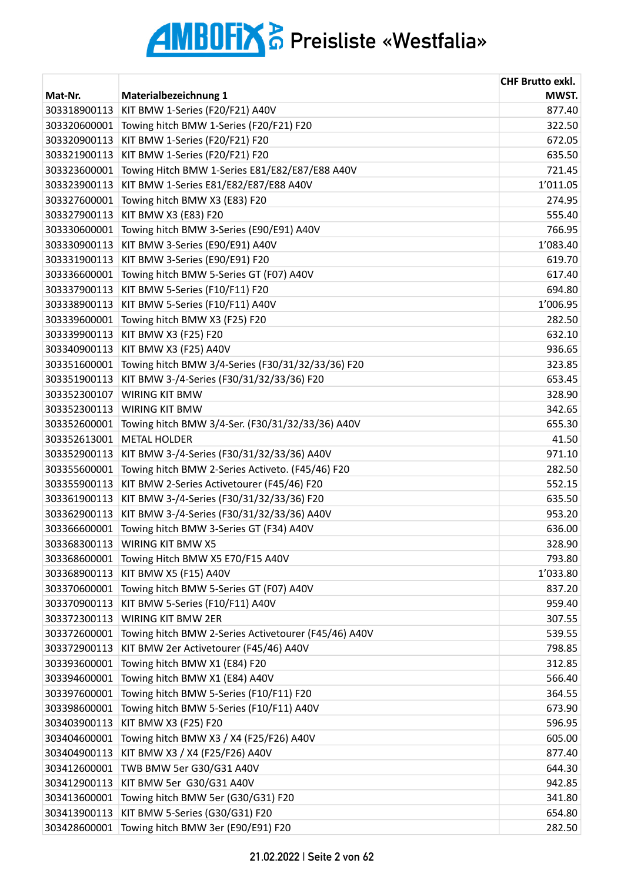| Materialbezeichnung 1<br>MWST.<br>Mat-Nr.<br>KIT BMW 1-Series (F20/F21) A40V<br>877.40<br>303318900113<br>303320600001<br>Towing hitch BMW 1-Series (F20/F21) F20<br>322.50<br>KIT BMW 1-Series (F20/F21) F20<br>303320900113<br>672.05<br>KIT BMW 1-Series (F20/F21) F20<br>635.50<br>303321900113<br>303323600001<br>Towing Hitch BMW 1-Series E81/E82/E87/E88 A40V<br>721.45<br>1'011.05<br>KIT BMW 1-Series E81/E82/E87/E88 A40V<br>303323900113<br>303327600001<br>Towing hitch BMW X3 (E83) F20<br>274.95<br>KIT BMW X3 (E83) F20<br>555.40<br>303327900113<br>303330600001<br>Towing hitch BMW 3-Series (E90/E91) A40V<br>766.95<br>KIT BMW 3-Series (E90/E91) A40V<br>1'083.40<br>303330900113<br>KIT BMW 3-Series (E90/E91) F20<br>619.70<br>303331900113<br>303336600001<br>Towing hitch BMW 5-Series GT (F07) A40V<br>617.40<br>KIT BMW 5-Series (F10/F11) F20<br>303337900113<br>694.80<br>KIT BMW 5-Series (F10/F11) A40V<br>1'006.95<br>303338900113<br>Towing hitch BMW X3 (F25) F20<br>282.50<br>303339600001<br>632.10<br>KIT BMW X3 (F25) F20<br>303339900113<br>303340900113<br>KIT BMW X3 (F25) A40V<br>936.65<br>Towing hitch BMW 3/4-Series (F30/31/32/33/36) F20<br>303351600001<br>323.85<br>KIT BMW 3-/4-Series (F30/31/32/33/36) F20<br>303351900113<br>653.45<br>303352300107<br><b>WIRING KIT BMW</b><br>328.90<br>342.65<br>303352300113<br><b>WIRING KIT BMW</b><br>655.30<br>303352600001<br>Towing hitch BMW 3/4-Ser. (F30/31/32/33/36) A40V<br><b>METAL HOLDER</b><br>303352613001<br>41.50<br>303352900113<br>KIT BMW 3-/4-Series (F30/31/32/33/36) A40V<br>971.10<br>303355600001<br>Towing hitch BMW 2-Series Activeto. (F45/46) F20<br>282.50<br>303355900113<br>KIT BMW 2-Series Activetourer (F45/46) F20<br>552.15<br>635.50<br>KIT BMW 3-/4-Series (F30/31/32/33/36) F20<br>303361900113<br>953.20<br>303362900113<br>KIT BMW 3-/4-Series (F30/31/32/33/36) A40V<br>Towing hitch BMW 3-Series GT (F34) A40V<br>636.00<br>303366600001<br>WIRING KIT BMW X5<br>328.90<br>303368300113<br>303368600001<br>Towing Hitch BMW X5 E70/F15 A40V<br>793.80<br>KIT BMW X5 (F15) A40V<br>1'033.80<br>303368900113<br>Towing hitch BMW 5-Series GT (F07) A40V<br>837.20<br>303370600001<br>959.40<br>303370900113<br>KIT BMW 5-Series (F10/F11) A40V<br>WIRING KIT BMW 2ER<br>307.55<br>303372300113<br>Towing hitch BMW 2-Series Activetourer (F45/46) A40V<br>539.55<br>303372600001<br>798.85<br>303372900113<br>KIT BMW 2er Activetourer (F45/46) A40V<br>Towing hitch BMW X1 (E84) F20<br>312.85<br>303393600001<br>Towing hitch BMW X1 (E84) A40V<br>566.40<br>303394600001<br>Towing hitch BMW 5-Series (F10/F11) F20<br>364.55<br>303397600001<br>303398600001<br>Towing hitch BMW 5-Series (F10/F11) A40V<br>673.90<br>KIT BMW X3 (F25) F20<br>303403900113<br>596.95<br>Towing hitch BMW X3 / X4 (F25/F26) A40V<br>605.00<br>303404600001<br>KIT BMW X3 / X4 (F25/F26) A40V<br>877.40<br>303404900113<br>303412600001<br>TWB BMW 5er G30/G31 A40V<br>644.30<br>KIT BMW 5er G30/G31 A40V<br>942.85<br>303412900113<br>303413600001<br>Towing hitch BMW 5er (G30/G31) F20<br>341.80 |              |                                | <b>CHF Brutto exkl.</b> |
|---------------------------------------------------------------------------------------------------------------------------------------------------------------------------------------------------------------------------------------------------------------------------------------------------------------------------------------------------------------------------------------------------------------------------------------------------------------------------------------------------------------------------------------------------------------------------------------------------------------------------------------------------------------------------------------------------------------------------------------------------------------------------------------------------------------------------------------------------------------------------------------------------------------------------------------------------------------------------------------------------------------------------------------------------------------------------------------------------------------------------------------------------------------------------------------------------------------------------------------------------------------------------------------------------------------------------------------------------------------------------------------------------------------------------------------------------------------------------------------------------------------------------------------------------------------------------------------------------------------------------------------------------------------------------------------------------------------------------------------------------------------------------------------------------------------------------------------------------------------------------------------------------------------------------------------------------------------------------------------------------------------------------------------------------------------------------------------------------------------------------------------------------------------------------------------------------------------------------------------------------------------------------------------------------------------------------------------------------------------------------------------------------------------------------------------------------------------------------------------------------------------------------------------------------------------------------------------------------------------------------------------------------------------------------------------------------------------------------------------------------------------------------------------------------------------------------------------------------------------------------------------------------------------------------------------------------------------------------------------------------------------------------------------------------------------------------------------------------------------------------|--------------|--------------------------------|-------------------------|
|                                                                                                                                                                                                                                                                                                                                                                                                                                                                                                                                                                                                                                                                                                                                                                                                                                                                                                                                                                                                                                                                                                                                                                                                                                                                                                                                                                                                                                                                                                                                                                                                                                                                                                                                                                                                                                                                                                                                                                                                                                                                                                                                                                                                                                                                                                                                                                                                                                                                                                                                                                                                                                                                                                                                                                                                                                                                                                                                                                                                                                                                                                                           |              |                                |                         |
|                                                                                                                                                                                                                                                                                                                                                                                                                                                                                                                                                                                                                                                                                                                                                                                                                                                                                                                                                                                                                                                                                                                                                                                                                                                                                                                                                                                                                                                                                                                                                                                                                                                                                                                                                                                                                                                                                                                                                                                                                                                                                                                                                                                                                                                                                                                                                                                                                                                                                                                                                                                                                                                                                                                                                                                                                                                                                                                                                                                                                                                                                                                           |              |                                |                         |
|                                                                                                                                                                                                                                                                                                                                                                                                                                                                                                                                                                                                                                                                                                                                                                                                                                                                                                                                                                                                                                                                                                                                                                                                                                                                                                                                                                                                                                                                                                                                                                                                                                                                                                                                                                                                                                                                                                                                                                                                                                                                                                                                                                                                                                                                                                                                                                                                                                                                                                                                                                                                                                                                                                                                                                                                                                                                                                                                                                                                                                                                                                                           |              |                                |                         |
|                                                                                                                                                                                                                                                                                                                                                                                                                                                                                                                                                                                                                                                                                                                                                                                                                                                                                                                                                                                                                                                                                                                                                                                                                                                                                                                                                                                                                                                                                                                                                                                                                                                                                                                                                                                                                                                                                                                                                                                                                                                                                                                                                                                                                                                                                                                                                                                                                                                                                                                                                                                                                                                                                                                                                                                                                                                                                                                                                                                                                                                                                                                           |              |                                |                         |
|                                                                                                                                                                                                                                                                                                                                                                                                                                                                                                                                                                                                                                                                                                                                                                                                                                                                                                                                                                                                                                                                                                                                                                                                                                                                                                                                                                                                                                                                                                                                                                                                                                                                                                                                                                                                                                                                                                                                                                                                                                                                                                                                                                                                                                                                                                                                                                                                                                                                                                                                                                                                                                                                                                                                                                                                                                                                                                                                                                                                                                                                                                                           |              |                                |                         |
|                                                                                                                                                                                                                                                                                                                                                                                                                                                                                                                                                                                                                                                                                                                                                                                                                                                                                                                                                                                                                                                                                                                                                                                                                                                                                                                                                                                                                                                                                                                                                                                                                                                                                                                                                                                                                                                                                                                                                                                                                                                                                                                                                                                                                                                                                                                                                                                                                                                                                                                                                                                                                                                                                                                                                                                                                                                                                                                                                                                                                                                                                                                           |              |                                |                         |
|                                                                                                                                                                                                                                                                                                                                                                                                                                                                                                                                                                                                                                                                                                                                                                                                                                                                                                                                                                                                                                                                                                                                                                                                                                                                                                                                                                                                                                                                                                                                                                                                                                                                                                                                                                                                                                                                                                                                                                                                                                                                                                                                                                                                                                                                                                                                                                                                                                                                                                                                                                                                                                                                                                                                                                                                                                                                                                                                                                                                                                                                                                                           |              |                                |                         |
|                                                                                                                                                                                                                                                                                                                                                                                                                                                                                                                                                                                                                                                                                                                                                                                                                                                                                                                                                                                                                                                                                                                                                                                                                                                                                                                                                                                                                                                                                                                                                                                                                                                                                                                                                                                                                                                                                                                                                                                                                                                                                                                                                                                                                                                                                                                                                                                                                                                                                                                                                                                                                                                                                                                                                                                                                                                                                                                                                                                                                                                                                                                           |              |                                |                         |
|                                                                                                                                                                                                                                                                                                                                                                                                                                                                                                                                                                                                                                                                                                                                                                                                                                                                                                                                                                                                                                                                                                                                                                                                                                                                                                                                                                                                                                                                                                                                                                                                                                                                                                                                                                                                                                                                                                                                                                                                                                                                                                                                                                                                                                                                                                                                                                                                                                                                                                                                                                                                                                                                                                                                                                                                                                                                                                                                                                                                                                                                                                                           |              |                                |                         |
|                                                                                                                                                                                                                                                                                                                                                                                                                                                                                                                                                                                                                                                                                                                                                                                                                                                                                                                                                                                                                                                                                                                                                                                                                                                                                                                                                                                                                                                                                                                                                                                                                                                                                                                                                                                                                                                                                                                                                                                                                                                                                                                                                                                                                                                                                                                                                                                                                                                                                                                                                                                                                                                                                                                                                                                                                                                                                                                                                                                                                                                                                                                           |              |                                |                         |
|                                                                                                                                                                                                                                                                                                                                                                                                                                                                                                                                                                                                                                                                                                                                                                                                                                                                                                                                                                                                                                                                                                                                                                                                                                                                                                                                                                                                                                                                                                                                                                                                                                                                                                                                                                                                                                                                                                                                                                                                                                                                                                                                                                                                                                                                                                                                                                                                                                                                                                                                                                                                                                                                                                                                                                                                                                                                                                                                                                                                                                                                                                                           |              |                                |                         |
|                                                                                                                                                                                                                                                                                                                                                                                                                                                                                                                                                                                                                                                                                                                                                                                                                                                                                                                                                                                                                                                                                                                                                                                                                                                                                                                                                                                                                                                                                                                                                                                                                                                                                                                                                                                                                                                                                                                                                                                                                                                                                                                                                                                                                                                                                                                                                                                                                                                                                                                                                                                                                                                                                                                                                                                                                                                                                                                                                                                                                                                                                                                           |              |                                |                         |
|                                                                                                                                                                                                                                                                                                                                                                                                                                                                                                                                                                                                                                                                                                                                                                                                                                                                                                                                                                                                                                                                                                                                                                                                                                                                                                                                                                                                                                                                                                                                                                                                                                                                                                                                                                                                                                                                                                                                                                                                                                                                                                                                                                                                                                                                                                                                                                                                                                                                                                                                                                                                                                                                                                                                                                                                                                                                                                                                                                                                                                                                                                                           |              |                                |                         |
|                                                                                                                                                                                                                                                                                                                                                                                                                                                                                                                                                                                                                                                                                                                                                                                                                                                                                                                                                                                                                                                                                                                                                                                                                                                                                                                                                                                                                                                                                                                                                                                                                                                                                                                                                                                                                                                                                                                                                                                                                                                                                                                                                                                                                                                                                                                                                                                                                                                                                                                                                                                                                                                                                                                                                                                                                                                                                                                                                                                                                                                                                                                           |              |                                |                         |
|                                                                                                                                                                                                                                                                                                                                                                                                                                                                                                                                                                                                                                                                                                                                                                                                                                                                                                                                                                                                                                                                                                                                                                                                                                                                                                                                                                                                                                                                                                                                                                                                                                                                                                                                                                                                                                                                                                                                                                                                                                                                                                                                                                                                                                                                                                                                                                                                                                                                                                                                                                                                                                                                                                                                                                                                                                                                                                                                                                                                                                                                                                                           |              |                                |                         |
|                                                                                                                                                                                                                                                                                                                                                                                                                                                                                                                                                                                                                                                                                                                                                                                                                                                                                                                                                                                                                                                                                                                                                                                                                                                                                                                                                                                                                                                                                                                                                                                                                                                                                                                                                                                                                                                                                                                                                                                                                                                                                                                                                                                                                                                                                                                                                                                                                                                                                                                                                                                                                                                                                                                                                                                                                                                                                                                                                                                                                                                                                                                           |              |                                |                         |
|                                                                                                                                                                                                                                                                                                                                                                                                                                                                                                                                                                                                                                                                                                                                                                                                                                                                                                                                                                                                                                                                                                                                                                                                                                                                                                                                                                                                                                                                                                                                                                                                                                                                                                                                                                                                                                                                                                                                                                                                                                                                                                                                                                                                                                                                                                                                                                                                                                                                                                                                                                                                                                                                                                                                                                                                                                                                                                                                                                                                                                                                                                                           |              |                                |                         |
|                                                                                                                                                                                                                                                                                                                                                                                                                                                                                                                                                                                                                                                                                                                                                                                                                                                                                                                                                                                                                                                                                                                                                                                                                                                                                                                                                                                                                                                                                                                                                                                                                                                                                                                                                                                                                                                                                                                                                                                                                                                                                                                                                                                                                                                                                                                                                                                                                                                                                                                                                                                                                                                                                                                                                                                                                                                                                                                                                                                                                                                                                                                           |              |                                |                         |
|                                                                                                                                                                                                                                                                                                                                                                                                                                                                                                                                                                                                                                                                                                                                                                                                                                                                                                                                                                                                                                                                                                                                                                                                                                                                                                                                                                                                                                                                                                                                                                                                                                                                                                                                                                                                                                                                                                                                                                                                                                                                                                                                                                                                                                                                                                                                                                                                                                                                                                                                                                                                                                                                                                                                                                                                                                                                                                                                                                                                                                                                                                                           |              |                                |                         |
|                                                                                                                                                                                                                                                                                                                                                                                                                                                                                                                                                                                                                                                                                                                                                                                                                                                                                                                                                                                                                                                                                                                                                                                                                                                                                                                                                                                                                                                                                                                                                                                                                                                                                                                                                                                                                                                                                                                                                                                                                                                                                                                                                                                                                                                                                                                                                                                                                                                                                                                                                                                                                                                                                                                                                                                                                                                                                                                                                                                                                                                                                                                           |              |                                |                         |
|                                                                                                                                                                                                                                                                                                                                                                                                                                                                                                                                                                                                                                                                                                                                                                                                                                                                                                                                                                                                                                                                                                                                                                                                                                                                                                                                                                                                                                                                                                                                                                                                                                                                                                                                                                                                                                                                                                                                                                                                                                                                                                                                                                                                                                                                                                                                                                                                                                                                                                                                                                                                                                                                                                                                                                                                                                                                                                                                                                                                                                                                                                                           |              |                                |                         |
|                                                                                                                                                                                                                                                                                                                                                                                                                                                                                                                                                                                                                                                                                                                                                                                                                                                                                                                                                                                                                                                                                                                                                                                                                                                                                                                                                                                                                                                                                                                                                                                                                                                                                                                                                                                                                                                                                                                                                                                                                                                                                                                                                                                                                                                                                                                                                                                                                                                                                                                                                                                                                                                                                                                                                                                                                                                                                                                                                                                                                                                                                                                           |              |                                |                         |
|                                                                                                                                                                                                                                                                                                                                                                                                                                                                                                                                                                                                                                                                                                                                                                                                                                                                                                                                                                                                                                                                                                                                                                                                                                                                                                                                                                                                                                                                                                                                                                                                                                                                                                                                                                                                                                                                                                                                                                                                                                                                                                                                                                                                                                                                                                                                                                                                                                                                                                                                                                                                                                                                                                                                                                                                                                                                                                                                                                                                                                                                                                                           |              |                                |                         |
|                                                                                                                                                                                                                                                                                                                                                                                                                                                                                                                                                                                                                                                                                                                                                                                                                                                                                                                                                                                                                                                                                                                                                                                                                                                                                                                                                                                                                                                                                                                                                                                                                                                                                                                                                                                                                                                                                                                                                                                                                                                                                                                                                                                                                                                                                                                                                                                                                                                                                                                                                                                                                                                                                                                                                                                                                                                                                                                                                                                                                                                                                                                           |              |                                |                         |
|                                                                                                                                                                                                                                                                                                                                                                                                                                                                                                                                                                                                                                                                                                                                                                                                                                                                                                                                                                                                                                                                                                                                                                                                                                                                                                                                                                                                                                                                                                                                                                                                                                                                                                                                                                                                                                                                                                                                                                                                                                                                                                                                                                                                                                                                                                                                                                                                                                                                                                                                                                                                                                                                                                                                                                                                                                                                                                                                                                                                                                                                                                                           |              |                                |                         |
|                                                                                                                                                                                                                                                                                                                                                                                                                                                                                                                                                                                                                                                                                                                                                                                                                                                                                                                                                                                                                                                                                                                                                                                                                                                                                                                                                                                                                                                                                                                                                                                                                                                                                                                                                                                                                                                                                                                                                                                                                                                                                                                                                                                                                                                                                                                                                                                                                                                                                                                                                                                                                                                                                                                                                                                                                                                                                                                                                                                                                                                                                                                           |              |                                |                         |
|                                                                                                                                                                                                                                                                                                                                                                                                                                                                                                                                                                                                                                                                                                                                                                                                                                                                                                                                                                                                                                                                                                                                                                                                                                                                                                                                                                                                                                                                                                                                                                                                                                                                                                                                                                                                                                                                                                                                                                                                                                                                                                                                                                                                                                                                                                                                                                                                                                                                                                                                                                                                                                                                                                                                                                                                                                                                                                                                                                                                                                                                                                                           |              |                                |                         |
|                                                                                                                                                                                                                                                                                                                                                                                                                                                                                                                                                                                                                                                                                                                                                                                                                                                                                                                                                                                                                                                                                                                                                                                                                                                                                                                                                                                                                                                                                                                                                                                                                                                                                                                                                                                                                                                                                                                                                                                                                                                                                                                                                                                                                                                                                                                                                                                                                                                                                                                                                                                                                                                                                                                                                                                                                                                                                                                                                                                                                                                                                                                           |              |                                |                         |
|                                                                                                                                                                                                                                                                                                                                                                                                                                                                                                                                                                                                                                                                                                                                                                                                                                                                                                                                                                                                                                                                                                                                                                                                                                                                                                                                                                                                                                                                                                                                                                                                                                                                                                                                                                                                                                                                                                                                                                                                                                                                                                                                                                                                                                                                                                                                                                                                                                                                                                                                                                                                                                                                                                                                                                                                                                                                                                                                                                                                                                                                                                                           |              |                                |                         |
|                                                                                                                                                                                                                                                                                                                                                                                                                                                                                                                                                                                                                                                                                                                                                                                                                                                                                                                                                                                                                                                                                                                                                                                                                                                                                                                                                                                                                                                                                                                                                                                                                                                                                                                                                                                                                                                                                                                                                                                                                                                                                                                                                                                                                                                                                                                                                                                                                                                                                                                                                                                                                                                                                                                                                                                                                                                                                                                                                                                                                                                                                                                           |              |                                |                         |
|                                                                                                                                                                                                                                                                                                                                                                                                                                                                                                                                                                                                                                                                                                                                                                                                                                                                                                                                                                                                                                                                                                                                                                                                                                                                                                                                                                                                                                                                                                                                                                                                                                                                                                                                                                                                                                                                                                                                                                                                                                                                                                                                                                                                                                                                                                                                                                                                                                                                                                                                                                                                                                                                                                                                                                                                                                                                                                                                                                                                                                                                                                                           |              |                                |                         |
|                                                                                                                                                                                                                                                                                                                                                                                                                                                                                                                                                                                                                                                                                                                                                                                                                                                                                                                                                                                                                                                                                                                                                                                                                                                                                                                                                                                                                                                                                                                                                                                                                                                                                                                                                                                                                                                                                                                                                                                                                                                                                                                                                                                                                                                                                                                                                                                                                                                                                                                                                                                                                                                                                                                                                                                                                                                                                                                                                                                                                                                                                                                           |              |                                |                         |
|                                                                                                                                                                                                                                                                                                                                                                                                                                                                                                                                                                                                                                                                                                                                                                                                                                                                                                                                                                                                                                                                                                                                                                                                                                                                                                                                                                                                                                                                                                                                                                                                                                                                                                                                                                                                                                                                                                                                                                                                                                                                                                                                                                                                                                                                                                                                                                                                                                                                                                                                                                                                                                                                                                                                                                                                                                                                                                                                                                                                                                                                                                                           |              |                                |                         |
|                                                                                                                                                                                                                                                                                                                                                                                                                                                                                                                                                                                                                                                                                                                                                                                                                                                                                                                                                                                                                                                                                                                                                                                                                                                                                                                                                                                                                                                                                                                                                                                                                                                                                                                                                                                                                                                                                                                                                                                                                                                                                                                                                                                                                                                                                                                                                                                                                                                                                                                                                                                                                                                                                                                                                                                                                                                                                                                                                                                                                                                                                                                           |              |                                |                         |
|                                                                                                                                                                                                                                                                                                                                                                                                                                                                                                                                                                                                                                                                                                                                                                                                                                                                                                                                                                                                                                                                                                                                                                                                                                                                                                                                                                                                                                                                                                                                                                                                                                                                                                                                                                                                                                                                                                                                                                                                                                                                                                                                                                                                                                                                                                                                                                                                                                                                                                                                                                                                                                                                                                                                                                                                                                                                                                                                                                                                                                                                                                                           |              |                                |                         |
|                                                                                                                                                                                                                                                                                                                                                                                                                                                                                                                                                                                                                                                                                                                                                                                                                                                                                                                                                                                                                                                                                                                                                                                                                                                                                                                                                                                                                                                                                                                                                                                                                                                                                                                                                                                                                                                                                                                                                                                                                                                                                                                                                                                                                                                                                                                                                                                                                                                                                                                                                                                                                                                                                                                                                                                                                                                                                                                                                                                                                                                                                                                           |              |                                |                         |
|                                                                                                                                                                                                                                                                                                                                                                                                                                                                                                                                                                                                                                                                                                                                                                                                                                                                                                                                                                                                                                                                                                                                                                                                                                                                                                                                                                                                                                                                                                                                                                                                                                                                                                                                                                                                                                                                                                                                                                                                                                                                                                                                                                                                                                                                                                                                                                                                                                                                                                                                                                                                                                                                                                                                                                                                                                                                                                                                                                                                                                                                                                                           |              |                                |                         |
|                                                                                                                                                                                                                                                                                                                                                                                                                                                                                                                                                                                                                                                                                                                                                                                                                                                                                                                                                                                                                                                                                                                                                                                                                                                                                                                                                                                                                                                                                                                                                                                                                                                                                                                                                                                                                                                                                                                                                                                                                                                                                                                                                                                                                                                                                                                                                                                                                                                                                                                                                                                                                                                                                                                                                                                                                                                                                                                                                                                                                                                                                                                           |              |                                |                         |
|                                                                                                                                                                                                                                                                                                                                                                                                                                                                                                                                                                                                                                                                                                                                                                                                                                                                                                                                                                                                                                                                                                                                                                                                                                                                                                                                                                                                                                                                                                                                                                                                                                                                                                                                                                                                                                                                                                                                                                                                                                                                                                                                                                                                                                                                                                                                                                                                                                                                                                                                                                                                                                                                                                                                                                                                                                                                                                                                                                                                                                                                                                                           |              |                                |                         |
|                                                                                                                                                                                                                                                                                                                                                                                                                                                                                                                                                                                                                                                                                                                                                                                                                                                                                                                                                                                                                                                                                                                                                                                                                                                                                                                                                                                                                                                                                                                                                                                                                                                                                                                                                                                                                                                                                                                                                                                                                                                                                                                                                                                                                                                                                                                                                                                                                                                                                                                                                                                                                                                                                                                                                                                                                                                                                                                                                                                                                                                                                                                           |              |                                |                         |
|                                                                                                                                                                                                                                                                                                                                                                                                                                                                                                                                                                                                                                                                                                                                                                                                                                                                                                                                                                                                                                                                                                                                                                                                                                                                                                                                                                                                                                                                                                                                                                                                                                                                                                                                                                                                                                                                                                                                                                                                                                                                                                                                                                                                                                                                                                                                                                                                                                                                                                                                                                                                                                                                                                                                                                                                                                                                                                                                                                                                                                                                                                                           |              |                                |                         |
|                                                                                                                                                                                                                                                                                                                                                                                                                                                                                                                                                                                                                                                                                                                                                                                                                                                                                                                                                                                                                                                                                                                                                                                                                                                                                                                                                                                                                                                                                                                                                                                                                                                                                                                                                                                                                                                                                                                                                                                                                                                                                                                                                                                                                                                                                                                                                                                                                                                                                                                                                                                                                                                                                                                                                                                                                                                                                                                                                                                                                                                                                                                           |              |                                |                         |
|                                                                                                                                                                                                                                                                                                                                                                                                                                                                                                                                                                                                                                                                                                                                                                                                                                                                                                                                                                                                                                                                                                                                                                                                                                                                                                                                                                                                                                                                                                                                                                                                                                                                                                                                                                                                                                                                                                                                                                                                                                                                                                                                                                                                                                                                                                                                                                                                                                                                                                                                                                                                                                                                                                                                                                                                                                                                                                                                                                                                                                                                                                                           |              |                                |                         |
|                                                                                                                                                                                                                                                                                                                                                                                                                                                                                                                                                                                                                                                                                                                                                                                                                                                                                                                                                                                                                                                                                                                                                                                                                                                                                                                                                                                                                                                                                                                                                                                                                                                                                                                                                                                                                                                                                                                                                                                                                                                                                                                                                                                                                                                                                                                                                                                                                                                                                                                                                                                                                                                                                                                                                                                                                                                                                                                                                                                                                                                                                                                           |              |                                |                         |
|                                                                                                                                                                                                                                                                                                                                                                                                                                                                                                                                                                                                                                                                                                                                                                                                                                                                                                                                                                                                                                                                                                                                                                                                                                                                                                                                                                                                                                                                                                                                                                                                                                                                                                                                                                                                                                                                                                                                                                                                                                                                                                                                                                                                                                                                                                                                                                                                                                                                                                                                                                                                                                                                                                                                                                                                                                                                                                                                                                                                                                                                                                                           |              |                                |                         |
|                                                                                                                                                                                                                                                                                                                                                                                                                                                                                                                                                                                                                                                                                                                                                                                                                                                                                                                                                                                                                                                                                                                                                                                                                                                                                                                                                                                                                                                                                                                                                                                                                                                                                                                                                                                                                                                                                                                                                                                                                                                                                                                                                                                                                                                                                                                                                                                                                                                                                                                                                                                                                                                                                                                                                                                                                                                                                                                                                                                                                                                                                                                           |              |                                |                         |
|                                                                                                                                                                                                                                                                                                                                                                                                                                                                                                                                                                                                                                                                                                                                                                                                                                                                                                                                                                                                                                                                                                                                                                                                                                                                                                                                                                                                                                                                                                                                                                                                                                                                                                                                                                                                                                                                                                                                                                                                                                                                                                                                                                                                                                                                                                                                                                                                                                                                                                                                                                                                                                                                                                                                                                                                                                                                                                                                                                                                                                                                                                                           |              |                                |                         |
|                                                                                                                                                                                                                                                                                                                                                                                                                                                                                                                                                                                                                                                                                                                                                                                                                                                                                                                                                                                                                                                                                                                                                                                                                                                                                                                                                                                                                                                                                                                                                                                                                                                                                                                                                                                                                                                                                                                                                                                                                                                                                                                                                                                                                                                                                                                                                                                                                                                                                                                                                                                                                                                                                                                                                                                                                                                                                                                                                                                                                                                                                                                           |              |                                |                         |
|                                                                                                                                                                                                                                                                                                                                                                                                                                                                                                                                                                                                                                                                                                                                                                                                                                                                                                                                                                                                                                                                                                                                                                                                                                                                                                                                                                                                                                                                                                                                                                                                                                                                                                                                                                                                                                                                                                                                                                                                                                                                                                                                                                                                                                                                                                                                                                                                                                                                                                                                                                                                                                                                                                                                                                                                                                                                                                                                                                                                                                                                                                                           | 303413900113 | KIT BMW 5-Series (G30/G31) F20 | 654.80                  |
| Towing hitch BMW 3er (E90/E91) F20<br>282.50<br>303428600001                                                                                                                                                                                                                                                                                                                                                                                                                                                                                                                                                                                                                                                                                                                                                                                                                                                                                                                                                                                                                                                                                                                                                                                                                                                                                                                                                                                                                                                                                                                                                                                                                                                                                                                                                                                                                                                                                                                                                                                                                                                                                                                                                                                                                                                                                                                                                                                                                                                                                                                                                                                                                                                                                                                                                                                                                                                                                                                                                                                                                                                              |              |                                |                         |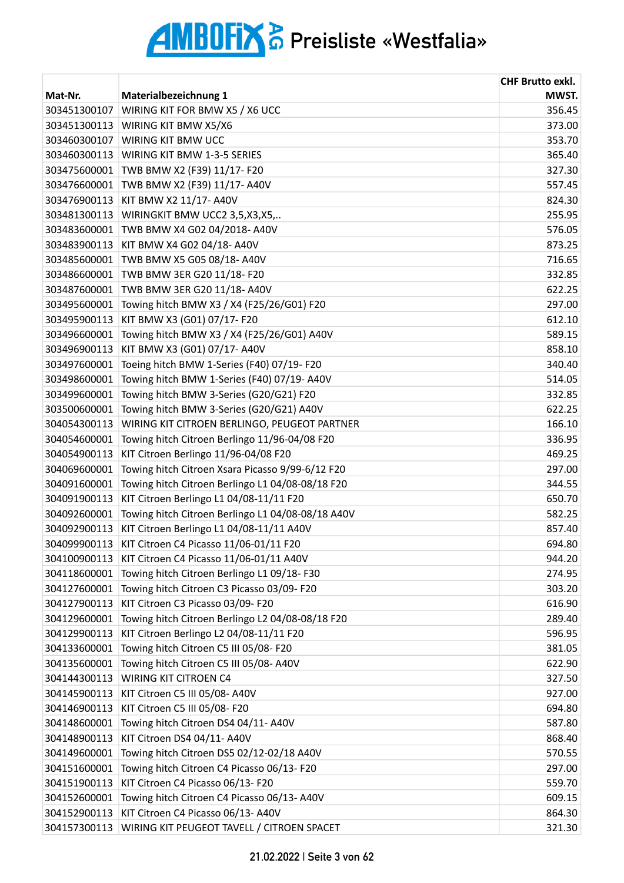| MWST.<br>Mat-Nr.<br>Materialbezeichnung 1<br>WIRING KIT FOR BMW X5 / X6 UCC<br>356.45<br>303451300107<br>WIRING KIT BMW X5/X6<br>373.00<br>303451300113<br>WIRING KIT BMW UCC<br>303460300107<br>353.70<br>303460300113<br>WIRING KIT BMW 1-3-5 SERIES<br>365.40<br>303475600001<br>TWB BMW X2 (F39) 11/17- F20<br>327.30<br>557.45<br>TWB BMW X2 (F39) 11/17- A40V<br>303476600001<br>303476900113<br>KIT BMW X2 11/17- A40V<br>824.30<br>303481300113<br>WIRINGKIT BMW UCC2 3,5,X3,X5,<br>255.95<br>303483600001<br>TWB BMW X4 G02 04/2018- A40V<br>576.05<br>KIT BMW X4 G02 04/18- A40V<br>873.25<br>303483900113<br>TWB BMW X5 G05 08/18- A40V<br>716.65<br>303485600001<br>TWB BMW 3ER G20 11/18- F20<br>332.85<br>303486600001<br>TWB BMW 3ER G20 11/18- A40V<br>303487600001<br>622.25<br>Towing hitch BMW X3 / X4 (F25/26/G01) F20<br>297.00<br>303495600001<br>KIT BMW X3 (G01) 07/17- F20<br>303495900113<br>612.10<br>589.15<br>303496600001<br>Towing hitch BMW X3 / X4 (F25/26/G01) A40V<br>858.10<br>KIT BMW X3 (G01) 07/17- A40V<br>303496900113<br>Toeing hitch BMW 1-Series (F40) 07/19- F20<br>340.40<br>303497600001<br>Towing hitch BMW 1-Series (F40) 07/19- A40V<br>514.05<br>303498600001<br>Towing hitch BMW 3-Series (G20/G21) F20<br>332.85<br>303499600001<br>Towing hitch BMW 3-Series (G20/G21) A40V<br>622.25<br>303500600001<br>166.10<br>WIRING KIT CITROEN BERLINGO, PEUGEOT PARTNER<br>304054300113<br>304054600001<br>Towing hitch Citroen Berlingo 11/96-04/08 F20<br>336.95<br>KIT Citroen Berlingo 11/96-04/08 F20<br>469.25<br>304054900113<br>304069600001<br>Towing hitch Citroen Xsara Picasso 9/99-6/12 F20<br>297.00<br>Towing hitch Citroen Berlingo L1 04/08-08/18 F20<br>344.55<br>304091600001<br>KIT Citroen Berlingo L1 04/08-11/11 F20<br>650.70<br>304091900113<br>Towing hitch Citroen Berlingo L1 04/08-08/18 A40V<br>304092600001<br>582.25<br>KIT Citroen Berlingo L1 04/08-11/11 A40V<br>304092900113<br>857.40<br>KIT Citroen C4 Picasso 11/06-01/11 F20<br>304099900113<br>694.80<br>304100900113<br>KIT Citroen C4 Picasso 11/06-01/11 A40V<br>944.20<br>304118600001<br>Towing hitch Citroen Berlingo L1 09/18-F30<br>274.95<br>304127600001<br>Towing hitch Citroen C3 Picasso 03/09-F20<br>303.20<br>KIT Citroen C3 Picasso 03/09- F20<br>616.90<br>304127900113<br>Towing hitch Citroen Berlingo L2 04/08-08/18 F20<br>289.40<br>304129600001<br>304129900113<br>KIT Citroen Berlingo L2 04/08-11/11 F20<br>596.95<br>Towing hitch Citroen C5 III 05/08- F20<br>304133600001<br>381.05<br>Towing hitch Citroen C5 III 05/08- A40V<br>304135600001<br>622.90<br><b>WIRING KIT CITROEN C4</b><br>304144300113<br>327.50<br>KIT Citroen C5 III 05/08- A40V<br>304145900113<br>927.00<br>304146900113<br>KIT Citroen C5 III 05/08- F20<br>694.80<br>Towing hitch Citroen DS4 04/11- A40V<br>304148600001<br>587.80<br>KIT Citroen DS4 04/11- A40V<br>304148900113<br>868.40<br>Towing hitch Citroen DS5 02/12-02/18 A40V<br>304149600001<br>570.55<br>Towing hitch Citroen C4 Picasso 06/13-F20<br>297.00<br>304151600001<br>KIT Citroen C4 Picasso 06/13- F20<br>559.70<br>304151900113<br>304152600001<br>Towing hitch Citroen C4 Picasso 06/13-A40V<br>609.15<br>304152900113<br>KIT Citroen C4 Picasso 06/13- A40V<br>864.30 |              |                                            | <b>CHF Brutto exkl.</b> |
|----------------------------------------------------------------------------------------------------------------------------------------------------------------------------------------------------------------------------------------------------------------------------------------------------------------------------------------------------------------------------------------------------------------------------------------------------------------------------------------------------------------------------------------------------------------------------------------------------------------------------------------------------------------------------------------------------------------------------------------------------------------------------------------------------------------------------------------------------------------------------------------------------------------------------------------------------------------------------------------------------------------------------------------------------------------------------------------------------------------------------------------------------------------------------------------------------------------------------------------------------------------------------------------------------------------------------------------------------------------------------------------------------------------------------------------------------------------------------------------------------------------------------------------------------------------------------------------------------------------------------------------------------------------------------------------------------------------------------------------------------------------------------------------------------------------------------------------------------------------------------------------------------------------------------------------------------------------------------------------------------------------------------------------------------------------------------------------------------------------------------------------------------------------------------------------------------------------------------------------------------------------------------------------------------------------------------------------------------------------------------------------------------------------------------------------------------------------------------------------------------------------------------------------------------------------------------------------------------------------------------------------------------------------------------------------------------------------------------------------------------------------------------------------------------------------------------------------------------------------------------------------------------------------------------------------------------------------------------------------------------------------------------------------------------------------------------------------------------------------------------------------------------------------------------------------------------------------------------------------------------------------------------------------------|--------------|--------------------------------------------|-------------------------|
|                                                                                                                                                                                                                                                                                                                                                                                                                                                                                                                                                                                                                                                                                                                                                                                                                                                                                                                                                                                                                                                                                                                                                                                                                                                                                                                                                                                                                                                                                                                                                                                                                                                                                                                                                                                                                                                                                                                                                                                                                                                                                                                                                                                                                                                                                                                                                                                                                                                                                                                                                                                                                                                                                                                                                                                                                                                                                                                                                                                                                                                                                                                                                                                                                                                                                              |              |                                            |                         |
|                                                                                                                                                                                                                                                                                                                                                                                                                                                                                                                                                                                                                                                                                                                                                                                                                                                                                                                                                                                                                                                                                                                                                                                                                                                                                                                                                                                                                                                                                                                                                                                                                                                                                                                                                                                                                                                                                                                                                                                                                                                                                                                                                                                                                                                                                                                                                                                                                                                                                                                                                                                                                                                                                                                                                                                                                                                                                                                                                                                                                                                                                                                                                                                                                                                                                              |              |                                            |                         |
|                                                                                                                                                                                                                                                                                                                                                                                                                                                                                                                                                                                                                                                                                                                                                                                                                                                                                                                                                                                                                                                                                                                                                                                                                                                                                                                                                                                                                                                                                                                                                                                                                                                                                                                                                                                                                                                                                                                                                                                                                                                                                                                                                                                                                                                                                                                                                                                                                                                                                                                                                                                                                                                                                                                                                                                                                                                                                                                                                                                                                                                                                                                                                                                                                                                                                              |              |                                            |                         |
|                                                                                                                                                                                                                                                                                                                                                                                                                                                                                                                                                                                                                                                                                                                                                                                                                                                                                                                                                                                                                                                                                                                                                                                                                                                                                                                                                                                                                                                                                                                                                                                                                                                                                                                                                                                                                                                                                                                                                                                                                                                                                                                                                                                                                                                                                                                                                                                                                                                                                                                                                                                                                                                                                                                                                                                                                                                                                                                                                                                                                                                                                                                                                                                                                                                                                              |              |                                            |                         |
|                                                                                                                                                                                                                                                                                                                                                                                                                                                                                                                                                                                                                                                                                                                                                                                                                                                                                                                                                                                                                                                                                                                                                                                                                                                                                                                                                                                                                                                                                                                                                                                                                                                                                                                                                                                                                                                                                                                                                                                                                                                                                                                                                                                                                                                                                                                                                                                                                                                                                                                                                                                                                                                                                                                                                                                                                                                                                                                                                                                                                                                                                                                                                                                                                                                                                              |              |                                            |                         |
|                                                                                                                                                                                                                                                                                                                                                                                                                                                                                                                                                                                                                                                                                                                                                                                                                                                                                                                                                                                                                                                                                                                                                                                                                                                                                                                                                                                                                                                                                                                                                                                                                                                                                                                                                                                                                                                                                                                                                                                                                                                                                                                                                                                                                                                                                                                                                                                                                                                                                                                                                                                                                                                                                                                                                                                                                                                                                                                                                                                                                                                                                                                                                                                                                                                                                              |              |                                            |                         |
|                                                                                                                                                                                                                                                                                                                                                                                                                                                                                                                                                                                                                                                                                                                                                                                                                                                                                                                                                                                                                                                                                                                                                                                                                                                                                                                                                                                                                                                                                                                                                                                                                                                                                                                                                                                                                                                                                                                                                                                                                                                                                                                                                                                                                                                                                                                                                                                                                                                                                                                                                                                                                                                                                                                                                                                                                                                                                                                                                                                                                                                                                                                                                                                                                                                                                              |              |                                            |                         |
|                                                                                                                                                                                                                                                                                                                                                                                                                                                                                                                                                                                                                                                                                                                                                                                                                                                                                                                                                                                                                                                                                                                                                                                                                                                                                                                                                                                                                                                                                                                                                                                                                                                                                                                                                                                                                                                                                                                                                                                                                                                                                                                                                                                                                                                                                                                                                                                                                                                                                                                                                                                                                                                                                                                                                                                                                                                                                                                                                                                                                                                                                                                                                                                                                                                                                              |              |                                            |                         |
|                                                                                                                                                                                                                                                                                                                                                                                                                                                                                                                                                                                                                                                                                                                                                                                                                                                                                                                                                                                                                                                                                                                                                                                                                                                                                                                                                                                                                                                                                                                                                                                                                                                                                                                                                                                                                                                                                                                                                                                                                                                                                                                                                                                                                                                                                                                                                                                                                                                                                                                                                                                                                                                                                                                                                                                                                                                                                                                                                                                                                                                                                                                                                                                                                                                                                              |              |                                            |                         |
|                                                                                                                                                                                                                                                                                                                                                                                                                                                                                                                                                                                                                                                                                                                                                                                                                                                                                                                                                                                                                                                                                                                                                                                                                                                                                                                                                                                                                                                                                                                                                                                                                                                                                                                                                                                                                                                                                                                                                                                                                                                                                                                                                                                                                                                                                                                                                                                                                                                                                                                                                                                                                                                                                                                                                                                                                                                                                                                                                                                                                                                                                                                                                                                                                                                                                              |              |                                            |                         |
|                                                                                                                                                                                                                                                                                                                                                                                                                                                                                                                                                                                                                                                                                                                                                                                                                                                                                                                                                                                                                                                                                                                                                                                                                                                                                                                                                                                                                                                                                                                                                                                                                                                                                                                                                                                                                                                                                                                                                                                                                                                                                                                                                                                                                                                                                                                                                                                                                                                                                                                                                                                                                                                                                                                                                                                                                                                                                                                                                                                                                                                                                                                                                                                                                                                                                              |              |                                            |                         |
|                                                                                                                                                                                                                                                                                                                                                                                                                                                                                                                                                                                                                                                                                                                                                                                                                                                                                                                                                                                                                                                                                                                                                                                                                                                                                                                                                                                                                                                                                                                                                                                                                                                                                                                                                                                                                                                                                                                                                                                                                                                                                                                                                                                                                                                                                                                                                                                                                                                                                                                                                                                                                                                                                                                                                                                                                                                                                                                                                                                                                                                                                                                                                                                                                                                                                              |              |                                            |                         |
|                                                                                                                                                                                                                                                                                                                                                                                                                                                                                                                                                                                                                                                                                                                                                                                                                                                                                                                                                                                                                                                                                                                                                                                                                                                                                                                                                                                                                                                                                                                                                                                                                                                                                                                                                                                                                                                                                                                                                                                                                                                                                                                                                                                                                                                                                                                                                                                                                                                                                                                                                                                                                                                                                                                                                                                                                                                                                                                                                                                                                                                                                                                                                                                                                                                                                              |              |                                            |                         |
|                                                                                                                                                                                                                                                                                                                                                                                                                                                                                                                                                                                                                                                                                                                                                                                                                                                                                                                                                                                                                                                                                                                                                                                                                                                                                                                                                                                                                                                                                                                                                                                                                                                                                                                                                                                                                                                                                                                                                                                                                                                                                                                                                                                                                                                                                                                                                                                                                                                                                                                                                                                                                                                                                                                                                                                                                                                                                                                                                                                                                                                                                                                                                                                                                                                                                              |              |                                            |                         |
|                                                                                                                                                                                                                                                                                                                                                                                                                                                                                                                                                                                                                                                                                                                                                                                                                                                                                                                                                                                                                                                                                                                                                                                                                                                                                                                                                                                                                                                                                                                                                                                                                                                                                                                                                                                                                                                                                                                                                                                                                                                                                                                                                                                                                                                                                                                                                                                                                                                                                                                                                                                                                                                                                                                                                                                                                                                                                                                                                                                                                                                                                                                                                                                                                                                                                              |              |                                            |                         |
|                                                                                                                                                                                                                                                                                                                                                                                                                                                                                                                                                                                                                                                                                                                                                                                                                                                                                                                                                                                                                                                                                                                                                                                                                                                                                                                                                                                                                                                                                                                                                                                                                                                                                                                                                                                                                                                                                                                                                                                                                                                                                                                                                                                                                                                                                                                                                                                                                                                                                                                                                                                                                                                                                                                                                                                                                                                                                                                                                                                                                                                                                                                                                                                                                                                                                              |              |                                            |                         |
|                                                                                                                                                                                                                                                                                                                                                                                                                                                                                                                                                                                                                                                                                                                                                                                                                                                                                                                                                                                                                                                                                                                                                                                                                                                                                                                                                                                                                                                                                                                                                                                                                                                                                                                                                                                                                                                                                                                                                                                                                                                                                                                                                                                                                                                                                                                                                                                                                                                                                                                                                                                                                                                                                                                                                                                                                                                                                                                                                                                                                                                                                                                                                                                                                                                                                              |              |                                            |                         |
|                                                                                                                                                                                                                                                                                                                                                                                                                                                                                                                                                                                                                                                                                                                                                                                                                                                                                                                                                                                                                                                                                                                                                                                                                                                                                                                                                                                                                                                                                                                                                                                                                                                                                                                                                                                                                                                                                                                                                                                                                                                                                                                                                                                                                                                                                                                                                                                                                                                                                                                                                                                                                                                                                                                                                                                                                                                                                                                                                                                                                                                                                                                                                                                                                                                                                              |              |                                            |                         |
|                                                                                                                                                                                                                                                                                                                                                                                                                                                                                                                                                                                                                                                                                                                                                                                                                                                                                                                                                                                                                                                                                                                                                                                                                                                                                                                                                                                                                                                                                                                                                                                                                                                                                                                                                                                                                                                                                                                                                                                                                                                                                                                                                                                                                                                                                                                                                                                                                                                                                                                                                                                                                                                                                                                                                                                                                                                                                                                                                                                                                                                                                                                                                                                                                                                                                              |              |                                            |                         |
|                                                                                                                                                                                                                                                                                                                                                                                                                                                                                                                                                                                                                                                                                                                                                                                                                                                                                                                                                                                                                                                                                                                                                                                                                                                                                                                                                                                                                                                                                                                                                                                                                                                                                                                                                                                                                                                                                                                                                                                                                                                                                                                                                                                                                                                                                                                                                                                                                                                                                                                                                                                                                                                                                                                                                                                                                                                                                                                                                                                                                                                                                                                                                                                                                                                                                              |              |                                            |                         |
|                                                                                                                                                                                                                                                                                                                                                                                                                                                                                                                                                                                                                                                                                                                                                                                                                                                                                                                                                                                                                                                                                                                                                                                                                                                                                                                                                                                                                                                                                                                                                                                                                                                                                                                                                                                                                                                                                                                                                                                                                                                                                                                                                                                                                                                                                                                                                                                                                                                                                                                                                                                                                                                                                                                                                                                                                                                                                                                                                                                                                                                                                                                                                                                                                                                                                              |              |                                            |                         |
|                                                                                                                                                                                                                                                                                                                                                                                                                                                                                                                                                                                                                                                                                                                                                                                                                                                                                                                                                                                                                                                                                                                                                                                                                                                                                                                                                                                                                                                                                                                                                                                                                                                                                                                                                                                                                                                                                                                                                                                                                                                                                                                                                                                                                                                                                                                                                                                                                                                                                                                                                                                                                                                                                                                                                                                                                                                                                                                                                                                                                                                                                                                                                                                                                                                                                              |              |                                            |                         |
|                                                                                                                                                                                                                                                                                                                                                                                                                                                                                                                                                                                                                                                                                                                                                                                                                                                                                                                                                                                                                                                                                                                                                                                                                                                                                                                                                                                                                                                                                                                                                                                                                                                                                                                                                                                                                                                                                                                                                                                                                                                                                                                                                                                                                                                                                                                                                                                                                                                                                                                                                                                                                                                                                                                                                                                                                                                                                                                                                                                                                                                                                                                                                                                                                                                                                              |              |                                            |                         |
|                                                                                                                                                                                                                                                                                                                                                                                                                                                                                                                                                                                                                                                                                                                                                                                                                                                                                                                                                                                                                                                                                                                                                                                                                                                                                                                                                                                                                                                                                                                                                                                                                                                                                                                                                                                                                                                                                                                                                                                                                                                                                                                                                                                                                                                                                                                                                                                                                                                                                                                                                                                                                                                                                                                                                                                                                                                                                                                                                                                                                                                                                                                                                                                                                                                                                              |              |                                            |                         |
|                                                                                                                                                                                                                                                                                                                                                                                                                                                                                                                                                                                                                                                                                                                                                                                                                                                                                                                                                                                                                                                                                                                                                                                                                                                                                                                                                                                                                                                                                                                                                                                                                                                                                                                                                                                                                                                                                                                                                                                                                                                                                                                                                                                                                                                                                                                                                                                                                                                                                                                                                                                                                                                                                                                                                                                                                                                                                                                                                                                                                                                                                                                                                                                                                                                                                              |              |                                            |                         |
|                                                                                                                                                                                                                                                                                                                                                                                                                                                                                                                                                                                                                                                                                                                                                                                                                                                                                                                                                                                                                                                                                                                                                                                                                                                                                                                                                                                                                                                                                                                                                                                                                                                                                                                                                                                                                                                                                                                                                                                                                                                                                                                                                                                                                                                                                                                                                                                                                                                                                                                                                                                                                                                                                                                                                                                                                                                                                                                                                                                                                                                                                                                                                                                                                                                                                              |              |                                            |                         |
|                                                                                                                                                                                                                                                                                                                                                                                                                                                                                                                                                                                                                                                                                                                                                                                                                                                                                                                                                                                                                                                                                                                                                                                                                                                                                                                                                                                                                                                                                                                                                                                                                                                                                                                                                                                                                                                                                                                                                                                                                                                                                                                                                                                                                                                                                                                                                                                                                                                                                                                                                                                                                                                                                                                                                                                                                                                                                                                                                                                                                                                                                                                                                                                                                                                                                              |              |                                            |                         |
|                                                                                                                                                                                                                                                                                                                                                                                                                                                                                                                                                                                                                                                                                                                                                                                                                                                                                                                                                                                                                                                                                                                                                                                                                                                                                                                                                                                                                                                                                                                                                                                                                                                                                                                                                                                                                                                                                                                                                                                                                                                                                                                                                                                                                                                                                                                                                                                                                                                                                                                                                                                                                                                                                                                                                                                                                                                                                                                                                                                                                                                                                                                                                                                                                                                                                              |              |                                            |                         |
|                                                                                                                                                                                                                                                                                                                                                                                                                                                                                                                                                                                                                                                                                                                                                                                                                                                                                                                                                                                                                                                                                                                                                                                                                                                                                                                                                                                                                                                                                                                                                                                                                                                                                                                                                                                                                                                                                                                                                                                                                                                                                                                                                                                                                                                                                                                                                                                                                                                                                                                                                                                                                                                                                                                                                                                                                                                                                                                                                                                                                                                                                                                                                                                                                                                                                              |              |                                            |                         |
|                                                                                                                                                                                                                                                                                                                                                                                                                                                                                                                                                                                                                                                                                                                                                                                                                                                                                                                                                                                                                                                                                                                                                                                                                                                                                                                                                                                                                                                                                                                                                                                                                                                                                                                                                                                                                                                                                                                                                                                                                                                                                                                                                                                                                                                                                                                                                                                                                                                                                                                                                                                                                                                                                                                                                                                                                                                                                                                                                                                                                                                                                                                                                                                                                                                                                              |              |                                            |                         |
|                                                                                                                                                                                                                                                                                                                                                                                                                                                                                                                                                                                                                                                                                                                                                                                                                                                                                                                                                                                                                                                                                                                                                                                                                                                                                                                                                                                                                                                                                                                                                                                                                                                                                                                                                                                                                                                                                                                                                                                                                                                                                                                                                                                                                                                                                                                                                                                                                                                                                                                                                                                                                                                                                                                                                                                                                                                                                                                                                                                                                                                                                                                                                                                                                                                                                              |              |                                            |                         |
|                                                                                                                                                                                                                                                                                                                                                                                                                                                                                                                                                                                                                                                                                                                                                                                                                                                                                                                                                                                                                                                                                                                                                                                                                                                                                                                                                                                                                                                                                                                                                                                                                                                                                                                                                                                                                                                                                                                                                                                                                                                                                                                                                                                                                                                                                                                                                                                                                                                                                                                                                                                                                                                                                                                                                                                                                                                                                                                                                                                                                                                                                                                                                                                                                                                                                              |              |                                            |                         |
|                                                                                                                                                                                                                                                                                                                                                                                                                                                                                                                                                                                                                                                                                                                                                                                                                                                                                                                                                                                                                                                                                                                                                                                                                                                                                                                                                                                                                                                                                                                                                                                                                                                                                                                                                                                                                                                                                                                                                                                                                                                                                                                                                                                                                                                                                                                                                                                                                                                                                                                                                                                                                                                                                                                                                                                                                                                                                                                                                                                                                                                                                                                                                                                                                                                                                              |              |                                            |                         |
|                                                                                                                                                                                                                                                                                                                                                                                                                                                                                                                                                                                                                                                                                                                                                                                                                                                                                                                                                                                                                                                                                                                                                                                                                                                                                                                                                                                                                                                                                                                                                                                                                                                                                                                                                                                                                                                                                                                                                                                                                                                                                                                                                                                                                                                                                                                                                                                                                                                                                                                                                                                                                                                                                                                                                                                                                                                                                                                                                                                                                                                                                                                                                                                                                                                                                              |              |                                            |                         |
|                                                                                                                                                                                                                                                                                                                                                                                                                                                                                                                                                                                                                                                                                                                                                                                                                                                                                                                                                                                                                                                                                                                                                                                                                                                                                                                                                                                                                                                                                                                                                                                                                                                                                                                                                                                                                                                                                                                                                                                                                                                                                                                                                                                                                                                                                                                                                                                                                                                                                                                                                                                                                                                                                                                                                                                                                                                                                                                                                                                                                                                                                                                                                                                                                                                                                              |              |                                            |                         |
|                                                                                                                                                                                                                                                                                                                                                                                                                                                                                                                                                                                                                                                                                                                                                                                                                                                                                                                                                                                                                                                                                                                                                                                                                                                                                                                                                                                                                                                                                                                                                                                                                                                                                                                                                                                                                                                                                                                                                                                                                                                                                                                                                                                                                                                                                                                                                                                                                                                                                                                                                                                                                                                                                                                                                                                                                                                                                                                                                                                                                                                                                                                                                                                                                                                                                              |              |                                            |                         |
|                                                                                                                                                                                                                                                                                                                                                                                                                                                                                                                                                                                                                                                                                                                                                                                                                                                                                                                                                                                                                                                                                                                                                                                                                                                                                                                                                                                                                                                                                                                                                                                                                                                                                                                                                                                                                                                                                                                                                                                                                                                                                                                                                                                                                                                                                                                                                                                                                                                                                                                                                                                                                                                                                                                                                                                                                                                                                                                                                                                                                                                                                                                                                                                                                                                                                              |              |                                            |                         |
|                                                                                                                                                                                                                                                                                                                                                                                                                                                                                                                                                                                                                                                                                                                                                                                                                                                                                                                                                                                                                                                                                                                                                                                                                                                                                                                                                                                                                                                                                                                                                                                                                                                                                                                                                                                                                                                                                                                                                                                                                                                                                                                                                                                                                                                                                                                                                                                                                                                                                                                                                                                                                                                                                                                                                                                                                                                                                                                                                                                                                                                                                                                                                                                                                                                                                              |              |                                            |                         |
|                                                                                                                                                                                                                                                                                                                                                                                                                                                                                                                                                                                                                                                                                                                                                                                                                                                                                                                                                                                                                                                                                                                                                                                                                                                                                                                                                                                                                                                                                                                                                                                                                                                                                                                                                                                                                                                                                                                                                                                                                                                                                                                                                                                                                                                                                                                                                                                                                                                                                                                                                                                                                                                                                                                                                                                                                                                                                                                                                                                                                                                                                                                                                                                                                                                                                              |              |                                            |                         |
|                                                                                                                                                                                                                                                                                                                                                                                                                                                                                                                                                                                                                                                                                                                                                                                                                                                                                                                                                                                                                                                                                                                                                                                                                                                                                                                                                                                                                                                                                                                                                                                                                                                                                                                                                                                                                                                                                                                                                                                                                                                                                                                                                                                                                                                                                                                                                                                                                                                                                                                                                                                                                                                                                                                                                                                                                                                                                                                                                                                                                                                                                                                                                                                                                                                                                              |              |                                            |                         |
|                                                                                                                                                                                                                                                                                                                                                                                                                                                                                                                                                                                                                                                                                                                                                                                                                                                                                                                                                                                                                                                                                                                                                                                                                                                                                                                                                                                                                                                                                                                                                                                                                                                                                                                                                                                                                                                                                                                                                                                                                                                                                                                                                                                                                                                                                                                                                                                                                                                                                                                                                                                                                                                                                                                                                                                                                                                                                                                                                                                                                                                                                                                                                                                                                                                                                              |              |                                            |                         |
|                                                                                                                                                                                                                                                                                                                                                                                                                                                                                                                                                                                                                                                                                                                                                                                                                                                                                                                                                                                                                                                                                                                                                                                                                                                                                                                                                                                                                                                                                                                                                                                                                                                                                                                                                                                                                                                                                                                                                                                                                                                                                                                                                                                                                                                                                                                                                                                                                                                                                                                                                                                                                                                                                                                                                                                                                                                                                                                                                                                                                                                                                                                                                                                                                                                                                              |              |                                            |                         |
|                                                                                                                                                                                                                                                                                                                                                                                                                                                                                                                                                                                                                                                                                                                                                                                                                                                                                                                                                                                                                                                                                                                                                                                                                                                                                                                                                                                                                                                                                                                                                                                                                                                                                                                                                                                                                                                                                                                                                                                                                                                                                                                                                                                                                                                                                                                                                                                                                                                                                                                                                                                                                                                                                                                                                                                                                                                                                                                                                                                                                                                                                                                                                                                                                                                                                              |              |                                            |                         |
|                                                                                                                                                                                                                                                                                                                                                                                                                                                                                                                                                                                                                                                                                                                                                                                                                                                                                                                                                                                                                                                                                                                                                                                                                                                                                                                                                                                                                                                                                                                                                                                                                                                                                                                                                                                                                                                                                                                                                                                                                                                                                                                                                                                                                                                                                                                                                                                                                                                                                                                                                                                                                                                                                                                                                                                                                                                                                                                                                                                                                                                                                                                                                                                                                                                                                              |              |                                            |                         |
|                                                                                                                                                                                                                                                                                                                                                                                                                                                                                                                                                                                                                                                                                                                                                                                                                                                                                                                                                                                                                                                                                                                                                                                                                                                                                                                                                                                                                                                                                                                                                                                                                                                                                                                                                                                                                                                                                                                                                                                                                                                                                                                                                                                                                                                                                                                                                                                                                                                                                                                                                                                                                                                                                                                                                                                                                                                                                                                                                                                                                                                                                                                                                                                                                                                                                              |              |                                            |                         |
|                                                                                                                                                                                                                                                                                                                                                                                                                                                                                                                                                                                                                                                                                                                                                                                                                                                                                                                                                                                                                                                                                                                                                                                                                                                                                                                                                                                                                                                                                                                                                                                                                                                                                                                                                                                                                                                                                                                                                                                                                                                                                                                                                                                                                                                                                                                                                                                                                                                                                                                                                                                                                                                                                                                                                                                                                                                                                                                                                                                                                                                                                                                                                                                                                                                                                              |              |                                            |                         |
|                                                                                                                                                                                                                                                                                                                                                                                                                                                                                                                                                                                                                                                                                                                                                                                                                                                                                                                                                                                                                                                                                                                                                                                                                                                                                                                                                                                                                                                                                                                                                                                                                                                                                                                                                                                                                                                                                                                                                                                                                                                                                                                                                                                                                                                                                                                                                                                                                                                                                                                                                                                                                                                                                                                                                                                                                                                                                                                                                                                                                                                                                                                                                                                                                                                                                              |              |                                            |                         |
|                                                                                                                                                                                                                                                                                                                                                                                                                                                                                                                                                                                                                                                                                                                                                                                                                                                                                                                                                                                                                                                                                                                                                                                                                                                                                                                                                                                                                                                                                                                                                                                                                                                                                                                                                                                                                                                                                                                                                                                                                                                                                                                                                                                                                                                                                                                                                                                                                                                                                                                                                                                                                                                                                                                                                                                                                                                                                                                                                                                                                                                                                                                                                                                                                                                                                              |              |                                            |                         |
|                                                                                                                                                                                                                                                                                                                                                                                                                                                                                                                                                                                                                                                                                                                                                                                                                                                                                                                                                                                                                                                                                                                                                                                                                                                                                                                                                                                                                                                                                                                                                                                                                                                                                                                                                                                                                                                                                                                                                                                                                                                                                                                                                                                                                                                                                                                                                                                                                                                                                                                                                                                                                                                                                                                                                                                                                                                                                                                                                                                                                                                                                                                                                                                                                                                                                              |              |                                            |                         |
|                                                                                                                                                                                                                                                                                                                                                                                                                                                                                                                                                                                                                                                                                                                                                                                                                                                                                                                                                                                                                                                                                                                                                                                                                                                                                                                                                                                                                                                                                                                                                                                                                                                                                                                                                                                                                                                                                                                                                                                                                                                                                                                                                                                                                                                                                                                                                                                                                                                                                                                                                                                                                                                                                                                                                                                                                                                                                                                                                                                                                                                                                                                                                                                                                                                                                              | 304157300113 | WIRING KIT PEUGEOT TAVELL / CITROEN SPACET | 321.30                  |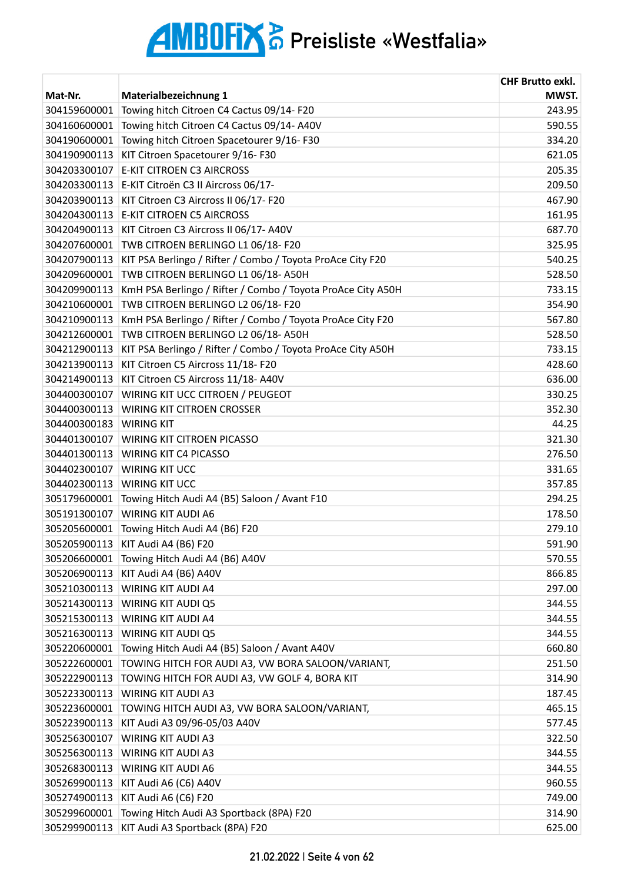|              |                                                             | <b>CHF Brutto exkl.</b> |
|--------------|-------------------------------------------------------------|-------------------------|
| Mat-Nr.      | Materialbezeichnung 1                                       | MWST.                   |
| 304159600001 | Towing hitch Citroen C4 Cactus 09/14-F20                    | 243.95                  |
| 304160600001 | Towing hitch Citroen C4 Cactus 09/14-A40V                   | 590.55                  |
| 304190600001 | Towing hitch Citroen Spacetourer 9/16-F30                   | 334.20                  |
| 304190900113 | KIT Citroen Spacetourer 9/16-F30                            | 621.05                  |
| 304203300107 | <b>E-KIT CITROEN C3 AIRCROSS</b>                            | 205.35                  |
| 304203300113 | E-KIT Citroën C3 II Aircross 06/17-                         | 209.50                  |
| 304203900113 | KIT Citroen C3 Aircross II 06/17- F20                       | 467.90                  |
| 304204300113 | <b>E-KIT CITROEN C5 AIRCROSS</b>                            | 161.95                  |
| 304204900113 | KIT Citroen C3 Aircross II 06/17- A40V                      | 687.70                  |
| 304207600001 | TWB CITROEN BERLINGO L1 06/18-F20                           | 325.95                  |
| 304207900113 | KIT PSA Berlingo / Rifter / Combo / Toyota ProAce City F20  | 540.25                  |
| 304209600001 | TWB CITROEN BERLINGO L1 06/18-A50H                          | 528.50                  |
| 304209900113 | KmH PSA Berlingo / Rifter / Combo / Toyota ProAce City A50H | 733.15                  |
| 304210600001 | TWB CITROEN BERLINGO L2 06/18-F20                           | 354.90                  |
| 304210900113 | KmH PSA Berlingo / Rifter / Combo / Toyota ProAce City F20  | 567.80                  |
| 304212600001 | TWB CITROEN BERLINGO L2 06/18-A50H                          | 528.50                  |
| 304212900113 | KIT PSA Berlingo / Rifter / Combo / Toyota ProAce City A50H | 733.15                  |
| 304213900113 | KIT Citroen C5 Aircross 11/18- F20                          | 428.60                  |
| 304214900113 | KIT Citroen C5 Aircross 11/18- A40V                         | 636.00                  |
| 304400300107 | WIRING KIT UCC CITROEN / PEUGEOT                            | 330.25                  |
| 304400300113 | <b>WIRING KIT CITROEN CROSSER</b>                           | 352.30                  |
| 304400300183 | <b>WIRING KIT</b>                                           | 44.25                   |
| 304401300107 | <b>WIRING KIT CITROEN PICASSO</b>                           | 321.30                  |
| 304401300113 | <b>WIRING KIT C4 PICASSO</b>                                | 276.50                  |
| 304402300107 | <b>WIRING KIT UCC</b>                                       | 331.65                  |
| 304402300113 | <b>WIRING KIT UCC</b>                                       | 357.85                  |
| 305179600001 | Towing Hitch Audi A4 (B5) Saloon / Avant F10                | 294.25                  |
| 305191300107 | WIRING KIT AUDI A6                                          | 178.50                  |
| 305205600001 | Towing Hitch Audi A4 (B6) F20                               | 279.10                  |
| 305205900113 | KIT Audi A4 (B6) F20                                        | 591.90                  |
| 305206600001 | Towing Hitch Audi A4 (B6) A40V                              | 570.55                  |
| 305206900113 | KIT Audi A4 (B6) A40V                                       | 866.85                  |
| 305210300113 | <b>WIRING KIT AUDI A4</b>                                   | 297.00                  |
| 305214300113 | <b>WIRING KIT AUDI Q5</b>                                   | 344.55                  |
| 305215300113 | WIRING KIT AUDI A4                                          | 344.55                  |
| 305216300113 | WIRING KIT AUDI Q5                                          | 344.55                  |
| 305220600001 | Towing Hitch Audi A4 (B5) Saloon / Avant A40V               | 660.80                  |
| 305222600001 | TOWING HITCH FOR AUDI A3, VW BORA SALOON/VARIANT,           | 251.50                  |
| 305222900113 | TOWING HITCH FOR AUDI A3, VW GOLF 4, BORA KIT               | 314.90                  |
| 305223300113 | <b>WIRING KIT AUDI A3</b>                                   | 187.45                  |
| 305223600001 | TOWING HITCH AUDI A3, VW BORA SALOON/VARIANT,               | 465.15                  |
| 305223900113 | KIT Audi A3 09/96-05/03 A40V                                | 577.45                  |
| 305256300107 | <b>WIRING KIT AUDI A3</b>                                   | 322.50                  |
| 305256300113 | <b>WIRING KIT AUDI A3</b>                                   | 344.55                  |
| 305268300113 | WIRING KIT AUDI A6                                          | 344.55                  |
| 305269900113 | KIT Audi A6 (C6) A40V                                       | 960.55                  |
| 305274900113 | KIT Audi A6 (C6) F20                                        | 749.00                  |
| 305299600001 | Towing Hitch Audi A3 Sportback (8PA) F20                    | 314.90                  |
| 305299900113 | KIT Audi A3 Sportback (8PA) F20                             | 625.00                  |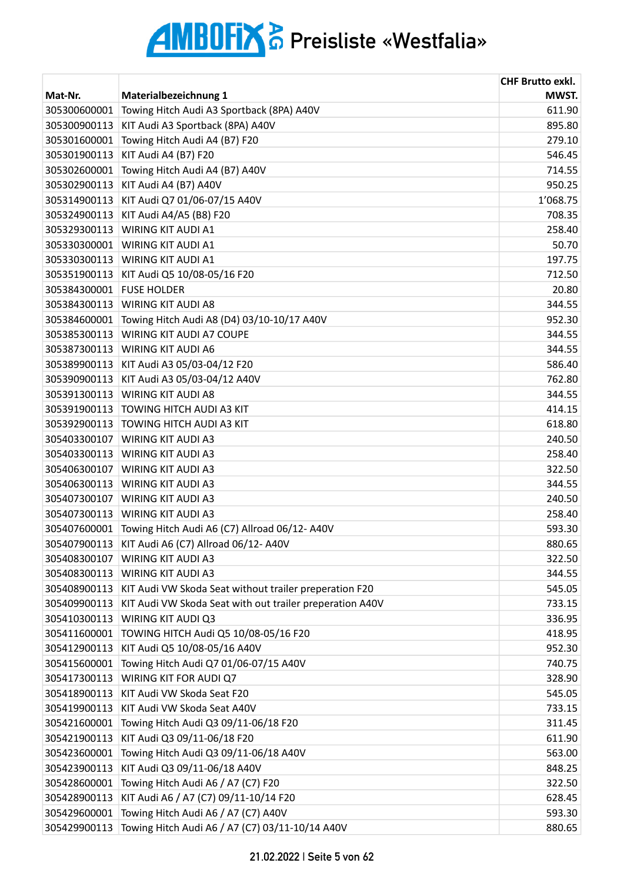|              |                                                          | <b>CHF Brutto exkl.</b> |
|--------------|----------------------------------------------------------|-------------------------|
| Mat-Nr.      | Materialbezeichnung 1                                    | MWST.                   |
| 305300600001 | Towing Hitch Audi A3 Sportback (8PA) A40V                | 611.90                  |
| 305300900113 | KIT Audi A3 Sportback (8PA) A40V                         | 895.80                  |
| 305301600001 | Towing Hitch Audi A4 (B7) F20                            | 279.10                  |
| 305301900113 | KIT Audi A4 (B7) F20                                     | 546.45                  |
| 305302600001 | Towing Hitch Audi A4 (B7) A40V                           | 714.55                  |
| 305302900113 | KIT Audi A4 (B7) A40V                                    | 950.25                  |
| 305314900113 | KIT Audi Q7 01/06-07/15 A40V                             | 1'068.75                |
| 305324900113 | KIT Audi A4/A5 (B8) F20                                  | 708.35                  |
| 305329300113 | <b>WIRING KIT AUDI A1</b>                                | 258.40                  |
| 305330300001 | <b>WIRING KIT AUDI A1</b>                                | 50.70                   |
| 305330300113 | <b>WIRING KIT AUDI A1</b>                                | 197.75                  |
| 305351900113 | KIT Audi Q5 10/08-05/16 F20                              | 712.50                  |
| 305384300001 | <b>FUSE HOLDER</b>                                       | 20.80                   |
| 305384300113 | <b>WIRING KIT AUDI A8</b>                                | 344.55                  |
| 305384600001 | Towing Hitch Audi A8 (D4) 03/10-10/17 A40V               | 952.30                  |
| 305385300113 | WIRING KIT AUDI A7 COUPE                                 | 344.55                  |
| 305387300113 | <b>WIRING KIT AUDI A6</b>                                | 344.55                  |
| 305389900113 | KIT Audi A3 05/03-04/12 F20                              | 586.40                  |
| 305390900113 | KIT Audi A3 05/03-04/12 A40V                             | 762.80                  |
| 305391300113 | <b>WIRING KIT AUDI A8</b>                                | 344.55                  |
| 305391900113 | TOWING HITCH AUDI A3 KIT                                 | 414.15                  |
| 305392900113 | <b>TOWING HITCH AUDI A3 KIT</b>                          | 618.80                  |
| 305403300107 | <b>WIRING KIT AUDI A3</b>                                | 240.50                  |
| 305403300113 | <b>WIRING KIT AUDI A3</b>                                | 258.40                  |
| 305406300107 | <b>WIRING KIT AUDI A3</b>                                | 322.50                  |
| 305406300113 | <b>WIRING KIT AUDI A3</b>                                | 344.55                  |
| 305407300107 | <b>WIRING KIT AUDI A3</b>                                | 240.50                  |
| 305407300113 | <b>WIRING KIT AUDI A3</b>                                | 258.40                  |
| 305407600001 | Towing Hitch Audi A6 (C7) Allroad 06/12-A40V             | 593.30                  |
| 305407900113 | KIT Audi A6 (C7) Allroad 06/12- A40V                     | 880.65                  |
| 305408300107 | WIRING KIT AUDI A3                                       | 322.50                  |
| 305408300113 | <b>WIRING KIT AUDI A3</b>                                | 344.55                  |
| 305408900113 | KIT Audi VW Skoda Seat without trailer preperation F20   | 545.05                  |
| 305409900113 | KIT Audi VW Skoda Seat with out trailer preperation A40V | 733.15                  |
| 305410300113 | WIRING KIT AUDI Q3                                       | 336.95                  |
| 305411600001 | TOWING HITCH Audi Q5 10/08-05/16 F20                     | 418.95                  |
| 305412900113 | KIT Audi Q5 10/08-05/16 A40V                             | 952.30                  |
| 305415600001 | Towing Hitch Audi Q7 01/06-07/15 A40V                    | 740.75                  |
| 305417300113 | WIRING KIT FOR AUDI Q7                                   | 328.90                  |
| 305418900113 | KIT Audi VW Skoda Seat F20                               | 545.05                  |
| 305419900113 | KIT Audi VW Skoda Seat A40V                              | 733.15                  |
| 305421600001 | Towing Hitch Audi Q3 09/11-06/18 F20                     | 311.45                  |
| 305421900113 | KIT Audi Q3 09/11-06/18 F20                              | 611.90                  |
| 305423600001 | Towing Hitch Audi Q3 09/11-06/18 A40V                    | 563.00                  |
| 305423900113 | KIT Audi Q3 09/11-06/18 A40V                             | 848.25                  |
| 305428600001 | Towing Hitch Audi A6 / A7 (C7) F20                       | 322.50                  |
| 305428900113 | KIT Audi A6 / A7 (C7) 09/11-10/14 F20                    | 628.45                  |
| 305429600001 | Towing Hitch Audi A6 / A7 (C7) A40V                      | 593.30                  |
| 305429900113 | Towing Hitch Audi A6 / A7 (C7) 03/11-10/14 A40V          | 880.65                  |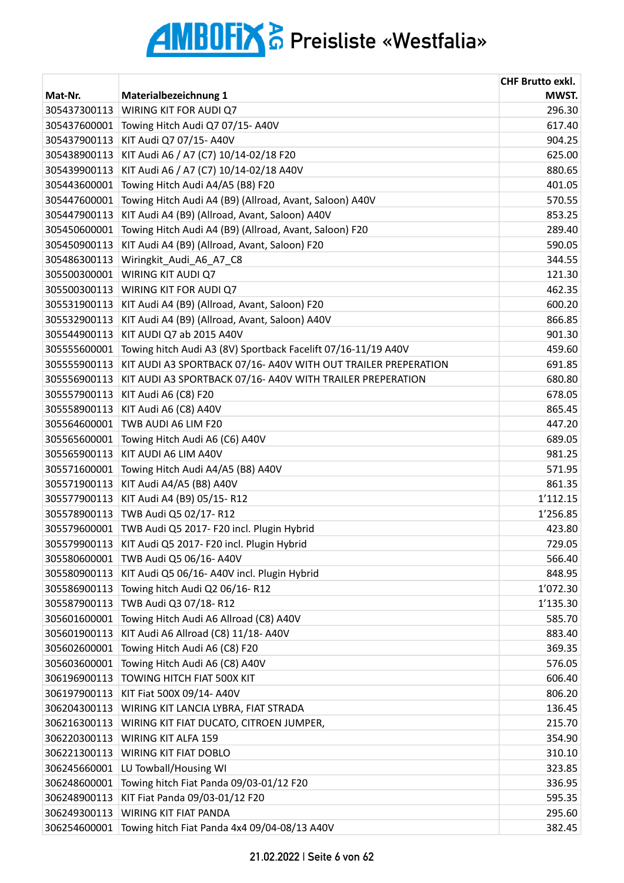|              |                                                                | <b>CHF Brutto exkl.</b> |
|--------------|----------------------------------------------------------------|-------------------------|
| Mat-Nr.      | Materialbezeichnung 1                                          | MWST.                   |
| 305437300113 | WIRING KIT FOR AUDI Q7                                         | 296.30                  |
| 305437600001 | Towing Hitch Audi Q7 07/15-A40V                                | 617.40                  |
| 305437900113 | KIT Audi Q7 07/15- A40V                                        | 904.25                  |
| 305438900113 | KIT Audi A6 / A7 (C7) 10/14-02/18 F20                          | 625.00                  |
| 305439900113 | KIT Audi A6 / A7 (C7) 10/14-02/18 A40V                         | 880.65                  |
| 305443600001 | Towing Hitch Audi A4/A5 (B8) F20                               | 401.05                  |
| 305447600001 | Towing Hitch Audi A4 (B9) (Allroad, Avant, Saloon) A40V        | 570.55                  |
| 305447900113 | KIT Audi A4 (B9) (Allroad, Avant, Saloon) A40V                 | 853.25                  |
| 305450600001 | Towing Hitch Audi A4 (B9) (Allroad, Avant, Saloon) F20         | 289.40                  |
| 305450900113 | KIT Audi A4 (B9) (Allroad, Avant, Saloon) F20                  | 590.05                  |
| 305486300113 | Wiringkit_Audi_A6_A7_C8                                        | 344.55                  |
| 305500300001 | WIRING KIT AUDI Q7                                             | 121.30                  |
| 305500300113 | WIRING KIT FOR AUDI Q7                                         | 462.35                  |
| 305531900113 | KIT Audi A4 (B9) (Allroad, Avant, Saloon) F20                  | 600.20                  |
| 305532900113 | KIT Audi A4 (B9) (Allroad, Avant, Saloon) A40V                 | 866.85                  |
| 305544900113 | KIT AUDI Q7 ab 2015 A40V                                       | 901.30                  |
| 305555600001 | Towing hitch Audi A3 (8V) Sportback Facelift 07/16-11/19 A40V  | 459.60                  |
| 305555900113 | KIT AUDI A3 SPORTBACK 07/16- A40V WITH OUT TRAILER PREPERATION | 691.85                  |
| 305556900113 | KIT AUDI A3 SPORTBACK 07/16- A40V WITH TRAILER PREPERATION     | 680.80                  |
| 305557900113 | KIT Audi A6 (C8) F20                                           | 678.05                  |
| 305558900113 | KIT Audi A6 (C8) A40V                                          | 865.45                  |
| 305564600001 | TWB AUDI A6 LIM F20                                            | 447.20                  |
| 305565600001 | Towing Hitch Audi A6 (C6) A40V                                 | 689.05                  |
| 305565900113 | KIT AUDI A6 LIM A40V                                           | 981.25                  |
| 305571600001 | Towing Hitch Audi A4/A5 (B8) A40V                              | 571.95                  |
| 305571900113 | KIT Audi A4/A5 (B8) A40V                                       | 861.35                  |
| 305577900113 | KIT Audi A4 (B9) 05/15-R12                                     | 1'112.15                |
| 305578900113 | TWB Audi Q5 02/17-R12                                          | 1'256.85                |
| 305579600001 | TWB Audi Q5 2017- F20 incl. Plugin Hybrid                      | 423.80                  |
| 305579900113 | KIT Audi Q5 2017- F20 incl. Plugin Hybrid                      | 729.05                  |
| 305580600001 | TWB Audi Q5 06/16- A40V                                        | 566.40                  |
| 305580900113 | KIT Audi Q5 06/16- A40V incl. Plugin Hybrid                    | 848.95                  |
| 305586900113 | Towing hitch Audi Q2 06/16-R12                                 | 1'072.30                |
| 305587900113 | TWB Audi Q3 07/18-R12                                          | 1'135.30                |
| 305601600001 | Towing Hitch Audi A6 Allroad (C8) A40V                         | 585.70                  |
| 305601900113 | KIT Audi A6 Allroad (C8) 11/18- A40V                           | 883.40                  |
| 305602600001 | Towing Hitch Audi A6 (C8) F20                                  | 369.35                  |
| 305603600001 | Towing Hitch Audi A6 (C8) A40V                                 | 576.05                  |
| 306196900113 | TOWING HITCH FIAT 500X KIT                                     | 606.40                  |
| 306197900113 | KIT Fiat 500X 09/14- A40V                                      | 806.20                  |
| 306204300113 | WIRING KIT LANCIA LYBRA, FIAT STRADA                           | 136.45                  |
| 306216300113 | WIRING KIT FIAT DUCATO, CITROEN JUMPER,                        | 215.70                  |
| 306220300113 | WIRING KIT ALFA 159                                            | 354.90                  |
| 306221300113 | <b>WIRING KIT FIAT DOBLO</b>                                   | 310.10                  |
| 306245660001 | LU Towball/Housing WI                                          | 323.85                  |
| 306248600001 | Towing hitch Fiat Panda 09/03-01/12 F20                        | 336.95                  |
| 306248900113 | KIT Fiat Panda 09/03-01/12 F20                                 | 595.35                  |
| 306249300113 | WIRING KIT FIAT PANDA                                          | 295.60                  |
| 306254600001 | Towing hitch Fiat Panda 4x4 09/04-08/13 A40V                   | 382.45                  |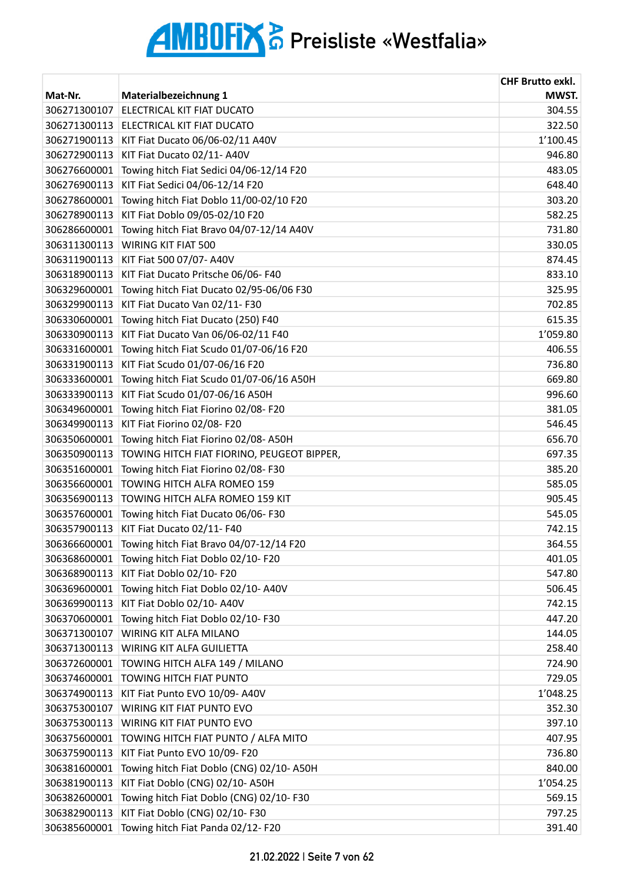|              |                                            | <b>CHF Brutto exkl.</b> |
|--------------|--------------------------------------------|-------------------------|
| Mat-Nr.      | Materialbezeichnung 1                      | MWST.                   |
| 306271300107 | ELECTRICAL KIT FIAT DUCATO                 | 304.55                  |
| 306271300113 | ELECTRICAL KIT FIAT DUCATO                 | 322.50                  |
| 306271900113 | KIT Fiat Ducato 06/06-02/11 A40V           | 1'100.45                |
| 306272900113 | KIT Fiat Ducato 02/11- A40V                | 946.80                  |
| 306276600001 | Towing hitch Fiat Sedici 04/06-12/14 F20   | 483.05                  |
| 306276900113 | KIT Fiat Sedici 04/06-12/14 F20            | 648.40                  |
| 306278600001 | Towing hitch Fiat Doblo 11/00-02/10 F20    | 303.20                  |
| 306278900113 | KIT Fiat Doblo 09/05-02/10 F20             | 582.25                  |
| 306286600001 | Towing hitch Fiat Bravo 04/07-12/14 A40V   | 731.80                  |
| 306311300113 | WIRING KIT FIAT 500                        | 330.05                  |
| 306311900113 | KIT Fiat 500 07/07- A40V                   | 874.45                  |
| 306318900113 | KIT Fiat Ducato Pritsche 06/06-F40         | 833.10                  |
| 306329600001 | Towing hitch Fiat Ducato 02/95-06/06 F30   | 325.95                  |
| 306329900113 | KIT Fiat Ducato Van 02/11-F30              | 702.85                  |
| 306330600001 | Towing hitch Fiat Ducato (250) F40         | 615.35                  |
| 306330900113 | KIT Fiat Ducato Van 06/06-02/11 F40        | 1'059.80                |
| 306331600001 | Towing hitch Fiat Scudo 01/07-06/16 F20    | 406.55                  |
| 306331900113 | KIT Fiat Scudo 01/07-06/16 F20             | 736.80                  |
| 306333600001 | Towing hitch Fiat Scudo 01/07-06/16 A50H   | 669.80                  |
| 306333900113 | KIT Fiat Scudo 01/07-06/16 A50H            | 996.60                  |
| 306349600001 | Towing hitch Fiat Fiorino 02/08-F20        | 381.05                  |
| 306349900113 | KIT Fiat Fiorino 02/08- F20                | 546.45                  |
| 306350600001 | Towing hitch Fiat Fiorino 02/08- A50H      | 656.70                  |
| 306350900113 | TOWING HITCH FIAT FIORINO, PEUGEOT BIPPER, | 697.35                  |
| 306351600001 | Towing hitch Fiat Fiorino 02/08-F30        | 385.20                  |
| 306356600001 | TOWING HITCH ALFA ROMEO 159                | 585.05                  |
| 306356900113 | TOWING HITCH ALFA ROMEO 159 KIT            | 905.45                  |
| 306357600001 | Towing hitch Fiat Ducato 06/06-F30         | 545.05                  |
| 306357900113 | KIT Fiat Ducato 02/11-F40                  | 742.15                  |
| 306366600001 | Towing hitch Fiat Bravo 04/07-12/14 F20    | 364.55                  |
| 306368600001 | Towing hitch Fiat Doblo 02/10-F20          | 401.05                  |
| 306368900113 | KIT Fiat Doblo 02/10-F20                   | 547.80                  |
| 306369600001 | Towing hitch Fiat Doblo 02/10- A40V        | 506.45                  |
| 306369900113 | KIT Fiat Doblo 02/10- A40V                 | 742.15                  |
| 306370600001 | Towing hitch Fiat Doblo 02/10-F30          | 447.20                  |
| 306371300107 | WIRING KIT ALFA MILANO                     | 144.05                  |
| 306371300113 | WIRING KIT ALFA GUILIETTA                  | 258.40                  |
| 306372600001 | TOWING HITCH ALFA 149 / MILANO             | 724.90                  |
| 306374600001 | <b>TOWING HITCH FIAT PUNTO</b>             | 729.05                  |
| 306374900113 | KIT Fiat Punto EVO 10/09- A40V             | 1'048.25                |
| 306375300107 | WIRING KIT FIAT PUNTO EVO                  | 352.30                  |
| 306375300113 | WIRING KIT FIAT PUNTO EVO                  | 397.10                  |
| 306375600001 | TOWING HITCH FIAT PUNTO / ALFA MITO        | 407.95                  |
| 306375900113 | KIT Fiat Punto EVO 10/09- F20              | 736.80                  |
| 306381600001 | Towing hitch Fiat Doblo (CNG) 02/10-A50H   | 840.00                  |
| 306381900113 | KIT Fiat Doblo (CNG) 02/10-A50H            | 1'054.25                |
| 306382600001 | Towing hitch Fiat Doblo (CNG) 02/10-F30    | 569.15                  |
| 306382900113 | KIT Fiat Doblo (CNG) 02/10-F30             | 797.25                  |
| 306385600001 | Towing hitch Fiat Panda 02/12-F20          | 391.40                  |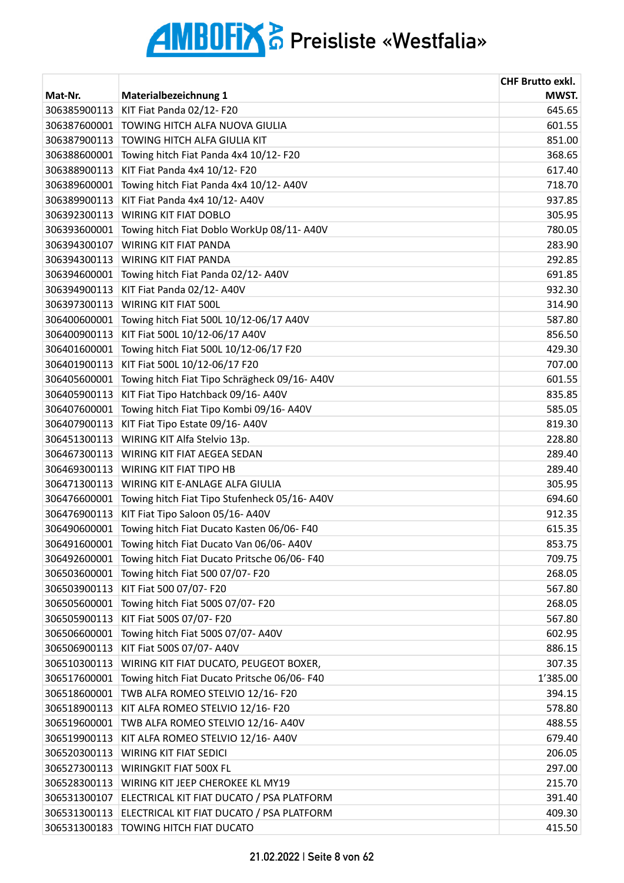|              |                                              | <b>CHF Brutto exkl.</b> |
|--------------|----------------------------------------------|-------------------------|
| Mat-Nr.      | Materialbezeichnung 1                        | MWST.                   |
| 306385900113 | KIT Fiat Panda 02/12-F20                     | 645.65                  |
| 306387600001 | TOWING HITCH ALFA NUOVA GIULIA               | 601.55                  |
| 306387900113 | TOWING HITCH ALFA GIULIA KIT                 | 851.00                  |
| 306388600001 | Towing hitch Fiat Panda 4x4 10/12-F20        | 368.65                  |
| 306388900113 | KIT Fiat Panda 4x4 10/12- F20                | 617.40                  |
| 306389600001 | Towing hitch Fiat Panda 4x4 10/12- A40V      | 718.70                  |
| 306389900113 | KIT Fiat Panda 4x4 10/12- A40V               | 937.85                  |
| 306392300113 | WIRING KIT FIAT DOBLO                        | 305.95                  |
| 306393600001 | Towing hitch Fiat Doblo WorkUp 08/11-A40V    | 780.05                  |
| 306394300107 | <b>WIRING KIT FIAT PANDA</b>                 | 283.90                  |
| 306394300113 | <b>WIRING KIT FIAT PANDA</b>                 | 292.85                  |
| 306394600001 | Towing hitch Fiat Panda 02/12-A40V           | 691.85                  |
| 306394900113 | KIT Fiat Panda 02/12-A40V                    | 932.30                  |
| 306397300113 | WIRING KIT FIAT 500L                         | 314.90                  |
| 306400600001 | Towing hitch Fiat 500L 10/12-06/17 A40V      | 587.80                  |
| 306400900113 | KIT Fiat 500L 10/12-06/17 A40V               | 856.50                  |
| 306401600001 | Towing hitch Fiat 500L 10/12-06/17 F20       | 429.30                  |
| 306401900113 | KIT Fiat 500L 10/12-06/17 F20                | 707.00                  |
| 306405600001 | Towing hitch Fiat Tipo Schrägheck 09/16-A40V | 601.55                  |
| 306405900113 | KIT Fiat Tipo Hatchback 09/16- A40V          | 835.85                  |
| 306407600001 | Towing hitch Fiat Tipo Kombi 09/16-A40V      | 585.05                  |
| 306407900113 | KIT Fiat Tipo Estate 09/16-A40V              | 819.30                  |
| 306451300113 | WIRING KIT Alfa Stelvio 13p.                 | 228.80                  |
| 306467300113 | WIRING KIT FIAT AEGEA SEDAN                  | 289.40                  |
| 306469300113 | <b>WIRING KIT FIAT TIPO HB</b>               | 289.40                  |
| 306471300113 | WIRING KIT E-ANLAGE ALFA GIULIA              | 305.95                  |
| 306476600001 | Towing hitch Fiat Tipo Stufenheck 05/16-A40V | 694.60                  |
| 306476900113 | KIT Fiat Tipo Saloon 05/16- A40V             | 912.35                  |
| 306490600001 | Towing hitch Fiat Ducato Kasten 06/06-F40    | 615.35                  |
| 306491600001 | Towing hitch Fiat Ducato Van 06/06- A40V     | 853.75                  |
| 306492600001 | Towing hitch Fiat Ducato Pritsche 06/06-F40  | 709.75                  |
| 306503600001 | Towing hitch Fiat 500 07/07- F20             | 268.05                  |
| 306503900113 | KIT Fiat 500 07/07- F20                      | 567.80                  |
| 306505600001 | Towing hitch Fiat 500S 07/07- F20            | 268.05                  |
| 306505900113 | KIT Fiat 500S 07/07- F20                     | 567.80                  |
| 306506600001 | Towing hitch Fiat 500S 07/07-A40V            | 602.95                  |
| 306506900113 | KIT Fiat 500S 07/07- A40V                    | 886.15                  |
| 306510300113 | WIRING KIT FIAT DUCATO, PEUGEOT BOXER,       | 307.35                  |
| 306517600001 | Towing hitch Fiat Ducato Pritsche 06/06-F40  | 1'385.00                |
| 306518600001 | TWB ALFA ROMEO STELVIO 12/16-F20             | 394.15                  |
| 306518900113 | KIT ALFA ROMEO STELVIO 12/16-F20             | 578.80                  |
| 306519600001 | TWB ALFA ROMEO STELVIO 12/16- A40V           | 488.55                  |
| 306519900113 | KIT ALFA ROMEO STELVIO 12/16- A40V           | 679.40                  |
| 306520300113 | <b>WIRING KIT FIAT SEDICI</b>                | 206.05                  |
| 306527300113 | WIRINGKIT FIAT 500X FL                       | 297.00                  |
| 306528300113 | WIRING KIT JEEP CHEROKEE KL MY19             | 215.70                  |
| 306531300107 | ELECTRICAL KIT FIAT DUCATO / PSA PLATFORM    | 391.40                  |
| 306531300113 | ELECTRICAL KIT FIAT DUCATO / PSA PLATFORM    | 409.30                  |
| 306531300183 | TOWING HITCH FIAT DUCATO                     | 415.50                  |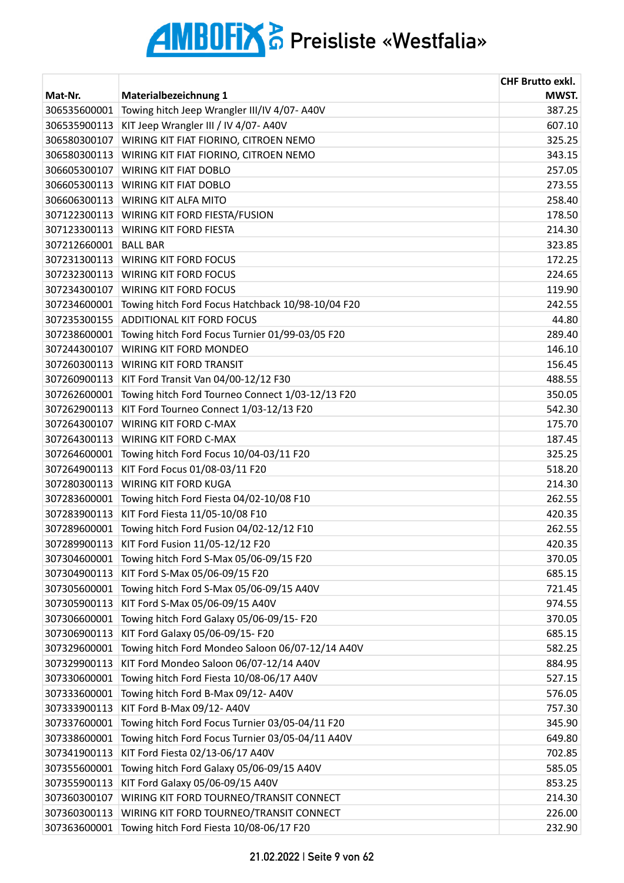| MWST.<br>Mat-Nr.<br>Materialbezeichnung 1<br>Towing hitch Jeep Wrangler III/IV 4/07- A40V<br>387.25<br>306535600001<br>KIT Jeep Wrangler III / IV 4/07- A40V<br>607.10<br>306535900113<br>306580300107<br>WIRING KIT FIAT FIORINO, CITROEN NEMO<br>325.25<br>306580300113<br>WIRING KIT FIAT FIORINO, CITROEN NEMO<br>343.15<br>306605300107<br><b>WIRING KIT FIAT DOBLO</b><br>257.05<br>273.55<br>306605300113<br><b>WIRING KIT FIAT DOBLO</b><br>306606300113<br><b>WIRING KIT ALFA MITO</b><br>258.40<br>307122300113<br>WIRING KIT FORD FIESTA/FUSION<br>178.50<br>307123300113<br><b>WIRING KIT FORD FIESTA</b><br>214.30<br>307212660001 BALL BAR<br>323.85<br>172.25<br>307231300113 WIRING KIT FORD FOCUS<br>307232300113<br><b>WIRING KIT FORD FOCUS</b><br>224.65<br><b>WIRING KIT FORD FOCUS</b><br>307234300107<br>119.90<br>Towing hitch Ford Focus Hatchback 10/98-10/04 F20<br>307234600001<br>242.55<br>307235300155<br><b>ADDITIONAL KIT FORD FOCUS</b><br>44.80<br>289.40<br>307238600001<br>Towing hitch Ford Focus Turnier 01/99-03/05 F20<br>146.10<br><b>WIRING KIT FORD MONDEO</b><br>307244300107 |              |                                | <b>CHF Brutto exkl.</b> |
|----------------------------------------------------------------------------------------------------------------------------------------------------------------------------------------------------------------------------------------------------------------------------------------------------------------------------------------------------------------------------------------------------------------------------------------------------------------------------------------------------------------------------------------------------------------------------------------------------------------------------------------------------------------------------------------------------------------------------------------------------------------------------------------------------------------------------------------------------------------------------------------------------------------------------------------------------------------------------------------------------------------------------------------------------------------------------------------------------------------------------|--------------|--------------------------------|-------------------------|
|                                                                                                                                                                                                                                                                                                                                                                                                                                                                                                                                                                                                                                                                                                                                                                                                                                                                                                                                                                                                                                                                                                                            |              |                                |                         |
|                                                                                                                                                                                                                                                                                                                                                                                                                                                                                                                                                                                                                                                                                                                                                                                                                                                                                                                                                                                                                                                                                                                            |              |                                |                         |
|                                                                                                                                                                                                                                                                                                                                                                                                                                                                                                                                                                                                                                                                                                                                                                                                                                                                                                                                                                                                                                                                                                                            |              |                                |                         |
|                                                                                                                                                                                                                                                                                                                                                                                                                                                                                                                                                                                                                                                                                                                                                                                                                                                                                                                                                                                                                                                                                                                            |              |                                |                         |
|                                                                                                                                                                                                                                                                                                                                                                                                                                                                                                                                                                                                                                                                                                                                                                                                                                                                                                                                                                                                                                                                                                                            |              |                                |                         |
|                                                                                                                                                                                                                                                                                                                                                                                                                                                                                                                                                                                                                                                                                                                                                                                                                                                                                                                                                                                                                                                                                                                            |              |                                |                         |
|                                                                                                                                                                                                                                                                                                                                                                                                                                                                                                                                                                                                                                                                                                                                                                                                                                                                                                                                                                                                                                                                                                                            |              |                                |                         |
|                                                                                                                                                                                                                                                                                                                                                                                                                                                                                                                                                                                                                                                                                                                                                                                                                                                                                                                                                                                                                                                                                                                            |              |                                |                         |
|                                                                                                                                                                                                                                                                                                                                                                                                                                                                                                                                                                                                                                                                                                                                                                                                                                                                                                                                                                                                                                                                                                                            |              |                                |                         |
|                                                                                                                                                                                                                                                                                                                                                                                                                                                                                                                                                                                                                                                                                                                                                                                                                                                                                                                                                                                                                                                                                                                            |              |                                |                         |
|                                                                                                                                                                                                                                                                                                                                                                                                                                                                                                                                                                                                                                                                                                                                                                                                                                                                                                                                                                                                                                                                                                                            |              |                                |                         |
|                                                                                                                                                                                                                                                                                                                                                                                                                                                                                                                                                                                                                                                                                                                                                                                                                                                                                                                                                                                                                                                                                                                            |              |                                |                         |
|                                                                                                                                                                                                                                                                                                                                                                                                                                                                                                                                                                                                                                                                                                                                                                                                                                                                                                                                                                                                                                                                                                                            |              |                                |                         |
|                                                                                                                                                                                                                                                                                                                                                                                                                                                                                                                                                                                                                                                                                                                                                                                                                                                                                                                                                                                                                                                                                                                            |              |                                |                         |
|                                                                                                                                                                                                                                                                                                                                                                                                                                                                                                                                                                                                                                                                                                                                                                                                                                                                                                                                                                                                                                                                                                                            |              |                                |                         |
|                                                                                                                                                                                                                                                                                                                                                                                                                                                                                                                                                                                                                                                                                                                                                                                                                                                                                                                                                                                                                                                                                                                            |              |                                |                         |
|                                                                                                                                                                                                                                                                                                                                                                                                                                                                                                                                                                                                                                                                                                                                                                                                                                                                                                                                                                                                                                                                                                                            |              |                                |                         |
|                                                                                                                                                                                                                                                                                                                                                                                                                                                                                                                                                                                                                                                                                                                                                                                                                                                                                                                                                                                                                                                                                                                            |              |                                |                         |
|                                                                                                                                                                                                                                                                                                                                                                                                                                                                                                                                                                                                                                                                                                                                                                                                                                                                                                                                                                                                                                                                                                                            | 307260300113 | <b>WIRING KIT FORD TRANSIT</b> | 156.45                  |
| 488.55<br>307260900113<br>KIT Ford Transit Van 04/00-12/12 F30                                                                                                                                                                                                                                                                                                                                                                                                                                                                                                                                                                                                                                                                                                                                                                                                                                                                                                                                                                                                                                                             |              |                                |                         |
| Towing hitch Ford Tourneo Connect 1/03-12/13 F20<br>307262600001<br>350.05                                                                                                                                                                                                                                                                                                                                                                                                                                                                                                                                                                                                                                                                                                                                                                                                                                                                                                                                                                                                                                                 |              |                                |                         |
| 307262900113<br>KIT Ford Tourneo Connect 1/03-12/13 F20<br>542.30                                                                                                                                                                                                                                                                                                                                                                                                                                                                                                                                                                                                                                                                                                                                                                                                                                                                                                                                                                                                                                                          |              |                                |                         |
| <b>WIRING KIT FORD C-MAX</b><br>175.70<br>307264300107                                                                                                                                                                                                                                                                                                                                                                                                                                                                                                                                                                                                                                                                                                                                                                                                                                                                                                                                                                                                                                                                     |              |                                |                         |
| 307264300113<br>WIRING KIT FORD C-MAX<br>187.45                                                                                                                                                                                                                                                                                                                                                                                                                                                                                                                                                                                                                                                                                                                                                                                                                                                                                                                                                                                                                                                                            |              |                                |                         |
| 325.25<br>307264600001<br>Towing hitch Ford Focus 10/04-03/11 F20                                                                                                                                                                                                                                                                                                                                                                                                                                                                                                                                                                                                                                                                                                                                                                                                                                                                                                                                                                                                                                                          |              |                                |                         |
| 518.20<br>307264900113<br>KIT Ford Focus 01/08-03/11 F20                                                                                                                                                                                                                                                                                                                                                                                                                                                                                                                                                                                                                                                                                                                                                                                                                                                                                                                                                                                                                                                                   |              |                                |                         |
| 307280300113<br><b>WIRING KIT FORD KUGA</b><br>214.30                                                                                                                                                                                                                                                                                                                                                                                                                                                                                                                                                                                                                                                                                                                                                                                                                                                                                                                                                                                                                                                                      |              |                                |                         |
| 262.55<br>Towing hitch Ford Fiesta 04/02-10/08 F10<br>307283600001                                                                                                                                                                                                                                                                                                                                                                                                                                                                                                                                                                                                                                                                                                                                                                                                                                                                                                                                                                                                                                                         |              |                                |                         |
| KIT Ford Fiesta 11/05-10/08 F10<br>307283900113<br>420.35                                                                                                                                                                                                                                                                                                                                                                                                                                                                                                                                                                                                                                                                                                                                                                                                                                                                                                                                                                                                                                                                  |              |                                |                         |
| Towing hitch Ford Fusion 04/02-12/12 F10<br>262.55<br>307289600001                                                                                                                                                                                                                                                                                                                                                                                                                                                                                                                                                                                                                                                                                                                                                                                                                                                                                                                                                                                                                                                         |              |                                |                         |
| KIT Ford Fusion 11/05-12/12 F20<br>420.35<br>307289900113                                                                                                                                                                                                                                                                                                                                                                                                                                                                                                                                                                                                                                                                                                                                                                                                                                                                                                                                                                                                                                                                  |              |                                |                         |
| 307304600001<br>Towing hitch Ford S-Max 05/06-09/15 F20<br>370.05                                                                                                                                                                                                                                                                                                                                                                                                                                                                                                                                                                                                                                                                                                                                                                                                                                                                                                                                                                                                                                                          |              |                                |                         |
| KIT Ford S-Max 05/06-09/15 F20<br>685.15<br>307304900113                                                                                                                                                                                                                                                                                                                                                                                                                                                                                                                                                                                                                                                                                                                                                                                                                                                                                                                                                                                                                                                                   |              |                                |                         |
| 307305600001<br>Towing hitch Ford S-Max 05/06-09/15 A40V<br>721.45                                                                                                                                                                                                                                                                                                                                                                                                                                                                                                                                                                                                                                                                                                                                                                                                                                                                                                                                                                                                                                                         |              |                                |                         |
| KIT Ford S-Max 05/06-09/15 A40V<br>974.55<br>307305900113                                                                                                                                                                                                                                                                                                                                                                                                                                                                                                                                                                                                                                                                                                                                                                                                                                                                                                                                                                                                                                                                  |              |                                |                         |
| Towing hitch Ford Galaxy 05/06-09/15-F20<br>370.05<br>307306600001                                                                                                                                                                                                                                                                                                                                                                                                                                                                                                                                                                                                                                                                                                                                                                                                                                                                                                                                                                                                                                                         |              |                                |                         |
| 685.15<br>307306900113<br>KIT Ford Galaxy 05/06-09/15- F20                                                                                                                                                                                                                                                                                                                                                                                                                                                                                                                                                                                                                                                                                                                                                                                                                                                                                                                                                                                                                                                                 |              |                                |                         |
| 582.25<br>307329600001<br>Towing hitch Ford Mondeo Saloon 06/07-12/14 A40V                                                                                                                                                                                                                                                                                                                                                                                                                                                                                                                                                                                                                                                                                                                                                                                                                                                                                                                                                                                                                                                 |              |                                |                         |
| KIT Ford Mondeo Saloon 06/07-12/14 A40V<br>307329900113<br>884.95                                                                                                                                                                                                                                                                                                                                                                                                                                                                                                                                                                                                                                                                                                                                                                                                                                                                                                                                                                                                                                                          |              |                                |                         |
| 307330600001<br>Towing hitch Ford Fiesta 10/08-06/17 A40V<br>527.15                                                                                                                                                                                                                                                                                                                                                                                                                                                                                                                                                                                                                                                                                                                                                                                                                                                                                                                                                                                                                                                        |              |                                |                         |
| 576.05<br>307333600001<br>Towing hitch Ford B-Max 09/12- A40V                                                                                                                                                                                                                                                                                                                                                                                                                                                                                                                                                                                                                                                                                                                                                                                                                                                                                                                                                                                                                                                              |              |                                |                         |
| KIT Ford B-Max 09/12- A40V<br>757.30<br>307333900113                                                                                                                                                                                                                                                                                                                                                                                                                                                                                                                                                                                                                                                                                                                                                                                                                                                                                                                                                                                                                                                                       |              |                                |                         |
| 307337600001<br>Towing hitch Ford Focus Turnier 03/05-04/11 F20<br>345.90                                                                                                                                                                                                                                                                                                                                                                                                                                                                                                                                                                                                                                                                                                                                                                                                                                                                                                                                                                                                                                                  |              |                                |                         |
| 307338600001<br>Towing hitch Ford Focus Turnier 03/05-04/11 A40V<br>649.80                                                                                                                                                                                                                                                                                                                                                                                                                                                                                                                                                                                                                                                                                                                                                                                                                                                                                                                                                                                                                                                 |              |                                |                         |
| 702.85<br>307341900113<br>KIT Ford Fiesta 02/13-06/17 A40V                                                                                                                                                                                                                                                                                                                                                                                                                                                                                                                                                                                                                                                                                                                                                                                                                                                                                                                                                                                                                                                                 |              |                                |                         |
| 585.05<br>307355600001<br>Towing hitch Ford Galaxy 05/06-09/15 A40V                                                                                                                                                                                                                                                                                                                                                                                                                                                                                                                                                                                                                                                                                                                                                                                                                                                                                                                                                                                                                                                        |              |                                |                         |
| KIT Ford Galaxy 05/06-09/15 A40V<br>853.25<br>307355900113                                                                                                                                                                                                                                                                                                                                                                                                                                                                                                                                                                                                                                                                                                                                                                                                                                                                                                                                                                                                                                                                 |              |                                |                         |
| 307360300107<br>WIRING KIT FORD TOURNEO/TRANSIT CONNECT<br>214.30                                                                                                                                                                                                                                                                                                                                                                                                                                                                                                                                                                                                                                                                                                                                                                                                                                                                                                                                                                                                                                                          |              |                                |                         |
| 307360300113<br>WIRING KIT FORD TOURNEO/TRANSIT CONNECT<br>226.00                                                                                                                                                                                                                                                                                                                                                                                                                                                                                                                                                                                                                                                                                                                                                                                                                                                                                                                                                                                                                                                          |              |                                |                         |
| Towing hitch Ford Fiesta 10/08-06/17 F20<br>232.90<br>307363600001                                                                                                                                                                                                                                                                                                                                                                                                                                                                                                                                                                                                                                                                                                                                                                                                                                                                                                                                                                                                                                                         |              |                                |                         |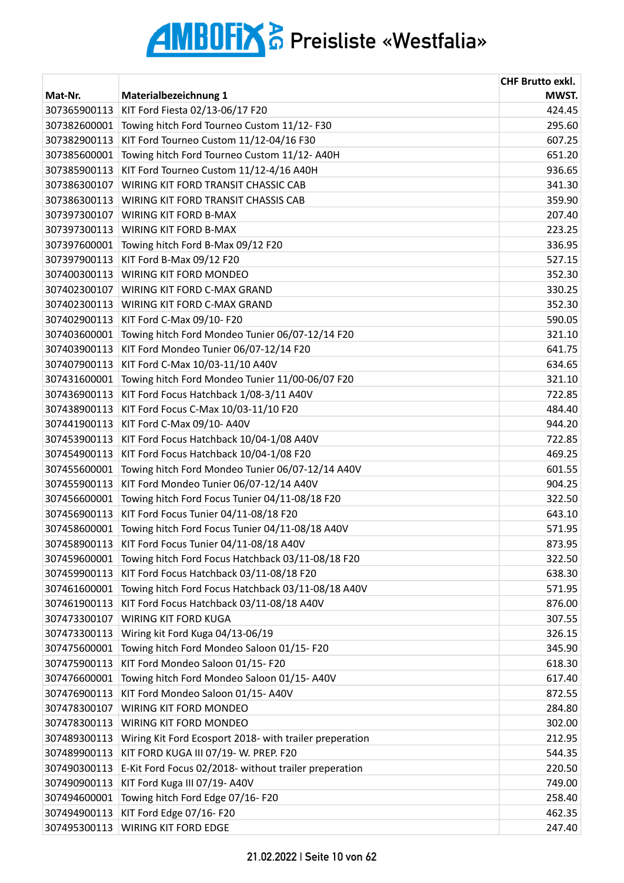|              |                                                         | <b>CHF Brutto exkl.</b> |
|--------------|---------------------------------------------------------|-------------------------|
| Mat-Nr.      | Materialbezeichnung 1                                   | MWST.                   |
| 307365900113 | KIT Ford Fiesta 02/13-06/17 F20                         | 424.45                  |
| 307382600001 | Towing hitch Ford Tourneo Custom 11/12-F30              | 295.60                  |
| 307382900113 | KIT Ford Tourneo Custom 11/12-04/16 F30                 | 607.25                  |
| 307385600001 | Towing hitch Ford Tourneo Custom 11/12-A40H             | 651.20                  |
| 307385900113 | KIT Ford Tourneo Custom 11/12-4/16 A40H                 | 936.65                  |
| 307386300107 | WIRING KIT FORD TRANSIT CHASSIC CAB                     | 341.30                  |
| 307386300113 | WIRING KIT FORD TRANSIT CHASSIS CAB                     | 359.90                  |
| 307397300107 | WIRING KIT FORD B-MAX                                   | 207.40                  |
| 307397300113 | <b>WIRING KIT FORD B-MAX</b>                            | 223.25                  |
| 307397600001 | Towing hitch Ford B-Max 09/12 F20                       | 336.95                  |
| 307397900113 | KIT Ford B-Max 09/12 F20                                | 527.15                  |
| 307400300113 | WIRING KIT FORD MONDEO                                  | 352.30                  |
| 307402300107 | <b>WIRING KIT FORD C-MAX GRAND</b>                      | 330.25                  |
| 307402300113 | <b>WIRING KIT FORD C-MAX GRAND</b>                      | 352.30                  |
| 307402900113 | KIT Ford C-Max 09/10- F20                               | 590.05                  |
| 307403600001 | Towing hitch Ford Mondeo Tunier 06/07-12/14 F20         | 321.10                  |
| 307403900113 | KIT Ford Mondeo Tunier 06/07-12/14 F20                  | 641.75                  |
| 307407900113 | KIT Ford C-Max 10/03-11/10 A40V                         | 634.65                  |
| 307431600001 | Towing hitch Ford Mondeo Tunier 11/00-06/07 F20         | 321.10                  |
| 307436900113 | KIT Ford Focus Hatchback 1/08-3/11 A40V                 | 722.85                  |
| 307438900113 | KIT Ford Focus C-Max 10/03-11/10 F20                    | 484.40                  |
| 307441900113 | KIT Ford C-Max 09/10- A40V                              | 944.20                  |
| 307453900113 | KIT Ford Focus Hatchback 10/04-1/08 A40V                | 722.85                  |
| 307454900113 | KIT Ford Focus Hatchback 10/04-1/08 F20                 | 469.25                  |
| 307455600001 | Towing hitch Ford Mondeo Tunier 06/07-12/14 A40V        | 601.55                  |
| 307455900113 | KIT Ford Mondeo Tunier 06/07-12/14 A40V                 | 904.25                  |
| 307456600001 | Towing hitch Ford Focus Tunier 04/11-08/18 F20          | 322.50                  |
| 307456900113 | KIT Ford Focus Tunier 04/11-08/18 F20                   | 643.10                  |
| 307458600001 | Towing hitch Ford Focus Tunier 04/11-08/18 A40V         | 571.95                  |
| 307458900113 | KIT Ford Focus Tunier 04/11-08/18 A40V                  | 873.95                  |
| 307459600001 | Towing hitch Ford Focus Hatchback 03/11-08/18 F20       | 322.50                  |
| 307459900113 | KIT Ford Focus Hatchback 03/11-08/18 F20                | 638.30                  |
| 307461600001 | Towing hitch Ford Focus Hatchback 03/11-08/18 A40V      | 571.95                  |
| 307461900113 | KIT Ford Focus Hatchback 03/11-08/18 A40V               | 876.00                  |
| 307473300107 | <b>WIRING KIT FORD KUGA</b>                             | 307.55                  |
| 307473300113 | Wiring kit Ford Kuga 04/13-06/19                        | 326.15                  |
| 307475600001 | Towing hitch Ford Mondeo Saloon 01/15-F20               | 345.90                  |
| 307475900113 | KIT Ford Mondeo Saloon 01/15-F20                        | 618.30                  |
| 307476600001 | Towing hitch Ford Mondeo Saloon 01/15-A40V              | 617.40                  |
| 307476900113 | KIT Ford Mondeo Saloon 01/15- A40V                      | 872.55                  |
| 307478300107 | WIRING KIT FORD MONDEO                                  | 284.80                  |
| 307478300113 | WIRING KIT FORD MONDEO                                  | 302.00                  |
| 307489300113 | Wiring Kit Ford Ecosport 2018- with trailer preperation | 212.95                  |
| 307489900113 | KIT FORD KUGA III 07/19- W. PREP. F20                   | 544.35                  |
| 307490300113 | E-Kit Ford Focus 02/2018- without trailer preperation   | 220.50                  |
| 307490900113 | KIT Ford Kuga III 07/19- A40V                           | 749.00                  |
| 307494600001 | Towing hitch Ford Edge 07/16-F20                        | 258.40                  |
| 307494900113 | KIT Ford Edge 07/16- F20                                | 462.35                  |
| 307495300113 | <b>WIRING KIT FORD EDGE</b>                             | 247.40                  |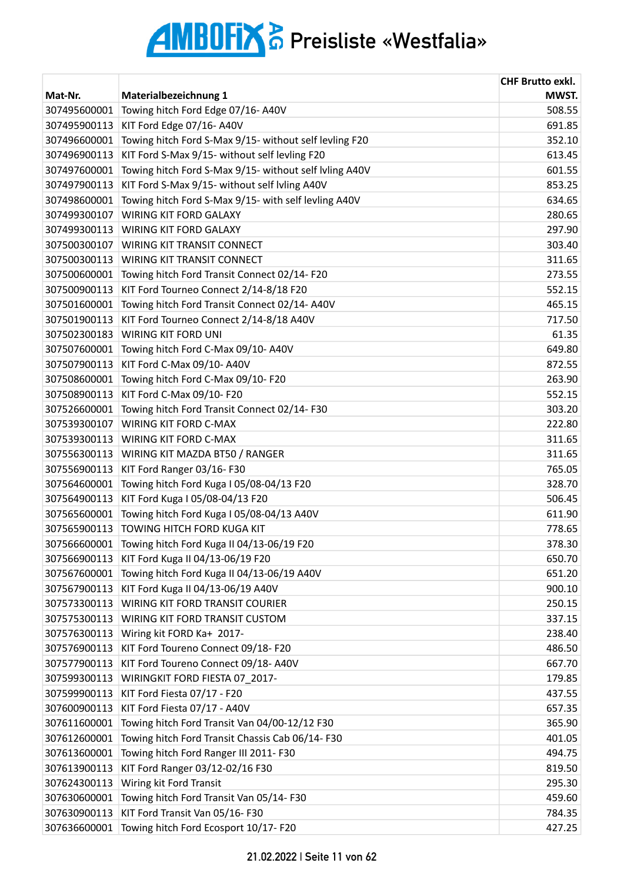| MWST.<br>Mat-Nr.<br>Materialbezeichnung 1<br>Towing hitch Ford Edge 07/16-A40V<br>508.55<br>307495600001<br>KIT Ford Edge 07/16-A40V<br>691.85<br>307495900113<br>352.10<br>307496600001<br>Towing hitch Ford S-Max 9/15- without self levling F20<br>KIT Ford S-Max 9/15- without self levling F20<br>307496900113<br>613.45<br>307497600001<br>Towing hitch Ford S-Max 9/15- without self Ivling A40V<br>KIT Ford S-Max 9/15- without self lvling A40V<br>853.25<br>307497900113<br>Towing hitch Ford S-Max 9/15- with self levling A40V<br>634.65<br>307498600001<br>280.65<br>307499300107<br><b>WIRING KIT FORD GALAXY</b><br>307499300113<br><b>WIRING KIT FORD GALAXY</b><br>307500300107<br><b>WIRING KIT TRANSIT CONNECT</b><br>311.65<br>307500300113<br><b>WIRING KIT TRANSIT CONNECT</b><br>307500600001<br>Towing hitch Ford Transit Connect 02/14-F20<br>273.55<br>307500900113<br>KIT Ford Tourneo Connect 2/14-8/18 F20<br>552.15<br>Towing hitch Ford Transit Connect 02/14- A40V<br>307501600001<br>307501900113<br>KIT Ford Tourneo Connect 2/14-8/18 A40V<br>717.50<br>307502300183<br>WIRING KIT FORD UNI<br>61.35<br>Towing hitch Ford C-Max 09/10- A40V<br>307507600001<br>KIT Ford C-Max 09/10- A40V<br>872.55<br>307507900113<br>263.90<br>307508600001<br>Towing hitch Ford C-Max 09/10-F20<br>KIT Ford C-Max 09/10- F20<br>307508900113<br>552.15<br>303.20<br>Towing hitch Ford Transit Connect 02/14-F30<br>307526600001<br>222.80<br><b>WIRING KIT FORD C-MAX</b><br>307539300107<br>307539300113<br>WIRING KIT FORD C-MAX<br>311.65<br>307556300113<br>WIRING KIT MAZDA BT50 / RANGER<br>311.65<br>307556900113<br>KIT Ford Ranger 03/16-F30<br>765.05<br>Towing hitch Ford Kuga I 05/08-04/13 F20<br>328.70<br>307564600001<br>KIT Ford Kuga I 05/08-04/13 F20<br>506.45<br>307564900113<br>307565600001<br>Towing hitch Ford Kuga I 05/08-04/13 A40V<br>611.90<br>307565900113<br>TOWING HITCH FORD KUGA KIT<br>778.65<br>Towing hitch Ford Kuga II 04/13-06/19 F20<br>378.30<br>307566600001<br>KIT Ford Kuga II 04/13-06/19 F20<br>307566900113<br>650.70<br>651.20<br>307567600001<br>Towing hitch Ford Kuga II 04/13-06/19 A40V<br>307567900113<br>KIT Ford Kuga II 04/13-06/19 A40V<br>900.10<br>WIRING KIT FORD TRANSIT COURIER<br>250.15<br>307573300113<br>WIRING KIT FORD TRANSIT CUSTOM<br>337.15<br>307575300113<br>307576300113<br>Wiring kit FORD Ka+ 2017-<br>238.40<br>307576900113<br>KIT Ford Toureno Connect 09/18- F20<br>486.50<br>KIT Ford Toureno Connect 09/18- A40V<br>307577900113<br>667.70<br>WIRINGKIT FORD FIESTA 07 2017-<br>179.85<br>307599300113<br>KIT Ford Fiesta 07/17 - F20<br>307599900113<br>437.55<br>307600900113<br>KIT Ford Fiesta 07/17 - A40V<br>657.35<br>307611600001<br>Towing hitch Ford Transit Van 04/00-12/12 F30<br>365.90<br>Towing hitch Ford Transit Chassis Cab 06/14-F30<br>307612600001<br>401.05<br>Towing hitch Ford Ranger III 2011- F30<br>307613600001<br>494.75<br>KIT Ford Ranger 03/12-02/16 F30<br>819.50<br>307613900113<br>Wiring kit Ford Transit<br>295.30<br>307624300113<br>307630600001<br>Towing hitch Ford Transit Van 05/14-F30<br>459.60<br>KIT Ford Transit Van 05/16-F30<br>307630900113<br>784.35<br>Towing hitch Ford Ecosport 10/17-F20<br>307636600001<br>427.25 |  | <b>CHF Brutto exkl.</b> |
|----------------------------------------------------------------------------------------------------------------------------------------------------------------------------------------------------------------------------------------------------------------------------------------------------------------------------------------------------------------------------------------------------------------------------------------------------------------------------------------------------------------------------------------------------------------------------------------------------------------------------------------------------------------------------------------------------------------------------------------------------------------------------------------------------------------------------------------------------------------------------------------------------------------------------------------------------------------------------------------------------------------------------------------------------------------------------------------------------------------------------------------------------------------------------------------------------------------------------------------------------------------------------------------------------------------------------------------------------------------------------------------------------------------------------------------------------------------------------------------------------------------------------------------------------------------------------------------------------------------------------------------------------------------------------------------------------------------------------------------------------------------------------------------------------------------------------------------------------------------------------------------------------------------------------------------------------------------------------------------------------------------------------------------------------------------------------------------------------------------------------------------------------------------------------------------------------------------------------------------------------------------------------------------------------------------------------------------------------------------------------------------------------------------------------------------------------------------------------------------------------------------------------------------------------------------------------------------------------------------------------------------------------------------------------------------------------------------------------------------------------------------------------------------------------------------------------------------------------------------------------------------------------------------------------------------------------------------------------------------------------------------------------------------------------------------------------------------------------------------------------------------------------------------------------------------------------------------------------------------------------------------------------------------|--|-------------------------|
|                                                                                                                                                                                                                                                                                                                                                                                                                                                                                                                                                                                                                                                                                                                                                                                                                                                                                                                                                                                                                                                                                                                                                                                                                                                                                                                                                                                                                                                                                                                                                                                                                                                                                                                                                                                                                                                                                                                                                                                                                                                                                                                                                                                                                                                                                                                                                                                                                                                                                                                                                                                                                                                                                                                                                                                                                                                                                                                                                                                                                                                                                                                                                                                                                                                                                        |  |                         |
|                                                                                                                                                                                                                                                                                                                                                                                                                                                                                                                                                                                                                                                                                                                                                                                                                                                                                                                                                                                                                                                                                                                                                                                                                                                                                                                                                                                                                                                                                                                                                                                                                                                                                                                                                                                                                                                                                                                                                                                                                                                                                                                                                                                                                                                                                                                                                                                                                                                                                                                                                                                                                                                                                                                                                                                                                                                                                                                                                                                                                                                                                                                                                                                                                                                                                        |  |                         |
|                                                                                                                                                                                                                                                                                                                                                                                                                                                                                                                                                                                                                                                                                                                                                                                                                                                                                                                                                                                                                                                                                                                                                                                                                                                                                                                                                                                                                                                                                                                                                                                                                                                                                                                                                                                                                                                                                                                                                                                                                                                                                                                                                                                                                                                                                                                                                                                                                                                                                                                                                                                                                                                                                                                                                                                                                                                                                                                                                                                                                                                                                                                                                                                                                                                                                        |  |                         |
|                                                                                                                                                                                                                                                                                                                                                                                                                                                                                                                                                                                                                                                                                                                                                                                                                                                                                                                                                                                                                                                                                                                                                                                                                                                                                                                                                                                                                                                                                                                                                                                                                                                                                                                                                                                                                                                                                                                                                                                                                                                                                                                                                                                                                                                                                                                                                                                                                                                                                                                                                                                                                                                                                                                                                                                                                                                                                                                                                                                                                                                                                                                                                                                                                                                                                        |  |                         |
|                                                                                                                                                                                                                                                                                                                                                                                                                                                                                                                                                                                                                                                                                                                                                                                                                                                                                                                                                                                                                                                                                                                                                                                                                                                                                                                                                                                                                                                                                                                                                                                                                                                                                                                                                                                                                                                                                                                                                                                                                                                                                                                                                                                                                                                                                                                                                                                                                                                                                                                                                                                                                                                                                                                                                                                                                                                                                                                                                                                                                                                                                                                                                                                                                                                                                        |  |                         |
|                                                                                                                                                                                                                                                                                                                                                                                                                                                                                                                                                                                                                                                                                                                                                                                                                                                                                                                                                                                                                                                                                                                                                                                                                                                                                                                                                                                                                                                                                                                                                                                                                                                                                                                                                                                                                                                                                                                                                                                                                                                                                                                                                                                                                                                                                                                                                                                                                                                                                                                                                                                                                                                                                                                                                                                                                                                                                                                                                                                                                                                                                                                                                                                                                                                                                        |  | 601.55                  |
|                                                                                                                                                                                                                                                                                                                                                                                                                                                                                                                                                                                                                                                                                                                                                                                                                                                                                                                                                                                                                                                                                                                                                                                                                                                                                                                                                                                                                                                                                                                                                                                                                                                                                                                                                                                                                                                                                                                                                                                                                                                                                                                                                                                                                                                                                                                                                                                                                                                                                                                                                                                                                                                                                                                                                                                                                                                                                                                                                                                                                                                                                                                                                                                                                                                                                        |  |                         |
|                                                                                                                                                                                                                                                                                                                                                                                                                                                                                                                                                                                                                                                                                                                                                                                                                                                                                                                                                                                                                                                                                                                                                                                                                                                                                                                                                                                                                                                                                                                                                                                                                                                                                                                                                                                                                                                                                                                                                                                                                                                                                                                                                                                                                                                                                                                                                                                                                                                                                                                                                                                                                                                                                                                                                                                                                                                                                                                                                                                                                                                                                                                                                                                                                                                                                        |  |                         |
|                                                                                                                                                                                                                                                                                                                                                                                                                                                                                                                                                                                                                                                                                                                                                                                                                                                                                                                                                                                                                                                                                                                                                                                                                                                                                                                                                                                                                                                                                                                                                                                                                                                                                                                                                                                                                                                                                                                                                                                                                                                                                                                                                                                                                                                                                                                                                                                                                                                                                                                                                                                                                                                                                                                                                                                                                                                                                                                                                                                                                                                                                                                                                                                                                                                                                        |  |                         |
|                                                                                                                                                                                                                                                                                                                                                                                                                                                                                                                                                                                                                                                                                                                                                                                                                                                                                                                                                                                                                                                                                                                                                                                                                                                                                                                                                                                                                                                                                                                                                                                                                                                                                                                                                                                                                                                                                                                                                                                                                                                                                                                                                                                                                                                                                                                                                                                                                                                                                                                                                                                                                                                                                                                                                                                                                                                                                                                                                                                                                                                                                                                                                                                                                                                                                        |  | 297.90                  |
|                                                                                                                                                                                                                                                                                                                                                                                                                                                                                                                                                                                                                                                                                                                                                                                                                                                                                                                                                                                                                                                                                                                                                                                                                                                                                                                                                                                                                                                                                                                                                                                                                                                                                                                                                                                                                                                                                                                                                                                                                                                                                                                                                                                                                                                                                                                                                                                                                                                                                                                                                                                                                                                                                                                                                                                                                                                                                                                                                                                                                                                                                                                                                                                                                                                                                        |  | 303.40                  |
|                                                                                                                                                                                                                                                                                                                                                                                                                                                                                                                                                                                                                                                                                                                                                                                                                                                                                                                                                                                                                                                                                                                                                                                                                                                                                                                                                                                                                                                                                                                                                                                                                                                                                                                                                                                                                                                                                                                                                                                                                                                                                                                                                                                                                                                                                                                                                                                                                                                                                                                                                                                                                                                                                                                                                                                                                                                                                                                                                                                                                                                                                                                                                                                                                                                                                        |  |                         |
|                                                                                                                                                                                                                                                                                                                                                                                                                                                                                                                                                                                                                                                                                                                                                                                                                                                                                                                                                                                                                                                                                                                                                                                                                                                                                                                                                                                                                                                                                                                                                                                                                                                                                                                                                                                                                                                                                                                                                                                                                                                                                                                                                                                                                                                                                                                                                                                                                                                                                                                                                                                                                                                                                                                                                                                                                                                                                                                                                                                                                                                                                                                                                                                                                                                                                        |  |                         |
|                                                                                                                                                                                                                                                                                                                                                                                                                                                                                                                                                                                                                                                                                                                                                                                                                                                                                                                                                                                                                                                                                                                                                                                                                                                                                                                                                                                                                                                                                                                                                                                                                                                                                                                                                                                                                                                                                                                                                                                                                                                                                                                                                                                                                                                                                                                                                                                                                                                                                                                                                                                                                                                                                                                                                                                                                                                                                                                                                                                                                                                                                                                                                                                                                                                                                        |  |                         |
|                                                                                                                                                                                                                                                                                                                                                                                                                                                                                                                                                                                                                                                                                                                                                                                                                                                                                                                                                                                                                                                                                                                                                                                                                                                                                                                                                                                                                                                                                                                                                                                                                                                                                                                                                                                                                                                                                                                                                                                                                                                                                                                                                                                                                                                                                                                                                                                                                                                                                                                                                                                                                                                                                                                                                                                                                                                                                                                                                                                                                                                                                                                                                                                                                                                                                        |  | 465.15                  |
|                                                                                                                                                                                                                                                                                                                                                                                                                                                                                                                                                                                                                                                                                                                                                                                                                                                                                                                                                                                                                                                                                                                                                                                                                                                                                                                                                                                                                                                                                                                                                                                                                                                                                                                                                                                                                                                                                                                                                                                                                                                                                                                                                                                                                                                                                                                                                                                                                                                                                                                                                                                                                                                                                                                                                                                                                                                                                                                                                                                                                                                                                                                                                                                                                                                                                        |  |                         |
|                                                                                                                                                                                                                                                                                                                                                                                                                                                                                                                                                                                                                                                                                                                                                                                                                                                                                                                                                                                                                                                                                                                                                                                                                                                                                                                                                                                                                                                                                                                                                                                                                                                                                                                                                                                                                                                                                                                                                                                                                                                                                                                                                                                                                                                                                                                                                                                                                                                                                                                                                                                                                                                                                                                                                                                                                                                                                                                                                                                                                                                                                                                                                                                                                                                                                        |  |                         |
|                                                                                                                                                                                                                                                                                                                                                                                                                                                                                                                                                                                                                                                                                                                                                                                                                                                                                                                                                                                                                                                                                                                                                                                                                                                                                                                                                                                                                                                                                                                                                                                                                                                                                                                                                                                                                                                                                                                                                                                                                                                                                                                                                                                                                                                                                                                                                                                                                                                                                                                                                                                                                                                                                                                                                                                                                                                                                                                                                                                                                                                                                                                                                                                                                                                                                        |  | 649.80                  |
|                                                                                                                                                                                                                                                                                                                                                                                                                                                                                                                                                                                                                                                                                                                                                                                                                                                                                                                                                                                                                                                                                                                                                                                                                                                                                                                                                                                                                                                                                                                                                                                                                                                                                                                                                                                                                                                                                                                                                                                                                                                                                                                                                                                                                                                                                                                                                                                                                                                                                                                                                                                                                                                                                                                                                                                                                                                                                                                                                                                                                                                                                                                                                                                                                                                                                        |  |                         |
|                                                                                                                                                                                                                                                                                                                                                                                                                                                                                                                                                                                                                                                                                                                                                                                                                                                                                                                                                                                                                                                                                                                                                                                                                                                                                                                                                                                                                                                                                                                                                                                                                                                                                                                                                                                                                                                                                                                                                                                                                                                                                                                                                                                                                                                                                                                                                                                                                                                                                                                                                                                                                                                                                                                                                                                                                                                                                                                                                                                                                                                                                                                                                                                                                                                                                        |  |                         |
|                                                                                                                                                                                                                                                                                                                                                                                                                                                                                                                                                                                                                                                                                                                                                                                                                                                                                                                                                                                                                                                                                                                                                                                                                                                                                                                                                                                                                                                                                                                                                                                                                                                                                                                                                                                                                                                                                                                                                                                                                                                                                                                                                                                                                                                                                                                                                                                                                                                                                                                                                                                                                                                                                                                                                                                                                                                                                                                                                                                                                                                                                                                                                                                                                                                                                        |  |                         |
|                                                                                                                                                                                                                                                                                                                                                                                                                                                                                                                                                                                                                                                                                                                                                                                                                                                                                                                                                                                                                                                                                                                                                                                                                                                                                                                                                                                                                                                                                                                                                                                                                                                                                                                                                                                                                                                                                                                                                                                                                                                                                                                                                                                                                                                                                                                                                                                                                                                                                                                                                                                                                                                                                                                                                                                                                                                                                                                                                                                                                                                                                                                                                                                                                                                                                        |  |                         |
|                                                                                                                                                                                                                                                                                                                                                                                                                                                                                                                                                                                                                                                                                                                                                                                                                                                                                                                                                                                                                                                                                                                                                                                                                                                                                                                                                                                                                                                                                                                                                                                                                                                                                                                                                                                                                                                                                                                                                                                                                                                                                                                                                                                                                                                                                                                                                                                                                                                                                                                                                                                                                                                                                                                                                                                                                                                                                                                                                                                                                                                                                                                                                                                                                                                                                        |  |                         |
|                                                                                                                                                                                                                                                                                                                                                                                                                                                                                                                                                                                                                                                                                                                                                                                                                                                                                                                                                                                                                                                                                                                                                                                                                                                                                                                                                                                                                                                                                                                                                                                                                                                                                                                                                                                                                                                                                                                                                                                                                                                                                                                                                                                                                                                                                                                                                                                                                                                                                                                                                                                                                                                                                                                                                                                                                                                                                                                                                                                                                                                                                                                                                                                                                                                                                        |  |                         |
|                                                                                                                                                                                                                                                                                                                                                                                                                                                                                                                                                                                                                                                                                                                                                                                                                                                                                                                                                                                                                                                                                                                                                                                                                                                                                                                                                                                                                                                                                                                                                                                                                                                                                                                                                                                                                                                                                                                                                                                                                                                                                                                                                                                                                                                                                                                                                                                                                                                                                                                                                                                                                                                                                                                                                                                                                                                                                                                                                                                                                                                                                                                                                                                                                                                                                        |  |                         |
|                                                                                                                                                                                                                                                                                                                                                                                                                                                                                                                                                                                                                                                                                                                                                                                                                                                                                                                                                                                                                                                                                                                                                                                                                                                                                                                                                                                                                                                                                                                                                                                                                                                                                                                                                                                                                                                                                                                                                                                                                                                                                                                                                                                                                                                                                                                                                                                                                                                                                                                                                                                                                                                                                                                                                                                                                                                                                                                                                                                                                                                                                                                                                                                                                                                                                        |  |                         |
|                                                                                                                                                                                                                                                                                                                                                                                                                                                                                                                                                                                                                                                                                                                                                                                                                                                                                                                                                                                                                                                                                                                                                                                                                                                                                                                                                                                                                                                                                                                                                                                                                                                                                                                                                                                                                                                                                                                                                                                                                                                                                                                                                                                                                                                                                                                                                                                                                                                                                                                                                                                                                                                                                                                                                                                                                                                                                                                                                                                                                                                                                                                                                                                                                                                                                        |  |                         |
|                                                                                                                                                                                                                                                                                                                                                                                                                                                                                                                                                                                                                                                                                                                                                                                                                                                                                                                                                                                                                                                                                                                                                                                                                                                                                                                                                                                                                                                                                                                                                                                                                                                                                                                                                                                                                                                                                                                                                                                                                                                                                                                                                                                                                                                                                                                                                                                                                                                                                                                                                                                                                                                                                                                                                                                                                                                                                                                                                                                                                                                                                                                                                                                                                                                                                        |  |                         |
|                                                                                                                                                                                                                                                                                                                                                                                                                                                                                                                                                                                                                                                                                                                                                                                                                                                                                                                                                                                                                                                                                                                                                                                                                                                                                                                                                                                                                                                                                                                                                                                                                                                                                                                                                                                                                                                                                                                                                                                                                                                                                                                                                                                                                                                                                                                                                                                                                                                                                                                                                                                                                                                                                                                                                                                                                                                                                                                                                                                                                                                                                                                                                                                                                                                                                        |  |                         |
|                                                                                                                                                                                                                                                                                                                                                                                                                                                                                                                                                                                                                                                                                                                                                                                                                                                                                                                                                                                                                                                                                                                                                                                                                                                                                                                                                                                                                                                                                                                                                                                                                                                                                                                                                                                                                                                                                                                                                                                                                                                                                                                                                                                                                                                                                                                                                                                                                                                                                                                                                                                                                                                                                                                                                                                                                                                                                                                                                                                                                                                                                                                                                                                                                                                                                        |  |                         |
|                                                                                                                                                                                                                                                                                                                                                                                                                                                                                                                                                                                                                                                                                                                                                                                                                                                                                                                                                                                                                                                                                                                                                                                                                                                                                                                                                                                                                                                                                                                                                                                                                                                                                                                                                                                                                                                                                                                                                                                                                                                                                                                                                                                                                                                                                                                                                                                                                                                                                                                                                                                                                                                                                                                                                                                                                                                                                                                                                                                                                                                                                                                                                                                                                                                                                        |  |                         |
|                                                                                                                                                                                                                                                                                                                                                                                                                                                                                                                                                                                                                                                                                                                                                                                                                                                                                                                                                                                                                                                                                                                                                                                                                                                                                                                                                                                                                                                                                                                                                                                                                                                                                                                                                                                                                                                                                                                                                                                                                                                                                                                                                                                                                                                                                                                                                                                                                                                                                                                                                                                                                                                                                                                                                                                                                                                                                                                                                                                                                                                                                                                                                                                                                                                                                        |  |                         |
|                                                                                                                                                                                                                                                                                                                                                                                                                                                                                                                                                                                                                                                                                                                                                                                                                                                                                                                                                                                                                                                                                                                                                                                                                                                                                                                                                                                                                                                                                                                                                                                                                                                                                                                                                                                                                                                                                                                                                                                                                                                                                                                                                                                                                                                                                                                                                                                                                                                                                                                                                                                                                                                                                                                                                                                                                                                                                                                                                                                                                                                                                                                                                                                                                                                                                        |  |                         |
|                                                                                                                                                                                                                                                                                                                                                                                                                                                                                                                                                                                                                                                                                                                                                                                                                                                                                                                                                                                                                                                                                                                                                                                                                                                                                                                                                                                                                                                                                                                                                                                                                                                                                                                                                                                                                                                                                                                                                                                                                                                                                                                                                                                                                                                                                                                                                                                                                                                                                                                                                                                                                                                                                                                                                                                                                                                                                                                                                                                                                                                                                                                                                                                                                                                                                        |  |                         |
|                                                                                                                                                                                                                                                                                                                                                                                                                                                                                                                                                                                                                                                                                                                                                                                                                                                                                                                                                                                                                                                                                                                                                                                                                                                                                                                                                                                                                                                                                                                                                                                                                                                                                                                                                                                                                                                                                                                                                                                                                                                                                                                                                                                                                                                                                                                                                                                                                                                                                                                                                                                                                                                                                                                                                                                                                                                                                                                                                                                                                                                                                                                                                                                                                                                                                        |  |                         |
|                                                                                                                                                                                                                                                                                                                                                                                                                                                                                                                                                                                                                                                                                                                                                                                                                                                                                                                                                                                                                                                                                                                                                                                                                                                                                                                                                                                                                                                                                                                                                                                                                                                                                                                                                                                                                                                                                                                                                                                                                                                                                                                                                                                                                                                                                                                                                                                                                                                                                                                                                                                                                                                                                                                                                                                                                                                                                                                                                                                                                                                                                                                                                                                                                                                                                        |  |                         |
|                                                                                                                                                                                                                                                                                                                                                                                                                                                                                                                                                                                                                                                                                                                                                                                                                                                                                                                                                                                                                                                                                                                                                                                                                                                                                                                                                                                                                                                                                                                                                                                                                                                                                                                                                                                                                                                                                                                                                                                                                                                                                                                                                                                                                                                                                                                                                                                                                                                                                                                                                                                                                                                                                                                                                                                                                                                                                                                                                                                                                                                                                                                                                                                                                                                                                        |  |                         |
|                                                                                                                                                                                                                                                                                                                                                                                                                                                                                                                                                                                                                                                                                                                                                                                                                                                                                                                                                                                                                                                                                                                                                                                                                                                                                                                                                                                                                                                                                                                                                                                                                                                                                                                                                                                                                                                                                                                                                                                                                                                                                                                                                                                                                                                                                                                                                                                                                                                                                                                                                                                                                                                                                                                                                                                                                                                                                                                                                                                                                                                                                                                                                                                                                                                                                        |  |                         |
|                                                                                                                                                                                                                                                                                                                                                                                                                                                                                                                                                                                                                                                                                                                                                                                                                                                                                                                                                                                                                                                                                                                                                                                                                                                                                                                                                                                                                                                                                                                                                                                                                                                                                                                                                                                                                                                                                                                                                                                                                                                                                                                                                                                                                                                                                                                                                                                                                                                                                                                                                                                                                                                                                                                                                                                                                                                                                                                                                                                                                                                                                                                                                                                                                                                                                        |  |                         |
|                                                                                                                                                                                                                                                                                                                                                                                                                                                                                                                                                                                                                                                                                                                                                                                                                                                                                                                                                                                                                                                                                                                                                                                                                                                                                                                                                                                                                                                                                                                                                                                                                                                                                                                                                                                                                                                                                                                                                                                                                                                                                                                                                                                                                                                                                                                                                                                                                                                                                                                                                                                                                                                                                                                                                                                                                                                                                                                                                                                                                                                                                                                                                                                                                                                                                        |  |                         |
|                                                                                                                                                                                                                                                                                                                                                                                                                                                                                                                                                                                                                                                                                                                                                                                                                                                                                                                                                                                                                                                                                                                                                                                                                                                                                                                                                                                                                                                                                                                                                                                                                                                                                                                                                                                                                                                                                                                                                                                                                                                                                                                                                                                                                                                                                                                                                                                                                                                                                                                                                                                                                                                                                                                                                                                                                                                                                                                                                                                                                                                                                                                                                                                                                                                                                        |  |                         |
|                                                                                                                                                                                                                                                                                                                                                                                                                                                                                                                                                                                                                                                                                                                                                                                                                                                                                                                                                                                                                                                                                                                                                                                                                                                                                                                                                                                                                                                                                                                                                                                                                                                                                                                                                                                                                                                                                                                                                                                                                                                                                                                                                                                                                                                                                                                                                                                                                                                                                                                                                                                                                                                                                                                                                                                                                                                                                                                                                                                                                                                                                                                                                                                                                                                                                        |  |                         |
|                                                                                                                                                                                                                                                                                                                                                                                                                                                                                                                                                                                                                                                                                                                                                                                                                                                                                                                                                                                                                                                                                                                                                                                                                                                                                                                                                                                                                                                                                                                                                                                                                                                                                                                                                                                                                                                                                                                                                                                                                                                                                                                                                                                                                                                                                                                                                                                                                                                                                                                                                                                                                                                                                                                                                                                                                                                                                                                                                                                                                                                                                                                                                                                                                                                                                        |  |                         |
|                                                                                                                                                                                                                                                                                                                                                                                                                                                                                                                                                                                                                                                                                                                                                                                                                                                                                                                                                                                                                                                                                                                                                                                                                                                                                                                                                                                                                                                                                                                                                                                                                                                                                                                                                                                                                                                                                                                                                                                                                                                                                                                                                                                                                                                                                                                                                                                                                                                                                                                                                                                                                                                                                                                                                                                                                                                                                                                                                                                                                                                                                                                                                                                                                                                                                        |  |                         |
|                                                                                                                                                                                                                                                                                                                                                                                                                                                                                                                                                                                                                                                                                                                                                                                                                                                                                                                                                                                                                                                                                                                                                                                                                                                                                                                                                                                                                                                                                                                                                                                                                                                                                                                                                                                                                                                                                                                                                                                                                                                                                                                                                                                                                                                                                                                                                                                                                                                                                                                                                                                                                                                                                                                                                                                                                                                                                                                                                                                                                                                                                                                                                                                                                                                                                        |  |                         |
|                                                                                                                                                                                                                                                                                                                                                                                                                                                                                                                                                                                                                                                                                                                                                                                                                                                                                                                                                                                                                                                                                                                                                                                                                                                                                                                                                                                                                                                                                                                                                                                                                                                                                                                                                                                                                                                                                                                                                                                                                                                                                                                                                                                                                                                                                                                                                                                                                                                                                                                                                                                                                                                                                                                                                                                                                                                                                                                                                                                                                                                                                                                                                                                                                                                                                        |  |                         |
|                                                                                                                                                                                                                                                                                                                                                                                                                                                                                                                                                                                                                                                                                                                                                                                                                                                                                                                                                                                                                                                                                                                                                                                                                                                                                                                                                                                                                                                                                                                                                                                                                                                                                                                                                                                                                                                                                                                                                                                                                                                                                                                                                                                                                                                                                                                                                                                                                                                                                                                                                                                                                                                                                                                                                                                                                                                                                                                                                                                                                                                                                                                                                                                                                                                                                        |  |                         |
|                                                                                                                                                                                                                                                                                                                                                                                                                                                                                                                                                                                                                                                                                                                                                                                                                                                                                                                                                                                                                                                                                                                                                                                                                                                                                                                                                                                                                                                                                                                                                                                                                                                                                                                                                                                                                                                                                                                                                                                                                                                                                                                                                                                                                                                                                                                                                                                                                                                                                                                                                                                                                                                                                                                                                                                                                                                                                                                                                                                                                                                                                                                                                                                                                                                                                        |  |                         |
|                                                                                                                                                                                                                                                                                                                                                                                                                                                                                                                                                                                                                                                                                                                                                                                                                                                                                                                                                                                                                                                                                                                                                                                                                                                                                                                                                                                                                                                                                                                                                                                                                                                                                                                                                                                                                                                                                                                                                                                                                                                                                                                                                                                                                                                                                                                                                                                                                                                                                                                                                                                                                                                                                                                                                                                                                                                                                                                                                                                                                                                                                                                                                                                                                                                                                        |  |                         |
|                                                                                                                                                                                                                                                                                                                                                                                                                                                                                                                                                                                                                                                                                                                                                                                                                                                                                                                                                                                                                                                                                                                                                                                                                                                                                                                                                                                                                                                                                                                                                                                                                                                                                                                                                                                                                                                                                                                                                                                                                                                                                                                                                                                                                                                                                                                                                                                                                                                                                                                                                                                                                                                                                                                                                                                                                                                                                                                                                                                                                                                                                                                                                                                                                                                                                        |  |                         |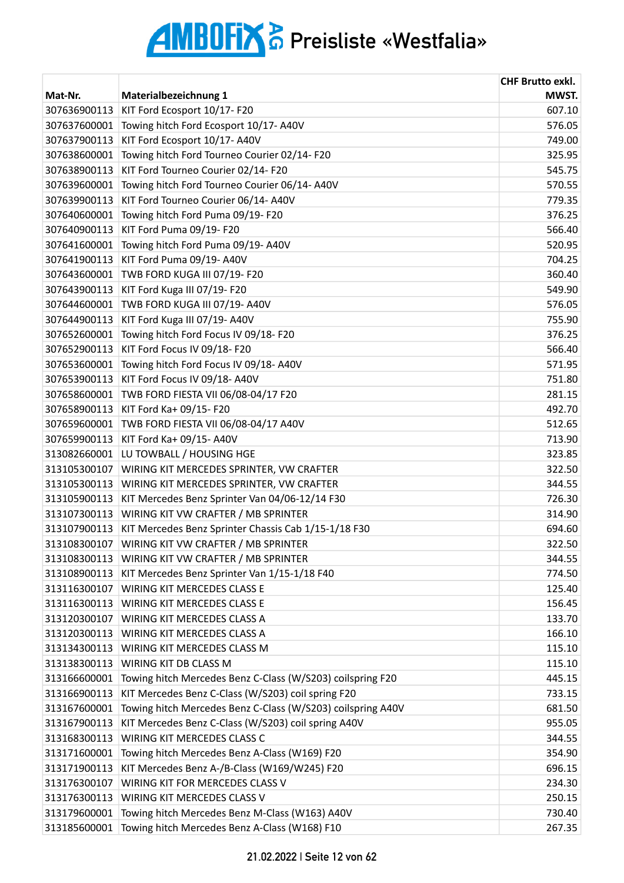| Mat-Nr.<br>Materialbezeichnung 1<br>KIT Ford Ecosport 10/17- F20<br>307636900113<br>Towing hitch Ford Ecosport 10/17-A40V<br>576.05<br>307637600001<br>KIT Ford Ecosport 10/17-A40V<br>749.00<br>307637900113<br>Towing hitch Ford Tourneo Courier 02/14-F20<br>307638600001<br>325.95<br>KIT Ford Tourneo Courier 02/14-F20<br>307638900113<br>545.75<br>Towing hitch Ford Tourneo Courier 06/14- A40V<br>307639600001<br>307639900113<br>KIT Ford Tourneo Courier 06/14- A40V<br>779.35<br>307640600001<br>Towing hitch Ford Puma 09/19-F20<br>307640900113<br>KIT Ford Puma 09/19-F20<br>Towing hitch Ford Puma 09/19- A40V<br>307641600001<br>KIT Ford Puma 09/19- A40V<br>704.25<br>307641900113<br>307643600001<br>TWB FORD KUGA III 07/19- F20<br>360.40<br>307643900113<br>KIT Ford Kuga III 07/19- F20<br>549.90<br>TWB FORD KUGA III 07/19- A40V<br>307644600001<br>576.05<br>307644900113<br>KIT Ford Kuga III 07/19- A40V<br>755.90<br>376.25<br>307652600001<br>Towing hitch Ford Focus IV 09/18-F20<br>307652900113<br>KIT Ford Focus IV 09/18- F20<br>566.40<br>307653600001<br>Towing hitch Ford Focus IV 09/18- A40V<br>571.95<br>KIT Ford Focus IV 09/18- A40V<br>751.80<br>307653900113<br>307658600001<br>TWB FORD FIESTA VII 06/08-04/17 F20<br>281.15<br>KIT Ford Ka+ 09/15- F20<br>492.70<br>307658900113<br>512.65<br>TWB FORD FIESTA VII 06/08-04/17 A40V<br>307659600001<br>307659900113<br>KIT Ford Ka+ 09/15- A40V<br>713.90<br>323.85<br>313082660001<br>LU TOWBALL / HOUSING HGE<br>313105300107<br>WIRING KIT MERCEDES SPRINTER, VW CRAFTER<br>322.50<br>313105300113<br>WIRING KIT MERCEDES SPRINTER, VW CRAFTER<br>344.55<br>726.30<br>313105900113<br>KIT Mercedes Benz Sprinter Van 04/06-12/14 F30<br>313107300113<br>WIRING KIT VW CRAFTER / MB SPRINTER<br>314.90<br>KIT Mercedes Benz Sprinter Chassis Cab 1/15-1/18 F30<br>313107900113<br>694.60<br>313108300107 WIRING KIT VW CRAFTER / MB SPRINTER<br>322.50<br>WIRING KIT VW CRAFTER / MB SPRINTER<br>313108300113<br>344.55<br>KIT Mercedes Benz Sprinter Van 1/15-1/18 F40<br>313108900113<br>774.50<br><b>WIRING KIT MERCEDES CLASS E</b><br>313116300107<br>125.40<br>313116300113<br><b>WIRING KIT MERCEDES CLASS E</b><br>156.45<br>133.70<br>313120300107<br><b>WIRING KIT MERCEDES CLASS A</b><br>313120300113<br>WIRING KIT MERCEDES CLASS A<br>166.10<br>313134300113<br>WIRING KIT MERCEDES CLASS M<br>115.10<br>115.10<br>313138300113<br>WIRING KIT DB CLASS M<br>Towing hitch Mercedes Benz C-Class (W/S203) coilspring F20<br>313166600001<br>445.15<br>KIT Mercedes Benz C-Class (W/S203) coil spring F20<br>733.15<br>313166900113<br>Towing hitch Mercedes Benz C-Class (W/S203) coilspring A40V<br>313167600001<br>681.50<br>KIT Mercedes Benz C-Class (W/S203) coil spring A40V<br>313167900113<br>955.05<br>WIRING KIT MERCEDES CLASS C<br>313168300113<br>344.55<br>Towing hitch Mercedes Benz A-Class (W169) F20<br>313171600001<br>354.90<br>KIT Mercedes Benz A-/B-Class (W169/W245) F20<br>696.15<br>313171900113<br>WIRING KIT FOR MERCEDES CLASS V<br>313176300107<br>234.30<br>313176300113<br>WIRING KIT MERCEDES CLASS V<br>250.15<br>Towing hitch Mercedes Benz M-Class (W163) A40V<br>730.40<br>313179600001 |              |                                               | <b>CHF Brutto exkl.</b> |
|-------------------------------------------------------------------------------------------------------------------------------------------------------------------------------------------------------------------------------------------------------------------------------------------------------------------------------------------------------------------------------------------------------------------------------------------------------------------------------------------------------------------------------------------------------------------------------------------------------------------------------------------------------------------------------------------------------------------------------------------------------------------------------------------------------------------------------------------------------------------------------------------------------------------------------------------------------------------------------------------------------------------------------------------------------------------------------------------------------------------------------------------------------------------------------------------------------------------------------------------------------------------------------------------------------------------------------------------------------------------------------------------------------------------------------------------------------------------------------------------------------------------------------------------------------------------------------------------------------------------------------------------------------------------------------------------------------------------------------------------------------------------------------------------------------------------------------------------------------------------------------------------------------------------------------------------------------------------------------------------------------------------------------------------------------------------------------------------------------------------------------------------------------------------------------------------------------------------------------------------------------------------------------------------------------------------------------------------------------------------------------------------------------------------------------------------------------------------------------------------------------------------------------------------------------------------------------------------------------------------------------------------------------------------------------------------------------------------------------------------------------------------------------------------------------------------------------------------------------------------------------------------------------------------------------------------------------------------------------------------------------------------------------------------------------------------------------------------------------------------------------------------------------------------------------------------------------------------------------------------|--------------|-----------------------------------------------|-------------------------|
|                                                                                                                                                                                                                                                                                                                                                                                                                                                                                                                                                                                                                                                                                                                                                                                                                                                                                                                                                                                                                                                                                                                                                                                                                                                                                                                                                                                                                                                                                                                                                                                                                                                                                                                                                                                                                                                                                                                                                                                                                                                                                                                                                                                                                                                                                                                                                                                                                                                                                                                                                                                                                                                                                                                                                                                                                                                                                                                                                                                                                                                                                                                                                                                                                                           |              |                                               | MWST.                   |
|                                                                                                                                                                                                                                                                                                                                                                                                                                                                                                                                                                                                                                                                                                                                                                                                                                                                                                                                                                                                                                                                                                                                                                                                                                                                                                                                                                                                                                                                                                                                                                                                                                                                                                                                                                                                                                                                                                                                                                                                                                                                                                                                                                                                                                                                                                                                                                                                                                                                                                                                                                                                                                                                                                                                                                                                                                                                                                                                                                                                                                                                                                                                                                                                                                           |              |                                               | 607.10                  |
|                                                                                                                                                                                                                                                                                                                                                                                                                                                                                                                                                                                                                                                                                                                                                                                                                                                                                                                                                                                                                                                                                                                                                                                                                                                                                                                                                                                                                                                                                                                                                                                                                                                                                                                                                                                                                                                                                                                                                                                                                                                                                                                                                                                                                                                                                                                                                                                                                                                                                                                                                                                                                                                                                                                                                                                                                                                                                                                                                                                                                                                                                                                                                                                                                                           |              |                                               |                         |
|                                                                                                                                                                                                                                                                                                                                                                                                                                                                                                                                                                                                                                                                                                                                                                                                                                                                                                                                                                                                                                                                                                                                                                                                                                                                                                                                                                                                                                                                                                                                                                                                                                                                                                                                                                                                                                                                                                                                                                                                                                                                                                                                                                                                                                                                                                                                                                                                                                                                                                                                                                                                                                                                                                                                                                                                                                                                                                                                                                                                                                                                                                                                                                                                                                           |              |                                               |                         |
|                                                                                                                                                                                                                                                                                                                                                                                                                                                                                                                                                                                                                                                                                                                                                                                                                                                                                                                                                                                                                                                                                                                                                                                                                                                                                                                                                                                                                                                                                                                                                                                                                                                                                                                                                                                                                                                                                                                                                                                                                                                                                                                                                                                                                                                                                                                                                                                                                                                                                                                                                                                                                                                                                                                                                                                                                                                                                                                                                                                                                                                                                                                                                                                                                                           |              |                                               |                         |
|                                                                                                                                                                                                                                                                                                                                                                                                                                                                                                                                                                                                                                                                                                                                                                                                                                                                                                                                                                                                                                                                                                                                                                                                                                                                                                                                                                                                                                                                                                                                                                                                                                                                                                                                                                                                                                                                                                                                                                                                                                                                                                                                                                                                                                                                                                                                                                                                                                                                                                                                                                                                                                                                                                                                                                                                                                                                                                                                                                                                                                                                                                                                                                                                                                           |              |                                               |                         |
|                                                                                                                                                                                                                                                                                                                                                                                                                                                                                                                                                                                                                                                                                                                                                                                                                                                                                                                                                                                                                                                                                                                                                                                                                                                                                                                                                                                                                                                                                                                                                                                                                                                                                                                                                                                                                                                                                                                                                                                                                                                                                                                                                                                                                                                                                                                                                                                                                                                                                                                                                                                                                                                                                                                                                                                                                                                                                                                                                                                                                                                                                                                                                                                                                                           |              |                                               | 570.55                  |
|                                                                                                                                                                                                                                                                                                                                                                                                                                                                                                                                                                                                                                                                                                                                                                                                                                                                                                                                                                                                                                                                                                                                                                                                                                                                                                                                                                                                                                                                                                                                                                                                                                                                                                                                                                                                                                                                                                                                                                                                                                                                                                                                                                                                                                                                                                                                                                                                                                                                                                                                                                                                                                                                                                                                                                                                                                                                                                                                                                                                                                                                                                                                                                                                                                           |              |                                               |                         |
|                                                                                                                                                                                                                                                                                                                                                                                                                                                                                                                                                                                                                                                                                                                                                                                                                                                                                                                                                                                                                                                                                                                                                                                                                                                                                                                                                                                                                                                                                                                                                                                                                                                                                                                                                                                                                                                                                                                                                                                                                                                                                                                                                                                                                                                                                                                                                                                                                                                                                                                                                                                                                                                                                                                                                                                                                                                                                                                                                                                                                                                                                                                                                                                                                                           |              |                                               | 376.25                  |
|                                                                                                                                                                                                                                                                                                                                                                                                                                                                                                                                                                                                                                                                                                                                                                                                                                                                                                                                                                                                                                                                                                                                                                                                                                                                                                                                                                                                                                                                                                                                                                                                                                                                                                                                                                                                                                                                                                                                                                                                                                                                                                                                                                                                                                                                                                                                                                                                                                                                                                                                                                                                                                                                                                                                                                                                                                                                                                                                                                                                                                                                                                                                                                                                                                           |              |                                               | 566.40                  |
|                                                                                                                                                                                                                                                                                                                                                                                                                                                                                                                                                                                                                                                                                                                                                                                                                                                                                                                                                                                                                                                                                                                                                                                                                                                                                                                                                                                                                                                                                                                                                                                                                                                                                                                                                                                                                                                                                                                                                                                                                                                                                                                                                                                                                                                                                                                                                                                                                                                                                                                                                                                                                                                                                                                                                                                                                                                                                                                                                                                                                                                                                                                                                                                                                                           |              |                                               | 520.95                  |
|                                                                                                                                                                                                                                                                                                                                                                                                                                                                                                                                                                                                                                                                                                                                                                                                                                                                                                                                                                                                                                                                                                                                                                                                                                                                                                                                                                                                                                                                                                                                                                                                                                                                                                                                                                                                                                                                                                                                                                                                                                                                                                                                                                                                                                                                                                                                                                                                                                                                                                                                                                                                                                                                                                                                                                                                                                                                                                                                                                                                                                                                                                                                                                                                                                           |              |                                               |                         |
|                                                                                                                                                                                                                                                                                                                                                                                                                                                                                                                                                                                                                                                                                                                                                                                                                                                                                                                                                                                                                                                                                                                                                                                                                                                                                                                                                                                                                                                                                                                                                                                                                                                                                                                                                                                                                                                                                                                                                                                                                                                                                                                                                                                                                                                                                                                                                                                                                                                                                                                                                                                                                                                                                                                                                                                                                                                                                                                                                                                                                                                                                                                                                                                                                                           |              |                                               |                         |
|                                                                                                                                                                                                                                                                                                                                                                                                                                                                                                                                                                                                                                                                                                                                                                                                                                                                                                                                                                                                                                                                                                                                                                                                                                                                                                                                                                                                                                                                                                                                                                                                                                                                                                                                                                                                                                                                                                                                                                                                                                                                                                                                                                                                                                                                                                                                                                                                                                                                                                                                                                                                                                                                                                                                                                                                                                                                                                                                                                                                                                                                                                                                                                                                                                           |              |                                               |                         |
|                                                                                                                                                                                                                                                                                                                                                                                                                                                                                                                                                                                                                                                                                                                                                                                                                                                                                                                                                                                                                                                                                                                                                                                                                                                                                                                                                                                                                                                                                                                                                                                                                                                                                                                                                                                                                                                                                                                                                                                                                                                                                                                                                                                                                                                                                                                                                                                                                                                                                                                                                                                                                                                                                                                                                                                                                                                                                                                                                                                                                                                                                                                                                                                                                                           |              |                                               |                         |
|                                                                                                                                                                                                                                                                                                                                                                                                                                                                                                                                                                                                                                                                                                                                                                                                                                                                                                                                                                                                                                                                                                                                                                                                                                                                                                                                                                                                                                                                                                                                                                                                                                                                                                                                                                                                                                                                                                                                                                                                                                                                                                                                                                                                                                                                                                                                                                                                                                                                                                                                                                                                                                                                                                                                                                                                                                                                                                                                                                                                                                                                                                                                                                                                                                           |              |                                               |                         |
|                                                                                                                                                                                                                                                                                                                                                                                                                                                                                                                                                                                                                                                                                                                                                                                                                                                                                                                                                                                                                                                                                                                                                                                                                                                                                                                                                                                                                                                                                                                                                                                                                                                                                                                                                                                                                                                                                                                                                                                                                                                                                                                                                                                                                                                                                                                                                                                                                                                                                                                                                                                                                                                                                                                                                                                                                                                                                                                                                                                                                                                                                                                                                                                                                                           |              |                                               |                         |
|                                                                                                                                                                                                                                                                                                                                                                                                                                                                                                                                                                                                                                                                                                                                                                                                                                                                                                                                                                                                                                                                                                                                                                                                                                                                                                                                                                                                                                                                                                                                                                                                                                                                                                                                                                                                                                                                                                                                                                                                                                                                                                                                                                                                                                                                                                                                                                                                                                                                                                                                                                                                                                                                                                                                                                                                                                                                                                                                                                                                                                                                                                                                                                                                                                           |              |                                               |                         |
|                                                                                                                                                                                                                                                                                                                                                                                                                                                                                                                                                                                                                                                                                                                                                                                                                                                                                                                                                                                                                                                                                                                                                                                                                                                                                                                                                                                                                                                                                                                                                                                                                                                                                                                                                                                                                                                                                                                                                                                                                                                                                                                                                                                                                                                                                                                                                                                                                                                                                                                                                                                                                                                                                                                                                                                                                                                                                                                                                                                                                                                                                                                                                                                                                                           |              |                                               |                         |
|                                                                                                                                                                                                                                                                                                                                                                                                                                                                                                                                                                                                                                                                                                                                                                                                                                                                                                                                                                                                                                                                                                                                                                                                                                                                                                                                                                                                                                                                                                                                                                                                                                                                                                                                                                                                                                                                                                                                                                                                                                                                                                                                                                                                                                                                                                                                                                                                                                                                                                                                                                                                                                                                                                                                                                                                                                                                                                                                                                                                                                                                                                                                                                                                                                           |              |                                               |                         |
|                                                                                                                                                                                                                                                                                                                                                                                                                                                                                                                                                                                                                                                                                                                                                                                                                                                                                                                                                                                                                                                                                                                                                                                                                                                                                                                                                                                                                                                                                                                                                                                                                                                                                                                                                                                                                                                                                                                                                                                                                                                                                                                                                                                                                                                                                                                                                                                                                                                                                                                                                                                                                                                                                                                                                                                                                                                                                                                                                                                                                                                                                                                                                                                                                                           |              |                                               |                         |
|                                                                                                                                                                                                                                                                                                                                                                                                                                                                                                                                                                                                                                                                                                                                                                                                                                                                                                                                                                                                                                                                                                                                                                                                                                                                                                                                                                                                                                                                                                                                                                                                                                                                                                                                                                                                                                                                                                                                                                                                                                                                                                                                                                                                                                                                                                                                                                                                                                                                                                                                                                                                                                                                                                                                                                                                                                                                                                                                                                                                                                                                                                                                                                                                                                           |              |                                               |                         |
|                                                                                                                                                                                                                                                                                                                                                                                                                                                                                                                                                                                                                                                                                                                                                                                                                                                                                                                                                                                                                                                                                                                                                                                                                                                                                                                                                                                                                                                                                                                                                                                                                                                                                                                                                                                                                                                                                                                                                                                                                                                                                                                                                                                                                                                                                                                                                                                                                                                                                                                                                                                                                                                                                                                                                                                                                                                                                                                                                                                                                                                                                                                                                                                                                                           |              |                                               |                         |
|                                                                                                                                                                                                                                                                                                                                                                                                                                                                                                                                                                                                                                                                                                                                                                                                                                                                                                                                                                                                                                                                                                                                                                                                                                                                                                                                                                                                                                                                                                                                                                                                                                                                                                                                                                                                                                                                                                                                                                                                                                                                                                                                                                                                                                                                                                                                                                                                                                                                                                                                                                                                                                                                                                                                                                                                                                                                                                                                                                                                                                                                                                                                                                                                                                           |              |                                               |                         |
|                                                                                                                                                                                                                                                                                                                                                                                                                                                                                                                                                                                                                                                                                                                                                                                                                                                                                                                                                                                                                                                                                                                                                                                                                                                                                                                                                                                                                                                                                                                                                                                                                                                                                                                                                                                                                                                                                                                                                                                                                                                                                                                                                                                                                                                                                                                                                                                                                                                                                                                                                                                                                                                                                                                                                                                                                                                                                                                                                                                                                                                                                                                                                                                                                                           |              |                                               |                         |
|                                                                                                                                                                                                                                                                                                                                                                                                                                                                                                                                                                                                                                                                                                                                                                                                                                                                                                                                                                                                                                                                                                                                                                                                                                                                                                                                                                                                                                                                                                                                                                                                                                                                                                                                                                                                                                                                                                                                                                                                                                                                                                                                                                                                                                                                                                                                                                                                                                                                                                                                                                                                                                                                                                                                                                                                                                                                                                                                                                                                                                                                                                                                                                                                                                           |              |                                               |                         |
|                                                                                                                                                                                                                                                                                                                                                                                                                                                                                                                                                                                                                                                                                                                                                                                                                                                                                                                                                                                                                                                                                                                                                                                                                                                                                                                                                                                                                                                                                                                                                                                                                                                                                                                                                                                                                                                                                                                                                                                                                                                                                                                                                                                                                                                                                                                                                                                                                                                                                                                                                                                                                                                                                                                                                                                                                                                                                                                                                                                                                                                                                                                                                                                                                                           |              |                                               |                         |
|                                                                                                                                                                                                                                                                                                                                                                                                                                                                                                                                                                                                                                                                                                                                                                                                                                                                                                                                                                                                                                                                                                                                                                                                                                                                                                                                                                                                                                                                                                                                                                                                                                                                                                                                                                                                                                                                                                                                                                                                                                                                                                                                                                                                                                                                                                                                                                                                                                                                                                                                                                                                                                                                                                                                                                                                                                                                                                                                                                                                                                                                                                                                                                                                                                           |              |                                               |                         |
|                                                                                                                                                                                                                                                                                                                                                                                                                                                                                                                                                                                                                                                                                                                                                                                                                                                                                                                                                                                                                                                                                                                                                                                                                                                                                                                                                                                                                                                                                                                                                                                                                                                                                                                                                                                                                                                                                                                                                                                                                                                                                                                                                                                                                                                                                                                                                                                                                                                                                                                                                                                                                                                                                                                                                                                                                                                                                                                                                                                                                                                                                                                                                                                                                                           |              |                                               |                         |
|                                                                                                                                                                                                                                                                                                                                                                                                                                                                                                                                                                                                                                                                                                                                                                                                                                                                                                                                                                                                                                                                                                                                                                                                                                                                                                                                                                                                                                                                                                                                                                                                                                                                                                                                                                                                                                                                                                                                                                                                                                                                                                                                                                                                                                                                                                                                                                                                                                                                                                                                                                                                                                                                                                                                                                                                                                                                                                                                                                                                                                                                                                                                                                                                                                           |              |                                               |                         |
|                                                                                                                                                                                                                                                                                                                                                                                                                                                                                                                                                                                                                                                                                                                                                                                                                                                                                                                                                                                                                                                                                                                                                                                                                                                                                                                                                                                                                                                                                                                                                                                                                                                                                                                                                                                                                                                                                                                                                                                                                                                                                                                                                                                                                                                                                                                                                                                                                                                                                                                                                                                                                                                                                                                                                                                                                                                                                                                                                                                                                                                                                                                                                                                                                                           |              |                                               |                         |
|                                                                                                                                                                                                                                                                                                                                                                                                                                                                                                                                                                                                                                                                                                                                                                                                                                                                                                                                                                                                                                                                                                                                                                                                                                                                                                                                                                                                                                                                                                                                                                                                                                                                                                                                                                                                                                                                                                                                                                                                                                                                                                                                                                                                                                                                                                                                                                                                                                                                                                                                                                                                                                                                                                                                                                                                                                                                                                                                                                                                                                                                                                                                                                                                                                           |              |                                               |                         |
|                                                                                                                                                                                                                                                                                                                                                                                                                                                                                                                                                                                                                                                                                                                                                                                                                                                                                                                                                                                                                                                                                                                                                                                                                                                                                                                                                                                                                                                                                                                                                                                                                                                                                                                                                                                                                                                                                                                                                                                                                                                                                                                                                                                                                                                                                                                                                                                                                                                                                                                                                                                                                                                                                                                                                                                                                                                                                                                                                                                                                                                                                                                                                                                                                                           |              |                                               |                         |
|                                                                                                                                                                                                                                                                                                                                                                                                                                                                                                                                                                                                                                                                                                                                                                                                                                                                                                                                                                                                                                                                                                                                                                                                                                                                                                                                                                                                                                                                                                                                                                                                                                                                                                                                                                                                                                                                                                                                                                                                                                                                                                                                                                                                                                                                                                                                                                                                                                                                                                                                                                                                                                                                                                                                                                                                                                                                                                                                                                                                                                                                                                                                                                                                                                           |              |                                               |                         |
|                                                                                                                                                                                                                                                                                                                                                                                                                                                                                                                                                                                                                                                                                                                                                                                                                                                                                                                                                                                                                                                                                                                                                                                                                                                                                                                                                                                                                                                                                                                                                                                                                                                                                                                                                                                                                                                                                                                                                                                                                                                                                                                                                                                                                                                                                                                                                                                                                                                                                                                                                                                                                                                                                                                                                                                                                                                                                                                                                                                                                                                                                                                                                                                                                                           |              |                                               |                         |
|                                                                                                                                                                                                                                                                                                                                                                                                                                                                                                                                                                                                                                                                                                                                                                                                                                                                                                                                                                                                                                                                                                                                                                                                                                                                                                                                                                                                                                                                                                                                                                                                                                                                                                                                                                                                                                                                                                                                                                                                                                                                                                                                                                                                                                                                                                                                                                                                                                                                                                                                                                                                                                                                                                                                                                                                                                                                                                                                                                                                                                                                                                                                                                                                                                           |              |                                               |                         |
|                                                                                                                                                                                                                                                                                                                                                                                                                                                                                                                                                                                                                                                                                                                                                                                                                                                                                                                                                                                                                                                                                                                                                                                                                                                                                                                                                                                                                                                                                                                                                                                                                                                                                                                                                                                                                                                                                                                                                                                                                                                                                                                                                                                                                                                                                                                                                                                                                                                                                                                                                                                                                                                                                                                                                                                                                                                                                                                                                                                                                                                                                                                                                                                                                                           |              |                                               |                         |
|                                                                                                                                                                                                                                                                                                                                                                                                                                                                                                                                                                                                                                                                                                                                                                                                                                                                                                                                                                                                                                                                                                                                                                                                                                                                                                                                                                                                                                                                                                                                                                                                                                                                                                                                                                                                                                                                                                                                                                                                                                                                                                                                                                                                                                                                                                                                                                                                                                                                                                                                                                                                                                                                                                                                                                                                                                                                                                                                                                                                                                                                                                                                                                                                                                           |              |                                               |                         |
|                                                                                                                                                                                                                                                                                                                                                                                                                                                                                                                                                                                                                                                                                                                                                                                                                                                                                                                                                                                                                                                                                                                                                                                                                                                                                                                                                                                                                                                                                                                                                                                                                                                                                                                                                                                                                                                                                                                                                                                                                                                                                                                                                                                                                                                                                                                                                                                                                                                                                                                                                                                                                                                                                                                                                                                                                                                                                                                                                                                                                                                                                                                                                                                                                                           |              |                                               |                         |
|                                                                                                                                                                                                                                                                                                                                                                                                                                                                                                                                                                                                                                                                                                                                                                                                                                                                                                                                                                                                                                                                                                                                                                                                                                                                                                                                                                                                                                                                                                                                                                                                                                                                                                                                                                                                                                                                                                                                                                                                                                                                                                                                                                                                                                                                                                                                                                                                                                                                                                                                                                                                                                                                                                                                                                                                                                                                                                                                                                                                                                                                                                                                                                                                                                           |              |                                               |                         |
|                                                                                                                                                                                                                                                                                                                                                                                                                                                                                                                                                                                                                                                                                                                                                                                                                                                                                                                                                                                                                                                                                                                                                                                                                                                                                                                                                                                                                                                                                                                                                                                                                                                                                                                                                                                                                                                                                                                                                                                                                                                                                                                                                                                                                                                                                                                                                                                                                                                                                                                                                                                                                                                                                                                                                                                                                                                                                                                                                                                                                                                                                                                                                                                                                                           |              |                                               |                         |
|                                                                                                                                                                                                                                                                                                                                                                                                                                                                                                                                                                                                                                                                                                                                                                                                                                                                                                                                                                                                                                                                                                                                                                                                                                                                                                                                                                                                                                                                                                                                                                                                                                                                                                                                                                                                                                                                                                                                                                                                                                                                                                                                                                                                                                                                                                                                                                                                                                                                                                                                                                                                                                                                                                                                                                                                                                                                                                                                                                                                                                                                                                                                                                                                                                           |              |                                               |                         |
|                                                                                                                                                                                                                                                                                                                                                                                                                                                                                                                                                                                                                                                                                                                                                                                                                                                                                                                                                                                                                                                                                                                                                                                                                                                                                                                                                                                                                                                                                                                                                                                                                                                                                                                                                                                                                                                                                                                                                                                                                                                                                                                                                                                                                                                                                                                                                                                                                                                                                                                                                                                                                                                                                                                                                                                                                                                                                                                                                                                                                                                                                                                                                                                                                                           |              |                                               |                         |
|                                                                                                                                                                                                                                                                                                                                                                                                                                                                                                                                                                                                                                                                                                                                                                                                                                                                                                                                                                                                                                                                                                                                                                                                                                                                                                                                                                                                                                                                                                                                                                                                                                                                                                                                                                                                                                                                                                                                                                                                                                                                                                                                                                                                                                                                                                                                                                                                                                                                                                                                                                                                                                                                                                                                                                                                                                                                                                                                                                                                                                                                                                                                                                                                                                           |              |                                               |                         |
|                                                                                                                                                                                                                                                                                                                                                                                                                                                                                                                                                                                                                                                                                                                                                                                                                                                                                                                                                                                                                                                                                                                                                                                                                                                                                                                                                                                                                                                                                                                                                                                                                                                                                                                                                                                                                                                                                                                                                                                                                                                                                                                                                                                                                                                                                                                                                                                                                                                                                                                                                                                                                                                                                                                                                                                                                                                                                                                                                                                                                                                                                                                                                                                                                                           |              |                                               |                         |
|                                                                                                                                                                                                                                                                                                                                                                                                                                                                                                                                                                                                                                                                                                                                                                                                                                                                                                                                                                                                                                                                                                                                                                                                                                                                                                                                                                                                                                                                                                                                                                                                                                                                                                                                                                                                                                                                                                                                                                                                                                                                                                                                                                                                                                                                                                                                                                                                                                                                                                                                                                                                                                                                                                                                                                                                                                                                                                                                                                                                                                                                                                                                                                                                                                           |              |                                               |                         |
|                                                                                                                                                                                                                                                                                                                                                                                                                                                                                                                                                                                                                                                                                                                                                                                                                                                                                                                                                                                                                                                                                                                                                                                                                                                                                                                                                                                                                                                                                                                                                                                                                                                                                                                                                                                                                                                                                                                                                                                                                                                                                                                                                                                                                                                                                                                                                                                                                                                                                                                                                                                                                                                                                                                                                                                                                                                                                                                                                                                                                                                                                                                                                                                                                                           |              |                                               |                         |
|                                                                                                                                                                                                                                                                                                                                                                                                                                                                                                                                                                                                                                                                                                                                                                                                                                                                                                                                                                                                                                                                                                                                                                                                                                                                                                                                                                                                                                                                                                                                                                                                                                                                                                                                                                                                                                                                                                                                                                                                                                                                                                                                                                                                                                                                                                                                                                                                                                                                                                                                                                                                                                                                                                                                                                                                                                                                                                                                                                                                                                                                                                                                                                                                                                           |              |                                               |                         |
|                                                                                                                                                                                                                                                                                                                                                                                                                                                                                                                                                                                                                                                                                                                                                                                                                                                                                                                                                                                                                                                                                                                                                                                                                                                                                                                                                                                                                                                                                                                                                                                                                                                                                                                                                                                                                                                                                                                                                                                                                                                                                                                                                                                                                                                                                                                                                                                                                                                                                                                                                                                                                                                                                                                                                                                                                                                                                                                                                                                                                                                                                                                                                                                                                                           |              |                                               |                         |
|                                                                                                                                                                                                                                                                                                                                                                                                                                                                                                                                                                                                                                                                                                                                                                                                                                                                                                                                                                                                                                                                                                                                                                                                                                                                                                                                                                                                                                                                                                                                                                                                                                                                                                                                                                                                                                                                                                                                                                                                                                                                                                                                                                                                                                                                                                                                                                                                                                                                                                                                                                                                                                                                                                                                                                                                                                                                                                                                                                                                                                                                                                                                                                                                                                           | 313185600001 | Towing hitch Mercedes Benz A-Class (W168) F10 | 267.35                  |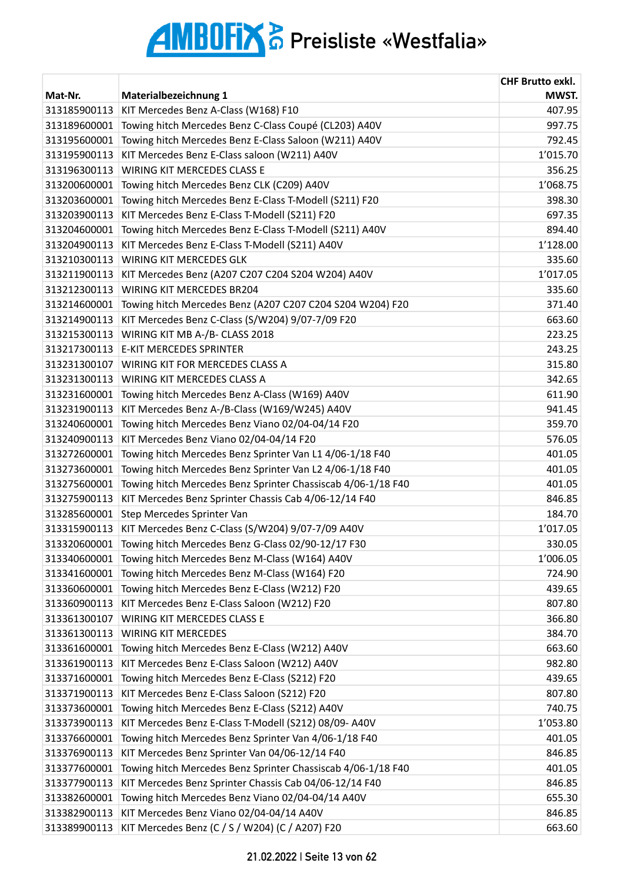| MWST.<br>Mat-Nr.<br>Materialbezeichnung 1<br>KIT Mercedes Benz A-Class (W168) F10<br>407.95<br>313185900113<br>Towing hitch Mercedes Benz C-Class Coupé (CL203) A40V<br>997.75<br>313189600001<br>Towing hitch Mercedes Benz E-Class Saloon (W211) A40V<br>792.45<br>313195600001<br>KIT Mercedes Benz E-Class saloon (W211) A40V<br>1'015.70<br>313195900113<br>WIRING KIT MERCEDES CLASS E<br>313196300113<br>356.25<br>1'068.75<br>313200600001<br>Towing hitch Mercedes Benz CLK (C209) A40V<br>Towing hitch Mercedes Benz E-Class T-Modell (S211) F20<br>313203600001<br>398.30<br>KIT Mercedes Benz E-Class T-Modell (S211) F20<br>697.35<br>313203900113<br>Towing hitch Mercedes Benz E-Class T-Modell (S211) A40V<br>894.40<br>313204600001<br>KIT Mercedes Benz E-Class T-Modell (S211) A40V<br>1'128.00<br>313204900113<br>WIRING KIT MERCEDES GLK<br>335.60<br>313210300113<br>1'017.05<br>313211900113<br>KIT Mercedes Benz (A207 C207 C204 S204 W204) A40V<br>313212300113<br><b>WIRING KIT MERCEDES BR204</b><br>335.60<br>Towing hitch Mercedes Benz (A207 C207 C204 S204 W204) F20<br>371.40<br>313214600001<br>KIT Mercedes Benz C-Class (S/W204) 9/07-7/09 F20<br>663.60<br>313214900113<br>WIRING KIT MB A-/B- CLASS 2018<br>223.25<br>313215300113<br>243.25<br>313217300113<br><b>E-KIT MERCEDES SPRINTER</b><br>313231300107<br>WIRING KIT FOR MERCEDES CLASS A<br>315.80<br>313231300113<br>WIRING KIT MERCEDES CLASS A<br>342.65<br>Towing hitch Mercedes Benz A-Class (W169) A40V<br>611.90<br>313231600001<br>KIT Mercedes Benz A-/B-Class (W169/W245) A40V<br>313231900113<br>941.45<br>Towing hitch Mercedes Benz Viano 02/04-04/14 F20<br>359.70<br>313240600001<br>KIT Mercedes Benz Viano 02/04-04/14 F20<br>313240900113<br>576.05<br>Towing hitch Mercedes Benz Sprinter Van L1 4/06-1/18 F40<br>401.05<br>313272600001<br>Towing hitch Mercedes Benz Sprinter Van L2 4/06-1/18 F40<br>401.05<br>313273600001<br>Towing hitch Mercedes Benz Sprinter Chassiscab 4/06-1/18 F40<br>313275600001<br>401.05<br>KIT Mercedes Benz Sprinter Chassis Cab 4/06-12/14 F40<br>846.85<br>313275900113<br>313285600001<br>Step Mercedes Sprinter Van<br>184.70<br>KIT Mercedes Benz C-Class (S/W204) 9/07-7/09 A40V<br>1'017.05<br>313315900113<br>Towing hitch Mercedes Benz G-Class 02/90-12/17 F30<br>313320600001<br>330.05<br>1'006.05<br>313340600001<br>Towing hitch Mercedes Benz M-Class (W164) A40V<br>313341600001<br>Towing hitch Mercedes Benz M-Class (W164) F20<br>724.90<br>313360600001<br>Towing hitch Mercedes Benz E-Class (W212) F20<br>439.65<br>KIT Mercedes Benz E-Class Saloon (W212) F20<br>313360900113<br>807.80<br>WIRING KIT MERCEDES CLASS E<br>366.80<br>313361300107<br>313361300113<br><b>WIRING KIT MERCEDES</b><br>384.70<br>663.60<br>313361600001<br>Towing hitch Mercedes Benz E-Class (W212) A40V<br>KIT Mercedes Benz E-Class Saloon (W212) A40V<br>313361900113<br>982.80<br>Towing hitch Mercedes Benz E-Class (S212) F20<br>439.65<br>313371600001<br>KIT Mercedes Benz E-Class Saloon (S212) F20<br>807.80<br>313371900113<br>Towing hitch Mercedes Benz E-Class (S212) A40V<br>740.75<br>313373600001<br>1'053.80<br>313373900113<br>KIT Mercedes Benz E-Class T-Modell (S212) 08/09- A40V<br>313376600001<br>Towing hitch Mercedes Benz Sprinter Van 4/06-1/18 F40<br>401.05<br>313376900113<br>KIT Mercedes Benz Sprinter Van 04/06-12/14 F40<br>846.85<br>Towing hitch Mercedes Benz Sprinter Chassiscab 4/06-1/18 F40<br>401.05<br>313377600001<br>KIT Mercedes Benz Sprinter Chassis Cab 04/06-12/14 F40<br>846.85<br>313377900113<br>Towing hitch Mercedes Benz Viano 02/04-04/14 A40V<br>655.30<br>313382600001<br>KIT Mercedes Benz Viano 02/04-04/14 A40V<br>846.85<br>313382900113<br>KIT Mercedes Benz (C / S / W204) (C / A207) F20<br>663.60<br>313389900113 |  | <b>CHF Brutto exkl.</b> |
|-----------------------------------------------------------------------------------------------------------------------------------------------------------------------------------------------------------------------------------------------------------------------------------------------------------------------------------------------------------------------------------------------------------------------------------------------------------------------------------------------------------------------------------------------------------------------------------------------------------------------------------------------------------------------------------------------------------------------------------------------------------------------------------------------------------------------------------------------------------------------------------------------------------------------------------------------------------------------------------------------------------------------------------------------------------------------------------------------------------------------------------------------------------------------------------------------------------------------------------------------------------------------------------------------------------------------------------------------------------------------------------------------------------------------------------------------------------------------------------------------------------------------------------------------------------------------------------------------------------------------------------------------------------------------------------------------------------------------------------------------------------------------------------------------------------------------------------------------------------------------------------------------------------------------------------------------------------------------------------------------------------------------------------------------------------------------------------------------------------------------------------------------------------------------------------------------------------------------------------------------------------------------------------------------------------------------------------------------------------------------------------------------------------------------------------------------------------------------------------------------------------------------------------------------------------------------------------------------------------------------------------------------------------------------------------------------------------------------------------------------------------------------------------------------------------------------------------------------------------------------------------------------------------------------------------------------------------------------------------------------------------------------------------------------------------------------------------------------------------------------------------------------------------------------------------------------------------------------------------------------------------------------------------------------------------------------------------------------------------------------------------------------------------------------------------------------------------------------------------------------------------------------------------------------------------------------------------------------------------------------------------------------------------------------------------------------------------------------------------------------------------------------------------------------------------------------------------------------|--|-------------------------|
|                                                                                                                                                                                                                                                                                                                                                                                                                                                                                                                                                                                                                                                                                                                                                                                                                                                                                                                                                                                                                                                                                                                                                                                                                                                                                                                                                                                                                                                                                                                                                                                                                                                                                                                                                                                                                                                                                                                                                                                                                                                                                                                                                                                                                                                                                                                                                                                                                                                                                                                                                                                                                                                                                                                                                                                                                                                                                                                                                                                                                                                                                                                                                                                                                                                                                                                                                                                                                                                                                                                                                                                                                                                                                                                                                                                                                                               |  |                         |
|                                                                                                                                                                                                                                                                                                                                                                                                                                                                                                                                                                                                                                                                                                                                                                                                                                                                                                                                                                                                                                                                                                                                                                                                                                                                                                                                                                                                                                                                                                                                                                                                                                                                                                                                                                                                                                                                                                                                                                                                                                                                                                                                                                                                                                                                                                                                                                                                                                                                                                                                                                                                                                                                                                                                                                                                                                                                                                                                                                                                                                                                                                                                                                                                                                                                                                                                                                                                                                                                                                                                                                                                                                                                                                                                                                                                                                               |  |                         |
|                                                                                                                                                                                                                                                                                                                                                                                                                                                                                                                                                                                                                                                                                                                                                                                                                                                                                                                                                                                                                                                                                                                                                                                                                                                                                                                                                                                                                                                                                                                                                                                                                                                                                                                                                                                                                                                                                                                                                                                                                                                                                                                                                                                                                                                                                                                                                                                                                                                                                                                                                                                                                                                                                                                                                                                                                                                                                                                                                                                                                                                                                                                                                                                                                                                                                                                                                                                                                                                                                                                                                                                                                                                                                                                                                                                                                                               |  |                         |
|                                                                                                                                                                                                                                                                                                                                                                                                                                                                                                                                                                                                                                                                                                                                                                                                                                                                                                                                                                                                                                                                                                                                                                                                                                                                                                                                                                                                                                                                                                                                                                                                                                                                                                                                                                                                                                                                                                                                                                                                                                                                                                                                                                                                                                                                                                                                                                                                                                                                                                                                                                                                                                                                                                                                                                                                                                                                                                                                                                                                                                                                                                                                                                                                                                                                                                                                                                                                                                                                                                                                                                                                                                                                                                                                                                                                                                               |  |                         |
|                                                                                                                                                                                                                                                                                                                                                                                                                                                                                                                                                                                                                                                                                                                                                                                                                                                                                                                                                                                                                                                                                                                                                                                                                                                                                                                                                                                                                                                                                                                                                                                                                                                                                                                                                                                                                                                                                                                                                                                                                                                                                                                                                                                                                                                                                                                                                                                                                                                                                                                                                                                                                                                                                                                                                                                                                                                                                                                                                                                                                                                                                                                                                                                                                                                                                                                                                                                                                                                                                                                                                                                                                                                                                                                                                                                                                                               |  |                         |
|                                                                                                                                                                                                                                                                                                                                                                                                                                                                                                                                                                                                                                                                                                                                                                                                                                                                                                                                                                                                                                                                                                                                                                                                                                                                                                                                                                                                                                                                                                                                                                                                                                                                                                                                                                                                                                                                                                                                                                                                                                                                                                                                                                                                                                                                                                                                                                                                                                                                                                                                                                                                                                                                                                                                                                                                                                                                                                                                                                                                                                                                                                                                                                                                                                                                                                                                                                                                                                                                                                                                                                                                                                                                                                                                                                                                                                               |  |                         |
|                                                                                                                                                                                                                                                                                                                                                                                                                                                                                                                                                                                                                                                                                                                                                                                                                                                                                                                                                                                                                                                                                                                                                                                                                                                                                                                                                                                                                                                                                                                                                                                                                                                                                                                                                                                                                                                                                                                                                                                                                                                                                                                                                                                                                                                                                                                                                                                                                                                                                                                                                                                                                                                                                                                                                                                                                                                                                                                                                                                                                                                                                                                                                                                                                                                                                                                                                                                                                                                                                                                                                                                                                                                                                                                                                                                                                                               |  |                         |
|                                                                                                                                                                                                                                                                                                                                                                                                                                                                                                                                                                                                                                                                                                                                                                                                                                                                                                                                                                                                                                                                                                                                                                                                                                                                                                                                                                                                                                                                                                                                                                                                                                                                                                                                                                                                                                                                                                                                                                                                                                                                                                                                                                                                                                                                                                                                                                                                                                                                                                                                                                                                                                                                                                                                                                                                                                                                                                                                                                                                                                                                                                                                                                                                                                                                                                                                                                                                                                                                                                                                                                                                                                                                                                                                                                                                                                               |  |                         |
|                                                                                                                                                                                                                                                                                                                                                                                                                                                                                                                                                                                                                                                                                                                                                                                                                                                                                                                                                                                                                                                                                                                                                                                                                                                                                                                                                                                                                                                                                                                                                                                                                                                                                                                                                                                                                                                                                                                                                                                                                                                                                                                                                                                                                                                                                                                                                                                                                                                                                                                                                                                                                                                                                                                                                                                                                                                                                                                                                                                                                                                                                                                                                                                                                                                                                                                                                                                                                                                                                                                                                                                                                                                                                                                                                                                                                                               |  |                         |
|                                                                                                                                                                                                                                                                                                                                                                                                                                                                                                                                                                                                                                                                                                                                                                                                                                                                                                                                                                                                                                                                                                                                                                                                                                                                                                                                                                                                                                                                                                                                                                                                                                                                                                                                                                                                                                                                                                                                                                                                                                                                                                                                                                                                                                                                                                                                                                                                                                                                                                                                                                                                                                                                                                                                                                                                                                                                                                                                                                                                                                                                                                                                                                                                                                                                                                                                                                                                                                                                                                                                                                                                                                                                                                                                                                                                                                               |  |                         |
|                                                                                                                                                                                                                                                                                                                                                                                                                                                                                                                                                                                                                                                                                                                                                                                                                                                                                                                                                                                                                                                                                                                                                                                                                                                                                                                                                                                                                                                                                                                                                                                                                                                                                                                                                                                                                                                                                                                                                                                                                                                                                                                                                                                                                                                                                                                                                                                                                                                                                                                                                                                                                                                                                                                                                                                                                                                                                                                                                                                                                                                                                                                                                                                                                                                                                                                                                                                                                                                                                                                                                                                                                                                                                                                                                                                                                                               |  |                         |
|                                                                                                                                                                                                                                                                                                                                                                                                                                                                                                                                                                                                                                                                                                                                                                                                                                                                                                                                                                                                                                                                                                                                                                                                                                                                                                                                                                                                                                                                                                                                                                                                                                                                                                                                                                                                                                                                                                                                                                                                                                                                                                                                                                                                                                                                                                                                                                                                                                                                                                                                                                                                                                                                                                                                                                                                                                                                                                                                                                                                                                                                                                                                                                                                                                                                                                                                                                                                                                                                                                                                                                                                                                                                                                                                                                                                                                               |  |                         |
|                                                                                                                                                                                                                                                                                                                                                                                                                                                                                                                                                                                                                                                                                                                                                                                                                                                                                                                                                                                                                                                                                                                                                                                                                                                                                                                                                                                                                                                                                                                                                                                                                                                                                                                                                                                                                                                                                                                                                                                                                                                                                                                                                                                                                                                                                                                                                                                                                                                                                                                                                                                                                                                                                                                                                                                                                                                                                                                                                                                                                                                                                                                                                                                                                                                                                                                                                                                                                                                                                                                                                                                                                                                                                                                                                                                                                                               |  |                         |
|                                                                                                                                                                                                                                                                                                                                                                                                                                                                                                                                                                                                                                                                                                                                                                                                                                                                                                                                                                                                                                                                                                                                                                                                                                                                                                                                                                                                                                                                                                                                                                                                                                                                                                                                                                                                                                                                                                                                                                                                                                                                                                                                                                                                                                                                                                                                                                                                                                                                                                                                                                                                                                                                                                                                                                                                                                                                                                                                                                                                                                                                                                                                                                                                                                                                                                                                                                                                                                                                                                                                                                                                                                                                                                                                                                                                                                               |  |                         |
|                                                                                                                                                                                                                                                                                                                                                                                                                                                                                                                                                                                                                                                                                                                                                                                                                                                                                                                                                                                                                                                                                                                                                                                                                                                                                                                                                                                                                                                                                                                                                                                                                                                                                                                                                                                                                                                                                                                                                                                                                                                                                                                                                                                                                                                                                                                                                                                                                                                                                                                                                                                                                                                                                                                                                                                                                                                                                                                                                                                                                                                                                                                                                                                                                                                                                                                                                                                                                                                                                                                                                                                                                                                                                                                                                                                                                                               |  |                         |
|                                                                                                                                                                                                                                                                                                                                                                                                                                                                                                                                                                                                                                                                                                                                                                                                                                                                                                                                                                                                                                                                                                                                                                                                                                                                                                                                                                                                                                                                                                                                                                                                                                                                                                                                                                                                                                                                                                                                                                                                                                                                                                                                                                                                                                                                                                                                                                                                                                                                                                                                                                                                                                                                                                                                                                                                                                                                                                                                                                                                                                                                                                                                                                                                                                                                                                                                                                                                                                                                                                                                                                                                                                                                                                                                                                                                                                               |  |                         |
|                                                                                                                                                                                                                                                                                                                                                                                                                                                                                                                                                                                                                                                                                                                                                                                                                                                                                                                                                                                                                                                                                                                                                                                                                                                                                                                                                                                                                                                                                                                                                                                                                                                                                                                                                                                                                                                                                                                                                                                                                                                                                                                                                                                                                                                                                                                                                                                                                                                                                                                                                                                                                                                                                                                                                                                                                                                                                                                                                                                                                                                                                                                                                                                                                                                                                                                                                                                                                                                                                                                                                                                                                                                                                                                                                                                                                                               |  |                         |
|                                                                                                                                                                                                                                                                                                                                                                                                                                                                                                                                                                                                                                                                                                                                                                                                                                                                                                                                                                                                                                                                                                                                                                                                                                                                                                                                                                                                                                                                                                                                                                                                                                                                                                                                                                                                                                                                                                                                                                                                                                                                                                                                                                                                                                                                                                                                                                                                                                                                                                                                                                                                                                                                                                                                                                                                                                                                                                                                                                                                                                                                                                                                                                                                                                                                                                                                                                                                                                                                                                                                                                                                                                                                                                                                                                                                                                               |  |                         |
|                                                                                                                                                                                                                                                                                                                                                                                                                                                                                                                                                                                                                                                                                                                                                                                                                                                                                                                                                                                                                                                                                                                                                                                                                                                                                                                                                                                                                                                                                                                                                                                                                                                                                                                                                                                                                                                                                                                                                                                                                                                                                                                                                                                                                                                                                                                                                                                                                                                                                                                                                                                                                                                                                                                                                                                                                                                                                                                                                                                                                                                                                                                                                                                                                                                                                                                                                                                                                                                                                                                                                                                                                                                                                                                                                                                                                                               |  |                         |
|                                                                                                                                                                                                                                                                                                                                                                                                                                                                                                                                                                                                                                                                                                                                                                                                                                                                                                                                                                                                                                                                                                                                                                                                                                                                                                                                                                                                                                                                                                                                                                                                                                                                                                                                                                                                                                                                                                                                                                                                                                                                                                                                                                                                                                                                                                                                                                                                                                                                                                                                                                                                                                                                                                                                                                                                                                                                                                                                                                                                                                                                                                                                                                                                                                                                                                                                                                                                                                                                                                                                                                                                                                                                                                                                                                                                                                               |  |                         |
|                                                                                                                                                                                                                                                                                                                                                                                                                                                                                                                                                                                                                                                                                                                                                                                                                                                                                                                                                                                                                                                                                                                                                                                                                                                                                                                                                                                                                                                                                                                                                                                                                                                                                                                                                                                                                                                                                                                                                                                                                                                                                                                                                                                                                                                                                                                                                                                                                                                                                                                                                                                                                                                                                                                                                                                                                                                                                                                                                                                                                                                                                                                                                                                                                                                                                                                                                                                                                                                                                                                                                                                                                                                                                                                                                                                                                                               |  |                         |
|                                                                                                                                                                                                                                                                                                                                                                                                                                                                                                                                                                                                                                                                                                                                                                                                                                                                                                                                                                                                                                                                                                                                                                                                                                                                                                                                                                                                                                                                                                                                                                                                                                                                                                                                                                                                                                                                                                                                                                                                                                                                                                                                                                                                                                                                                                                                                                                                                                                                                                                                                                                                                                                                                                                                                                                                                                                                                                                                                                                                                                                                                                                                                                                                                                                                                                                                                                                                                                                                                                                                                                                                                                                                                                                                                                                                                                               |  |                         |
|                                                                                                                                                                                                                                                                                                                                                                                                                                                                                                                                                                                                                                                                                                                                                                                                                                                                                                                                                                                                                                                                                                                                                                                                                                                                                                                                                                                                                                                                                                                                                                                                                                                                                                                                                                                                                                                                                                                                                                                                                                                                                                                                                                                                                                                                                                                                                                                                                                                                                                                                                                                                                                                                                                                                                                                                                                                                                                                                                                                                                                                                                                                                                                                                                                                                                                                                                                                                                                                                                                                                                                                                                                                                                                                                                                                                                                               |  |                         |
|                                                                                                                                                                                                                                                                                                                                                                                                                                                                                                                                                                                                                                                                                                                                                                                                                                                                                                                                                                                                                                                                                                                                                                                                                                                                                                                                                                                                                                                                                                                                                                                                                                                                                                                                                                                                                                                                                                                                                                                                                                                                                                                                                                                                                                                                                                                                                                                                                                                                                                                                                                                                                                                                                                                                                                                                                                                                                                                                                                                                                                                                                                                                                                                                                                                                                                                                                                                                                                                                                                                                                                                                                                                                                                                                                                                                                                               |  |                         |
|                                                                                                                                                                                                                                                                                                                                                                                                                                                                                                                                                                                                                                                                                                                                                                                                                                                                                                                                                                                                                                                                                                                                                                                                                                                                                                                                                                                                                                                                                                                                                                                                                                                                                                                                                                                                                                                                                                                                                                                                                                                                                                                                                                                                                                                                                                                                                                                                                                                                                                                                                                                                                                                                                                                                                                                                                                                                                                                                                                                                                                                                                                                                                                                                                                                                                                                                                                                                                                                                                                                                                                                                                                                                                                                                                                                                                                               |  |                         |
|                                                                                                                                                                                                                                                                                                                                                                                                                                                                                                                                                                                                                                                                                                                                                                                                                                                                                                                                                                                                                                                                                                                                                                                                                                                                                                                                                                                                                                                                                                                                                                                                                                                                                                                                                                                                                                                                                                                                                                                                                                                                                                                                                                                                                                                                                                                                                                                                                                                                                                                                                                                                                                                                                                                                                                                                                                                                                                                                                                                                                                                                                                                                                                                                                                                                                                                                                                                                                                                                                                                                                                                                                                                                                                                                                                                                                                               |  |                         |
|                                                                                                                                                                                                                                                                                                                                                                                                                                                                                                                                                                                                                                                                                                                                                                                                                                                                                                                                                                                                                                                                                                                                                                                                                                                                                                                                                                                                                                                                                                                                                                                                                                                                                                                                                                                                                                                                                                                                                                                                                                                                                                                                                                                                                                                                                                                                                                                                                                                                                                                                                                                                                                                                                                                                                                                                                                                                                                                                                                                                                                                                                                                                                                                                                                                                                                                                                                                                                                                                                                                                                                                                                                                                                                                                                                                                                                               |  |                         |
|                                                                                                                                                                                                                                                                                                                                                                                                                                                                                                                                                                                                                                                                                                                                                                                                                                                                                                                                                                                                                                                                                                                                                                                                                                                                                                                                                                                                                                                                                                                                                                                                                                                                                                                                                                                                                                                                                                                                                                                                                                                                                                                                                                                                                                                                                                                                                                                                                                                                                                                                                                                                                                                                                                                                                                                                                                                                                                                                                                                                                                                                                                                                                                                                                                                                                                                                                                                                                                                                                                                                                                                                                                                                                                                                                                                                                                               |  |                         |
|                                                                                                                                                                                                                                                                                                                                                                                                                                                                                                                                                                                                                                                                                                                                                                                                                                                                                                                                                                                                                                                                                                                                                                                                                                                                                                                                                                                                                                                                                                                                                                                                                                                                                                                                                                                                                                                                                                                                                                                                                                                                                                                                                                                                                                                                                                                                                                                                                                                                                                                                                                                                                                                                                                                                                                                                                                                                                                                                                                                                                                                                                                                                                                                                                                                                                                                                                                                                                                                                                                                                                                                                                                                                                                                                                                                                                                               |  |                         |
|                                                                                                                                                                                                                                                                                                                                                                                                                                                                                                                                                                                                                                                                                                                                                                                                                                                                                                                                                                                                                                                                                                                                                                                                                                                                                                                                                                                                                                                                                                                                                                                                                                                                                                                                                                                                                                                                                                                                                                                                                                                                                                                                                                                                                                                                                                                                                                                                                                                                                                                                                                                                                                                                                                                                                                                                                                                                                                                                                                                                                                                                                                                                                                                                                                                                                                                                                                                                                                                                                                                                                                                                                                                                                                                                                                                                                                               |  |                         |
|                                                                                                                                                                                                                                                                                                                                                                                                                                                                                                                                                                                                                                                                                                                                                                                                                                                                                                                                                                                                                                                                                                                                                                                                                                                                                                                                                                                                                                                                                                                                                                                                                                                                                                                                                                                                                                                                                                                                                                                                                                                                                                                                                                                                                                                                                                                                                                                                                                                                                                                                                                                                                                                                                                                                                                                                                                                                                                                                                                                                                                                                                                                                                                                                                                                                                                                                                                                                                                                                                                                                                                                                                                                                                                                                                                                                                                               |  |                         |
|                                                                                                                                                                                                                                                                                                                                                                                                                                                                                                                                                                                                                                                                                                                                                                                                                                                                                                                                                                                                                                                                                                                                                                                                                                                                                                                                                                                                                                                                                                                                                                                                                                                                                                                                                                                                                                                                                                                                                                                                                                                                                                                                                                                                                                                                                                                                                                                                                                                                                                                                                                                                                                                                                                                                                                                                                                                                                                                                                                                                                                                                                                                                                                                                                                                                                                                                                                                                                                                                                                                                                                                                                                                                                                                                                                                                                                               |  |                         |
|                                                                                                                                                                                                                                                                                                                                                                                                                                                                                                                                                                                                                                                                                                                                                                                                                                                                                                                                                                                                                                                                                                                                                                                                                                                                                                                                                                                                                                                                                                                                                                                                                                                                                                                                                                                                                                                                                                                                                                                                                                                                                                                                                                                                                                                                                                                                                                                                                                                                                                                                                                                                                                                                                                                                                                                                                                                                                                                                                                                                                                                                                                                                                                                                                                                                                                                                                                                                                                                                                                                                                                                                                                                                                                                                                                                                                                               |  |                         |
|                                                                                                                                                                                                                                                                                                                                                                                                                                                                                                                                                                                                                                                                                                                                                                                                                                                                                                                                                                                                                                                                                                                                                                                                                                                                                                                                                                                                                                                                                                                                                                                                                                                                                                                                                                                                                                                                                                                                                                                                                                                                                                                                                                                                                                                                                                                                                                                                                                                                                                                                                                                                                                                                                                                                                                                                                                                                                                                                                                                                                                                                                                                                                                                                                                                                                                                                                                                                                                                                                                                                                                                                                                                                                                                                                                                                                                               |  |                         |
|                                                                                                                                                                                                                                                                                                                                                                                                                                                                                                                                                                                                                                                                                                                                                                                                                                                                                                                                                                                                                                                                                                                                                                                                                                                                                                                                                                                                                                                                                                                                                                                                                                                                                                                                                                                                                                                                                                                                                                                                                                                                                                                                                                                                                                                                                                                                                                                                                                                                                                                                                                                                                                                                                                                                                                                                                                                                                                                                                                                                                                                                                                                                                                                                                                                                                                                                                                                                                                                                                                                                                                                                                                                                                                                                                                                                                                               |  |                         |
|                                                                                                                                                                                                                                                                                                                                                                                                                                                                                                                                                                                                                                                                                                                                                                                                                                                                                                                                                                                                                                                                                                                                                                                                                                                                                                                                                                                                                                                                                                                                                                                                                                                                                                                                                                                                                                                                                                                                                                                                                                                                                                                                                                                                                                                                                                                                                                                                                                                                                                                                                                                                                                                                                                                                                                                                                                                                                                                                                                                                                                                                                                                                                                                                                                                                                                                                                                                                                                                                                                                                                                                                                                                                                                                                                                                                                                               |  |                         |
|                                                                                                                                                                                                                                                                                                                                                                                                                                                                                                                                                                                                                                                                                                                                                                                                                                                                                                                                                                                                                                                                                                                                                                                                                                                                                                                                                                                                                                                                                                                                                                                                                                                                                                                                                                                                                                                                                                                                                                                                                                                                                                                                                                                                                                                                                                                                                                                                                                                                                                                                                                                                                                                                                                                                                                                                                                                                                                                                                                                                                                                                                                                                                                                                                                                                                                                                                                                                                                                                                                                                                                                                                                                                                                                                                                                                                                               |  |                         |
|                                                                                                                                                                                                                                                                                                                                                                                                                                                                                                                                                                                                                                                                                                                                                                                                                                                                                                                                                                                                                                                                                                                                                                                                                                                                                                                                                                                                                                                                                                                                                                                                                                                                                                                                                                                                                                                                                                                                                                                                                                                                                                                                                                                                                                                                                                                                                                                                                                                                                                                                                                                                                                                                                                                                                                                                                                                                                                                                                                                                                                                                                                                                                                                                                                                                                                                                                                                                                                                                                                                                                                                                                                                                                                                                                                                                                                               |  |                         |
|                                                                                                                                                                                                                                                                                                                                                                                                                                                                                                                                                                                                                                                                                                                                                                                                                                                                                                                                                                                                                                                                                                                                                                                                                                                                                                                                                                                                                                                                                                                                                                                                                                                                                                                                                                                                                                                                                                                                                                                                                                                                                                                                                                                                                                                                                                                                                                                                                                                                                                                                                                                                                                                                                                                                                                                                                                                                                                                                                                                                                                                                                                                                                                                                                                                                                                                                                                                                                                                                                                                                                                                                                                                                                                                                                                                                                                               |  |                         |
|                                                                                                                                                                                                                                                                                                                                                                                                                                                                                                                                                                                                                                                                                                                                                                                                                                                                                                                                                                                                                                                                                                                                                                                                                                                                                                                                                                                                                                                                                                                                                                                                                                                                                                                                                                                                                                                                                                                                                                                                                                                                                                                                                                                                                                                                                                                                                                                                                                                                                                                                                                                                                                                                                                                                                                                                                                                                                                                                                                                                                                                                                                                                                                                                                                                                                                                                                                                                                                                                                                                                                                                                                                                                                                                                                                                                                                               |  |                         |
|                                                                                                                                                                                                                                                                                                                                                                                                                                                                                                                                                                                                                                                                                                                                                                                                                                                                                                                                                                                                                                                                                                                                                                                                                                                                                                                                                                                                                                                                                                                                                                                                                                                                                                                                                                                                                                                                                                                                                                                                                                                                                                                                                                                                                                                                                                                                                                                                                                                                                                                                                                                                                                                                                                                                                                                                                                                                                                                                                                                                                                                                                                                                                                                                                                                                                                                                                                                                                                                                                                                                                                                                                                                                                                                                                                                                                                               |  |                         |
|                                                                                                                                                                                                                                                                                                                                                                                                                                                                                                                                                                                                                                                                                                                                                                                                                                                                                                                                                                                                                                                                                                                                                                                                                                                                                                                                                                                                                                                                                                                                                                                                                                                                                                                                                                                                                                                                                                                                                                                                                                                                                                                                                                                                                                                                                                                                                                                                                                                                                                                                                                                                                                                                                                                                                                                                                                                                                                                                                                                                                                                                                                                                                                                                                                                                                                                                                                                                                                                                                                                                                                                                                                                                                                                                                                                                                                               |  |                         |
|                                                                                                                                                                                                                                                                                                                                                                                                                                                                                                                                                                                                                                                                                                                                                                                                                                                                                                                                                                                                                                                                                                                                                                                                                                                                                                                                                                                                                                                                                                                                                                                                                                                                                                                                                                                                                                                                                                                                                                                                                                                                                                                                                                                                                                                                                                                                                                                                                                                                                                                                                                                                                                                                                                                                                                                                                                                                                                                                                                                                                                                                                                                                                                                                                                                                                                                                                                                                                                                                                                                                                                                                                                                                                                                                                                                                                                               |  |                         |
|                                                                                                                                                                                                                                                                                                                                                                                                                                                                                                                                                                                                                                                                                                                                                                                                                                                                                                                                                                                                                                                                                                                                                                                                                                                                                                                                                                                                                                                                                                                                                                                                                                                                                                                                                                                                                                                                                                                                                                                                                                                                                                                                                                                                                                                                                                                                                                                                                                                                                                                                                                                                                                                                                                                                                                                                                                                                                                                                                                                                                                                                                                                                                                                                                                                                                                                                                                                                                                                                                                                                                                                                                                                                                                                                                                                                                                               |  |                         |
|                                                                                                                                                                                                                                                                                                                                                                                                                                                                                                                                                                                                                                                                                                                                                                                                                                                                                                                                                                                                                                                                                                                                                                                                                                                                                                                                                                                                                                                                                                                                                                                                                                                                                                                                                                                                                                                                                                                                                                                                                                                                                                                                                                                                                                                                                                                                                                                                                                                                                                                                                                                                                                                                                                                                                                                                                                                                                                                                                                                                                                                                                                                                                                                                                                                                                                                                                                                                                                                                                                                                                                                                                                                                                                                                                                                                                                               |  |                         |
|                                                                                                                                                                                                                                                                                                                                                                                                                                                                                                                                                                                                                                                                                                                                                                                                                                                                                                                                                                                                                                                                                                                                                                                                                                                                                                                                                                                                                                                                                                                                                                                                                                                                                                                                                                                                                                                                                                                                                                                                                                                                                                                                                                                                                                                                                                                                                                                                                                                                                                                                                                                                                                                                                                                                                                                                                                                                                                                                                                                                                                                                                                                                                                                                                                                                                                                                                                                                                                                                                                                                                                                                                                                                                                                                                                                                                                               |  |                         |
|                                                                                                                                                                                                                                                                                                                                                                                                                                                                                                                                                                                                                                                                                                                                                                                                                                                                                                                                                                                                                                                                                                                                                                                                                                                                                                                                                                                                                                                                                                                                                                                                                                                                                                                                                                                                                                                                                                                                                                                                                                                                                                                                                                                                                                                                                                                                                                                                                                                                                                                                                                                                                                                                                                                                                                                                                                                                                                                                                                                                                                                                                                                                                                                                                                                                                                                                                                                                                                                                                                                                                                                                                                                                                                                                                                                                                                               |  |                         |
|                                                                                                                                                                                                                                                                                                                                                                                                                                                                                                                                                                                                                                                                                                                                                                                                                                                                                                                                                                                                                                                                                                                                                                                                                                                                                                                                                                                                                                                                                                                                                                                                                                                                                                                                                                                                                                                                                                                                                                                                                                                                                                                                                                                                                                                                                                                                                                                                                                                                                                                                                                                                                                                                                                                                                                                                                                                                                                                                                                                                                                                                                                                                                                                                                                                                                                                                                                                                                                                                                                                                                                                                                                                                                                                                                                                                                                               |  |                         |
|                                                                                                                                                                                                                                                                                                                                                                                                                                                                                                                                                                                                                                                                                                                                                                                                                                                                                                                                                                                                                                                                                                                                                                                                                                                                                                                                                                                                                                                                                                                                                                                                                                                                                                                                                                                                                                                                                                                                                                                                                                                                                                                                                                                                                                                                                                                                                                                                                                                                                                                                                                                                                                                                                                                                                                                                                                                                                                                                                                                                                                                                                                                                                                                                                                                                                                                                                                                                                                                                                                                                                                                                                                                                                                                                                                                                                                               |  |                         |
|                                                                                                                                                                                                                                                                                                                                                                                                                                                                                                                                                                                                                                                                                                                                                                                                                                                                                                                                                                                                                                                                                                                                                                                                                                                                                                                                                                                                                                                                                                                                                                                                                                                                                                                                                                                                                                                                                                                                                                                                                                                                                                                                                                                                                                                                                                                                                                                                                                                                                                                                                                                                                                                                                                                                                                                                                                                                                                                                                                                                                                                                                                                                                                                                                                                                                                                                                                                                                                                                                                                                                                                                                                                                                                                                                                                                                                               |  |                         |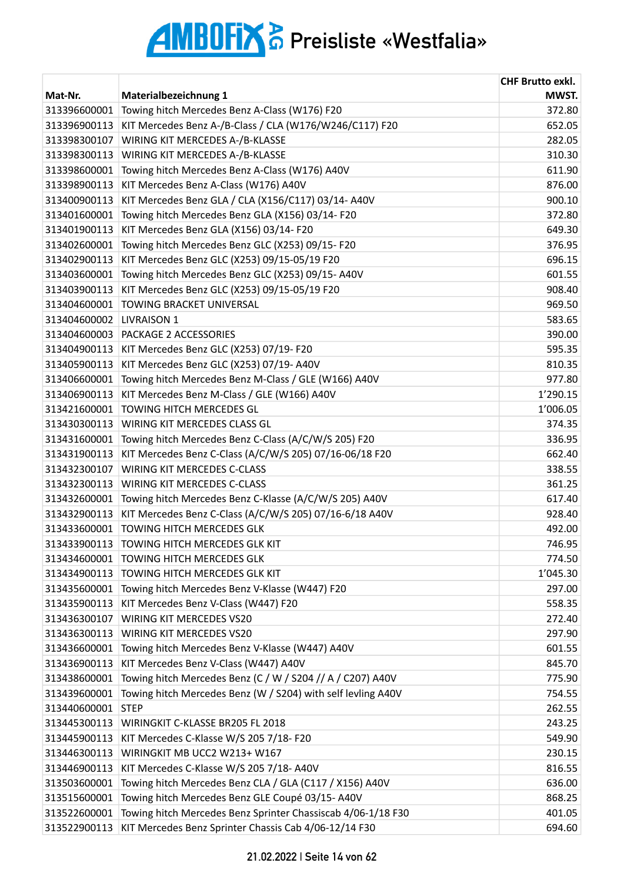|              |                                                              | <b>CHF Brutto exkl.</b> |
|--------------|--------------------------------------------------------------|-------------------------|
| Mat-Nr.      | Materialbezeichnung 1                                        | MWST.                   |
| 313396600001 | Towing hitch Mercedes Benz A-Class (W176) F20                | 372.80                  |
| 313396900113 | KIT Mercedes Benz A-/B-Class / CLA (W176/W246/C117) F20      | 652.05                  |
| 313398300107 | WIRING KIT MERCEDES A-/B-KLASSE                              | 282.05                  |
| 313398300113 | WIRING KIT MERCEDES A-/B-KLASSE                              | 310.30                  |
| 313398600001 | Towing hitch Mercedes Benz A-Class (W176) A40V               | 611.90                  |
| 313398900113 | KIT Mercedes Benz A-Class (W176) A40V                        | 876.00                  |
| 313400900113 | KIT Mercedes Benz GLA / CLA (X156/C117) 03/14-A40V           | 900.10                  |
| 313401600001 | Towing hitch Mercedes Benz GLA (X156) 03/14-F20              | 372.80                  |
| 313401900113 | KIT Mercedes Benz GLA (X156) 03/14- F20                      | 649.30                  |
| 313402600001 | Towing hitch Mercedes Benz GLC (X253) 09/15-F20              | 376.95                  |
| 313402900113 | KIT Mercedes Benz GLC (X253) 09/15-05/19 F20                 | 696.15                  |
| 313403600001 | Towing hitch Mercedes Benz GLC (X253) 09/15-A40V             | 601.55                  |
| 313403900113 | KIT Mercedes Benz GLC (X253) 09/15-05/19 F20                 | 908.40                  |
| 313404600001 | TOWING BRACKET UNIVERSAL                                     | 969.50                  |
| 313404600002 | <b>LIVRAISON 1</b>                                           | 583.65                  |
| 313404600003 | <b>PACKAGE 2 ACCESSORIES</b>                                 | 390.00                  |
| 313404900113 | KIT Mercedes Benz GLC (X253) 07/19- F20                      | 595.35                  |
| 313405900113 | KIT Mercedes Benz GLC (X253) 07/19-A40V                      | 810.35                  |
| 313406600001 | Towing hitch Mercedes Benz M-Class / GLE (W166) A40V         | 977.80                  |
| 313406900113 | KIT Mercedes Benz M-Class / GLE (W166) A40V                  | 1'290.15                |
| 313421600001 | <b>TOWING HITCH MERCEDES GL</b>                              | 1'006.05                |
| 313430300113 | WIRING KIT MERCEDES CLASS GL                                 | 374.35                  |
| 313431600001 | Towing hitch Mercedes Benz C-Class (A/C/W/S 205) F20         | 336.95                  |
| 313431900113 | KIT Mercedes Benz C-Class (A/C/W/S 205) 07/16-06/18 F20      | 662.40                  |
| 313432300107 | WIRING KIT MERCEDES C-CLASS                                  | 338.55                  |
| 313432300113 | <b>WIRING KIT MERCEDES C-CLASS</b>                           | 361.25                  |
| 313432600001 | Towing hitch Mercedes Benz C-Klasse (A/C/W/S 205) A40V       | 617.40                  |
| 313432900113 | KIT Mercedes Benz C-Class (A/C/W/S 205) 07/16-6/18 A40V      | 928.40                  |
| 313433600001 | TOWING HITCH MERCEDES GLK                                    | 492.00                  |
| 313433900113 | TOWING HITCH MERCEDES GLK KIT                                | 746.95                  |
| 313434600001 | <b>TOWING HITCH MERCEDES GLK</b>                             | 774.50                  |
| 313434900113 | TOWING HITCH MERCEDES GLK KIT                                | 1'045.30                |
| 313435600001 | Towing hitch Mercedes Benz V-Klasse (W447) F20               | 297.00                  |
| 313435900113 | KIT Mercedes Benz V-Class (W447) F20                         | 558.35                  |
| 313436300107 | WIRING KIT MERCEDES VS20                                     | 272.40                  |
| 313436300113 | WIRING KIT MERCEDES VS20                                     | 297.90                  |
| 313436600001 | Towing hitch Mercedes Benz V-Klasse (W447) A40V              | 601.55                  |
| 313436900113 | KIT Mercedes Benz V-Class (W447) A40V                        | 845.70                  |
| 313438600001 | Towing hitch Mercedes Benz (C / W / S204 // A / C207) A40V   | 775.90                  |
| 313439600001 | Towing hitch Mercedes Benz (W / S204) with self levling A40V | 754.55                  |
| 313440600001 | <b>STEP</b>                                                  | 262.55                  |
| 313445300113 | WIRINGKIT C-KLASSE BR205 FL 2018                             | 243.25                  |
| 313445900113 | KIT Mercedes C-Klasse W/S 205 7/18- F20                      | 549.90                  |
| 313446300113 | WIRINGKIT MB UCC2 W213+ W167                                 | 230.15                  |
| 313446900113 | KIT Mercedes C-Klasse W/S 205 7/18- A40V                     | 816.55                  |
| 313503600001 | Towing hitch Mercedes Benz CLA / GLA (C117 / X156) A40V      | 636.00                  |
| 313515600001 | Towing hitch Mercedes Benz GLE Coupé 03/15-A40V              | 868.25                  |
| 313522600001 | Towing hitch Mercedes Benz Sprinter Chassiscab 4/06-1/18 F30 | 401.05                  |
| 313522900113 | KIT Mercedes Benz Sprinter Chassis Cab 4/06-12/14 F30        | 694.60                  |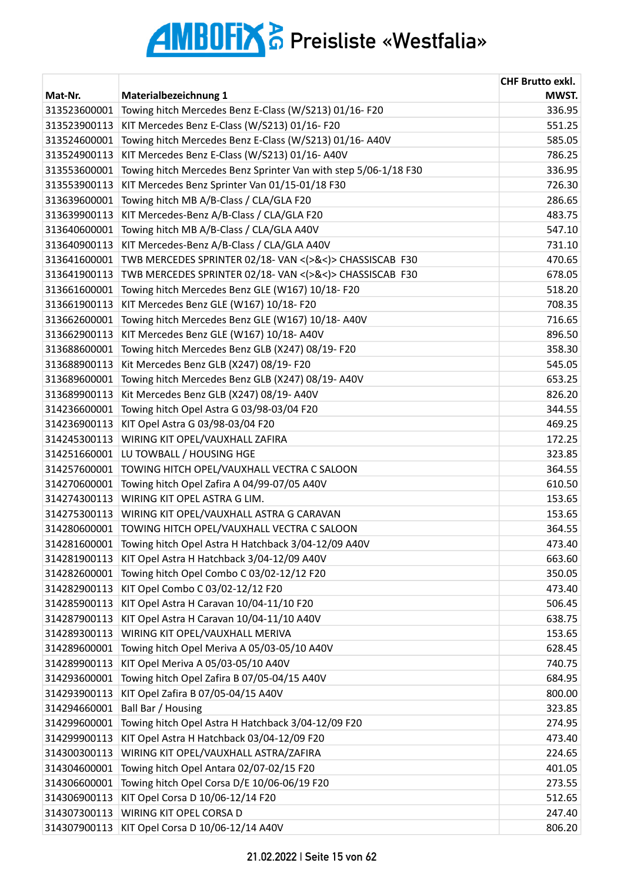|              |                                                                 | <b>CHF Brutto exkl.</b> |
|--------------|-----------------------------------------------------------------|-------------------------|
| Mat-Nr.      | Materialbezeichnung 1                                           | MWST.                   |
| 313523600001 | Towing hitch Mercedes Benz E-Class (W/S213) 01/16-F20           | 336.95                  |
| 313523900113 | KIT Mercedes Benz E-Class (W/S213) 01/16-F20                    | 551.25                  |
| 313524600001 | Towing hitch Mercedes Benz E-Class (W/S213) 01/16-A40V          | 585.05                  |
| 313524900113 | KIT Mercedes Benz E-Class (W/S213) 01/16-A40V                   | 786.25                  |
| 313553600001 | Towing hitch Mercedes Benz Sprinter Van with step 5/06-1/18 F30 | 336.95                  |
| 313553900113 | KIT Mercedes Benz Sprinter Van 01/15-01/18 F30                  | 726.30                  |
| 313639600001 | Towing hitch MB A/B-Class / CLA/GLA F20                         | 286.65                  |
| 313639900113 | KIT Mercedes-Benz A/B-Class / CLA/GLA F20                       | 483.75                  |
| 313640600001 | Towing hitch MB A/B-Class / CLA/GLA A40V                        | 547.10                  |
| 313640900113 | KIT Mercedes-Benz A/B-Class / CLA/GLA A40V                      | 731.10                  |
| 313641600001 | TWB MERCEDES SPRINTER 02/18- VAN <(>&<)> CHASSISCAB F30         | 470.65                  |
| 313641900113 | TWB MERCEDES SPRINTER 02/18-VAN <(>&<)> CHASSISCAB F30          | 678.05                  |
| 313661600001 | Towing hitch Mercedes Benz GLE (W167) 10/18-F20                 | 518.20                  |
| 313661900113 | KIT Mercedes Benz GLE (W167) 10/18- F20                         | 708.35                  |
| 313662600001 | Towing hitch Mercedes Benz GLE (W167) 10/18-A40V                | 716.65                  |
| 313662900113 | KIT Mercedes Benz GLE (W167) 10/18- A40V                        | 896.50                  |
| 313688600001 | Towing hitch Mercedes Benz GLB (X247) 08/19-F20                 | 358.30                  |
| 313688900113 | Kit Mercedes Benz GLB (X247) 08/19- F20                         | 545.05                  |
| 313689600001 | Towing hitch Mercedes Benz GLB (X247) 08/19-A40V                | 653.25                  |
| 313689900113 | Kit Mercedes Benz GLB (X247) 08/19-A40V                         | 826.20                  |
| 314236600001 | Towing hitch Opel Astra G 03/98-03/04 F20                       | 344.55                  |
| 314236900113 | KIT Opel Astra G 03/98-03/04 F20                                | 469.25                  |
| 314245300113 | WIRING KIT OPEL/VAUXHALL ZAFIRA                                 | 172.25                  |
| 314251660001 | LU TOWBALL / HOUSING HGE                                        | 323.85                  |
| 314257600001 | TOWING HITCH OPEL/VAUXHALL VECTRA C SALOON                      | 364.55                  |
| 314270600001 | Towing hitch Opel Zafira A 04/99-07/05 A40V                     | 610.50                  |
| 314274300113 | WIRING KIT OPEL ASTRA G LIM.                                    | 153.65                  |
| 314275300113 | WIRING KIT OPEL/VAUXHALL ASTRA G CARAVAN                        | 153.65                  |
| 314280600001 | TOWING HITCH OPEL/VAUXHALL VECTRA C SALOON                      | 364.55                  |
| 314281600001 | Towing hitch Opel Astra H Hatchback 3/04-12/09 A40V             | 473.40                  |
| 314281900113 | KIT Opel Astra H Hatchback 3/04-12/09 A40V                      | 663.60                  |
| 314282600001 | Towing hitch Opel Combo C 03/02-12/12 F20                       | 350.05                  |
| 314282900113 | KIT Opel Combo C 03/02-12/12 F20                                | 473.40                  |
| 314285900113 | KIT Opel Astra H Caravan 10/04-11/10 F20                        | 506.45                  |
| 314287900113 | KIT Opel Astra H Caravan 10/04-11/10 A40V                       | 638.75                  |
| 314289300113 | WIRING KIT OPEL/VAUXHALL MERIVA                                 | 153.65                  |
| 314289600001 | Towing hitch Opel Meriva A 05/03-05/10 A40V                     | 628.45                  |
| 314289900113 | KIT Opel Meriva A 05/03-05/10 A40V                              | 740.75                  |
| 314293600001 | Towing hitch Opel Zafira B 07/05-04/15 A40V                     | 684.95                  |
| 314293900113 | KIT Opel Zafira B 07/05-04/15 A40V                              | 800.00                  |
| 314294660001 | Ball Bar / Housing                                              | 323.85                  |
| 314299600001 | Towing hitch Opel Astra H Hatchback 3/04-12/09 F20              | 274.95                  |
| 314299900113 | KIT Opel Astra H Hatchback 03/04-12/09 F20                      | 473.40                  |
| 314300300113 | WIRING KIT OPEL/VAUXHALL ASTRA/ZAFIRA                           | 224.65                  |
| 314304600001 | Towing hitch Opel Antara 02/07-02/15 F20                        | 401.05                  |
| 314306600001 | Towing hitch Opel Corsa D/E 10/06-06/19 F20                     | 273.55                  |
| 314306900113 | KIT Opel Corsa D 10/06-12/14 F20                                | 512.65                  |
| 314307300113 | WIRING KIT OPEL CORSA D                                         | 247.40                  |
| 314307900113 | KIT Opel Corsa D 10/06-12/14 A40V                               | 806.20                  |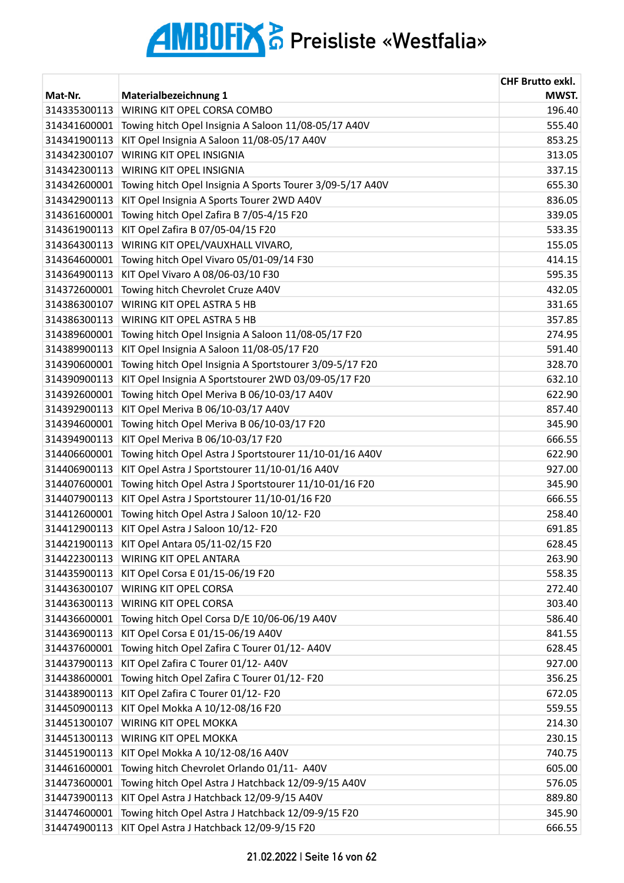| Mat-Nr.      | Materialbezeichnung 1                                     | <b>CHF Brutto exkl.</b><br>MWST. |
|--------------|-----------------------------------------------------------|----------------------------------|
| 314335300113 | WIRING KIT OPEL CORSA COMBO                               | 196.40                           |
| 314341600001 | Towing hitch Opel Insignia A Saloon 11/08-05/17 A40V      | 555.40                           |
| 314341900113 | KIT Opel Insignia A Saloon 11/08-05/17 A40V               | 853.25                           |
| 314342300107 | WIRING KIT OPEL INSIGNIA                                  | 313.05                           |
| 314342300113 | WIRING KIT OPEL INSIGNIA                                  | 337.15                           |
| 314342600001 | Towing hitch Opel Insignia A Sports Tourer 3/09-5/17 A40V | 655.30                           |
| 314342900113 | KIT Opel Insignia A Sports Tourer 2WD A40V                | 836.05                           |
| 314361600001 | Towing hitch Opel Zafira B 7/05-4/15 F20                  | 339.05                           |
| 314361900113 | KIT Opel Zafira B 07/05-04/15 F20                         | 533.35                           |
| 314364300113 | WIRING KIT OPEL/VAUXHALL VIVARO,                          | 155.05                           |
| 314364600001 | Towing hitch Opel Vivaro 05/01-09/14 F30                  | 414.15                           |
| 314364900113 | KIT Opel Vivaro A 08/06-03/10 F30                         | 595.35                           |
| 314372600001 | Towing hitch Chevrolet Cruze A40V                         | 432.05                           |
| 314386300107 | WIRING KIT OPEL ASTRA 5 HB                                | 331.65                           |
| 314386300113 | <b>WIRING KIT OPEL ASTRA 5 HB</b>                         | 357.85                           |
| 314389600001 | Towing hitch Opel Insignia A Saloon 11/08-05/17 F20       | 274.95                           |
| 314389900113 | KIT Opel Insignia A Saloon 11/08-05/17 F20                | 591.40                           |
|              | Towing hitch Opel Insignia A Sportstourer 3/09-5/17 F20   |                                  |
| 314390600001 |                                                           | 328.70                           |
| 314390900113 | KIT Opel Insignia A Sportstourer 2WD 03/09-05/17 F20      | 632.10                           |
| 314392600001 | Towing hitch Opel Meriva B 06/10-03/17 A40V               | 622.90                           |
| 314392900113 | KIT Opel Meriva B 06/10-03/17 A40V                        | 857.40                           |
| 314394600001 | Towing hitch Opel Meriva B 06/10-03/17 F20                | 345.90                           |
| 314394900113 | KIT Opel Meriva B 06/10-03/17 F20                         | 666.55                           |
| 314406600001 | Towing hitch Opel Astra J Sportstourer 11/10-01/16 A40V   | 622.90                           |
| 314406900113 | KIT Opel Astra J Sportstourer 11/10-01/16 A40V            | 927.00                           |
| 314407600001 | Towing hitch Opel Astra J Sportstourer 11/10-01/16 F20    | 345.90                           |
| 314407900113 | KIT Opel Astra J Sportstourer 11/10-01/16 F20             | 666.55                           |
| 314412600001 | Towing hitch Opel Astra J Saloon 10/12-F20                | 258.40                           |
| 314412900113 | KIT Opel Astra J Saloon 10/12- F20                        | 691.85                           |
| 314421900113 | KIT Opel Antara 05/11-02/15 F20                           | 628.45                           |
| 314422300113 | WIRING KIT OPEL ANTARA                                    | 263.90                           |
| 314435900113 | KIT Opel Corsa E 01/15-06/19 F20                          | 558.35                           |
| 314436300107 | WIRING KIT OPEL CORSA                                     | 272.40                           |
| 314436300113 | WIRING KIT OPEL CORSA                                     | 303.40                           |
| 314436600001 | Towing hitch Opel Corsa D/E 10/06-06/19 A40V              | 586.40                           |
| 314436900113 | KIT Opel Corsa E 01/15-06/19 A40V                         | 841.55                           |
| 314437600001 | Towing hitch Opel Zafira C Tourer 01/12-A40V              | 628.45                           |
| 314437900113 | KIT Opel Zafira C Tourer 01/12- A40V                      | 927.00                           |
| 314438600001 | Towing hitch Opel Zafira C Tourer 01/12-F20               | 356.25                           |
| 314438900113 | KIT Opel Zafira C Tourer 01/12- F20                       | 672.05                           |
| 314450900113 | KIT Opel Mokka A 10/12-08/16 F20                          | 559.55                           |
| 314451300107 | <b>WIRING KIT OPEL MOKKA</b>                              | 214.30                           |
| 314451300113 | WIRING KIT OPEL MOKKA                                     | 230.15                           |
| 314451900113 | KIT Opel Mokka A 10/12-08/16 A40V                         | 740.75                           |
| 314461600001 | Towing hitch Chevrolet Orlando 01/11- A40V                | 605.00                           |
| 314473600001 | Towing hitch Opel Astra J Hatchback 12/09-9/15 A40V       | 576.05                           |
| 314473900113 | KIT Opel Astra J Hatchback 12/09-9/15 A40V                | 889.80                           |
| 314474600001 | Towing hitch Opel Astra J Hatchback 12/09-9/15 F20        | 345.90                           |
| 314474900113 | KIT Opel Astra J Hatchback 12/09-9/15 F20                 | 666.55                           |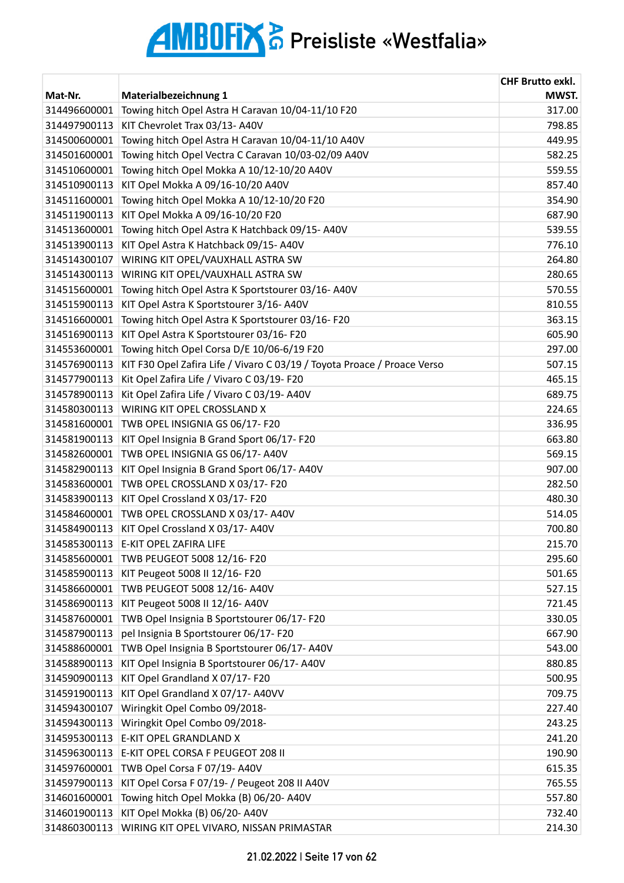| Mat-Nr.      | Materialbezeichnung 1                                                    | <b>CHF Brutto exkl.</b><br>MWST. |
|--------------|--------------------------------------------------------------------------|----------------------------------|
| 314496600001 | Towing hitch Opel Astra H Caravan 10/04-11/10 F20                        | 317.00                           |
| 314497900113 | KIT Chevrolet Trax 03/13-A40V                                            | 798.85                           |
| 314500600001 | Towing hitch Opel Astra H Caravan 10/04-11/10 A40V                       | 449.95                           |
| 314501600001 | Towing hitch Opel Vectra C Caravan 10/03-02/09 A40V                      | 582.25                           |
| 314510600001 | Towing hitch Opel Mokka A 10/12-10/20 A40V                               | 559.55                           |
| 314510900113 | KIT Opel Mokka A 09/16-10/20 A40V                                        | 857.40                           |
| 314511600001 | Towing hitch Opel Mokka A 10/12-10/20 F20                                | 354.90                           |
| 314511900113 | KIT Opel Mokka A 09/16-10/20 F20                                         | 687.90                           |
| 314513600001 | Towing hitch Opel Astra K Hatchback 09/15-A40V                           | 539.55                           |
| 314513900113 | KIT Opel Astra K Hatchback 09/15-A40V                                    | 776.10                           |
| 314514300107 | WIRING KIT OPEL/VAUXHALL ASTRA SW                                        | 264.80                           |
| 314514300113 | WIRING KIT OPEL/VAUXHALL ASTRA SW                                        | 280.65                           |
| 314515600001 | Towing hitch Opel Astra K Sportstourer 03/16-A40V                        | 570.55                           |
| 314515900113 | KIT Opel Astra K Sportstourer 3/16-A40V                                  | 810.55                           |
| 314516600001 | Towing hitch Opel Astra K Sportstourer 03/16-F20                         | 363.15                           |
| 314516900113 | KIT Opel Astra K Sportstourer 03/16-F20                                  | 605.90                           |
| 314553600001 | Towing hitch Opel Corsa D/E 10/06-6/19 F20                               | 297.00                           |
| 314576900113 | KIT F30 Opel Zafira Life / Vivaro C 03/19 / Toyota Proace / Proace Verso | 507.15                           |
| 314577900113 | Kit Opel Zafira Life / Vivaro C 03/19- F20                               | 465.15                           |
| 314578900113 | Kit Opel Zafira Life / Vivaro C 03/19-A40V                               | 689.75                           |
| 314580300113 | WIRING KIT OPEL CROSSLAND X                                              | 224.65                           |
| 314581600001 | TWB OPEL INSIGNIA GS 06/17- F20                                          | 336.95                           |
| 314581900113 | KIT Opel Insignia B Grand Sport 06/17-F20                                | 663.80                           |
| 314582600001 | TWB OPEL INSIGNIA GS 06/17- A40V                                         | 569.15                           |
| 314582900113 | KIT Opel Insignia B Grand Sport 06/17-A40V                               | 907.00                           |
| 314583600001 | TWB OPEL CROSSLAND X 03/17- F20                                          | 282.50                           |
| 314583900113 | KIT Opel Crossland X 03/17- F20                                          | 480.30                           |
| 314584600001 | TWB OPEL CROSSLAND X 03/17- A40V                                         | 514.05                           |
| 314584900113 | KIT Opel Crossland X 03/17-A40V                                          | 700.80                           |
| 314585300113 | E-KIT OPEL ZAFIRA LIFE                                                   | 215.70                           |
| 314585600001 | TWB PEUGEOT 5008 12/16-F20                                               | 295.60                           |
| 314585900113 | KIT Peugeot 5008 II 12/16- F20                                           | 501.65                           |
| 314586600001 | TWB PEUGEOT 5008 12/16- A40V                                             | 527.15                           |
| 314586900113 | KIT Peugeot 5008 II 12/16- A40V                                          | 721.45                           |
| 314587600001 | TWB Opel Insignia B Sportstourer 06/17-F20                               | 330.05                           |
| 314587900113 | pel Insignia B Sportstourer 06/17- F20                                   | 667.90                           |
| 314588600001 | TWB Opel Insignia B Sportstourer 06/17-A40V                              | 543.00                           |
| 314588900113 | KIT Opel Insignia B Sportstourer 06/17-A40V                              | 880.85                           |
| 314590900113 | KIT Opel Grandland X 07/17- F20                                          | 500.95                           |
| 314591900113 | KIT Opel Grandland X 07/17- A40VV                                        | 709.75                           |
| 314594300107 | Wiringkit Opel Combo 09/2018-                                            | 227.40                           |
| 314594300113 | Wiringkit Opel Combo 09/2018-                                            | 243.25                           |
| 314595300113 | E-KIT OPEL GRANDLAND X                                                   | 241.20                           |
| 314596300113 | E-KIT OPEL CORSA F PEUGEOT 208 II                                        | 190.90                           |
| 314597600001 | TWB Opel Corsa F 07/19- A40V                                             | 615.35                           |
| 314597900113 | KIT Opel Corsa F 07/19- / Peugeot 208 II A40V                            | 765.55                           |
| 314601600001 | Towing hitch Opel Mokka (B) 06/20- A40V                                  | 557.80                           |
| 314601900113 | KIT Opel Mokka (B) 06/20- A40V                                           | 732.40                           |
| 314860300113 | WIRING KIT OPEL VIVARO, NISSAN PRIMASTAR                                 | 214.30                           |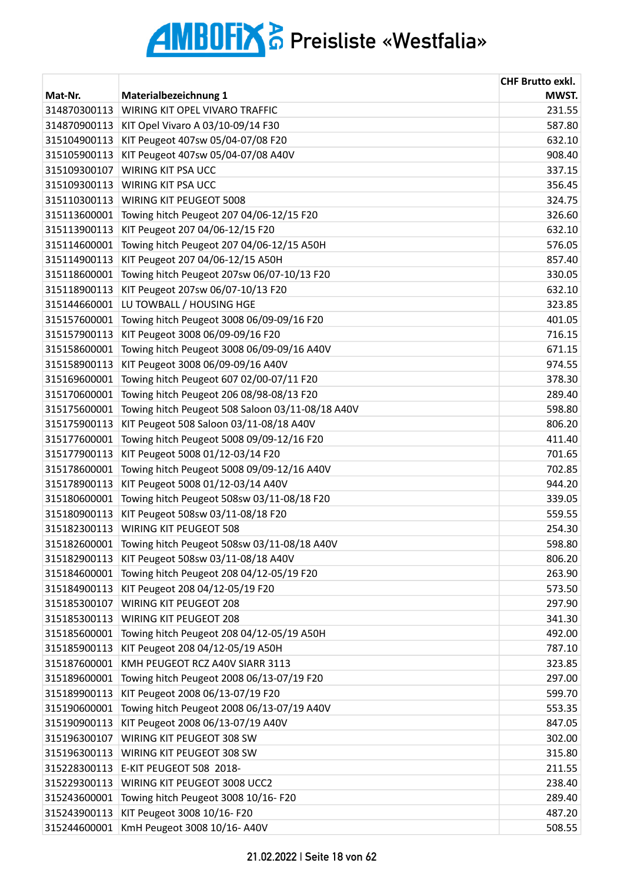|              |                                                  | <b>CHF Brutto exkl.</b> |
|--------------|--------------------------------------------------|-------------------------|
| Mat-Nr.      | Materialbezeichnung 1                            | MWST.                   |
| 314870300113 | WIRING KIT OPEL VIVARO TRAFFIC                   | 231.55                  |
| 314870900113 | KIT Opel Vivaro A 03/10-09/14 F30                | 587.80                  |
| 315104900113 | KIT Peugeot 407sw 05/04-07/08 F20                | 632.10                  |
| 315105900113 | KIT Peugeot 407sw 05/04-07/08 A40V               | 908.40                  |
| 315109300107 | WIRING KIT PSA UCC                               | 337.15                  |
| 315109300113 | <b>WIRING KIT PSA UCC</b>                        | 356.45                  |
| 315110300113 | WIRING KIT PEUGEOT 5008                          | 324.75                  |
| 315113600001 | Towing hitch Peugeot 207 04/06-12/15 F20         | 326.60                  |
| 315113900113 | KIT Peugeot 207 04/06-12/15 F20                  | 632.10                  |
| 315114600001 | Towing hitch Peugeot 207 04/06-12/15 A50H        | 576.05                  |
| 315114900113 | KIT Peugeot 207 04/06-12/15 A50H                 | 857.40                  |
| 315118600001 | Towing hitch Peugeot 207sw 06/07-10/13 F20       | 330.05                  |
| 315118900113 | KIT Peugeot 207sw 06/07-10/13 F20                | 632.10                  |
| 315144660001 | LU TOWBALL / HOUSING HGE                         | 323.85                  |
| 315157600001 | Towing hitch Peugeot 3008 06/09-09/16 F20        | 401.05                  |
| 315157900113 | KIT Peugeot 3008 06/09-09/16 F20                 | 716.15                  |
| 315158600001 | Towing hitch Peugeot 3008 06/09-09/16 A40V       | 671.15                  |
| 315158900113 | KIT Peugeot 3008 06/09-09/16 A40V                | 974.55                  |
| 315169600001 | Towing hitch Peugeot 607 02/00-07/11 F20         | 378.30                  |
| 315170600001 | Towing hitch Peugeot 206 08/98-08/13 F20         | 289.40                  |
| 315175600001 | Towing hitch Peugeot 508 Saloon 03/11-08/18 A40V | 598.80                  |
| 315175900113 | KIT Peugeot 508 Saloon 03/11-08/18 A40V          | 806.20                  |
| 315177600001 | Towing hitch Peugeot 5008 09/09-12/16 F20        | 411.40                  |
| 315177900113 | KIT Peugeot 5008 01/12-03/14 F20                 | 701.65                  |
| 315178600001 | Towing hitch Peugeot 5008 09/09-12/16 A40V       | 702.85                  |
| 315178900113 | KIT Peugeot 5008 01/12-03/14 A40V                | 944.20                  |
| 315180600001 | Towing hitch Peugeot 508sw 03/11-08/18 F20       | 339.05                  |
| 315180900113 | KIT Peugeot 508sw 03/11-08/18 F20                | 559.55                  |
| 315182300113 | WIRING KIT PEUGEOT 508                           | 254.30                  |
| 315182600001 | Towing hitch Peugeot 508sw 03/11-08/18 A40V      | 598.80                  |
| 315182900113 | KIT Peugeot 508sw 03/11-08/18 A40V               | 806.20                  |
| 315184600001 | Towing hitch Peugeot 208 04/12-05/19 F20         | 263.90                  |
| 315184900113 | KIT Peugeot 208 04/12-05/19 F20                  | 573.50                  |
| 315185300107 | WIRING KIT PEUGEOT 208                           | 297.90                  |
| 315185300113 | WIRING KIT PEUGEOT 208                           | 341.30                  |
| 315185600001 | Towing hitch Peugeot 208 04/12-05/19 A50H        | 492.00                  |
| 315185900113 | KIT Peugeot 208 04/12-05/19 A50H                 | 787.10                  |
| 315187600001 | KMH PEUGEOT RCZ A40V SIARR 3113                  | 323.85                  |
| 315189600001 | Towing hitch Peugeot 2008 06/13-07/19 F20        | 297.00                  |
| 315189900113 | KIT Peugeot 2008 06/13-07/19 F20                 | 599.70                  |
| 315190600001 | Towing hitch Peugeot 2008 06/13-07/19 A40V       | 553.35                  |
| 315190900113 | KIT Peugeot 2008 06/13-07/19 A40V                | 847.05                  |
| 315196300107 | WIRING KIT PEUGEOT 308 SW                        | 302.00                  |
| 315196300113 | WIRING KIT PEUGEOT 308 SW                        | 315.80                  |
| 315228300113 | E-KIT PEUGEOT 508 2018-                          | 211.55                  |
| 315229300113 | WIRING KIT PEUGEOT 3008 UCC2                     | 238.40                  |
| 315243600001 | Towing hitch Peugeot 3008 10/16-F20              | 289.40                  |
| 315243900113 | KIT Peugeot 3008 10/16- F20                      | 487.20                  |
| 315244600001 | KmH Peugeot 3008 10/16- A40V                     | 508.55                  |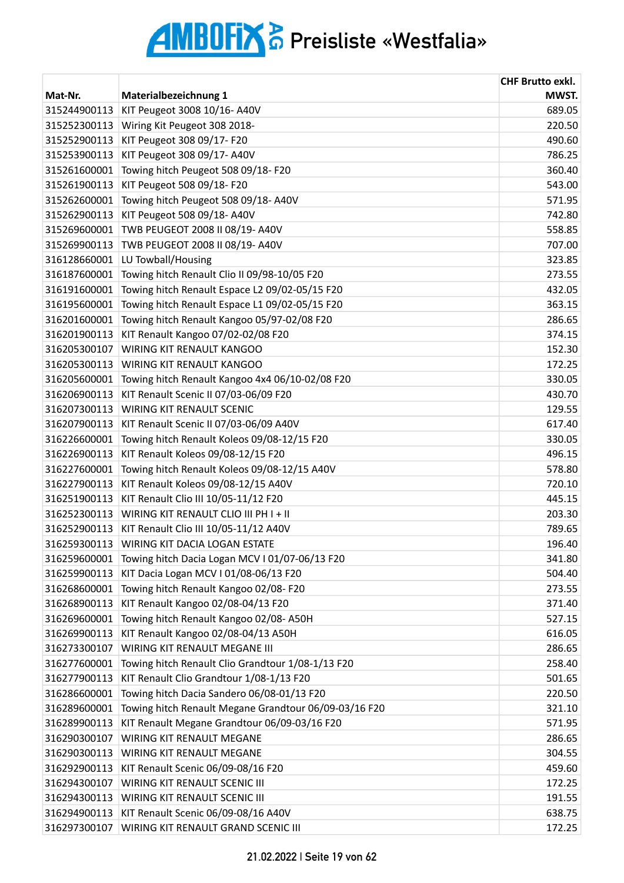| MWST.<br>Mat-Nr.<br>Materialbezeichnung 1<br>315244900113<br>KIT Peugeot 3008 10/16- A40V<br>689.05<br>315252300113<br>Wiring Kit Peugeot 308 2018-<br>220.50<br>315252900113<br>KIT Peugeot 308 09/17- F20<br>490.60<br>315253900113<br>KIT Peugeot 308 09/17- A40V<br>786.25<br>Towing hitch Peugeot 508 09/18-F20<br>360.40<br>315261600001<br>543.00<br>KIT Peugeot 508 09/18- F20<br>315261900113<br>315262600001<br>Towing hitch Peugeot 508 09/18-A40V<br>571.95<br>KIT Peugeot 508 09/18- A40V<br>742.80<br>315262900113<br>TWB PEUGEOT 2008 II 08/19- A40V<br>315269600001<br>558.85<br>TWB PEUGEOT 2008 II 08/19- A40V<br>315269900113<br>707.00<br>323.85<br>316128660001<br>LU Towball/Housing<br>316187600001<br>Towing hitch Renault Clio II 09/98-10/05 F20<br>273.55<br>Towing hitch Renault Espace L2 09/02-05/15 F20<br>432.05<br>316191600001<br>Towing hitch Renault Espace L1 09/02-05/15 F20<br>363.15<br>316195600001<br>Towing hitch Renault Kangoo 05/97-02/08 F20<br>316201600001<br>286.65<br>KIT Renault Kangoo 07/02-02/08 F20<br>316201900113<br>374.15<br>152.30<br>316205300107<br>WIRING KIT RENAULT KANGOO<br>316205300113<br>WIRING KIT RENAULT KANGOO<br>172.25<br>Towing hitch Renault Kangoo 4x4 06/10-02/08 F20<br>330.05<br>316205600001<br>KIT Renault Scenic II 07/03-06/09 F20<br>316206900113<br>430.70<br>WIRING KIT RENAULT SCENIC<br>129.55<br>316207300113<br>KIT Renault Scenic II 07/03-06/09 A40V<br>617.40<br>316207900113<br>316226600001<br>Towing hitch Renault Koleos 09/08-12/15 F20<br>330.05<br>KIT Renault Koleos 09/08-12/15 F20<br>496.15<br>316226900113<br>Towing hitch Renault Koleos 09/08-12/15 A40V<br>316227600001<br>578.80<br>316227900113<br>KIT Renault Koleos 09/08-12/15 A40V<br>720.10<br>KIT Renault Clio III 10/05-11/12 F20<br>445.15<br>316251900113<br>203.30<br>316252300113<br>WIRING KIT RENAULT CLIO III PH I + II<br>789.65<br>316252900113<br>KIT Renault Clio III 10/05-11/12 A40V<br>316259300113 WIRING KIT DACIA LOGAN ESTATE<br>196.40<br>316259600001<br>Towing hitch Dacia Logan MCV I 01/07-06/13 F20<br>341.80 |
|----------------------------------------------------------------------------------------------------------------------------------------------------------------------------------------------------------------------------------------------------------------------------------------------------------------------------------------------------------------------------------------------------------------------------------------------------------------------------------------------------------------------------------------------------------------------------------------------------------------------------------------------------------------------------------------------------------------------------------------------------------------------------------------------------------------------------------------------------------------------------------------------------------------------------------------------------------------------------------------------------------------------------------------------------------------------------------------------------------------------------------------------------------------------------------------------------------------------------------------------------------------------------------------------------------------------------------------------------------------------------------------------------------------------------------------------------------------------------------------------------------------------------------------------------------------------------------------------------------------------------------------------------------------------------------------------------------------------------------------------------------------------------------------------------------------------------------------------------------------------------------------------------------------------------------------------------------------------------------------------------------------------------------------------------------------------------------------------------------------|
|                                                                                                                                                                                                                                                                                                                                                                                                                                                                                                                                                                                                                                                                                                                                                                                                                                                                                                                                                                                                                                                                                                                                                                                                                                                                                                                                                                                                                                                                                                                                                                                                                                                                                                                                                                                                                                                                                                                                                                                                                                                                                                                |
|                                                                                                                                                                                                                                                                                                                                                                                                                                                                                                                                                                                                                                                                                                                                                                                                                                                                                                                                                                                                                                                                                                                                                                                                                                                                                                                                                                                                                                                                                                                                                                                                                                                                                                                                                                                                                                                                                                                                                                                                                                                                                                                |
|                                                                                                                                                                                                                                                                                                                                                                                                                                                                                                                                                                                                                                                                                                                                                                                                                                                                                                                                                                                                                                                                                                                                                                                                                                                                                                                                                                                                                                                                                                                                                                                                                                                                                                                                                                                                                                                                                                                                                                                                                                                                                                                |
|                                                                                                                                                                                                                                                                                                                                                                                                                                                                                                                                                                                                                                                                                                                                                                                                                                                                                                                                                                                                                                                                                                                                                                                                                                                                                                                                                                                                                                                                                                                                                                                                                                                                                                                                                                                                                                                                                                                                                                                                                                                                                                                |
|                                                                                                                                                                                                                                                                                                                                                                                                                                                                                                                                                                                                                                                                                                                                                                                                                                                                                                                                                                                                                                                                                                                                                                                                                                                                                                                                                                                                                                                                                                                                                                                                                                                                                                                                                                                                                                                                                                                                                                                                                                                                                                                |
|                                                                                                                                                                                                                                                                                                                                                                                                                                                                                                                                                                                                                                                                                                                                                                                                                                                                                                                                                                                                                                                                                                                                                                                                                                                                                                                                                                                                                                                                                                                                                                                                                                                                                                                                                                                                                                                                                                                                                                                                                                                                                                                |
|                                                                                                                                                                                                                                                                                                                                                                                                                                                                                                                                                                                                                                                                                                                                                                                                                                                                                                                                                                                                                                                                                                                                                                                                                                                                                                                                                                                                                                                                                                                                                                                                                                                                                                                                                                                                                                                                                                                                                                                                                                                                                                                |
|                                                                                                                                                                                                                                                                                                                                                                                                                                                                                                                                                                                                                                                                                                                                                                                                                                                                                                                                                                                                                                                                                                                                                                                                                                                                                                                                                                                                                                                                                                                                                                                                                                                                                                                                                                                                                                                                                                                                                                                                                                                                                                                |
|                                                                                                                                                                                                                                                                                                                                                                                                                                                                                                                                                                                                                                                                                                                                                                                                                                                                                                                                                                                                                                                                                                                                                                                                                                                                                                                                                                                                                                                                                                                                                                                                                                                                                                                                                                                                                                                                                                                                                                                                                                                                                                                |
|                                                                                                                                                                                                                                                                                                                                                                                                                                                                                                                                                                                                                                                                                                                                                                                                                                                                                                                                                                                                                                                                                                                                                                                                                                                                                                                                                                                                                                                                                                                                                                                                                                                                                                                                                                                                                                                                                                                                                                                                                                                                                                                |
|                                                                                                                                                                                                                                                                                                                                                                                                                                                                                                                                                                                                                                                                                                                                                                                                                                                                                                                                                                                                                                                                                                                                                                                                                                                                                                                                                                                                                                                                                                                                                                                                                                                                                                                                                                                                                                                                                                                                                                                                                                                                                                                |
|                                                                                                                                                                                                                                                                                                                                                                                                                                                                                                                                                                                                                                                                                                                                                                                                                                                                                                                                                                                                                                                                                                                                                                                                                                                                                                                                                                                                                                                                                                                                                                                                                                                                                                                                                                                                                                                                                                                                                                                                                                                                                                                |
|                                                                                                                                                                                                                                                                                                                                                                                                                                                                                                                                                                                                                                                                                                                                                                                                                                                                                                                                                                                                                                                                                                                                                                                                                                                                                                                                                                                                                                                                                                                                                                                                                                                                                                                                                                                                                                                                                                                                                                                                                                                                                                                |
|                                                                                                                                                                                                                                                                                                                                                                                                                                                                                                                                                                                                                                                                                                                                                                                                                                                                                                                                                                                                                                                                                                                                                                                                                                                                                                                                                                                                                                                                                                                                                                                                                                                                                                                                                                                                                                                                                                                                                                                                                                                                                                                |
|                                                                                                                                                                                                                                                                                                                                                                                                                                                                                                                                                                                                                                                                                                                                                                                                                                                                                                                                                                                                                                                                                                                                                                                                                                                                                                                                                                                                                                                                                                                                                                                                                                                                                                                                                                                                                                                                                                                                                                                                                                                                                                                |
|                                                                                                                                                                                                                                                                                                                                                                                                                                                                                                                                                                                                                                                                                                                                                                                                                                                                                                                                                                                                                                                                                                                                                                                                                                                                                                                                                                                                                                                                                                                                                                                                                                                                                                                                                                                                                                                                                                                                                                                                                                                                                                                |
|                                                                                                                                                                                                                                                                                                                                                                                                                                                                                                                                                                                                                                                                                                                                                                                                                                                                                                                                                                                                                                                                                                                                                                                                                                                                                                                                                                                                                                                                                                                                                                                                                                                                                                                                                                                                                                                                                                                                                                                                                                                                                                                |
|                                                                                                                                                                                                                                                                                                                                                                                                                                                                                                                                                                                                                                                                                                                                                                                                                                                                                                                                                                                                                                                                                                                                                                                                                                                                                                                                                                                                                                                                                                                                                                                                                                                                                                                                                                                                                                                                                                                                                                                                                                                                                                                |
|                                                                                                                                                                                                                                                                                                                                                                                                                                                                                                                                                                                                                                                                                                                                                                                                                                                                                                                                                                                                                                                                                                                                                                                                                                                                                                                                                                                                                                                                                                                                                                                                                                                                                                                                                                                                                                                                                                                                                                                                                                                                                                                |
|                                                                                                                                                                                                                                                                                                                                                                                                                                                                                                                                                                                                                                                                                                                                                                                                                                                                                                                                                                                                                                                                                                                                                                                                                                                                                                                                                                                                                                                                                                                                                                                                                                                                                                                                                                                                                                                                                                                                                                                                                                                                                                                |
|                                                                                                                                                                                                                                                                                                                                                                                                                                                                                                                                                                                                                                                                                                                                                                                                                                                                                                                                                                                                                                                                                                                                                                                                                                                                                                                                                                                                                                                                                                                                                                                                                                                                                                                                                                                                                                                                                                                                                                                                                                                                                                                |
|                                                                                                                                                                                                                                                                                                                                                                                                                                                                                                                                                                                                                                                                                                                                                                                                                                                                                                                                                                                                                                                                                                                                                                                                                                                                                                                                                                                                                                                                                                                                                                                                                                                                                                                                                                                                                                                                                                                                                                                                                                                                                                                |
|                                                                                                                                                                                                                                                                                                                                                                                                                                                                                                                                                                                                                                                                                                                                                                                                                                                                                                                                                                                                                                                                                                                                                                                                                                                                                                                                                                                                                                                                                                                                                                                                                                                                                                                                                                                                                                                                                                                                                                                                                                                                                                                |
|                                                                                                                                                                                                                                                                                                                                                                                                                                                                                                                                                                                                                                                                                                                                                                                                                                                                                                                                                                                                                                                                                                                                                                                                                                                                                                                                                                                                                                                                                                                                                                                                                                                                                                                                                                                                                                                                                                                                                                                                                                                                                                                |
|                                                                                                                                                                                                                                                                                                                                                                                                                                                                                                                                                                                                                                                                                                                                                                                                                                                                                                                                                                                                                                                                                                                                                                                                                                                                                                                                                                                                                                                                                                                                                                                                                                                                                                                                                                                                                                                                                                                                                                                                                                                                                                                |
|                                                                                                                                                                                                                                                                                                                                                                                                                                                                                                                                                                                                                                                                                                                                                                                                                                                                                                                                                                                                                                                                                                                                                                                                                                                                                                                                                                                                                                                                                                                                                                                                                                                                                                                                                                                                                                                                                                                                                                                                                                                                                                                |
|                                                                                                                                                                                                                                                                                                                                                                                                                                                                                                                                                                                                                                                                                                                                                                                                                                                                                                                                                                                                                                                                                                                                                                                                                                                                                                                                                                                                                                                                                                                                                                                                                                                                                                                                                                                                                                                                                                                                                                                                                                                                                                                |
|                                                                                                                                                                                                                                                                                                                                                                                                                                                                                                                                                                                                                                                                                                                                                                                                                                                                                                                                                                                                                                                                                                                                                                                                                                                                                                                                                                                                                                                                                                                                                                                                                                                                                                                                                                                                                                                                                                                                                                                                                                                                                                                |
|                                                                                                                                                                                                                                                                                                                                                                                                                                                                                                                                                                                                                                                                                                                                                                                                                                                                                                                                                                                                                                                                                                                                                                                                                                                                                                                                                                                                                                                                                                                                                                                                                                                                                                                                                                                                                                                                                                                                                                                                                                                                                                                |
|                                                                                                                                                                                                                                                                                                                                                                                                                                                                                                                                                                                                                                                                                                                                                                                                                                                                                                                                                                                                                                                                                                                                                                                                                                                                                                                                                                                                                                                                                                                                                                                                                                                                                                                                                                                                                                                                                                                                                                                                                                                                                                                |
|                                                                                                                                                                                                                                                                                                                                                                                                                                                                                                                                                                                                                                                                                                                                                                                                                                                                                                                                                                                                                                                                                                                                                                                                                                                                                                                                                                                                                                                                                                                                                                                                                                                                                                                                                                                                                                                                                                                                                                                                                                                                                                                |
| KIT Dacia Logan MCV I 01/08-06/13 F20<br>316259900113<br>504.40                                                                                                                                                                                                                                                                                                                                                                                                                                                                                                                                                                                                                                                                                                                                                                                                                                                                                                                                                                                                                                                                                                                                                                                                                                                                                                                                                                                                                                                                                                                                                                                                                                                                                                                                                                                                                                                                                                                                                                                                                                                |
| 316268600001<br>Towing hitch Renault Kangoo 02/08-F20<br>273.55                                                                                                                                                                                                                                                                                                                                                                                                                                                                                                                                                                                                                                                                                                                                                                                                                                                                                                                                                                                                                                                                                                                                                                                                                                                                                                                                                                                                                                                                                                                                                                                                                                                                                                                                                                                                                                                                                                                                                                                                                                                |
| KIT Renault Kangoo 02/08-04/13 F20<br>316268900113<br>371.40                                                                                                                                                                                                                                                                                                                                                                                                                                                                                                                                                                                                                                                                                                                                                                                                                                                                                                                                                                                                                                                                                                                                                                                                                                                                                                                                                                                                                                                                                                                                                                                                                                                                                                                                                                                                                                                                                                                                                                                                                                                   |
| Towing hitch Renault Kangoo 02/08- A50H<br>527.15<br>316269600001                                                                                                                                                                                                                                                                                                                                                                                                                                                                                                                                                                                                                                                                                                                                                                                                                                                                                                                                                                                                                                                                                                                                                                                                                                                                                                                                                                                                                                                                                                                                                                                                                                                                                                                                                                                                                                                                                                                                                                                                                                              |
| 316269900113<br>KIT Renault Kangoo 02/08-04/13 A50H<br>616.05                                                                                                                                                                                                                                                                                                                                                                                                                                                                                                                                                                                                                                                                                                                                                                                                                                                                                                                                                                                                                                                                                                                                                                                                                                                                                                                                                                                                                                                                                                                                                                                                                                                                                                                                                                                                                                                                                                                                                                                                                                                  |
| WIRING KIT RENAULT MEGANE III<br>286.65<br>316273300107                                                                                                                                                                                                                                                                                                                                                                                                                                                                                                                                                                                                                                                                                                                                                                                                                                                                                                                                                                                                                                                                                                                                                                                                                                                                                                                                                                                                                                                                                                                                                                                                                                                                                                                                                                                                                                                                                                                                                                                                                                                        |
| 316277600001<br>Towing hitch Renault Clio Grandtour 1/08-1/13 F20<br>258.40                                                                                                                                                                                                                                                                                                                                                                                                                                                                                                                                                                                                                                                                                                                                                                                                                                                                                                                                                                                                                                                                                                                                                                                                                                                                                                                                                                                                                                                                                                                                                                                                                                                                                                                                                                                                                                                                                                                                                                                                                                    |
| KIT Renault Clio Grandtour 1/08-1/13 F20<br>316277900113<br>501.65                                                                                                                                                                                                                                                                                                                                                                                                                                                                                                                                                                                                                                                                                                                                                                                                                                                                                                                                                                                                                                                                                                                                                                                                                                                                                                                                                                                                                                                                                                                                                                                                                                                                                                                                                                                                                                                                                                                                                                                                                                             |
| Towing hitch Dacia Sandero 06/08-01/13 F20<br>220.50<br>316286600001                                                                                                                                                                                                                                                                                                                                                                                                                                                                                                                                                                                                                                                                                                                                                                                                                                                                                                                                                                                                                                                                                                                                                                                                                                                                                                                                                                                                                                                                                                                                                                                                                                                                                                                                                                                                                                                                                                                                                                                                                                           |
| Towing hitch Renault Megane Grandtour 06/09-03/16 F20<br>321.10<br>316289600001                                                                                                                                                                                                                                                                                                                                                                                                                                                                                                                                                                                                                                                                                                                                                                                                                                                                                                                                                                                                                                                                                                                                                                                                                                                                                                                                                                                                                                                                                                                                                                                                                                                                                                                                                                                                                                                                                                                                                                                                                                |
| KIT Renault Megane Grandtour 06/09-03/16 F20<br>316289900113<br>571.95                                                                                                                                                                                                                                                                                                                                                                                                                                                                                                                                                                                                                                                                                                                                                                                                                                                                                                                                                                                                                                                                                                                                                                                                                                                                                                                                                                                                                                                                                                                                                                                                                                                                                                                                                                                                                                                                                                                                                                                                                                         |
| 286.65<br>316290300107<br>WIRING KIT RENAULT MEGANE                                                                                                                                                                                                                                                                                                                                                                                                                                                                                                                                                                                                                                                                                                                                                                                                                                                                                                                                                                                                                                                                                                                                                                                                                                                                                                                                                                                                                                                                                                                                                                                                                                                                                                                                                                                                                                                                                                                                                                                                                                                            |
| 316290300113<br>WIRING KIT RENAULT MEGANE<br>304.55                                                                                                                                                                                                                                                                                                                                                                                                                                                                                                                                                                                                                                                                                                                                                                                                                                                                                                                                                                                                                                                                                                                                                                                                                                                                                                                                                                                                                                                                                                                                                                                                                                                                                                                                                                                                                                                                                                                                                                                                                                                            |
| 459.60<br>316292900113<br>KIT Renault Scenic 06/09-08/16 F20                                                                                                                                                                                                                                                                                                                                                                                                                                                                                                                                                                                                                                                                                                                                                                                                                                                                                                                                                                                                                                                                                                                                                                                                                                                                                                                                                                                                                                                                                                                                                                                                                                                                                                                                                                                                                                                                                                                                                                                                                                                   |
| WIRING KIT RENAULT SCENIC III<br>172.25<br>316294300107                                                                                                                                                                                                                                                                                                                                                                                                                                                                                                                                                                                                                                                                                                                                                                                                                                                                                                                                                                                                                                                                                                                                                                                                                                                                                                                                                                                                                                                                                                                                                                                                                                                                                                                                                                                                                                                                                                                                                                                                                                                        |
| 316294300113<br>WIRING KIT RENAULT SCENIC III<br>191.55                                                                                                                                                                                                                                                                                                                                                                                                                                                                                                                                                                                                                                                                                                                                                                                                                                                                                                                                                                                                                                                                                                                                                                                                                                                                                                                                                                                                                                                                                                                                                                                                                                                                                                                                                                                                                                                                                                                                                                                                                                                        |
| 638.75<br>316294900113<br>KIT Renault Scenic 06/09-08/16 A40V                                                                                                                                                                                                                                                                                                                                                                                                                                                                                                                                                                                                                                                                                                                                                                                                                                                                                                                                                                                                                                                                                                                                                                                                                                                                                                                                                                                                                                                                                                                                                                                                                                                                                                                                                                                                                                                                                                                                                                                                                                                  |
| 316297300107<br>WIRING KIT RENAULT GRAND SCENIC III<br>172.25                                                                                                                                                                                                                                                                                                                                                                                                                                                                                                                                                                                                                                                                                                                                                                                                                                                                                                                                                                                                                                                                                                                                                                                                                                                                                                                                                                                                                                                                                                                                                                                                                                                                                                                                                                                                                                                                                                                                                                                                                                                  |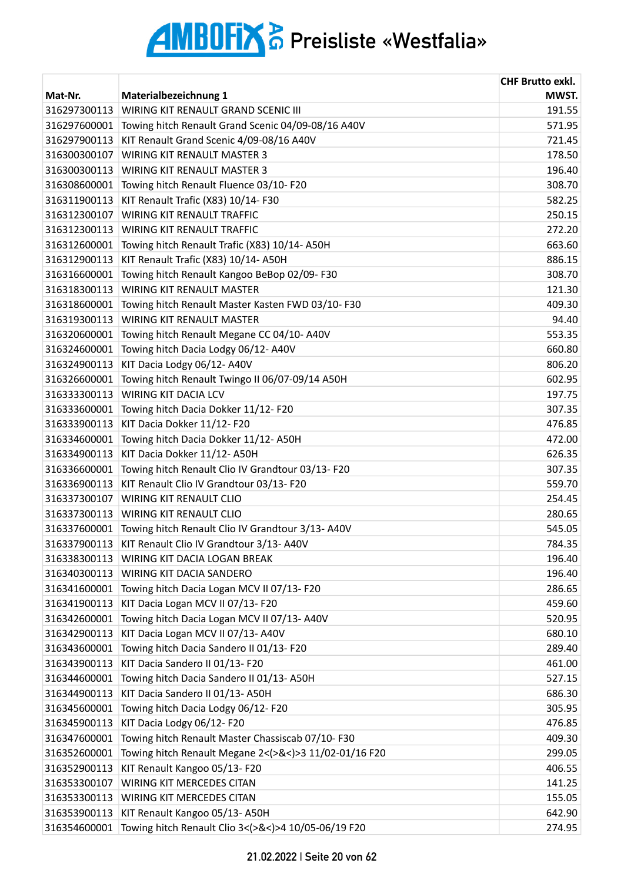|              |                                                       | <b>CHF Brutto exkl.</b> |
|--------------|-------------------------------------------------------|-------------------------|
| Mat-Nr.      | <b>Materialbezeichnung 1</b>                          | MWST.                   |
| 316297300113 | WIRING KIT RENAULT GRAND SCENIC III                   | 191.55                  |
| 316297600001 | Towing hitch Renault Grand Scenic 04/09-08/16 A40V    | 571.95                  |
| 316297900113 | KIT Renault Grand Scenic 4/09-08/16 A40V              | 721.45                  |
| 316300300107 | <b>WIRING KIT RENAULT MASTER 3</b>                    | 178.50                  |
| 316300300113 | <b>WIRING KIT RENAULT MASTER 3</b>                    | 196.40                  |
| 316308600001 | Towing hitch Renault Fluence 03/10-F20                | 308.70                  |
| 316311900113 | KIT Renault Trafic (X83) 10/14- F30                   | 582.25                  |
| 316312300107 | <b>WIRING KIT RENAULT TRAFFIC</b>                     | 250.15                  |
| 316312300113 | <b>WIRING KIT RENAULT TRAFFIC</b>                     | 272.20                  |
| 316312600001 | Towing hitch Renault Trafic (X83) 10/14-A50H          | 663.60                  |
| 316312900113 | KIT Renault Trafic (X83) 10/14-A50H                   | 886.15                  |
| 316316600001 | Towing hitch Renault Kangoo BeBop 02/09-F30           | 308.70                  |
| 316318300113 | WIRING KIT RENAULT MASTER                             | 121.30                  |
| 316318600001 | Towing hitch Renault Master Kasten FWD 03/10-F30      | 409.30                  |
| 316319300113 | <b>WIRING KIT RENAULT MASTER</b>                      | 94.40                   |
| 316320600001 | Towing hitch Renault Megane CC 04/10- A40V            | 553.35                  |
| 316324600001 | Towing hitch Dacia Lodgy 06/12-A40V                   | 660.80                  |
| 316324900113 | KIT Dacia Lodgy 06/12- A40V                           | 806.20                  |
| 316326600001 | Towing hitch Renault Twingo II 06/07-09/14 A50H       | 602.95                  |
| 316333300113 | <b>WIRING KIT DACIA LCV</b>                           | 197.75                  |
| 316333600001 | Towing hitch Dacia Dokker 11/12- F20                  | 307.35                  |
| 316333900113 | KIT Dacia Dokker 11/12- F20                           | 476.85                  |
| 316334600001 | Towing hitch Dacia Dokker 11/12- A50H                 | 472.00                  |
| 316334900113 | KIT Dacia Dokker 11/12- A50H                          | 626.35                  |
| 316336600001 | Towing hitch Renault Clio IV Grandtour 03/13-F20      | 307.35                  |
| 316336900113 | KIT Renault Clio IV Grandtour 03/13- F20              | 559.70                  |
| 316337300107 | <b>WIRING KIT RENAULT CLIO</b>                        | 254.45                  |
| 316337300113 | <b>WIRING KIT RENAULT CLIO</b>                        | 280.65                  |
| 316337600001 | Towing hitch Renault Clio IV Grandtour 3/13-A40V      | 545.05                  |
| 316337900113 | KIT Renault Clio IV Grandtour 3/13- A40V              | 784.35                  |
| 316338300113 | WIRING KIT DACIA LOGAN BREAK                          | 196.40                  |
| 316340300113 | WIRING KIT DACIA SANDERO                              | 196.40                  |
| 316341600001 | Towing hitch Dacia Logan MCV II 07/13-F20             | 286.65                  |
| 316341900113 | KIT Dacia Logan MCV II 07/13- F20                     | 459.60                  |
| 316342600001 | Towing hitch Dacia Logan MCV II 07/13- A40V           | 520.95                  |
| 316342900113 | KIT Dacia Logan MCV II 07/13- A40V                    | 680.10                  |
| 316343600001 | Towing hitch Dacia Sandero II 01/13- F20              | 289.40                  |
| 316343900113 | KIT Dacia Sandero II 01/13- F20                       | 461.00                  |
| 316344600001 | Towing hitch Dacia Sandero II 01/13-A50H              | 527.15                  |
| 316344900113 | KIT Dacia Sandero II 01/13- A50H                      | 686.30                  |
| 316345600001 | Towing hitch Dacia Lodgy 06/12-F20                    | 305.95                  |
| 316345900113 | KIT Dacia Lodgy 06/12-F20                             | 476.85                  |
| 316347600001 | Towing hitch Renault Master Chassiscab 07/10-F30      | 409.30                  |
| 316352600001 | Towing hitch Renault Megane 2<(>&<)>3 11/02-01/16 F20 | 299.05                  |
| 316352900113 | KIT Renault Kangoo 05/13-F20                          | 406.55                  |
| 316353300107 | <b>WIRING KIT MERCEDES CITAN</b>                      | 141.25                  |
| 316353300113 | WIRING KIT MERCEDES CITAN                             | 155.05                  |
| 316353900113 | KIT Renault Kangoo 05/13-A50H                         | 642.90                  |
| 316354600001 | Towing hitch Renault Clio 3<(>&<)>4 10/05-06/19 F20   | 274.95                  |
|              |                                                       |                         |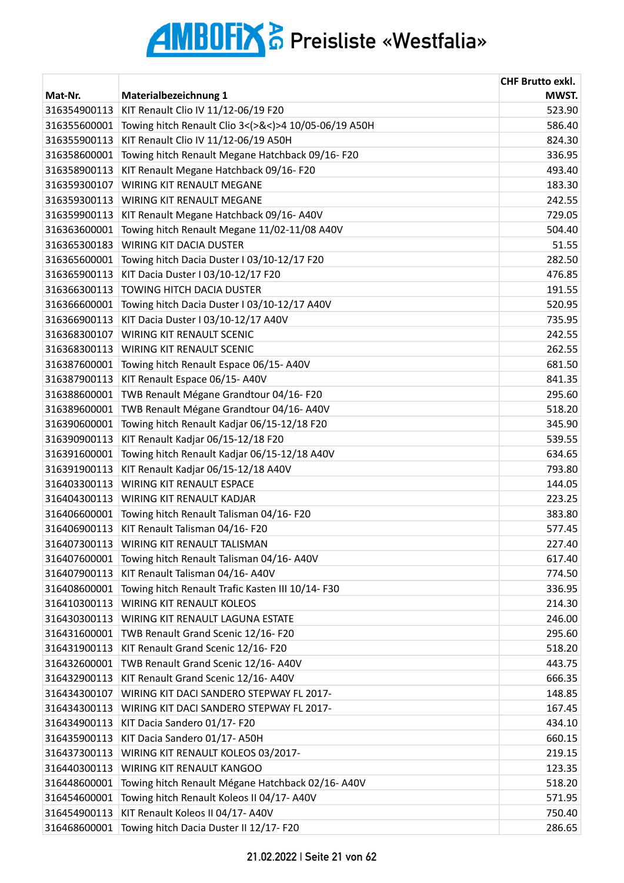| Mat-Nr.<br>Materialbezeichnung 1<br>KIT Renault Clio IV 11/12-06/19 F20<br>316354900113<br>Towing hitch Renault Clio 3<(>&<)>4 10/05-06/19 A50H<br>316355600001<br>KIT Renault Clio IV 11/12-06/19 A50H<br>316355900113 | MWST.<br>523.90<br>586.40<br>824.30<br>336.95<br>493.40 |
|-------------------------------------------------------------------------------------------------------------------------------------------------------------------------------------------------------------------------|---------------------------------------------------------|
|                                                                                                                                                                                                                         |                                                         |
|                                                                                                                                                                                                                         |                                                         |
|                                                                                                                                                                                                                         |                                                         |
|                                                                                                                                                                                                                         |                                                         |
| 316358600001<br>Towing hitch Renault Megane Hatchback 09/16-F20                                                                                                                                                         |                                                         |
| 316358900113<br>KIT Renault Megane Hatchback 09/16-F20                                                                                                                                                                  |                                                         |
| <b>WIRING KIT RENAULT MEGANE</b><br>316359300107                                                                                                                                                                        | 183.30                                                  |
| 316359300113<br><b>WIRING KIT RENAULT MEGANE</b>                                                                                                                                                                        | 242.55                                                  |
| 316359900113<br>KIT Renault Megane Hatchback 09/16-A40V                                                                                                                                                                 | 729.05                                                  |
| 316363600001<br>Towing hitch Renault Megane 11/02-11/08 A40V                                                                                                                                                            | 504.40                                                  |
| 316365300183<br><b>WIRING KIT DACIA DUSTER</b>                                                                                                                                                                          | 51.55                                                   |
| Towing hitch Dacia Duster I 03/10-12/17 F20<br>316365600001                                                                                                                                                             | 282.50                                                  |
| 316365900113<br>KIT Dacia Duster I 03/10-12/17 F20                                                                                                                                                                      | 476.85                                                  |
| TOWING HITCH DACIA DUSTER<br>316366300113                                                                                                                                                                               | 191.55                                                  |
| Towing hitch Dacia Duster I 03/10-12/17 A40V<br>316366600001                                                                                                                                                            | 520.95                                                  |
| 316366900113<br>KIT Dacia Duster I 03/10-12/17 A40V                                                                                                                                                                     | 735.95                                                  |
| 316368300107<br>WIRING KIT RENAULT SCENIC                                                                                                                                                                               | 242.55                                                  |
| 316368300113<br>WIRING KIT RENAULT SCENIC                                                                                                                                                                               | 262.55                                                  |
| 316387600001<br>Towing hitch Renault Espace 06/15-A40V                                                                                                                                                                  | 681.50                                                  |
| KIT Renault Espace 06/15-A40V<br>316387900113                                                                                                                                                                           | 841.35                                                  |
| 316388600001<br>TWB Renault Mégane Grandtour 04/16-F20                                                                                                                                                                  | 295.60                                                  |
| TWB Renault Mégane Grandtour 04/16-A40V<br>316389600001                                                                                                                                                                 | 518.20                                                  |
| Towing hitch Renault Kadjar 06/15-12/18 F20<br>316390600001                                                                                                                                                             | 345.90                                                  |
| KIT Renault Kadjar 06/15-12/18 F20<br>316390900113                                                                                                                                                                      | 539.55                                                  |
| 316391600001<br>Towing hitch Renault Kadjar 06/15-12/18 A40V                                                                                                                                                            | 634.65                                                  |
| 316391900113<br>KIT Renault Kadjar 06/15-12/18 A40V                                                                                                                                                                     | 793.80                                                  |
| <b>WIRING KIT RENAULT ESPACE</b><br>316403300113                                                                                                                                                                        | 144.05                                                  |
| 316404300113<br><b>WIRING KIT RENAULT KADJAR</b>                                                                                                                                                                        | 223.25                                                  |
| 316406600001<br>Towing hitch Renault Talisman 04/16-F20                                                                                                                                                                 | 383.80                                                  |
| KIT Renault Talisman 04/16-F20<br>316406900113                                                                                                                                                                          | 577.45                                                  |
| <b>WIRING KIT RENAULT TALISMAN</b><br>316407300113                                                                                                                                                                      | 227.40                                                  |
| 316407600001<br>Towing hitch Renault Talisman 04/16-A40V                                                                                                                                                                | 617.40                                                  |
| KIT Renault Talisman 04/16- A40V<br>316407900113                                                                                                                                                                        | 774.50                                                  |
| Towing hitch Renault Trafic Kasten III 10/14-F30<br>316408600001                                                                                                                                                        | 336.95                                                  |
| <b>WIRING KIT RENAULT KOLEOS</b><br>316410300113                                                                                                                                                                        | 214.30                                                  |
| WIRING KIT RENAULT LAGUNA ESTATE<br>316430300113                                                                                                                                                                        | 246.00                                                  |
| TWB Renault Grand Scenic 12/16-F20<br>316431600001                                                                                                                                                                      | 295.60                                                  |
| 316431900113<br>KIT Renault Grand Scenic 12/16-F20                                                                                                                                                                      | 518.20                                                  |
| TWB Renault Grand Scenic 12/16-A40V<br>316432600001                                                                                                                                                                     | 443.75                                                  |
| KIT Renault Grand Scenic 12/16- A40V<br>316432900113                                                                                                                                                                    | 666.35                                                  |
| WIRING KIT DACI SANDERO STEPWAY FL 2017-<br>316434300107                                                                                                                                                                | 148.85                                                  |
| 316434300113<br>WIRING KIT DACI SANDERO STEPWAY FL 2017-                                                                                                                                                                | 167.45                                                  |
| 316434900113<br>KIT Dacia Sandero 01/17- F20                                                                                                                                                                            | 434.10                                                  |
| KIT Dacia Sandero 01/17- A50H<br>316435900113                                                                                                                                                                           | 660.15                                                  |
| 316437300113<br>WIRING KIT RENAULT KOLEOS 03/2017-                                                                                                                                                                      | 219.15                                                  |
| 316440300113<br>WIRING KIT RENAULT KANGOO                                                                                                                                                                               | 123.35                                                  |
| Towing hitch Renault Mégane Hatchback 02/16-A40V<br>316448600001                                                                                                                                                        | 518.20                                                  |
| Towing hitch Renault Koleos II 04/17-A40V<br>316454600001                                                                                                                                                               | 571.95                                                  |
| KIT Renault Koleos II 04/17- A40V<br>316454900113                                                                                                                                                                       | 750.40                                                  |
| Towing hitch Dacia Duster II 12/17- F20<br>316468600001                                                                                                                                                                 | 286.65                                                  |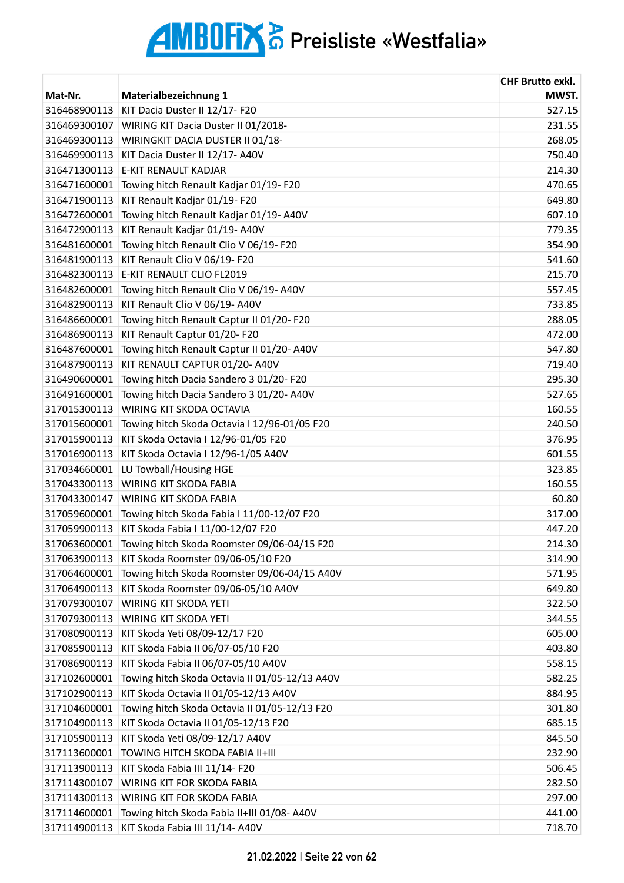| Mat-Nr.      | Materialbezeichnung 1                          | <b>CHF Brutto exkl.</b><br>MWST. |
|--------------|------------------------------------------------|----------------------------------|
| 316468900113 | KIT Dacia Duster II 12/17- F20                 | 527.15                           |
| 316469300107 | WIRING KIT Dacia Duster II 01/2018-            | 231.55                           |
| 316469300113 | WIRINGKIT DACIA DUSTER II 01/18-               | 268.05                           |
| 316469900113 | KIT Dacia Duster II 12/17- A40V                | 750.40                           |
| 316471300113 | <b>E-KIT RENAULT KADJAR</b>                    | 214.30                           |
| 316471600001 | Towing hitch Renault Kadjar 01/19- F20         | 470.65                           |
| 316471900113 | KIT Renault Kadjar 01/19- F20                  | 649.80                           |
| 316472600001 | Towing hitch Renault Kadjar 01/19-A40V         | 607.10                           |
| 316472900113 | KIT Renault Kadjar 01/19-A40V                  | 779.35                           |
| 316481600001 | Towing hitch Renault Clio V 06/19- F20         | 354.90                           |
| 316481900113 | KIT Renault Clio V 06/19- F20                  | 541.60                           |
| 316482300113 | E-KIT RENAULT CLIO FL2019                      | 215.70                           |
| 316482600001 | Towing hitch Renault Clio V 06/19- A40V        | 557.45                           |
| 316482900113 | KIT Renault Clio V 06/19- A40V                 | 733.85                           |
| 316486600001 | Towing hitch Renault Captur II 01/20- F20      | 288.05                           |
| 316486900113 | KIT Renault Captur 01/20- F20                  | 472.00                           |
| 316487600001 | Towing hitch Renault Captur II 01/20- A40V     | 547.80                           |
| 316487900113 | KIT RENAULT CAPTUR 01/20- A40V                 | 719.40                           |
| 316490600001 | Towing hitch Dacia Sandero 3 01/20- F20        | 295.30                           |
| 316491600001 | Towing hitch Dacia Sandero 3 01/20- A40V       | 527.65                           |
| 317015300113 | WIRING KIT SKODA OCTAVIA                       | 160.55                           |
| 317015600001 | Towing hitch Skoda Octavia I 12/96-01/05 F20   | 240.50                           |
| 317015900113 | KIT Skoda Octavia I 12/96-01/05 F20            | 376.95                           |
| 317016900113 | KIT Skoda Octavia I 12/96-1/05 A40V            | 601.55                           |
| 317034660001 | LU Towball/Housing HGE                         | 323.85                           |
| 317043300113 | <b>WIRING KIT SKODA FABIA</b>                  | 160.55                           |
| 317043300147 | <b>WIRING KIT SKODA FABIA</b>                  | 60.80                            |
| 317059600001 | Towing hitch Skoda Fabia I 11/00-12/07 F20     | 317.00                           |
| 317059900113 | KIT Skoda Fabia I 11/00-12/07 F20              | 447.20                           |
| 317063600001 | Towing hitch Skoda Roomster 09/06-04/15 F20    | 214.30                           |
| 317063900113 | KIT Skoda Roomster 09/06-05/10 F20             | 314.90                           |
| 317064600001 | Towing hitch Skoda Roomster 09/06-04/15 A40V   | 571.95                           |
| 317064900113 | KIT Skoda Roomster 09/06-05/10 A40V            | 649.80                           |
| 317079300107 | WIRING KIT SKODA YETI                          | 322.50                           |
| 317079300113 | <b>WIRING KIT SKODA YETI</b>                   | 344.55                           |
| 317080900113 | KIT Skoda Yeti 08/09-12/17 F20                 | 605.00                           |
| 317085900113 | KIT Skoda Fabia II 06/07-05/10 F20             | 403.80                           |
| 317086900113 | KIT Skoda Fabia II 06/07-05/10 A40V            | 558.15                           |
| 317102600001 | Towing hitch Skoda Octavia II 01/05-12/13 A40V | 582.25                           |
| 317102900113 | KIT Skoda Octavia II 01/05-12/13 A40V          | 884.95                           |
| 317104600001 | Towing hitch Skoda Octavia II 01/05-12/13 F20  | 301.80                           |
| 317104900113 | KIT Skoda Octavia II 01/05-12/13 F20           | 685.15                           |
| 317105900113 | KIT Skoda Yeti 08/09-12/17 A40V                | 845.50                           |
| 317113600001 | TOWING HITCH SKODA FABIA II+III                | 232.90                           |
| 317113900113 | KIT Skoda Fabia III 11/14- F20                 | 506.45                           |
| 317114300107 | WIRING KIT FOR SKODA FABIA                     | 282.50                           |
| 317114300113 | WIRING KIT FOR SKODA FABIA                     | 297.00                           |
| 317114600001 | Towing hitch Skoda Fabia II+III 01/08- A40V    | 441.00                           |
| 317114900113 | KIT Skoda Fabia III 11/14- A40V                | 718.70                           |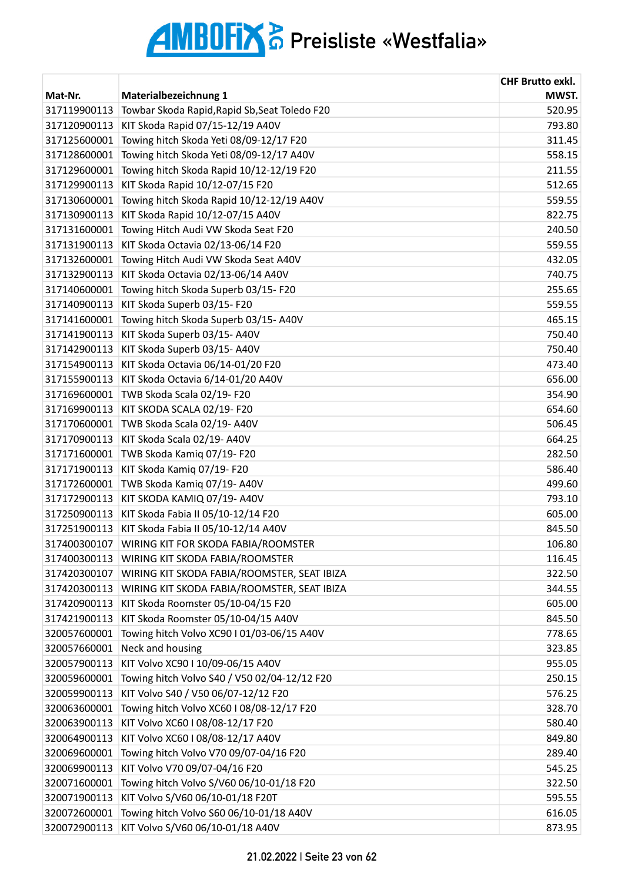|              |                                               | <b>CHF Brutto exkl.</b> |
|--------------|-----------------------------------------------|-------------------------|
| Mat-Nr.      | Materialbezeichnung 1                         | MWST.                   |
| 317119900113 | Towbar Skoda Rapid, Rapid Sb, Seat Toledo F20 | 520.95                  |
| 317120900113 | KIT Skoda Rapid 07/15-12/19 A40V              | 793.80                  |
| 317125600001 | Towing hitch Skoda Yeti 08/09-12/17 F20       | 311.45                  |
| 317128600001 | Towing hitch Skoda Yeti 08/09-12/17 A40V      | 558.15                  |
| 317129600001 | Towing hitch Skoda Rapid 10/12-12/19 F20      | 211.55                  |
| 317129900113 | KIT Skoda Rapid 10/12-07/15 F20               | 512.65                  |
| 317130600001 | Towing hitch Skoda Rapid 10/12-12/19 A40V     | 559.55                  |
| 317130900113 | KIT Skoda Rapid 10/12-07/15 A40V              | 822.75                  |
| 317131600001 | Towing Hitch Audi VW Skoda Seat F20           | 240.50                  |
| 317131900113 | KIT Skoda Octavia 02/13-06/14 F20             | 559.55                  |
| 317132600001 | Towing Hitch Audi VW Skoda Seat A40V          | 432.05                  |
| 317132900113 | KIT Skoda Octavia 02/13-06/14 A40V            | 740.75                  |
| 317140600001 | Towing hitch Skoda Superb 03/15-F20           | 255.65                  |
| 317140900113 | KIT Skoda Superb 03/15-F20                    | 559.55                  |
| 317141600001 | Towing hitch Skoda Superb 03/15-A40V          | 465.15                  |
| 317141900113 | KIT Skoda Superb 03/15-A40V                   | 750.40                  |
| 317142900113 | KIT Skoda Superb 03/15- A40V                  | 750.40                  |
| 317154900113 | KIT Skoda Octavia 06/14-01/20 F20             | 473.40                  |
| 317155900113 | KIT Skoda Octavia 6/14-01/20 A40V             | 656.00                  |
| 317169600001 | TWB Skoda Scala 02/19-F20                     | 354.90                  |
| 317169900113 | KIT SKODA SCALA 02/19- F20                    | 654.60                  |
| 317170600001 | TWB Skoda Scala 02/19-A40V                    | 506.45                  |
| 317170900113 | KIT Skoda Scala 02/19- A40V                   | 664.25                  |
| 317171600001 | TWB Skoda Kamiq 07/19-F20                     | 282.50                  |
| 317171900113 | KIT Skoda Kamiq 07/19- F20                    | 586.40                  |
| 317172600001 | TWB Skoda Kamiq 07/19-A40V                    | 499.60                  |
| 317172900113 | KIT SKODA KAMIQ 07/19- A40V                   | 793.10                  |
| 317250900113 | KIT Skoda Fabia II 05/10-12/14 F20            | 605.00                  |
| 317251900113 | KIT Skoda Fabia II 05/10-12/14 A40V           | 845.50                  |
| 317400300107 | WIRING KIT FOR SKODA FABIA/ROOMSTER           | 106.80                  |
| 317400300113 | WIRING KIT SKODA FABIA/ROOMSTER               | 116.45                  |
| 317420300107 | WIRING KIT SKODA FABIA/ROOMSTER, SEAT IBIZA   | 322.50                  |
| 317420300113 | WIRING KIT SKODA FABIA/ROOMSTER, SEAT IBIZA   | 344.55                  |
| 317420900113 | KIT Skoda Roomster 05/10-04/15 F20            | 605.00                  |
| 317421900113 | KIT Skoda Roomster 05/10-04/15 A40V           | 845.50                  |
| 320057600001 | Towing hitch Volvo XC90 I 01/03-06/15 A40V    | 778.65                  |
| 320057660001 | Neck and housing                              | 323.85                  |
| 320057900113 | KIT Volvo XC90   10/09-06/15 A40V             | 955.05                  |
|              |                                               |                         |
| 320059600001 | Towing hitch Volvo S40 / V50 02/04-12/12 F20  | 250.15                  |
| 320059900113 | KIT Volvo S40 / V50 06/07-12/12 F20           | 576.25                  |
| 320063600001 | Towing hitch Volvo XC60 I 08/08-12/17 F20     | 328.70                  |
| 320063900113 | KIT Volvo XC60 I 08/08-12/17 F20              | 580.40                  |
| 320064900113 | KIT Volvo XC60 I 08/08-12/17 A40V             | 849.80                  |
| 320069600001 | Towing hitch Volvo V70 09/07-04/16 F20        | 289.40                  |
| 320069900113 | KIT Volvo V70 09/07-04/16 F20                 | 545.25                  |
| 320071600001 | Towing hitch Volvo S/V60 06/10-01/18 F20      | 322.50                  |
| 320071900113 | KIT Volvo S/V60 06/10-01/18 F20T              | 595.55                  |
| 320072600001 | Towing hitch Volvo S60 06/10-01/18 A40V       | 616.05                  |
| 320072900113 | KIT Volvo S/V60 06/10-01/18 A40V              | 873.95                  |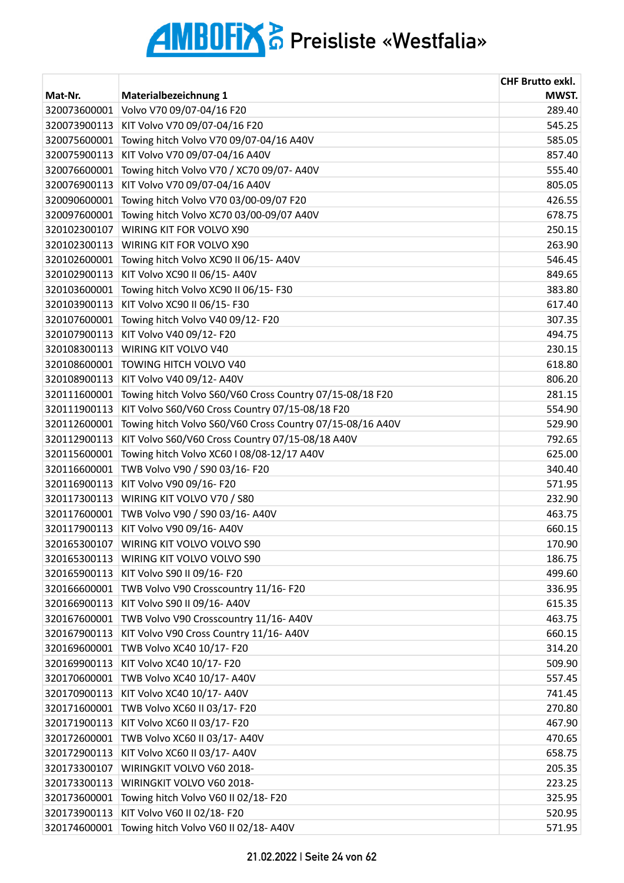|              |                                                           | <b>CHF Brutto exkl.</b> |
|--------------|-----------------------------------------------------------|-------------------------|
| Mat-Nr.      | Materialbezeichnung 1                                     | MWST.                   |
| 320073600001 | Volvo V70 09/07-04/16 F20                                 | 289.40                  |
| 320073900113 | KIT Volvo V70 09/07-04/16 F20                             | 545.25                  |
| 320075600001 | Towing hitch Volvo V70 09/07-04/16 A40V                   | 585.05                  |
| 320075900113 | KIT Volvo V70 09/07-04/16 A40V                            | 857.40                  |
| 320076600001 | Towing hitch Volvo V70 / XC70 09/07- A40V                 | 555.40                  |
| 320076900113 | KIT Volvo V70 09/07-04/16 A40V                            | 805.05                  |
| 320090600001 | Towing hitch Volvo V70 03/00-09/07 F20                    | 426.55                  |
| 320097600001 | Towing hitch Volvo XC70 03/00-09/07 A40V                  | 678.75                  |
| 320102300107 | WIRING KIT FOR VOLVO X90                                  | 250.15                  |
| 320102300113 | WIRING KIT FOR VOLVO X90                                  | 263.90                  |
| 320102600001 | Towing hitch Volvo XC90 II 06/15- A40V                    | 546.45                  |
| 320102900113 | KIT Volvo XC90 II 06/15- A40V                             | 849.65                  |
| 320103600001 | Towing hitch Volvo XC90 II 06/15-F30                      | 383.80                  |
| 320103900113 | KIT Volvo XC90 II 06/15- F30                              | 617.40                  |
| 320107600001 | Towing hitch Volvo V40 09/12- F20                         | 307.35                  |
| 320107900113 | KIT Volvo V40 09/12- F20                                  | 494.75                  |
| 320108300113 | WIRING KIT VOLVO V40                                      | 230.15                  |
| 320108600001 | TOWING HITCH VOLVO V40                                    | 618.80                  |
| 320108900113 | KIT Volvo V40 09/12- A40V                                 | 806.20                  |
| 320111600001 | Towing hitch Volvo S60/V60 Cross Country 07/15-08/18 F20  | 281.15                  |
| 320111900113 | KIT Volvo S60/V60 Cross Country 07/15-08/18 F20           | 554.90                  |
| 320112600001 | Towing hitch Volvo S60/V60 Cross Country 07/15-08/16 A40V | 529.90                  |
| 320112900113 | KIT Volvo S60/V60 Cross Country 07/15-08/18 A40V          | 792.65                  |
| 320115600001 | Towing hitch Volvo XC60 I 08/08-12/17 A40V                | 625.00                  |
| 320116600001 | TWB Volvo V90 / S90 03/16- F20                            | 340.40                  |
| 320116900113 | KIT Volvo V90 09/16- F20                                  | 571.95                  |
| 320117300113 | WIRING KIT VOLVO V70 / S80                                | 232.90                  |
| 320117600001 | TWB Volvo V90 / S90 03/16- A40V                           | 463.75                  |
| 320117900113 | KIT Volvo V90 09/16- A40V                                 | 660.15                  |
|              | 320165300107 WIRING KIT VOLVO VOLVO S90                   | 170.90                  |
| 320165300113 | WIRING KIT VOLVO VOLVO S90                                | 186.75                  |
| 320165900113 | KIT Volvo S90 II 09/16- F20                               | 499.60                  |
| 320166600001 | TWB Volvo V90 Crosscountry 11/16-F20                      | 336.95                  |
| 320166900113 | KIT Volvo S90 II 09/16- A40V                              | 615.35                  |
| 320167600001 | TWB Volvo V90 Crosscountry 11/16-A40V                     | 463.75                  |
| 320167900113 | KIT Volvo V90 Cross Country 11/16- A40V                   | 660.15                  |
| 320169600001 | TWB Volvo XC40 10/17- F20                                 | 314.20                  |
| 320169900113 | KIT Volvo XC40 10/17- F20                                 | 509.90                  |
| 320170600001 | TWB Volvo XC40 10/17- A40V                                | 557.45                  |
| 320170900113 | KIT Volvo XC40 10/17- A40V                                | 741.45                  |
| 320171600001 | TWB Volvo XC60 II 03/17- F20                              | 270.80                  |
| 320171900113 | KIT Volvo XC60 II 03/17- F20                              | 467.90                  |
| 320172600001 | TWB Volvo XC60 II 03/17- A40V                             | 470.65                  |
| 320172900113 | KIT Volvo XC60 II 03/17- A40V                             | 658.75                  |
| 320173300107 | WIRINGKIT VOLVO V60 2018-                                 | 205.35                  |
| 320173300113 | WIRINGKIT VOLVO V60 2018-                                 | 223.25                  |
| 320173600001 | Towing hitch Volvo V60 II 02/18-F20                       | 325.95                  |
| 320173900113 | KIT Volvo V60 II 02/18- F20                               | 520.95                  |
| 320174600001 | Towing hitch Volvo V60 II 02/18-A40V                      | 571.95                  |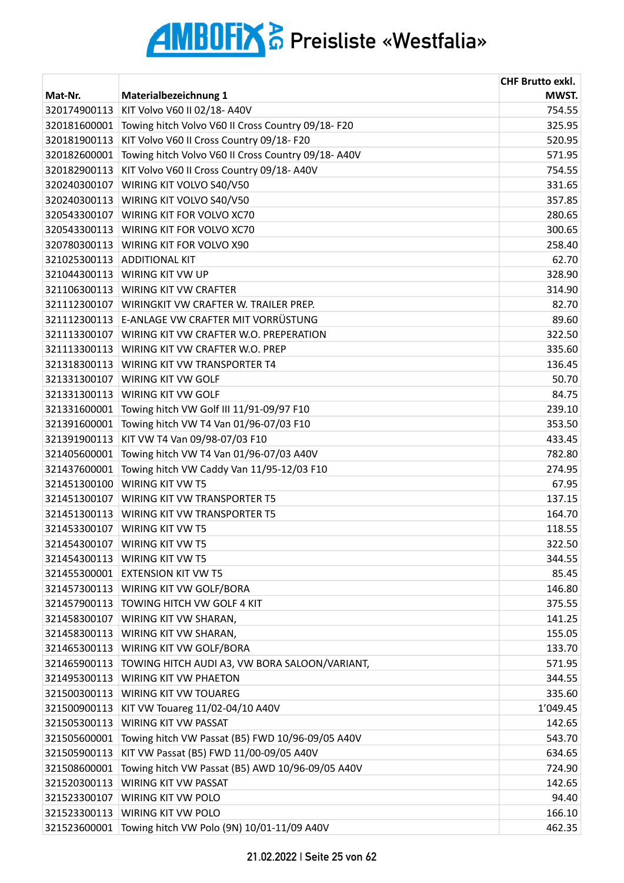|              |                                                     | <b>CHF Brutto exkl.</b> |
|--------------|-----------------------------------------------------|-------------------------|
| Mat-Nr.      | Materialbezeichnung 1                               | MWST.                   |
| 320174900113 | KIT Volvo V60 II 02/18- A40V                        | 754.55                  |
| 320181600001 | Towing hitch Volvo V60 II Cross Country 09/18-F20   | 325.95                  |
| 320181900113 | KIT Volvo V60 II Cross Country 09/18- F20           | 520.95                  |
| 320182600001 | Towing hitch Volvo V60 II Cross Country 09/18- A40V | 571.95                  |
| 320182900113 | KIT Volvo V60 II Cross Country 09/18-A40V           | 754.55                  |
| 320240300107 | WIRING KIT VOLVO S40/V50                            | 331.65                  |
| 320240300113 | WIRING KIT VOLVO S40/V50                            | 357.85                  |
| 320543300107 | WIRING KIT FOR VOLVO XC70                           | 280.65                  |
| 320543300113 | WIRING KIT FOR VOLVO XC70                           | 300.65                  |
| 320780300113 | <b>WIRING KIT FOR VOLVO X90</b>                     | 258.40                  |
| 321025300113 | <b>ADDITIONAL KIT</b>                               | 62.70                   |
| 321044300113 | <b>WIRING KIT VW UP</b>                             | 328.90                  |
| 321106300113 | <b>WIRING KIT VW CRAFTER</b>                        | 314.90                  |
| 321112300107 | WIRINGKIT VW CRAFTER W. TRAILER PREP.               | 82.70                   |
| 321112300113 | E-ANLAGE VW CRAFTER MIT VORRÜSTUNG                  | 89.60                   |
| 321113300107 | WIRING KIT VW CRAFTER W.O. PREPERATION              | 322.50                  |
| 321113300113 | WIRING KIT VW CRAFTER W.O. PREP                     | 335.60                  |
| 321318300113 | <b>WIRING KIT VW TRANSPORTER T4</b>                 | 136.45                  |
| 321331300107 | WIRING KIT VW GOLF                                  | 50.70                   |
| 321331300113 | WIRING KIT VW GOLF                                  | 84.75                   |
| 321331600001 | Towing hitch VW Golf III 11/91-09/97 F10            | 239.10                  |
| 321391600001 | Towing hitch VW T4 Van 01/96-07/03 F10              | 353.50                  |
| 321391900113 | KIT VW T4 Van 09/98-07/03 F10                       | 433.45                  |
| 321405600001 | Towing hitch VW T4 Van 01/96-07/03 A40V             | 782.80                  |
| 321437600001 | Towing hitch VW Caddy Van 11/95-12/03 F10           | 274.95                  |
| 321451300100 | <b>WIRING KIT VW T5</b>                             | 67.95                   |
| 321451300107 | <b>WIRING KIT VW TRANSPORTER T5</b>                 | 137.15                  |
| 321451300113 | <b>WIRING KIT VW TRANSPORTER T5</b>                 | 164.70                  |
| 321453300107 | <b>WIRING KIT VW T5</b>                             | 118.55                  |
|              | 321454300107 WIRING KIT VW T5                       | 322.50                  |
| 321454300113 | <b>WIRING KIT VW T5</b>                             | 344.55                  |
| 321455300001 | <b>EXTENSION KIT VW T5</b>                          | 85.45                   |
|              | 321457300113 WIRING KIT VW GOLF/BORA                | 146.80                  |
|              | 321457900113 TOWING HITCH VW GOLF 4 KIT             | 375.55                  |
| 321458300107 | <b>WIRING KIT VW SHARAN,</b>                        | 141.25                  |
| 321458300113 | <b>WIRING KIT VW SHARAN,</b>                        | 155.05                  |
| 321465300113 | WIRING KIT VW GOLF/BORA                             | 133.70                  |
| 321465900113 | TOWING HITCH AUDI A3, VW BORA SALOON/VARIANT,       | 571.95                  |
| 321495300113 | <b>WIRING KIT VW PHAETON</b>                        | 344.55                  |
| 321500300113 | <b>WIRING KIT VW TOUAREG</b>                        | 335.60                  |
| 321500900113 | KIT VW Touareg 11/02-04/10 A40V                     | 1'049.45                |
| 321505300113 | <b>WIRING KIT VW PASSAT</b>                         | 142.65                  |
| 321505600001 | Towing hitch VW Passat (B5) FWD 10/96-09/05 A40V    | 543.70                  |
| 321505900113 | KIT VW Passat (B5) FWD 11/00-09/05 A40V             | 634.65                  |
| 321508600001 | Towing hitch VW Passat (B5) AWD 10/96-09/05 A40V    | 724.90                  |
| 321520300113 | WIRING KIT VW PASSAT                                | 142.65                  |
| 321523300107 | WIRING KIT VW POLO                                  |                         |
| 321523300113 |                                                     | 94.40                   |
|              | WIRING KIT VW POLO                                  | 166.10                  |
| 321523600001 | Towing hitch VW Polo (9N) 10/01-11/09 A40V          | 462.35                  |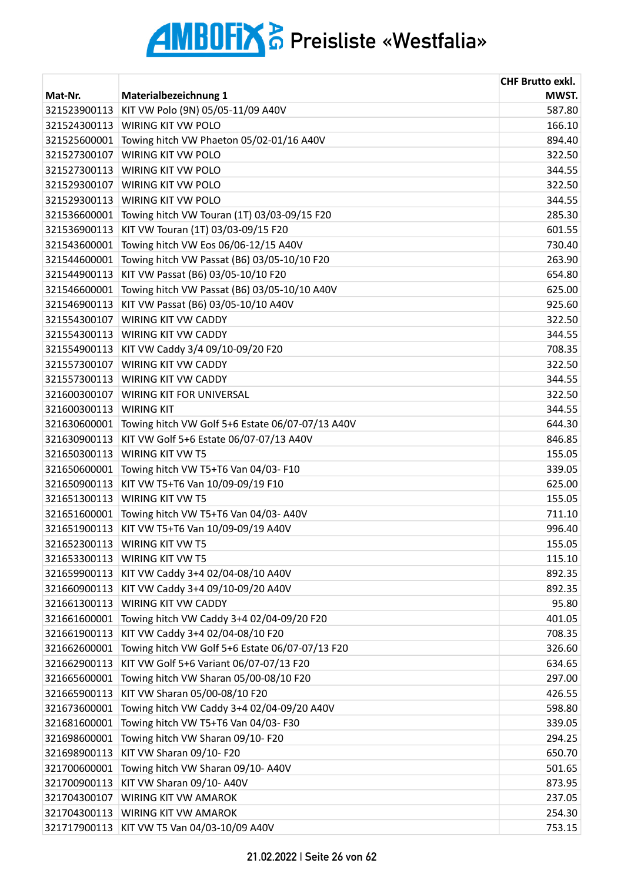| Materialbezeichnung 1<br>Mat-Nr.<br>KIT VW Polo (9N) 05/05-11/09 A40V<br>321523900113<br>321524300113<br>WIRING KIT VW POLO | MWST.<br>587.80<br>166.10<br>894.40 |
|-----------------------------------------------------------------------------------------------------------------------------|-------------------------------------|
|                                                                                                                             |                                     |
|                                                                                                                             |                                     |
| 321525600001<br>Towing hitch VW Phaeton 05/02-01/16 A40V                                                                    |                                     |
| 321527300107<br>WIRING KIT VW POLO                                                                                          | 322.50                              |
| 321527300113<br>WIRING KIT VW POLO                                                                                          | 344.55                              |
| 321529300107<br>WIRING KIT VW POLO                                                                                          | 322.50                              |
| 321529300113<br><b>WIRING KIT VW POLO</b>                                                                                   | 344.55                              |
| 321536600001<br>Towing hitch VW Touran (1T) 03/03-09/15 F20                                                                 | 285.30                              |
| KIT VW Touran (1T) 03/03-09/15 F20<br>321536900113                                                                          | 601.55                              |
| Towing hitch VW Eos 06/06-12/15 A40V<br>321543600001                                                                        | 730.40                              |
| Towing hitch VW Passat (B6) 03/05-10/10 F20<br>321544600001                                                                 | 263.90                              |
| KIT VW Passat (B6) 03/05-10/10 F20<br>321544900113                                                                          | 654.80                              |
| Towing hitch VW Passat (B6) 03/05-10/10 A40V<br>321546600001                                                                | 625.00                              |
| 321546900113<br>KIT VW Passat (B6) 03/05-10/10 A40V                                                                         | 925.60                              |
| <b>WIRING KIT VW CADDY</b><br>321554300107                                                                                  | 322.50                              |
| 321554300113<br><b>WIRING KIT VW CADDY</b>                                                                                  | 344.55                              |
| KIT VW Caddy 3/4 09/10-09/20 F20<br>321554900113                                                                            | 708.35                              |
| 321557300107<br>WIRING KIT VW CADDY                                                                                         | 322.50                              |
| 321557300113<br><b>WIRING KIT VW CADDY</b>                                                                                  | 344.55                              |
| 321600300107<br>WIRING KIT FOR UNIVERSAL                                                                                    | 322.50                              |
| 321600300113<br><b>WIRING KIT</b>                                                                                           | 344.55                              |
| Towing hitch VW Golf 5+6 Estate 06/07-07/13 A40V<br>321630600001                                                            | 644.30                              |
| KIT VW Golf 5+6 Estate 06/07-07/13 A40V<br>321630900113                                                                     | 846.85                              |
| 321650300113<br>WIRING KIT VW T5                                                                                            | 155.05                              |
| 321650600001<br>Towing hitch VW T5+T6 Van 04/03-F10                                                                         | 339.05                              |
| 321650900113<br>KIT VW T5+T6 Van 10/09-09/19 F10                                                                            | 625.00                              |
| 321651300113<br><b>WIRING KIT VW T5</b>                                                                                     | 155.05                              |
| 321651600001<br>Towing hitch VW T5+T6 Van 04/03- A40V                                                                       | 711.10                              |
| KIT VW T5+T6 Van 10/09-09/19 A40V<br>321651900113                                                                           | 996.40                              |
| 321652300113<br>WIRING KIT VW T5                                                                                            | 155.05                              |
| 321653300113<br>WIRING KIT VW T5                                                                                            | 115.10                              |
| KIT VW Caddy 3+4 02/04-08/10 A40V<br>321659900113                                                                           | 892.35                              |
| 321660900113<br>KIT VW Caddy 3+4 09/10-09/20 A40V                                                                           | 892.35                              |
| WIRING KIT VW CADDY<br>321661300113                                                                                         | 95.80                               |
| Towing hitch VW Caddy 3+4 02/04-09/20 F20<br>321661600001                                                                   | 401.05                              |
| 321661900113<br>KIT VW Caddy 3+4 02/04-08/10 F20                                                                            | 708.35                              |
| 321662600001<br>Towing hitch VW Golf 5+6 Estate 06/07-07/13 F20                                                             | 326.60                              |
| 321662900113<br>KIT VW Golf 5+6 Variant 06/07-07/13 F20                                                                     | 634.65                              |
| Towing hitch VW Sharan 05/00-08/10 F20<br>321665600001                                                                      | 297.00                              |
| KIT VW Sharan 05/00-08/10 F20<br>321665900113                                                                               | 426.55                              |
| 321673600001<br>Towing hitch VW Caddy 3+4 02/04-09/20 A40V                                                                  | 598.80                              |
| 321681600001<br>Towing hitch VW T5+T6 Van 04/03-F30                                                                         | 339.05                              |
| Towing hitch VW Sharan 09/10-F20<br>321698600001                                                                            | 294.25                              |
| KIT VW Sharan 09/10- F20<br>321698900113                                                                                    | 650.70                              |
| Towing hitch VW Sharan 09/10- A40V<br>321700600001                                                                          | 501.65                              |
| 321700900113<br>KIT VW Sharan 09/10- A40V                                                                                   | 873.95                              |
| 321704300107<br>WIRING KIT VW AMAROK                                                                                        | 237.05                              |
| 321704300113<br>WIRING KIT VW AMAROK                                                                                        | 254.30                              |
| 321717900113<br>KIT VW T5 Van 04/03-10/09 A40V                                                                              | 753.15                              |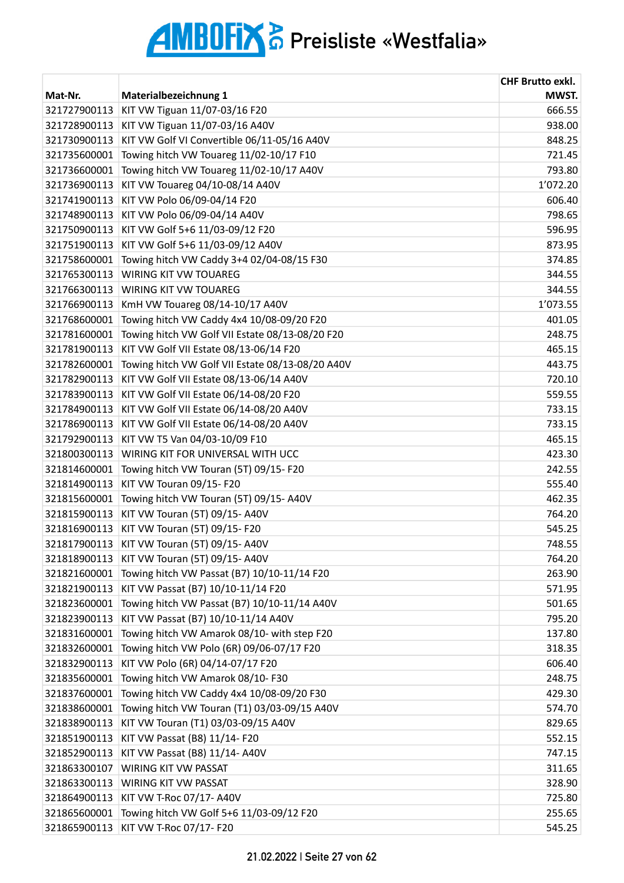| MWST.<br>Mat-Nr.<br>Materialbezeichnung 1<br>KIT VW Tiguan 11/07-03/16 F20<br>321727900113<br>666.55<br>321728900113<br>KIT VW Tiguan 11/07-03/16 A40V<br>938.00<br>KIT VW Golf VI Convertible 06/11-05/16 A40V<br>321730900113<br>848.25<br>321735600001<br>Towing hitch VW Touareg 11/02-10/17 F10<br>721.45<br>793.80<br>321736600001<br>Towing hitch VW Touareg 11/02-10/17 A40V<br>1'072.20<br>KIT VW Touareg 04/10-08/14 A40V<br>321736900113<br>KIT VW Polo 06/09-04/14 F20<br>321741900113<br>606.40<br>KIT VW Polo 06/09-04/14 A40V<br>798.65<br>321748900113<br>KIT VW Golf 5+6 11/03-09/12 F20<br>321750900113<br>596.95<br>321751900113<br>KIT VW Golf 5+6 11/03-09/12 A40V<br>873.95<br>Towing hitch VW Caddy 3+4 02/04-08/15 F30<br>321758600001<br>374.85<br>321765300113<br>WIRING KIT VW TOUAREG<br>344.55<br>321766300113<br><b>WIRING KIT VW TOUAREG</b><br>344.55<br>1'073.55<br>321766900113<br>KmH VW Touareg 08/14-10/17 A40V<br>321768600001<br>Towing hitch VW Caddy 4x4 10/08-09/20 F20<br>401.05<br>248.75<br>321781600001<br>Towing hitch VW Golf VII Estate 08/13-08/20 F20<br>321781900113<br>KIT VW Golf VII Estate 08/13-06/14 F20<br>465.15<br>321782600001<br>Towing hitch VW Golf VII Estate 08/13-08/20 A40V<br>443.75<br>720.10<br>KIT VW Golf VII Estate 08/13-06/14 A40V<br>321782900113<br>321783900113<br>KIT VW Golf VII Estate 06/14-08/20 F20<br>559.55<br>733.15<br>321784900113<br>KIT VW Golf VII Estate 06/14-08/20 A40V<br>733.15<br>KIT VW Golf VII Estate 06/14-08/20 A40V<br>321786900113<br>321792900113<br>KIT VW T5 Van 04/03-10/09 F10<br>465.15<br>321800300113<br>WIRING KIT FOR UNIVERSAL WITH UCC<br>423.30<br>321814600001<br>Towing hitch VW Touran (5T) 09/15-F20<br>242.55<br>KIT VW Touran 09/15-F20<br>555.40<br>321814900113<br>Towing hitch VW Touran (5T) 09/15- A40V<br>462.35<br>321815600001<br>321815900113<br>KIT VW Touran (5T) 09/15- A40V<br>764.20<br>KIT VW Touran (5T) 09/15- F20<br>545.25<br>321816900113<br>321817900113<br>KIT VW Touran (5T) 09/15- A40V<br>748.55<br>KIT VW Touran (5T) 09/15- A40V<br>321818900113<br>764.20<br>263.90<br>321821600001<br>Towing hitch VW Passat (B7) 10/10-11/14 F20<br>321821900113<br>KIT VW Passat (B7) 10/10-11/14 F20<br>571.95<br>321823600001<br>Towing hitch VW Passat (B7) 10/10-11/14 A40V<br>501.65<br>KIT VW Passat (B7) 10/10-11/14 A40V<br>795.20<br>321823900113<br>Towing hitch VW Amarok 08/10- with step F20<br>137.80<br>321831600001<br>Towing hitch VW Polo (6R) 09/06-07/17 F20<br>321832600001<br>318.35<br>321832900113<br>KIT VW Polo (6R) 04/14-07/17 F20<br>606.40<br>321835600001<br>Towing hitch VW Amarok 08/10-F30<br>248.75<br>Towing hitch VW Caddy 4x4 10/08-09/20 F30<br>429.30<br>321837600001<br>Towing hitch VW Touran (T1) 03/03-09/15 A40V<br>574.70<br>321838600001<br>321838900113<br>KIT VW Touran (T1) 03/03-09/15 A40V<br>829.65<br>KIT VW Passat (B8) 11/14- F20<br>321851900113<br>552.15 |              |                                | <b>CHF Brutto exkl.</b> |
|------------------------------------------------------------------------------------------------------------------------------------------------------------------------------------------------------------------------------------------------------------------------------------------------------------------------------------------------------------------------------------------------------------------------------------------------------------------------------------------------------------------------------------------------------------------------------------------------------------------------------------------------------------------------------------------------------------------------------------------------------------------------------------------------------------------------------------------------------------------------------------------------------------------------------------------------------------------------------------------------------------------------------------------------------------------------------------------------------------------------------------------------------------------------------------------------------------------------------------------------------------------------------------------------------------------------------------------------------------------------------------------------------------------------------------------------------------------------------------------------------------------------------------------------------------------------------------------------------------------------------------------------------------------------------------------------------------------------------------------------------------------------------------------------------------------------------------------------------------------------------------------------------------------------------------------------------------------------------------------------------------------------------------------------------------------------------------------------------------------------------------------------------------------------------------------------------------------------------------------------------------------------------------------------------------------------------------------------------------------------------------------------------------------------------------------------------------------------------------------------------------------------------------------------------------------------------------------------------------------------------------------------------------------------------------------------------------------------------------------------------------------------------------------------------------------------------------------------------------------------------------------------------------------------------------------------------------------|--------------|--------------------------------|-------------------------|
|                                                                                                                                                                                                                                                                                                                                                                                                                                                                                                                                                                                                                                                                                                                                                                                                                                                                                                                                                                                                                                                                                                                                                                                                                                                                                                                                                                                                                                                                                                                                                                                                                                                                                                                                                                                                                                                                                                                                                                                                                                                                                                                                                                                                                                                                                                                                                                                                                                                                                                                                                                                                                                                                                                                                                                                                                                                                                                                                                                  |              |                                |                         |
|                                                                                                                                                                                                                                                                                                                                                                                                                                                                                                                                                                                                                                                                                                                                                                                                                                                                                                                                                                                                                                                                                                                                                                                                                                                                                                                                                                                                                                                                                                                                                                                                                                                                                                                                                                                                                                                                                                                                                                                                                                                                                                                                                                                                                                                                                                                                                                                                                                                                                                                                                                                                                                                                                                                                                                                                                                                                                                                                                                  |              |                                |                         |
|                                                                                                                                                                                                                                                                                                                                                                                                                                                                                                                                                                                                                                                                                                                                                                                                                                                                                                                                                                                                                                                                                                                                                                                                                                                                                                                                                                                                                                                                                                                                                                                                                                                                                                                                                                                                                                                                                                                                                                                                                                                                                                                                                                                                                                                                                                                                                                                                                                                                                                                                                                                                                                                                                                                                                                                                                                                                                                                                                                  |              |                                |                         |
|                                                                                                                                                                                                                                                                                                                                                                                                                                                                                                                                                                                                                                                                                                                                                                                                                                                                                                                                                                                                                                                                                                                                                                                                                                                                                                                                                                                                                                                                                                                                                                                                                                                                                                                                                                                                                                                                                                                                                                                                                                                                                                                                                                                                                                                                                                                                                                                                                                                                                                                                                                                                                                                                                                                                                                                                                                                                                                                                                                  |              |                                |                         |
|                                                                                                                                                                                                                                                                                                                                                                                                                                                                                                                                                                                                                                                                                                                                                                                                                                                                                                                                                                                                                                                                                                                                                                                                                                                                                                                                                                                                                                                                                                                                                                                                                                                                                                                                                                                                                                                                                                                                                                                                                                                                                                                                                                                                                                                                                                                                                                                                                                                                                                                                                                                                                                                                                                                                                                                                                                                                                                                                                                  |              |                                |                         |
|                                                                                                                                                                                                                                                                                                                                                                                                                                                                                                                                                                                                                                                                                                                                                                                                                                                                                                                                                                                                                                                                                                                                                                                                                                                                                                                                                                                                                                                                                                                                                                                                                                                                                                                                                                                                                                                                                                                                                                                                                                                                                                                                                                                                                                                                                                                                                                                                                                                                                                                                                                                                                                                                                                                                                                                                                                                                                                                                                                  |              |                                |                         |
|                                                                                                                                                                                                                                                                                                                                                                                                                                                                                                                                                                                                                                                                                                                                                                                                                                                                                                                                                                                                                                                                                                                                                                                                                                                                                                                                                                                                                                                                                                                                                                                                                                                                                                                                                                                                                                                                                                                                                                                                                                                                                                                                                                                                                                                                                                                                                                                                                                                                                                                                                                                                                                                                                                                                                                                                                                                                                                                                                                  |              |                                |                         |
|                                                                                                                                                                                                                                                                                                                                                                                                                                                                                                                                                                                                                                                                                                                                                                                                                                                                                                                                                                                                                                                                                                                                                                                                                                                                                                                                                                                                                                                                                                                                                                                                                                                                                                                                                                                                                                                                                                                                                                                                                                                                                                                                                                                                                                                                                                                                                                                                                                                                                                                                                                                                                                                                                                                                                                                                                                                                                                                                                                  |              |                                |                         |
|                                                                                                                                                                                                                                                                                                                                                                                                                                                                                                                                                                                                                                                                                                                                                                                                                                                                                                                                                                                                                                                                                                                                                                                                                                                                                                                                                                                                                                                                                                                                                                                                                                                                                                                                                                                                                                                                                                                                                                                                                                                                                                                                                                                                                                                                                                                                                                                                                                                                                                                                                                                                                                                                                                                                                                                                                                                                                                                                                                  |              |                                |                         |
|                                                                                                                                                                                                                                                                                                                                                                                                                                                                                                                                                                                                                                                                                                                                                                                                                                                                                                                                                                                                                                                                                                                                                                                                                                                                                                                                                                                                                                                                                                                                                                                                                                                                                                                                                                                                                                                                                                                                                                                                                                                                                                                                                                                                                                                                                                                                                                                                                                                                                                                                                                                                                                                                                                                                                                                                                                                                                                                                                                  |              |                                |                         |
|                                                                                                                                                                                                                                                                                                                                                                                                                                                                                                                                                                                                                                                                                                                                                                                                                                                                                                                                                                                                                                                                                                                                                                                                                                                                                                                                                                                                                                                                                                                                                                                                                                                                                                                                                                                                                                                                                                                                                                                                                                                                                                                                                                                                                                                                                                                                                                                                                                                                                                                                                                                                                                                                                                                                                                                                                                                                                                                                                                  |              |                                |                         |
|                                                                                                                                                                                                                                                                                                                                                                                                                                                                                                                                                                                                                                                                                                                                                                                                                                                                                                                                                                                                                                                                                                                                                                                                                                                                                                                                                                                                                                                                                                                                                                                                                                                                                                                                                                                                                                                                                                                                                                                                                                                                                                                                                                                                                                                                                                                                                                                                                                                                                                                                                                                                                                                                                                                                                                                                                                                                                                                                                                  |              |                                |                         |
|                                                                                                                                                                                                                                                                                                                                                                                                                                                                                                                                                                                                                                                                                                                                                                                                                                                                                                                                                                                                                                                                                                                                                                                                                                                                                                                                                                                                                                                                                                                                                                                                                                                                                                                                                                                                                                                                                                                                                                                                                                                                                                                                                                                                                                                                                                                                                                                                                                                                                                                                                                                                                                                                                                                                                                                                                                                                                                                                                                  |              |                                |                         |
|                                                                                                                                                                                                                                                                                                                                                                                                                                                                                                                                                                                                                                                                                                                                                                                                                                                                                                                                                                                                                                                                                                                                                                                                                                                                                                                                                                                                                                                                                                                                                                                                                                                                                                                                                                                                                                                                                                                                                                                                                                                                                                                                                                                                                                                                                                                                                                                                                                                                                                                                                                                                                                                                                                                                                                                                                                                                                                                                                                  |              |                                |                         |
|                                                                                                                                                                                                                                                                                                                                                                                                                                                                                                                                                                                                                                                                                                                                                                                                                                                                                                                                                                                                                                                                                                                                                                                                                                                                                                                                                                                                                                                                                                                                                                                                                                                                                                                                                                                                                                                                                                                                                                                                                                                                                                                                                                                                                                                                                                                                                                                                                                                                                                                                                                                                                                                                                                                                                                                                                                                                                                                                                                  |              |                                |                         |
|                                                                                                                                                                                                                                                                                                                                                                                                                                                                                                                                                                                                                                                                                                                                                                                                                                                                                                                                                                                                                                                                                                                                                                                                                                                                                                                                                                                                                                                                                                                                                                                                                                                                                                                                                                                                                                                                                                                                                                                                                                                                                                                                                                                                                                                                                                                                                                                                                                                                                                                                                                                                                                                                                                                                                                                                                                                                                                                                                                  |              |                                |                         |
|                                                                                                                                                                                                                                                                                                                                                                                                                                                                                                                                                                                                                                                                                                                                                                                                                                                                                                                                                                                                                                                                                                                                                                                                                                                                                                                                                                                                                                                                                                                                                                                                                                                                                                                                                                                                                                                                                                                                                                                                                                                                                                                                                                                                                                                                                                                                                                                                                                                                                                                                                                                                                                                                                                                                                                                                                                                                                                                                                                  |              |                                |                         |
|                                                                                                                                                                                                                                                                                                                                                                                                                                                                                                                                                                                                                                                                                                                                                                                                                                                                                                                                                                                                                                                                                                                                                                                                                                                                                                                                                                                                                                                                                                                                                                                                                                                                                                                                                                                                                                                                                                                                                                                                                                                                                                                                                                                                                                                                                                                                                                                                                                                                                                                                                                                                                                                                                                                                                                                                                                                                                                                                                                  |              |                                |                         |
|                                                                                                                                                                                                                                                                                                                                                                                                                                                                                                                                                                                                                                                                                                                                                                                                                                                                                                                                                                                                                                                                                                                                                                                                                                                                                                                                                                                                                                                                                                                                                                                                                                                                                                                                                                                                                                                                                                                                                                                                                                                                                                                                                                                                                                                                                                                                                                                                                                                                                                                                                                                                                                                                                                                                                                                                                                                                                                                                                                  |              |                                |                         |
|                                                                                                                                                                                                                                                                                                                                                                                                                                                                                                                                                                                                                                                                                                                                                                                                                                                                                                                                                                                                                                                                                                                                                                                                                                                                                                                                                                                                                                                                                                                                                                                                                                                                                                                                                                                                                                                                                                                                                                                                                                                                                                                                                                                                                                                                                                                                                                                                                                                                                                                                                                                                                                                                                                                                                                                                                                                                                                                                                                  |              |                                |                         |
|                                                                                                                                                                                                                                                                                                                                                                                                                                                                                                                                                                                                                                                                                                                                                                                                                                                                                                                                                                                                                                                                                                                                                                                                                                                                                                                                                                                                                                                                                                                                                                                                                                                                                                                                                                                                                                                                                                                                                                                                                                                                                                                                                                                                                                                                                                                                                                                                                                                                                                                                                                                                                                                                                                                                                                                                                                                                                                                                                                  |              |                                |                         |
|                                                                                                                                                                                                                                                                                                                                                                                                                                                                                                                                                                                                                                                                                                                                                                                                                                                                                                                                                                                                                                                                                                                                                                                                                                                                                                                                                                                                                                                                                                                                                                                                                                                                                                                                                                                                                                                                                                                                                                                                                                                                                                                                                                                                                                                                                                                                                                                                                                                                                                                                                                                                                                                                                                                                                                                                                                                                                                                                                                  |              |                                |                         |
|                                                                                                                                                                                                                                                                                                                                                                                                                                                                                                                                                                                                                                                                                                                                                                                                                                                                                                                                                                                                                                                                                                                                                                                                                                                                                                                                                                                                                                                                                                                                                                                                                                                                                                                                                                                                                                                                                                                                                                                                                                                                                                                                                                                                                                                                                                                                                                                                                                                                                                                                                                                                                                                                                                                                                                                                                                                                                                                                                                  |              |                                |                         |
|                                                                                                                                                                                                                                                                                                                                                                                                                                                                                                                                                                                                                                                                                                                                                                                                                                                                                                                                                                                                                                                                                                                                                                                                                                                                                                                                                                                                                                                                                                                                                                                                                                                                                                                                                                                                                                                                                                                                                                                                                                                                                                                                                                                                                                                                                                                                                                                                                                                                                                                                                                                                                                                                                                                                                                                                                                                                                                                                                                  |              |                                |                         |
|                                                                                                                                                                                                                                                                                                                                                                                                                                                                                                                                                                                                                                                                                                                                                                                                                                                                                                                                                                                                                                                                                                                                                                                                                                                                                                                                                                                                                                                                                                                                                                                                                                                                                                                                                                                                                                                                                                                                                                                                                                                                                                                                                                                                                                                                                                                                                                                                                                                                                                                                                                                                                                                                                                                                                                                                                                                                                                                                                                  |              |                                |                         |
|                                                                                                                                                                                                                                                                                                                                                                                                                                                                                                                                                                                                                                                                                                                                                                                                                                                                                                                                                                                                                                                                                                                                                                                                                                                                                                                                                                                                                                                                                                                                                                                                                                                                                                                                                                                                                                                                                                                                                                                                                                                                                                                                                                                                                                                                                                                                                                                                                                                                                                                                                                                                                                                                                                                                                                                                                                                                                                                                                                  |              |                                |                         |
|                                                                                                                                                                                                                                                                                                                                                                                                                                                                                                                                                                                                                                                                                                                                                                                                                                                                                                                                                                                                                                                                                                                                                                                                                                                                                                                                                                                                                                                                                                                                                                                                                                                                                                                                                                                                                                                                                                                                                                                                                                                                                                                                                                                                                                                                                                                                                                                                                                                                                                                                                                                                                                                                                                                                                                                                                                                                                                                                                                  |              |                                |                         |
|                                                                                                                                                                                                                                                                                                                                                                                                                                                                                                                                                                                                                                                                                                                                                                                                                                                                                                                                                                                                                                                                                                                                                                                                                                                                                                                                                                                                                                                                                                                                                                                                                                                                                                                                                                                                                                                                                                                                                                                                                                                                                                                                                                                                                                                                                                                                                                                                                                                                                                                                                                                                                                                                                                                                                                                                                                                                                                                                                                  |              |                                |                         |
|                                                                                                                                                                                                                                                                                                                                                                                                                                                                                                                                                                                                                                                                                                                                                                                                                                                                                                                                                                                                                                                                                                                                                                                                                                                                                                                                                                                                                                                                                                                                                                                                                                                                                                                                                                                                                                                                                                                                                                                                                                                                                                                                                                                                                                                                                                                                                                                                                                                                                                                                                                                                                                                                                                                                                                                                                                                                                                                                                                  |              |                                |                         |
|                                                                                                                                                                                                                                                                                                                                                                                                                                                                                                                                                                                                                                                                                                                                                                                                                                                                                                                                                                                                                                                                                                                                                                                                                                                                                                                                                                                                                                                                                                                                                                                                                                                                                                                                                                                                                                                                                                                                                                                                                                                                                                                                                                                                                                                                                                                                                                                                                                                                                                                                                                                                                                                                                                                                                                                                                                                                                                                                                                  |              |                                |                         |
|                                                                                                                                                                                                                                                                                                                                                                                                                                                                                                                                                                                                                                                                                                                                                                                                                                                                                                                                                                                                                                                                                                                                                                                                                                                                                                                                                                                                                                                                                                                                                                                                                                                                                                                                                                                                                                                                                                                                                                                                                                                                                                                                                                                                                                                                                                                                                                                                                                                                                                                                                                                                                                                                                                                                                                                                                                                                                                                                                                  |              |                                |                         |
|                                                                                                                                                                                                                                                                                                                                                                                                                                                                                                                                                                                                                                                                                                                                                                                                                                                                                                                                                                                                                                                                                                                                                                                                                                                                                                                                                                                                                                                                                                                                                                                                                                                                                                                                                                                                                                                                                                                                                                                                                                                                                                                                                                                                                                                                                                                                                                                                                                                                                                                                                                                                                                                                                                                                                                                                                                                                                                                                                                  |              |                                |                         |
|                                                                                                                                                                                                                                                                                                                                                                                                                                                                                                                                                                                                                                                                                                                                                                                                                                                                                                                                                                                                                                                                                                                                                                                                                                                                                                                                                                                                                                                                                                                                                                                                                                                                                                                                                                                                                                                                                                                                                                                                                                                                                                                                                                                                                                                                                                                                                                                                                                                                                                                                                                                                                                                                                                                                                                                                                                                                                                                                                                  |              |                                |                         |
|                                                                                                                                                                                                                                                                                                                                                                                                                                                                                                                                                                                                                                                                                                                                                                                                                                                                                                                                                                                                                                                                                                                                                                                                                                                                                                                                                                                                                                                                                                                                                                                                                                                                                                                                                                                                                                                                                                                                                                                                                                                                                                                                                                                                                                                                                                                                                                                                                                                                                                                                                                                                                                                                                                                                                                                                                                                                                                                                                                  |              |                                |                         |
|                                                                                                                                                                                                                                                                                                                                                                                                                                                                                                                                                                                                                                                                                                                                                                                                                                                                                                                                                                                                                                                                                                                                                                                                                                                                                                                                                                                                                                                                                                                                                                                                                                                                                                                                                                                                                                                                                                                                                                                                                                                                                                                                                                                                                                                                                                                                                                                                                                                                                                                                                                                                                                                                                                                                                                                                                                                                                                                                                                  |              |                                |                         |
|                                                                                                                                                                                                                                                                                                                                                                                                                                                                                                                                                                                                                                                                                                                                                                                                                                                                                                                                                                                                                                                                                                                                                                                                                                                                                                                                                                                                                                                                                                                                                                                                                                                                                                                                                                                                                                                                                                                                                                                                                                                                                                                                                                                                                                                                                                                                                                                                                                                                                                                                                                                                                                                                                                                                                                                                                                                                                                                                                                  |              |                                |                         |
|                                                                                                                                                                                                                                                                                                                                                                                                                                                                                                                                                                                                                                                                                                                                                                                                                                                                                                                                                                                                                                                                                                                                                                                                                                                                                                                                                                                                                                                                                                                                                                                                                                                                                                                                                                                                                                                                                                                                                                                                                                                                                                                                                                                                                                                                                                                                                                                                                                                                                                                                                                                                                                                                                                                                                                                                                                                                                                                                                                  |              |                                |                         |
|                                                                                                                                                                                                                                                                                                                                                                                                                                                                                                                                                                                                                                                                                                                                                                                                                                                                                                                                                                                                                                                                                                                                                                                                                                                                                                                                                                                                                                                                                                                                                                                                                                                                                                                                                                                                                                                                                                                                                                                                                                                                                                                                                                                                                                                                                                                                                                                                                                                                                                                                                                                                                                                                                                                                                                                                                                                                                                                                                                  |              |                                |                         |
|                                                                                                                                                                                                                                                                                                                                                                                                                                                                                                                                                                                                                                                                                                                                                                                                                                                                                                                                                                                                                                                                                                                                                                                                                                                                                                                                                                                                                                                                                                                                                                                                                                                                                                                                                                                                                                                                                                                                                                                                                                                                                                                                                                                                                                                                                                                                                                                                                                                                                                                                                                                                                                                                                                                                                                                                                                                                                                                                                                  |              |                                |                         |
|                                                                                                                                                                                                                                                                                                                                                                                                                                                                                                                                                                                                                                                                                                                                                                                                                                                                                                                                                                                                                                                                                                                                                                                                                                                                                                                                                                                                                                                                                                                                                                                                                                                                                                                                                                                                                                                                                                                                                                                                                                                                                                                                                                                                                                                                                                                                                                                                                                                                                                                                                                                                                                                                                                                                                                                                                                                                                                                                                                  |              |                                |                         |
|                                                                                                                                                                                                                                                                                                                                                                                                                                                                                                                                                                                                                                                                                                                                                                                                                                                                                                                                                                                                                                                                                                                                                                                                                                                                                                                                                                                                                                                                                                                                                                                                                                                                                                                                                                                                                                                                                                                                                                                                                                                                                                                                                                                                                                                                                                                                                                                                                                                                                                                                                                                                                                                                                                                                                                                                                                                                                                                                                                  |              |                                |                         |
|                                                                                                                                                                                                                                                                                                                                                                                                                                                                                                                                                                                                                                                                                                                                                                                                                                                                                                                                                                                                                                                                                                                                                                                                                                                                                                                                                                                                                                                                                                                                                                                                                                                                                                                                                                                                                                                                                                                                                                                                                                                                                                                                                                                                                                                                                                                                                                                                                                                                                                                                                                                                                                                                                                                                                                                                                                                                                                                                                                  |              |                                |                         |
|                                                                                                                                                                                                                                                                                                                                                                                                                                                                                                                                                                                                                                                                                                                                                                                                                                                                                                                                                                                                                                                                                                                                                                                                                                                                                                                                                                                                                                                                                                                                                                                                                                                                                                                                                                                                                                                                                                                                                                                                                                                                                                                                                                                                                                                                                                                                                                                                                                                                                                                                                                                                                                                                                                                                                                                                                                                                                                                                                                  |              |                                |                         |
|                                                                                                                                                                                                                                                                                                                                                                                                                                                                                                                                                                                                                                                                                                                                                                                                                                                                                                                                                                                                                                                                                                                                                                                                                                                                                                                                                                                                                                                                                                                                                                                                                                                                                                                                                                                                                                                                                                                                                                                                                                                                                                                                                                                                                                                                                                                                                                                                                                                                                                                                                                                                                                                                                                                                                                                                                                                                                                                                                                  |              |                                |                         |
|                                                                                                                                                                                                                                                                                                                                                                                                                                                                                                                                                                                                                                                                                                                                                                                                                                                                                                                                                                                                                                                                                                                                                                                                                                                                                                                                                                                                                                                                                                                                                                                                                                                                                                                                                                                                                                                                                                                                                                                                                                                                                                                                                                                                                                                                                                                                                                                                                                                                                                                                                                                                                                                                                                                                                                                                                                                                                                                                                                  | 321852900113 | KIT VW Passat (B8) 11/14- A40V | 747.15                  |
| <b>WIRING KIT VW PASSAT</b><br>311.65<br>321863300107                                                                                                                                                                                                                                                                                                                                                                                                                                                                                                                                                                                                                                                                                                                                                                                                                                                                                                                                                                                                                                                                                                                                                                                                                                                                                                                                                                                                                                                                                                                                                                                                                                                                                                                                                                                                                                                                                                                                                                                                                                                                                                                                                                                                                                                                                                                                                                                                                                                                                                                                                                                                                                                                                                                                                                                                                                                                                                            |              |                                |                         |
| WIRING KIT VW PASSAT<br>328.90<br>321863300113                                                                                                                                                                                                                                                                                                                                                                                                                                                                                                                                                                                                                                                                                                                                                                                                                                                                                                                                                                                                                                                                                                                                                                                                                                                                                                                                                                                                                                                                                                                                                                                                                                                                                                                                                                                                                                                                                                                                                                                                                                                                                                                                                                                                                                                                                                                                                                                                                                                                                                                                                                                                                                                                                                                                                                                                                                                                                                                   |              |                                |                         |
| 321864900113<br>KIT VW T-Roc 07/17- A40V<br>725.80                                                                                                                                                                                                                                                                                                                                                                                                                                                                                                                                                                                                                                                                                                                                                                                                                                                                                                                                                                                                                                                                                                                                                                                                                                                                                                                                                                                                                                                                                                                                                                                                                                                                                                                                                                                                                                                                                                                                                                                                                                                                                                                                                                                                                                                                                                                                                                                                                                                                                                                                                                                                                                                                                                                                                                                                                                                                                                               |              |                                |                         |
| Towing hitch VW Golf 5+6 11/03-09/12 F20<br>255.65<br>321865600001                                                                                                                                                                                                                                                                                                                                                                                                                                                                                                                                                                                                                                                                                                                                                                                                                                                                                                                                                                                                                                                                                                                                                                                                                                                                                                                                                                                                                                                                                                                                                                                                                                                                                                                                                                                                                                                                                                                                                                                                                                                                                                                                                                                                                                                                                                                                                                                                                                                                                                                                                                                                                                                                                                                                                                                                                                                                                               |              |                                |                         |
| KIT VW T-Roc 07/17- F20<br>321865900113<br>545.25                                                                                                                                                                                                                                                                                                                                                                                                                                                                                                                                                                                                                                                                                                                                                                                                                                                                                                                                                                                                                                                                                                                                                                                                                                                                                                                                                                                                                                                                                                                                                                                                                                                                                                                                                                                                                                                                                                                                                                                                                                                                                                                                                                                                                                                                                                                                                                                                                                                                                                                                                                                                                                                                                                                                                                                                                                                                                                                |              |                                |                         |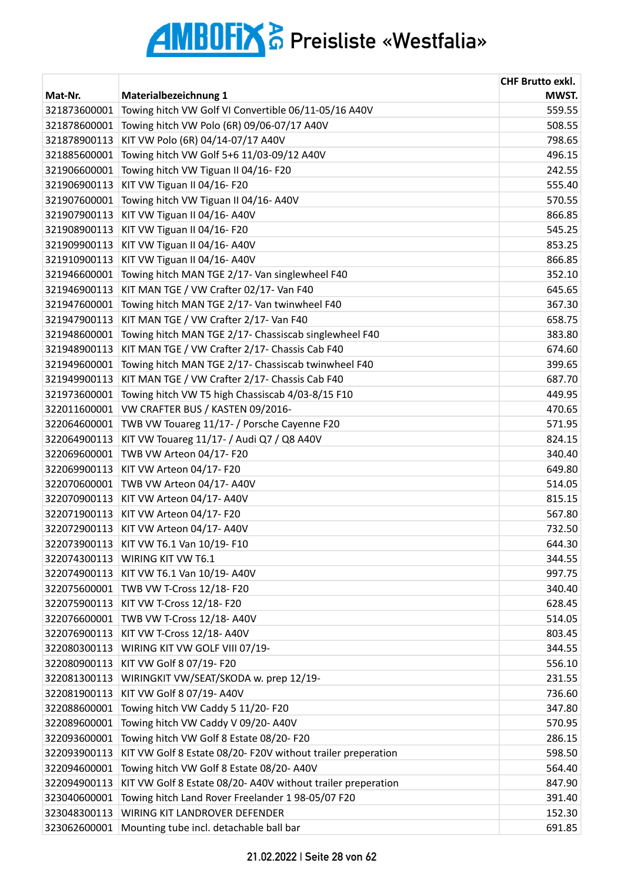|                              |                                                              | <b>CHF Brutto exkl.</b> |
|------------------------------|--------------------------------------------------------------|-------------------------|
| Mat-Nr.                      | Materialbezeichnung 1                                        | MWST.                   |
| 321873600001                 | Towing hitch VW Golf VI Convertible 06/11-05/16 A40V         | 559.55                  |
| 321878600001                 | Towing hitch VW Polo (6R) 09/06-07/17 A40V                   | 508.55                  |
| 321878900113                 | KIT VW Polo (6R) 04/14-07/17 A40V                            | 798.65                  |
| 321885600001                 | Towing hitch VW Golf 5+6 11/03-09/12 A40V                    | 496.15                  |
| 321906600001                 | Towing hitch VW Tiguan II 04/16-F20                          | 242.55                  |
| 321906900113                 | KIT VW Tiguan II 04/16-F20                                   | 555.40                  |
| 321907600001                 | Towing hitch VW Tiguan II 04/16- A40V                        | 570.55                  |
| 321907900113                 | KIT VW Tiguan II 04/16- A40V                                 | 866.85                  |
| 321908900113                 | KIT VW Tiguan II 04/16-F20                                   | 545.25                  |
| 321909900113                 | KIT VW Tiguan II 04/16- A40V                                 | 853.25                  |
| 321910900113                 | KIT VW Tiguan II 04/16- A40V                                 | 866.85                  |
| 321946600001                 | Towing hitch MAN TGE 2/17- Van singlewheel F40               | 352.10                  |
| 321946900113                 | KIT MAN TGE / VW Crafter 02/17- Van F40                      | 645.65                  |
| 321947600001                 | Towing hitch MAN TGE 2/17- Van twinwheel F40                 | 367.30                  |
| 321947900113                 | KIT MAN TGE / VW Crafter 2/17- Van F40                       | 658.75                  |
| 321948600001                 | Towing hitch MAN TGE 2/17- Chassiscab singlewheel F40        | 383.80                  |
| 321948900113                 | KIT MAN TGE / VW Crafter 2/17- Chassis Cab F40               | 674.60                  |
| 321949600001                 | Towing hitch MAN TGE 2/17- Chassiscab twinwheel F40          | 399.65                  |
| 321949900113                 | KIT MAN TGE / VW Crafter 2/17- Chassis Cab F40               | 687.70                  |
| 321973600001                 | Towing hitch VW T5 high Chassiscab 4/03-8/15 F10             | 449.95                  |
| 322011600001                 | VW CRAFTER BUS / KASTEN 09/2016-                             | 470.65                  |
| 322064600001                 | TWB VW Touareg 11/17- / Porsche Cayenne F20                  | 571.95                  |
| 322064900113                 | KIT VW Touareg 11/17- / Audi Q7 / Q8 A40V                    | 824.15                  |
| 322069600001                 | TWB VW Arteon 04/17-F20                                      | 340.40                  |
| 322069900113                 | KIT VW Arteon 04/17- F20                                     | 649.80                  |
| 322070600001                 | TWB VW Arteon 04/17-A40V                                     | 514.05                  |
| 322070900113                 | KIT VW Arteon 04/17-A40V                                     | 815.15                  |
| 322071900113                 | KIT VW Arteon 04/17- F20                                     | 567.80                  |
|                              | 322072900113 KIT VW Arteon 04/17- A40V                       | 732.50                  |
| 322073900113                 | KIT VW T6.1 Van 10/19- F10                                   | 644.30                  |
| 322074300113                 | <b>WIRING KIT VW T6.1</b>                                    | 344.55                  |
|                              | KIT VW T6.1 Van 10/19- A40V                                  |                         |
| 322074900113<br>322075600001 |                                                              | 997.75                  |
|                              | TWB VW T-Cross 12/18-F20                                     | 340.40                  |
| 322075900113                 | KIT VW T-Cross 12/18- F20                                    | 628.45                  |
| 322076600001                 | TWB VW T-Cross 12/18-A40V                                    | 514.05                  |
| 322076900113                 | KIT VW T-Cross 12/18- A40V                                   | 803.45                  |
| 322080300113                 | WIRING KIT VW GOLF VIII 07/19-                               | 344.55                  |
| 322080900113                 | KIT VW Golf 8 07/19- F20                                     | 556.10                  |
| 322081300113                 | WIRINGKIT VW/SEAT/SKODA w. prep 12/19-                       | 231.55                  |
| 322081900113                 | KIT VW Golf 8 07/19- A40V                                    | 736.60                  |
| 322088600001                 | Towing hitch VW Caddy 5 11/20- F20                           | 347.80                  |
| 322089600001                 | Towing hitch VW Caddy V 09/20- A40V                          | 570.95                  |
| 322093600001                 | Towing hitch VW Golf 8 Estate 08/20-F20                      | 286.15                  |
| 322093900113                 | KIT VW Golf 8 Estate 08/20- F20V without trailer preperation | 598.50                  |
| 322094600001                 | Towing hitch VW Golf 8 Estate 08/20- A40V                    | 564.40                  |
| 322094900113                 | KIT VW Golf 8 Estate 08/20- A40V without trailer preperation | 847.90                  |
| 323040600001                 | Towing hitch Land Rover Freelander 1 98-05/07 F20            | 391.40                  |
| 323048300113                 | WIRING KIT LANDROVER DEFENDER                                | 152.30                  |
| 323062600001                 | Mounting tube incl. detachable ball bar                      | 691.85                  |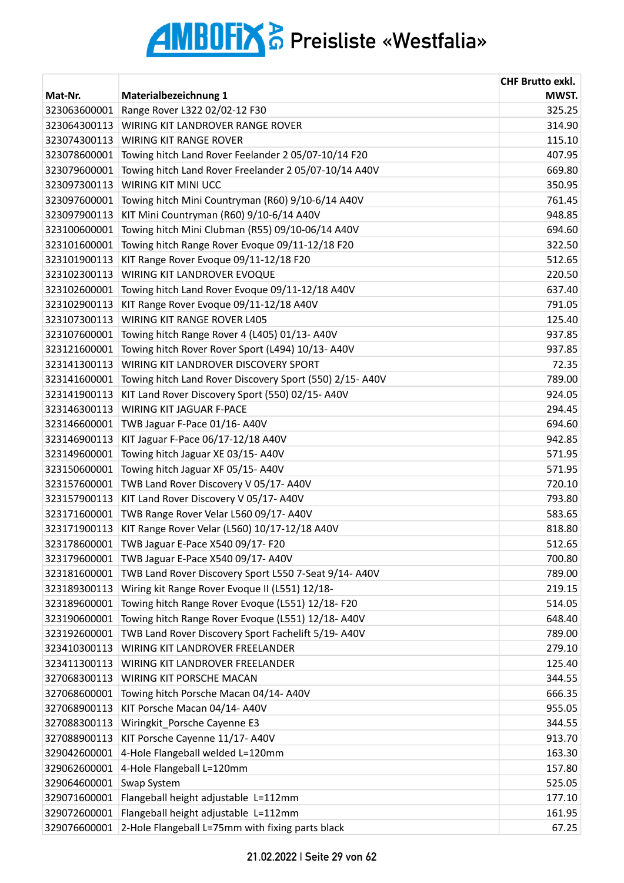| Mat-Nr.      | Materialbezeichnung 1                                   | <b>CHF Brutto exkl.</b><br>MWST. |
|--------------|---------------------------------------------------------|----------------------------------|
| 323063600001 | Range Rover L322 02/02-12 F30                           | 325.25                           |
| 323064300113 | WIRING KIT LANDROVER RANGE ROVER                        | 314.90                           |
| 323074300113 | <b>WIRING KIT RANGE ROVER</b>                           | 115.10                           |
| 323078600001 | Towing hitch Land Rover Feelander 2 05/07-10/14 F20     | 407.95                           |
| 323079600001 | Towing hitch Land Rover Freelander 2 05/07-10/14 A40V   | 669.80                           |
| 323097300113 | WIRING KIT MINI UCC                                     | 350.95                           |
| 323097600001 | Towing hitch Mini Countryman (R60) 9/10-6/14 A40V       | 761.45                           |
| 323097900113 | KIT Mini Countryman (R60) 9/10-6/14 A40V                | 948.85                           |
| 323100600001 | Towing hitch Mini Clubman (R55) 09/10-06/14 A40V        | 694.60                           |
| 323101600001 | Towing hitch Range Rover Evoque 09/11-12/18 F20         | 322.50                           |
| 323101900113 | KIT Range Rover Evoque 09/11-12/18 F20                  | 512.65                           |
| 323102300113 | WIRING KIT LANDROVER EVOQUE                             | 220.50                           |
| 323102600001 | Towing hitch Land Rover Evoque 09/11-12/18 A40V         | 637.40                           |
| 323102900113 | KIT Range Rover Evoque 09/11-12/18 A40V                 | 791.05                           |
| 323107300113 | <b>WIRING KIT RANGE ROVER L405</b>                      | 125.40                           |
| 323107600001 | Towing hitch Range Rover 4 (L405) 01/13- A40V           | 937.85                           |
| 323121600001 | Towing hitch Rover Rover Sport (L494) 10/13-A40V        | 937.85                           |
| 323141300113 | WIRING KIT LANDROVER DISCOVERY SPORT                    | 72.35                            |
| 323141600001 | Towing hitch Land Rover Discovery Sport (550) 2/15-A40V | 789.00                           |
| 323141900113 | KIT Land Rover Discovery Sport (550) 02/15-A40V         | 924.05                           |
| 323146300113 | WIRING KIT JAGUAR F-PACE                                | 294.45                           |
| 323146600001 | TWB Jaguar F-Pace 01/16-A40V                            | 694.60                           |
| 323146900113 | KIT Jaguar F-Pace 06/17-12/18 A40V                      | 942.85                           |
| 323149600001 | Towing hitch Jaguar XE 03/15-A40V                       | 571.95                           |
| 323150600001 | Towing hitch Jaguar XF 05/15-A40V                       | 571.95                           |
| 323157600001 | TWB Land Rover Discovery V 05/17- A40V                  | 720.10                           |
| 323157900113 | KIT Land Rover Discovery V 05/17- A40V                  | 793.80                           |
| 323171600001 | TWB Range Rover Velar L560 09/17- A40V                  | 583.65                           |
| 323171900113 | KIT Range Rover Velar (L560) 10/17-12/18 A40V           | 818.80                           |
| 323178600001 | TWB Jaguar E-Pace X540 09/17- F20                       | 512.65                           |
| 323179600001 | TWB Jaguar E-Pace X540 09/17- A40V                      | 700.80                           |
| 323181600001 | TWB Land Rover Discovery Sport L550 7-Seat 9/14-A40V    | 789.00                           |
| 323189300113 | Wiring kit Range Rover Evoque II (L551) 12/18-          | 219.15                           |
| 323189600001 | Towing hitch Range Rover Evoque (L551) 12/18-F20        | 514.05                           |
| 323190600001 | Towing hitch Range Rover Evoque (L551) 12/18-A40V       | 648.40                           |
| 323192600001 | TWB Land Rover Discovery Sport Fachelift 5/19-A40V      | 789.00                           |
| 323410300113 | WIRING KIT LANDROVER FREELANDER                         | 279.10                           |
| 323411300113 | WIRING KIT LANDROVER FREELANDER                         | 125.40                           |
| 327068300113 | WIRING KIT PORSCHE MACAN                                | 344.55                           |
| 327068600001 | Towing hitch Porsche Macan 04/14-A40V                   | 666.35                           |
| 327068900113 | KIT Porsche Macan 04/14- A40V                           | 955.05                           |
| 327088300113 | Wiringkit_Porsche Cayenne E3                            | 344.55                           |
| 327088900113 | KIT Porsche Cayenne 11/17- A40V                         | 913.70                           |
| 329042600001 | 4-Hole Flangeball welded L=120mm                        | 163.30                           |
| 329062600001 | 4-Hole Flangeball L=120mm                               | 157.80                           |
| 329064600001 | Swap System                                             | 525.05                           |
| 329071600001 | Flangeball height adjustable L=112mm                    | 177.10                           |
| 329072600001 | Flangeball height adjustable L=112mm                    | 161.95                           |
| 329076600001 | 2-Hole Flangeball L=75mm with fixing parts black        | 67.25                            |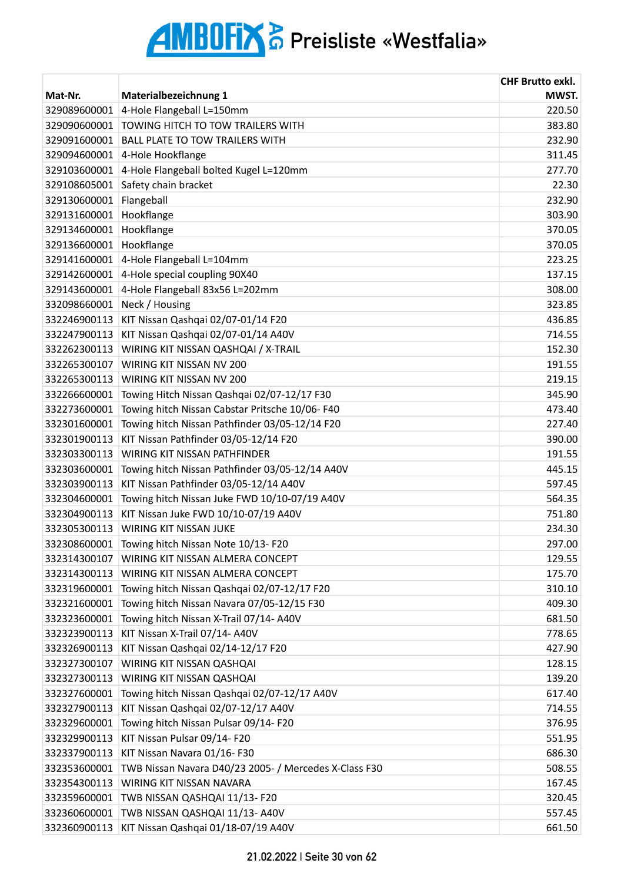|              |                                                       | <b>CHF Brutto exkl.</b> |
|--------------|-------------------------------------------------------|-------------------------|
| Mat-Nr.      | Materialbezeichnung 1                                 | MWST.                   |
| 329089600001 | 4-Hole Flangeball L=150mm                             | 220.50                  |
| 329090600001 | TOWING HITCH TO TOW TRAILERS WITH                     | 383.80                  |
| 329091600001 | <b>BALL PLATE TO TOW TRAILERS WITH</b>                | 232.90                  |
| 329094600001 | 4-Hole Hookflange                                     | 311.45                  |
| 329103600001 | 4-Hole Flangeball bolted Kugel L=120mm                | 277.70                  |
| 329108605001 | Safety chain bracket                                  | 22.30                   |
| 329130600001 | Flangeball                                            | 232.90                  |
| 329131600001 | Hookflange                                            | 303.90                  |
| 329134600001 | Hookflange                                            | 370.05                  |
| 329136600001 | Hookflange                                            | 370.05                  |
| 329141600001 | 4-Hole Flangeball L=104mm                             | 223.25                  |
| 329142600001 | 4-Hole special coupling 90X40                         | 137.15                  |
| 329143600001 | 4-Hole Flangeball 83x56 L=202mm                       | 308.00                  |
| 332098660001 | Neck / Housing                                        | 323.85                  |
| 332246900113 | KIT Nissan Qashqai 02/07-01/14 F20                    | 436.85                  |
| 332247900113 | KIT Nissan Qashqai 02/07-01/14 A40V                   | 714.55                  |
| 332262300113 | WIRING KIT NISSAN QASHQAI / X-TRAIL                   | 152.30                  |
| 332265300107 | WIRING KIT NISSAN NV 200                              | 191.55                  |
| 332265300113 | WIRING KIT NISSAN NV 200                              | 219.15                  |
| 332266600001 | Towing Hitch Nissan Qashqai 02/07-12/17 F30           | 345.90                  |
| 332273600001 | Towing hitch Nissan Cabstar Pritsche 10/06-F40        | 473.40                  |
| 332301600001 | Towing hitch Nissan Pathfinder 03/05-12/14 F20        | 227.40                  |
| 332301900113 | KIT Nissan Pathfinder 03/05-12/14 F20                 | 390.00                  |
| 332303300113 | WIRING KIT NISSAN PATHFINDER                          | 191.55                  |
| 332303600001 | Towing hitch Nissan Pathfinder 03/05-12/14 A40V       | 445.15                  |
| 332303900113 | KIT Nissan Pathfinder 03/05-12/14 A40V                | 597.45                  |
| 332304600001 | Towing hitch Nissan Juke FWD 10/10-07/19 A40V         | 564.35                  |
| 332304900113 | KIT Nissan Juke FWD 10/10-07/19 A40V                  | 751.80                  |
| 332305300113 | <b>WIRING KIT NISSAN JUKE</b>                         | 234.30                  |
| 332308600001 | Towing hitch Nissan Note 10/13- F20                   | 297.00                  |
| 332314300107 | WIRING KIT NISSAN ALMERA CONCEPT                      | 129.55                  |
| 332314300113 | WIRING KIT NISSAN ALMERA CONCEPT                      | 175.70                  |
| 332319600001 | Towing hitch Nissan Qashqai 02/07-12/17 F20           | 310.10                  |
| 332321600001 | Towing hitch Nissan Navara 07/05-12/15 F30            | 409.30                  |
| 332323600001 | Towing hitch Nissan X-Trail 07/14- A40V               | 681.50                  |
| 332323900113 | KIT Nissan X-Trail 07/14- A40V                        | 778.65                  |
| 332326900113 | KIT Nissan Qashqai 02/14-12/17 F20                    | 427.90                  |
| 332327300107 | WIRING KIT NISSAN QASHQAI                             | 128.15                  |
| 332327300113 | WIRING KIT NISSAN QASHQAI                             | 139.20                  |
| 332327600001 | Towing hitch Nissan Qashqai 02/07-12/17 A40V          | 617.40                  |
| 332327900113 | KIT Nissan Qashqai 02/07-12/17 A40V                   | 714.55                  |
| 332329600001 | Towing hitch Nissan Pulsar 09/14-F20                  | 376.95                  |
| 332329900113 | KIT Nissan Pulsar 09/14- F20                          | 551.95                  |
| 332337900113 | KIT Nissan Navara 01/16-F30                           | 686.30                  |
| 332353600001 | TWB Nissan Navara D40/23 2005- / Mercedes X-Class F30 | 508.55                  |
| 332354300113 | WIRING KIT NISSAN NAVARA                              | 167.45                  |
| 332359600001 | TWB NISSAN QASHQAI 11/13- F20                         | 320.45                  |
| 332360600001 | TWB NISSAN QASHQAI 11/13- A40V                        | 557.45                  |
|              | 332360900113 KIT Nissan Qashqai 01/18-07/19 A40V      | 661.50                  |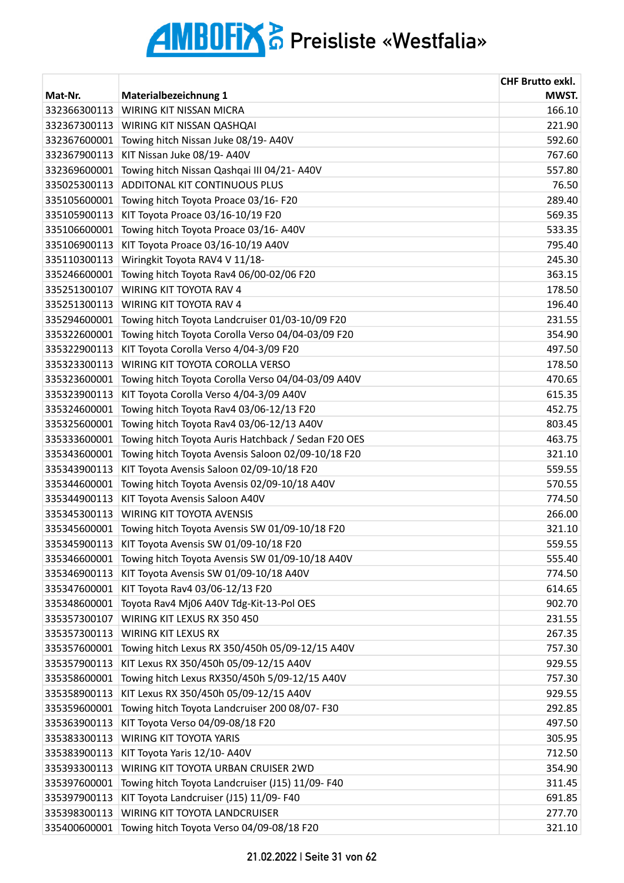|              |                                                     | <b>CHF Brutto exkl.</b> |
|--------------|-----------------------------------------------------|-------------------------|
| Mat-Nr.      | Materialbezeichnung 1                               | MWST.                   |
| 332366300113 | <b>WIRING KIT NISSAN MICRA</b>                      | 166.10                  |
| 332367300113 | WIRING KIT NISSAN QASHQAI                           | 221.90                  |
| 332367600001 | Towing hitch Nissan Juke 08/19- A40V                | 592.60                  |
| 332367900113 | KIT Nissan Juke 08/19- A40V                         | 767.60                  |
| 332369600001 | Towing hitch Nissan Qashqai III 04/21-A40V          | 557.80                  |
| 335025300113 | <b>ADDITONAL KIT CONTINUOUS PLUS</b>                | 76.50                   |
| 335105600001 | Towing hitch Toyota Proace 03/16-F20                | 289.40                  |
| 335105900113 | KIT Toyota Proace 03/16-10/19 F20                   | 569.35                  |
| 335106600001 | Towing hitch Toyota Proace 03/16-A40V               | 533.35                  |
| 335106900113 | KIT Toyota Proace 03/16-10/19 A40V                  | 795.40                  |
| 335110300113 | Wiringkit Toyota RAV4 V 11/18-                      | 245.30                  |
| 335246600001 | Towing hitch Toyota Rav4 06/00-02/06 F20            | 363.15                  |
| 335251300107 | WIRING KIT TOYOTA RAV 4                             | 178.50                  |
| 335251300113 | WIRING KIT TOYOTA RAV 4                             | 196.40                  |
| 335294600001 | Towing hitch Toyota Landcruiser 01/03-10/09 F20     | 231.55                  |
| 335322600001 | Towing hitch Toyota Corolla Verso 04/04-03/09 F20   | 354.90                  |
| 335322900113 | KIT Toyota Corolla Verso 4/04-3/09 F20              | 497.50                  |
| 335323300113 | WIRING KIT TOYOTA COROLLA VERSO                     | 178.50                  |
| 335323600001 | Towing hitch Toyota Corolla Verso 04/04-03/09 A40V  | 470.65                  |
| 335323900113 | KIT Toyota Corolla Verso 4/04-3/09 A40V             | 615.35                  |
| 335324600001 | Towing hitch Toyota Rav4 03/06-12/13 F20            | 452.75                  |
| 335325600001 | Towing hitch Toyota Rav4 03/06-12/13 A40V           | 803.45                  |
| 335333600001 | Towing hitch Toyota Auris Hatchback / Sedan F20 OES | 463.75                  |
| 335343600001 | Towing hitch Toyota Avensis Saloon 02/09-10/18 F20  | 321.10                  |
| 335343900113 | KIT Toyota Avensis Saloon 02/09-10/18 F20           | 559.55                  |
| 335344600001 | Towing hitch Toyota Avensis 02/09-10/18 A40V        | 570.55                  |
| 335344900113 | KIT Toyota Avensis Saloon A40V                      | 774.50                  |
| 335345300113 | <b>WIRING KIT TOYOTA AVENSIS</b>                    | 266.00                  |
| 335345600001 | Towing hitch Toyota Avensis SW 01/09-10/18 F20      | 321.10                  |
| 335345900113 | KIT Toyota Avensis SW 01/09-10/18 F20               | 559.55                  |
| 335346600001 | Towing hitch Toyota Avensis SW 01/09-10/18 A40V     | 555.40                  |
| 335346900113 | KIT Toyota Avensis SW 01/09-10/18 A40V              | 774.50                  |
| 335347600001 | KIT Toyota Rav4 03/06-12/13 F20                     | 614.65                  |
| 335348600001 | Toyota Rav4 Mj06 A40V Tdg-Kit-13-Pol OES            | 902.70                  |
| 335357300107 | WIRING KIT LEXUS RX 350 450                         | 231.55                  |
| 335357300113 | WIRING KIT LEXUS RX                                 | 267.35                  |
| 335357600001 | Towing hitch Lexus RX 350/450h 05/09-12/15 A40V     | 757.30                  |
| 335357900113 | KIT Lexus RX 350/450h 05/09-12/15 A40V              | 929.55                  |
| 335358600001 | Towing hitch Lexus RX350/450h 5/09-12/15 A40V       | 757.30                  |
| 335358900113 | KIT Lexus RX 350/450h 05/09-12/15 A40V              | 929.55                  |
| 335359600001 | Towing hitch Toyota Landcruiser 200 08/07- F30      | 292.85                  |
| 335363900113 | KIT Toyota Verso 04/09-08/18 F20                    | 497.50                  |
| 335383300113 | WIRING KIT TOYOTA YARIS                             | 305.95                  |
| 335383900113 | KIT Toyota Yaris 12/10- A40V                        | 712.50                  |
| 335393300113 | WIRING KIT TOYOTA URBAN CRUISER 2WD                 | 354.90                  |
| 335397600001 | Towing hitch Toyota Landcruiser (J15) 11/09- F40    | 311.45                  |
| 335397900113 | KIT Toyota Landcruiser (J15) 11/09- F40             | 691.85                  |
| 335398300113 | WIRING KIT TOYOTA LANDCRUISER                       | 277.70                  |
| 335400600001 | Towing hitch Toyota Verso 04/09-08/18 F20           | 321.10                  |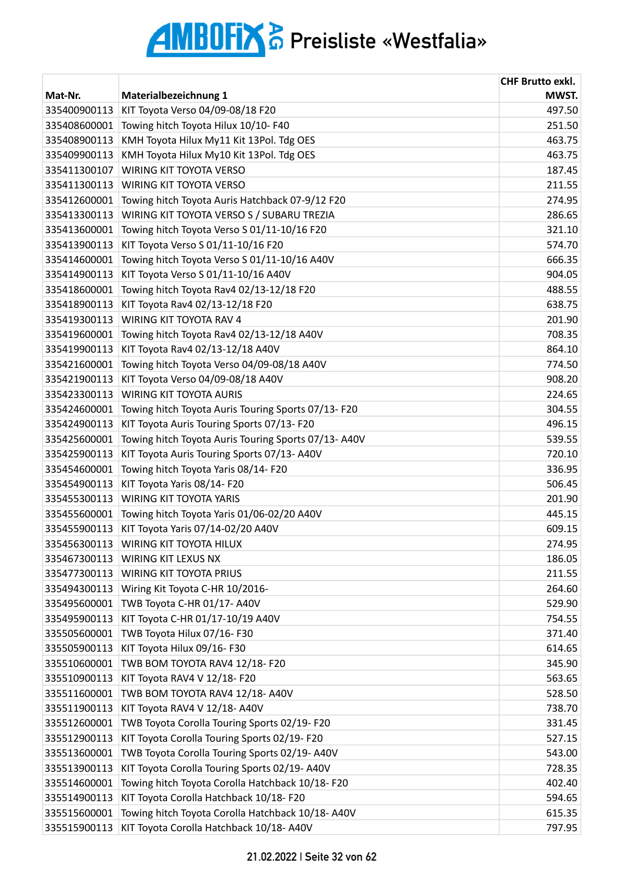|              |                                                     | <b>CHF Brutto exkl.</b> |
|--------------|-----------------------------------------------------|-------------------------|
| Mat-Nr.      | Materialbezeichnung 1                               | MWST.                   |
| 335400900113 | KIT Toyota Verso 04/09-08/18 F20                    | 497.50                  |
| 335408600001 | Towing hitch Toyota Hilux 10/10-F40                 | 251.50                  |
| 335408900113 | KMH Toyota Hilux My11 Kit 13Pol. Tdg OES            | 463.75                  |
| 335409900113 | KMH Toyota Hilux My10 Kit 13Pol. Tdg OES            | 463.75                  |
| 335411300107 | WIRING KIT TOYOTA VERSO                             | 187.45                  |
| 335411300113 | WIRING KIT TOYOTA VERSO                             | 211.55                  |
| 335412600001 | Towing hitch Toyota Auris Hatchback 07-9/12 F20     | 274.95                  |
| 335413300113 | WIRING KIT TOYOTA VERSO S / SUBARU TREZIA           | 286.65                  |
| 335413600001 | Towing hitch Toyota Verso S 01/11-10/16 F20         | 321.10                  |
| 335413900113 | KIT Toyota Verso S 01/11-10/16 F20                  | 574.70                  |
| 335414600001 | Towing hitch Toyota Verso S 01/11-10/16 A40V        | 666.35                  |
| 335414900113 | KIT Toyota Verso S 01/11-10/16 A40V                 | 904.05                  |
| 335418600001 | Towing hitch Toyota Rav4 02/13-12/18 F20            | 488.55                  |
| 335418900113 | KIT Toyota Rav4 02/13-12/18 F20                     | 638.75                  |
| 335419300113 | WIRING KIT TOYOTA RAV 4                             | 201.90                  |
| 335419600001 | Towing hitch Toyota Rav4 02/13-12/18 A40V           | 708.35                  |
| 335419900113 | KIT Toyota Rav4 02/13-12/18 A40V                    | 864.10                  |
| 335421600001 | Towing hitch Toyota Verso 04/09-08/18 A40V          | 774.50                  |
| 335421900113 | KIT Toyota Verso 04/09-08/18 A40V                   | 908.20                  |
| 335423300113 | WIRING KIT TOYOTA AURIS                             | 224.65                  |
| 335424600001 | Towing hitch Toyota Auris Touring Sports 07/13-F20  | 304.55                  |
| 335424900113 | KIT Toyota Auris Touring Sports 07/13-F20           | 496.15                  |
| 335425600001 | Towing hitch Toyota Auris Touring Sports 07/13-A40V | 539.55                  |
| 335425900113 | KIT Toyota Auris Touring Sports 07/13-A40V          | 720.10                  |
| 335454600001 | Towing hitch Toyota Yaris 08/14-F20                 | 336.95                  |
| 335454900113 | KIT Toyota Yaris 08/14- F20                         | 506.45                  |
| 335455300113 | <b>WIRING KIT TOYOTA YARIS</b>                      | 201.90                  |
| 335455600001 | Towing hitch Toyota Yaris 01/06-02/20 A40V          | 445.15                  |
| 335455900113 | KIT Toyota Yaris 07/14-02/20 A40V                   | 609.15                  |
| 335456300113 | WIRING KIT TOYOTA HILUX                             | 274.95                  |
| 335467300113 | WIRING KIT LEXUS NX                                 | 186.05                  |
| 335477300113 | WIRING KIT TOYOTA PRIUS                             | 211.55                  |
| 335494300113 | Wiring Kit Toyota C-HR 10/2016-                     | 264.60                  |
| 335495600001 | TWB Toyota C-HR 01/17- A40V                         | 529.90                  |
| 335495900113 | KIT Toyota C-HR 01/17-10/19 A40V                    | 754.55                  |
| 335505600001 | TWB Toyota Hilux 07/16-F30                          | 371.40                  |
| 335505900113 | KIT Toyota Hilux 09/16-F30                          | 614.65                  |
| 335510600001 | TWB BOM TOYOTA RAV4 12/18-F20                       | 345.90                  |
| 335510900113 | KIT Toyota RAV4 V 12/18- F20                        | 563.65                  |
| 335511600001 | TWB BOM TOYOTA RAV4 12/18-A40V                      | 528.50                  |
| 335511900113 | KIT Toyota RAV4 V 12/18- A40V                       | 738.70                  |
| 335512600001 | TWB Toyota Corolla Touring Sports 02/19-F20         | 331.45                  |
| 335512900113 | KIT Toyota Corolla Touring Sports 02/19-F20         | 527.15                  |
| 335513600001 | TWB Toyota Corolla Touring Sports 02/19-A40V        | 543.00                  |
| 335513900113 | KIT Toyota Corolla Touring Sports 02/19-A40V        | 728.35                  |
| 335514600001 | Towing hitch Toyota Corolla Hatchback 10/18-F20     | 402.40                  |
| 335514900113 | KIT Toyota Corolla Hatchback 10/18-F20              | 594.65                  |
| 335515600001 | Towing hitch Toyota Corolla Hatchback 10/18-A40V    | 615.35                  |
| 335515900113 | KIT Toyota Corolla Hatchback 10/18-A40V             | 797.95                  |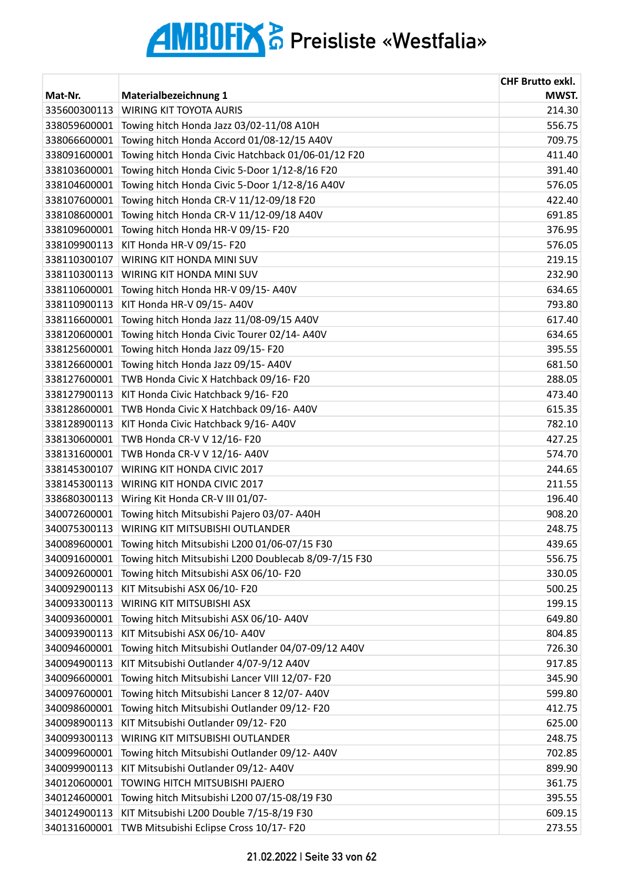| Mat-Nr.      | Materialbezeichnung 1                                | <b>CHF Brutto exkl.</b><br>MWST. |
|--------------|------------------------------------------------------|----------------------------------|
| 335600300113 | <b>WIRING KIT TOYOTA AURIS</b>                       | 214.30                           |
| 338059600001 | Towing hitch Honda Jazz 03/02-11/08 A10H             | 556.75                           |
| 338066600001 | Towing hitch Honda Accord 01/08-12/15 A40V           | 709.75                           |
| 338091600001 | Towing hitch Honda Civic Hatchback 01/06-01/12 F20   | 411.40                           |
| 338103600001 | Towing hitch Honda Civic 5-Door 1/12-8/16 F20        | 391.40                           |
| 338104600001 | Towing hitch Honda Civic 5-Door 1/12-8/16 A40V       | 576.05                           |
| 338107600001 | Towing hitch Honda CR-V 11/12-09/18 F20              | 422.40                           |
| 338108600001 | Towing hitch Honda CR-V 11/12-09/18 A40V             | 691.85                           |
| 338109600001 | Towing hitch Honda HR-V 09/15-F20                    | 376.95                           |
| 338109900113 | KIT Honda HR-V 09/15- F20                            | 576.05                           |
| 338110300107 | WIRING KIT HONDA MINI SUV                            | 219.15                           |
| 338110300113 | WIRING KIT HONDA MINI SUV                            | 232.90                           |
| 338110600001 | Towing hitch Honda HR-V 09/15- A40V                  | 634.65                           |
| 338110900113 | KIT Honda HR-V 09/15- A40V                           | 793.80                           |
| 338116600001 | Towing hitch Honda Jazz 11/08-09/15 A40V             | 617.40                           |
| 338120600001 | Towing hitch Honda Civic Tourer 02/14-A40V           | 634.65                           |
| 338125600001 | Towing hitch Honda Jazz 09/15-F20                    | 395.55                           |
| 338126600001 | Towing hitch Honda Jazz 09/15-A40V                   | 681.50                           |
| 338127600001 | TWB Honda Civic X Hatchback 09/16-F20                | 288.05                           |
| 338127900113 | KIT Honda Civic Hatchback 9/16-F20                   | 473.40                           |
| 338128600001 | TWB Honda Civic X Hatchback 09/16-A40V               | 615.35                           |
| 338128900113 | KIT Honda Civic Hatchback 9/16-A40V                  | 782.10                           |
| 338130600001 | TWB Honda CR-V V 12/16- F20                          | 427.25                           |
| 338131600001 | TWB Honda CR-V V 12/16- A40V                         | 574.70                           |
| 338145300107 | WIRING KIT HONDA CIVIC 2017                          | 244.65                           |
| 338145300113 | WIRING KIT HONDA CIVIC 2017                          | 211.55                           |
| 338680300113 | Wiring Kit Honda CR-V III 01/07-                     | 196.40                           |
| 340072600001 | Towing hitch Mitsubishi Pajero 03/07- A40H           | 908.20                           |
| 340075300113 | WIRING KIT MITSUBISHI OUTLANDER                      | 248.75                           |
| 340089600001 | Towing hitch Mitsubishi L200 01/06-07/15 F30         | 439.65                           |
| 340091600001 | Towing hitch Mitsubishi L200 Doublecab 8/09-7/15 F30 | 556.75                           |
| 340092600001 | Towing hitch Mitsubishi ASX 06/10-F20                | 330.05                           |
| 340092900113 | KIT Mitsubishi ASX 06/10- F20                        | 500.25                           |
| 340093300113 | WIRING KIT MITSUBISHI ASX                            | 199.15                           |
| 340093600001 | Towing hitch Mitsubishi ASX 06/10-A40V               | 649.80                           |
| 340093900113 | KIT Mitsubishi ASX 06/10- A40V                       | 804.85                           |
| 340094600001 | Towing hitch Mitsubishi Outlander 04/07-09/12 A40V   | 726.30                           |
| 340094900113 | KIT Mitsubishi Outlander 4/07-9/12 A40V              | 917.85                           |
| 340096600001 | Towing hitch Mitsubishi Lancer VIII 12/07- F20       | 345.90                           |
| 340097600001 | Towing hitch Mitsubishi Lancer 8 12/07- A40V         | 599.80                           |
| 340098600001 | Towing hitch Mitsubishi Outlander 09/12-F20          | 412.75                           |
| 340098900113 | KIT Mitsubishi Outlander 09/12- F20                  | 625.00                           |
| 340099300113 | WIRING KIT MITSUBISHI OUTLANDER                      | 248.75                           |
| 340099600001 | Towing hitch Mitsubishi Outlander 09/12-A40V         | 702.85                           |
| 340099900113 | KIT Mitsubishi Outlander 09/12- A40V                 | 899.90                           |
| 340120600001 | TOWING HITCH MITSUBISHI PAJERO                       | 361.75                           |
| 340124600001 | Towing hitch Mitsubishi L200 07/15-08/19 F30         | 395.55                           |
| 340124900113 | KIT Mitsubishi L200 Double 7/15-8/19 F30             | 609.15                           |
| 340131600001 | TWB Mitsubishi Eclipse Cross 10/17- F20              | 273.55                           |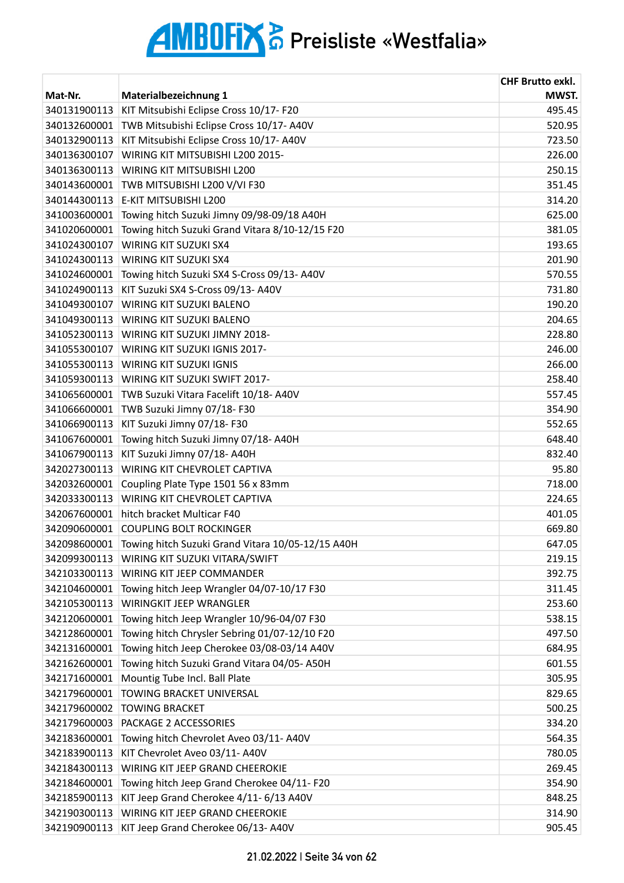| Mat-Nr.      | Materialbezeichnung 1                             | <b>CHF Brutto exkl.</b><br>MWST. |
|--------------|---------------------------------------------------|----------------------------------|
| 340131900113 | KIT Mitsubishi Eclipse Cross 10/17- F20           | 495.45                           |
| 340132600001 | TWB Mitsubishi Eclipse Cross 10/17- A40V          | 520.95                           |
| 340132900113 | KIT Mitsubishi Eclipse Cross 10/17- A40V          | 723.50                           |
| 340136300107 | WIRING KIT MITSUBISHI L200 2015-                  | 226.00                           |
| 340136300113 | WIRING KIT MITSUBISHI L200                        | 250.15                           |
| 340143600001 | TWB MITSUBISHI L200 V/VI F30                      | 351.45                           |
| 340144300113 | E-KIT MITSUBISHI L200                             | 314.20                           |
| 341003600001 | Towing hitch Suzuki Jimny 09/98-09/18 A40H        | 625.00                           |
| 341020600001 | Towing hitch Suzuki Grand Vitara 8/10-12/15 F20   | 381.05                           |
| 341024300107 | WIRING KIT SUZUKI SX4                             | 193.65                           |
| 341024300113 | <b>WIRING KIT SUZUKI SX4</b>                      | 201.90                           |
| 341024600001 | Towing hitch Suzuki SX4 S-Cross 09/13- A40V       | 570.55                           |
| 341024900113 | KIT Suzuki SX4 S-Cross 09/13- A40V                | 731.80                           |
| 341049300107 | WIRING KIT SUZUKI BALENO                          | 190.20                           |
| 341049300113 | WIRING KIT SUZUKI BALENO                          | 204.65                           |
| 341052300113 | WIRING KIT SUZUKI JIMNY 2018-                     | 228.80                           |
| 341055300107 | WIRING KIT SUZUKI IGNIS 2017-                     | 246.00                           |
| 341055300113 | <b>WIRING KIT SUZUKI IGNIS</b>                    | 266.00                           |
| 341059300113 | WIRING KIT SUZUKI SWIFT 2017-                     | 258.40                           |
| 341065600001 | TWB Suzuki Vitara Facelift 10/18-A40V             | 557.45                           |
| 341066600001 | TWB Suzuki Jimny 07/18-F30                        | 354.90                           |
| 341066900113 | KIT Suzuki Jimny 07/18- F30                       | 552.65                           |
| 341067600001 | Towing hitch Suzuki Jimny 07/18-A40H              | 648.40                           |
| 341067900113 | KIT Suzuki Jimny 07/18- A40H                      | 832.40                           |
| 342027300113 | WIRING KIT CHEVROLET CAPTIVA                      | 95.80                            |
| 342032600001 | Coupling Plate Type 1501 56 x 83mm                | 718.00                           |
| 342033300113 | WIRING KIT CHEVROLET CAPTIVA                      | 224.65                           |
| 342067600001 | hitch bracket Multicar F40                        | 401.05                           |
| 342090600001 | <b>COUPLING BOLT ROCKINGER</b>                    | 669.80                           |
| 342098600001 | Towing hitch Suzuki Grand Vitara 10/05-12/15 A40H | 647.05                           |
| 342099300113 | WIRING KIT SUZUKI VITARA/SWIFT                    | 219.15                           |
| 342103300113 | WIRING KIT JEEP COMMANDER                         | 392.75                           |
| 342104600001 | Towing hitch Jeep Wrangler 04/07-10/17 F30        | 311.45                           |
| 342105300113 | <b>WIRINGKIT JEEP WRANGLER</b>                    | 253.60                           |
| 342120600001 | Towing hitch Jeep Wrangler 10/96-04/07 F30        | 538.15                           |
| 342128600001 | Towing hitch Chrysler Sebring 01/07-12/10 F20     | 497.50                           |
| 342131600001 | Towing hitch Jeep Cherokee 03/08-03/14 A40V       | 684.95                           |
| 342162600001 | Towing hitch Suzuki Grand Vitara 04/05-A50H       | 601.55                           |
| 342171600001 | Mountig Tube Incl. Ball Plate                     | 305.95                           |
| 342179600001 | TOWING BRACKET UNIVERSAL                          | 829.65                           |
| 342179600002 | <b>TOWING BRACKET</b>                             | 500.25                           |
| 342179600003 | PACKAGE 2 ACCESSORIES                             | 334.20                           |
| 342183600001 | Towing hitch Chevrolet Aveo 03/11- A40V           | 564.35                           |
| 342183900113 | KIT Chevrolet Aveo 03/11-A40V                     | 780.05                           |
| 342184300113 | WIRING KIT JEEP GRAND CHEEROKIE                   | 269.45                           |
| 342184600001 | Towing hitch Jeep Grand Cherokee 04/11- F20       | 354.90                           |
| 342185900113 | KIT Jeep Grand Cherokee 4/11- 6/13 A40V           | 848.25                           |
| 342190300113 | WIRING KIT JEEP GRAND CHEEROKIE                   | 314.90                           |
| 342190900113 | KIT Jeep Grand Cherokee 06/13- A40V               | 905.45                           |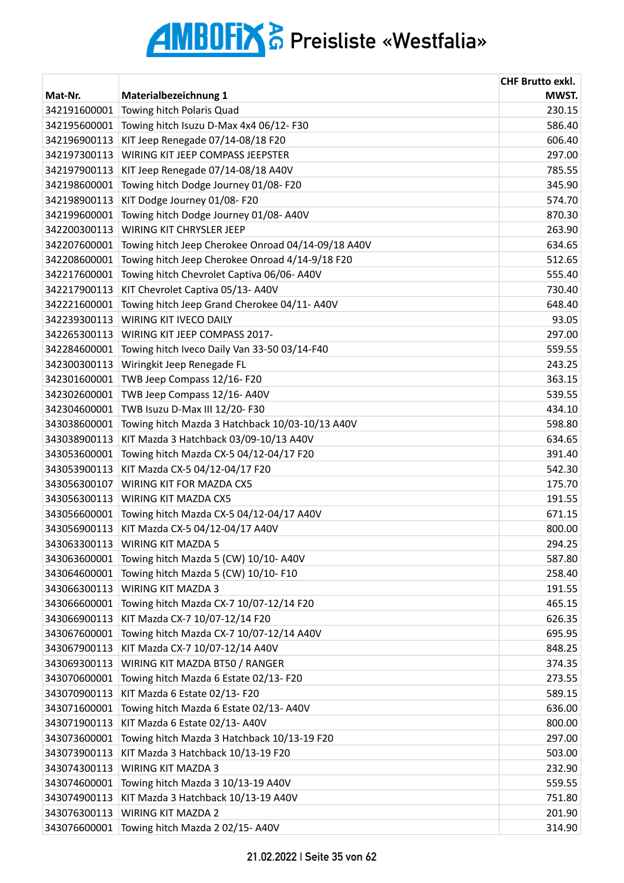| Mat-Nr.      | Materialbezeichnung 1                              | <b>CHF Brutto exkl.</b><br>MWST. |
|--------------|----------------------------------------------------|----------------------------------|
| 342191600001 | Towing hitch Polaris Quad                          | 230.15                           |
| 342195600001 | Towing hitch Isuzu D-Max 4x4 06/12- F30            | 586.40                           |
| 342196900113 | KIT Jeep Renegade 07/14-08/18 F20                  | 606.40                           |
| 342197300113 | WIRING KIT JEEP COMPASS JEEPSTER                   | 297.00                           |
| 342197900113 | KIT Jeep Renegade 07/14-08/18 A40V                 | 785.55                           |
| 342198600001 | Towing hitch Dodge Journey 01/08-F20               | 345.90                           |
| 342198900113 | KIT Dodge Journey 01/08- F20                       | 574.70                           |
| 342199600001 | Towing hitch Dodge Journey 01/08-A40V              | 870.30                           |
| 342200300113 | <b>WIRING KIT CHRYSLER JEEP</b>                    | 263.90                           |
| 342207600001 | Towing hitch Jeep Cherokee Onroad 04/14-09/18 A40V | 634.65                           |
|              | Towing hitch Jeep Cherokee Onroad 4/14-9/18 F20    |                                  |
| 342208600001 |                                                    | 512.65                           |
| 342217600001 | Towing hitch Chevrolet Captiva 06/06- A40V         | 555.40                           |
| 342217900113 | KIT Chevrolet Captiva 05/13- A40V                  | 730.40                           |
| 342221600001 | Towing hitch Jeep Grand Cherokee 04/11-A40V        | 648.40                           |
| 342239300113 | <b>WIRING KIT IVECO DAILY</b>                      | 93.05                            |
| 342265300113 | WIRING KIT JEEP COMPASS 2017-                      | 297.00                           |
| 342284600001 | Towing hitch Iveco Daily Van 33-50 03/14-F40       | 559.55                           |
| 342300300113 | Wiringkit Jeep Renegade FL                         | 243.25                           |
| 342301600001 | TWB Jeep Compass 12/16-F20                         | 363.15                           |
| 342302600001 | TWB Jeep Compass 12/16-A40V                        | 539.55                           |
| 342304600001 | TWB Isuzu D-Max III 12/20-F30                      | 434.10                           |
| 343038600001 | Towing hitch Mazda 3 Hatchback 10/03-10/13 A40V    | 598.80                           |
| 343038900113 | KIT Mazda 3 Hatchback 03/09-10/13 A40V             | 634.65                           |
| 343053600001 | Towing hitch Mazda CX-5 04/12-04/17 F20            | 391.40                           |
| 343053900113 | KIT Mazda CX-5 04/12-04/17 F20                     | 542.30                           |
| 343056300107 | <b>WIRING KIT FOR MAZDA CX5</b>                    | 175.70                           |
| 343056300113 | <b>WIRING KIT MAZDA CX5</b>                        | 191.55                           |
| 343056600001 | Towing hitch Mazda CX-5 04/12-04/17 A40V           | 671.15                           |
| 343056900113 | KIT Mazda CX-5 04/12-04/17 A40V                    | 800.00                           |
| 343063300113 | <b>WIRING KIT MAZDA 5</b>                          | 294.25                           |
| 343063600001 | Towing hitch Mazda 5 (CW) 10/10- A40V              | 587.80                           |
| 343064600001 | Towing hitch Mazda 5 (CW) 10/10-F10                | 258.40                           |
| 343066300113 | <b>WIRING KIT MAZDA 3</b>                          | 191.55                           |
| 343066600001 | Towing hitch Mazda CX-7 10/07-12/14 F20            | 465.15                           |
| 343066900113 | KIT Mazda CX-7 10/07-12/14 F20                     | 626.35                           |
| 343067600001 | Towing hitch Mazda CX-7 10/07-12/14 A40V           | 695.95                           |
| 343067900113 | KIT Mazda CX-7 10/07-12/14 A40V                    | 848.25                           |
| 343069300113 | WIRING KIT MAZDA BT50 / RANGER                     | 374.35                           |
| 343070600001 | Towing hitch Mazda 6 Estate 02/13-F20              | 273.55                           |
| 343070900113 | KIT Mazda 6 Estate 02/13-F20                       | 589.15                           |
| 343071600001 | Towing hitch Mazda 6 Estate 02/13-A40V             | 636.00                           |
| 343071900113 | KIT Mazda 6 Estate 02/13-A40V                      | 800.00                           |
| 343073600001 | Towing hitch Mazda 3 Hatchback 10/13-19 F20        | 297.00                           |
| 343073900113 | KIT Mazda 3 Hatchback 10/13-19 F20                 | 503.00                           |
| 343074300113 | <b>WIRING KIT MAZDA 3</b>                          | 232.90                           |
| 343074600001 | Towing hitch Mazda 3 10/13-19 A40V                 | 559.55                           |
| 343074900113 | KIT Mazda 3 Hatchback 10/13-19 A40V                | 751.80                           |
| 343076300113 | <b>WIRING KIT MAZDA 2</b>                          | 201.90                           |
| 343076600001 | Towing hitch Mazda 2 02/15- A40V                   | 314.90                           |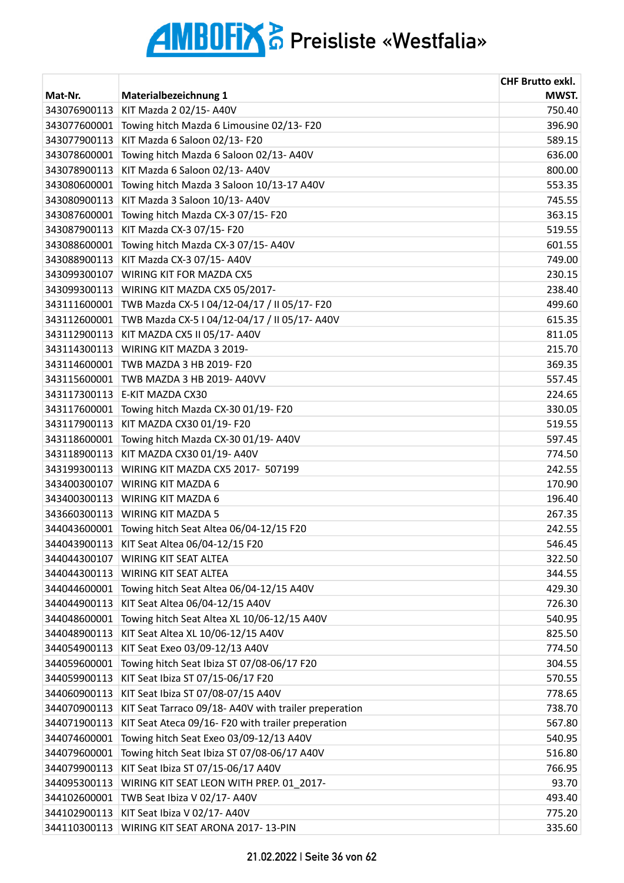| Mat-Nr.<br>Materialbezeichnung 1<br>KIT Mazda 2 02/15- A40V<br>750.40<br>343076900113<br>Towing hitch Mazda 6 Limousine 02/13-F20<br>396.90<br>343077600001<br>KIT Mazda 6 Saloon 02/13-F20<br>589.15<br>343077900113<br>Towing hitch Mazda 6 Saloon 02/13- A40V<br>636.00<br>343078600001<br>KIT Mazda 6 Saloon 02/13- A40V<br>343078900113<br>800.00<br>Towing hitch Mazda 3 Saloon 10/13-17 A40V<br>553.35<br>343080600001<br>KIT Mazda 3 Saloon 10/13- A40V<br>343080900113<br>745.55<br>363.15<br>343087600001<br>Towing hitch Mazda CX-3 07/15- F20<br>KIT Mazda CX-3 07/15- F20<br>343087900113<br>519.55<br>Towing hitch Mazda CX-3 07/15- A40V<br>601.55<br>343088600001<br>KIT Mazda CX-3 07/15- A40V<br>749.00<br>343088900113<br>230.15<br>343099300107<br>WIRING KIT FOR MAZDA CX5<br>238.40<br>343099300113<br>WIRING KIT MAZDA CX5 05/2017-<br>TWB Mazda CX-5   04/12-04/17 / II 05/17- F20<br>499.60<br>343111600001<br>TWB Mazda CX-5   04/12-04/17 / II 05/17- A40V<br>343112600001<br>615.35<br>KIT MAZDA CX5 II 05/17- A40V<br>811.05<br>343112900113<br>215.70<br>343114300113<br>WIRING KIT MAZDA 3 2019-<br>343114600001<br>TWB MAZDA 3 HB 2019- F20<br>369.35<br>343115600001<br>TWB MAZDA 3 HB 2019- A40VV<br>557.45<br>343117300113<br>E-KIT MAZDA CX30<br>224.65<br>343117600001<br>Towing hitch Mazda CX-30 01/19- F20<br>330.05<br>KIT MAZDA CX30 01/19- F20<br>519.55<br>343117900113<br>Towing hitch Mazda CX-30 01/19- A40V<br>343118600001<br>597.45<br>KIT MAZDA CX30 01/19- A40V<br>343118900113<br>774.50<br>WIRING KIT MAZDA CX5 2017- 507199<br>343199300113<br>242.55<br>343400300107<br>WIRING KIT MAZDA 6<br>170.90<br>196.40<br>343400300113<br><b>WIRING KIT MAZDA 6</b><br>343660300113<br><b>WIRING KIT MAZDA 5</b><br>267.35<br>Towing hitch Seat Altea 06/04-12/15 F20<br>242.55<br>344043600001<br>KIT Seat Altea 06/04-12/15 F20<br>546.45<br>344043900113<br><b>WIRING KIT SEAT ALTEA</b><br>344044300107<br>322.50<br><b>WIRING KIT SEAT ALTEA</b><br>344044300113<br>344.55<br>Towing hitch Seat Altea 06/04-12/15 A40V<br>429.30<br>344044600001<br>KIT Seat Altea 06/04-12/15 A40V<br>726.30<br>344044900113<br>Towing hitch Seat Altea XL 10/06-12/15 A40V<br>540.95<br>344048600001<br>KIT Seat Altea XL 10/06-12/15 A40V<br>825.50<br>344048900113<br>KIT Seat Exeo 03/09-12/13 A40V<br>344054900113<br>774.50<br>344059600001<br>Towing hitch Seat Ibiza ST 07/08-06/17 F20<br>304.55<br>KIT Seat Ibiza ST 07/15-06/17 F20<br>570.55<br>344059900113<br>778.65<br>344060900113<br>KIT Seat Ibiza ST 07/08-07/15 A40V<br>344070900113<br>KIT Seat Tarraco 09/18-A40V with trailer preperation<br>738.70<br>KIT Seat Ateca 09/16- F20 with trailer preperation<br>344071900113<br>567.80<br>Towing hitch Seat Exeo 03/09-12/13 A40V<br>344074600001<br>540.95<br>344079600001<br>Towing hitch Seat Ibiza ST 07/08-06/17 A40V<br>516.80<br>KIT Seat Ibiza ST 07/15-06/17 A40V<br>344079900113<br>766.95<br>WIRING KIT SEAT LEON WITH PREP. 01 2017-<br>93.70<br>344095300113<br>344102600001<br>TWB Seat Ibiza V 02/17-A40V<br>493.40 |              |                              | <b>CHF Brutto exkl.</b> |
|----------------------------------------------------------------------------------------------------------------------------------------------------------------------------------------------------------------------------------------------------------------------------------------------------------------------------------------------------------------------------------------------------------------------------------------------------------------------------------------------------------------------------------------------------------------------------------------------------------------------------------------------------------------------------------------------------------------------------------------------------------------------------------------------------------------------------------------------------------------------------------------------------------------------------------------------------------------------------------------------------------------------------------------------------------------------------------------------------------------------------------------------------------------------------------------------------------------------------------------------------------------------------------------------------------------------------------------------------------------------------------------------------------------------------------------------------------------------------------------------------------------------------------------------------------------------------------------------------------------------------------------------------------------------------------------------------------------------------------------------------------------------------------------------------------------------------------------------------------------------------------------------------------------------------------------------------------------------------------------------------------------------------------------------------------------------------------------------------------------------------------------------------------------------------------------------------------------------------------------------------------------------------------------------------------------------------------------------------------------------------------------------------------------------------------------------------------------------------------------------------------------------------------------------------------------------------------------------------------------------------------------------------------------------------------------------------------------------------------------------------------------------------------------------------------------------------------------------------------------------------------------------------------------------------------------------------------------------------------------------------------------------------------------------------------------------------------------------|--------------|------------------------------|-------------------------|
|                                                                                                                                                                                                                                                                                                                                                                                                                                                                                                                                                                                                                                                                                                                                                                                                                                                                                                                                                                                                                                                                                                                                                                                                                                                                                                                                                                                                                                                                                                                                                                                                                                                                                                                                                                                                                                                                                                                                                                                                                                                                                                                                                                                                                                                                                                                                                                                                                                                                                                                                                                                                                                                                                                                                                                                                                                                                                                                                                                                                                                                                                              |              |                              | MWST.                   |
|                                                                                                                                                                                                                                                                                                                                                                                                                                                                                                                                                                                                                                                                                                                                                                                                                                                                                                                                                                                                                                                                                                                                                                                                                                                                                                                                                                                                                                                                                                                                                                                                                                                                                                                                                                                                                                                                                                                                                                                                                                                                                                                                                                                                                                                                                                                                                                                                                                                                                                                                                                                                                                                                                                                                                                                                                                                                                                                                                                                                                                                                                              |              |                              |                         |
|                                                                                                                                                                                                                                                                                                                                                                                                                                                                                                                                                                                                                                                                                                                                                                                                                                                                                                                                                                                                                                                                                                                                                                                                                                                                                                                                                                                                                                                                                                                                                                                                                                                                                                                                                                                                                                                                                                                                                                                                                                                                                                                                                                                                                                                                                                                                                                                                                                                                                                                                                                                                                                                                                                                                                                                                                                                                                                                                                                                                                                                                                              |              |                              |                         |
|                                                                                                                                                                                                                                                                                                                                                                                                                                                                                                                                                                                                                                                                                                                                                                                                                                                                                                                                                                                                                                                                                                                                                                                                                                                                                                                                                                                                                                                                                                                                                                                                                                                                                                                                                                                                                                                                                                                                                                                                                                                                                                                                                                                                                                                                                                                                                                                                                                                                                                                                                                                                                                                                                                                                                                                                                                                                                                                                                                                                                                                                                              |              |                              |                         |
|                                                                                                                                                                                                                                                                                                                                                                                                                                                                                                                                                                                                                                                                                                                                                                                                                                                                                                                                                                                                                                                                                                                                                                                                                                                                                                                                                                                                                                                                                                                                                                                                                                                                                                                                                                                                                                                                                                                                                                                                                                                                                                                                                                                                                                                                                                                                                                                                                                                                                                                                                                                                                                                                                                                                                                                                                                                                                                                                                                                                                                                                                              |              |                              |                         |
|                                                                                                                                                                                                                                                                                                                                                                                                                                                                                                                                                                                                                                                                                                                                                                                                                                                                                                                                                                                                                                                                                                                                                                                                                                                                                                                                                                                                                                                                                                                                                                                                                                                                                                                                                                                                                                                                                                                                                                                                                                                                                                                                                                                                                                                                                                                                                                                                                                                                                                                                                                                                                                                                                                                                                                                                                                                                                                                                                                                                                                                                                              |              |                              |                         |
|                                                                                                                                                                                                                                                                                                                                                                                                                                                                                                                                                                                                                                                                                                                                                                                                                                                                                                                                                                                                                                                                                                                                                                                                                                                                                                                                                                                                                                                                                                                                                                                                                                                                                                                                                                                                                                                                                                                                                                                                                                                                                                                                                                                                                                                                                                                                                                                                                                                                                                                                                                                                                                                                                                                                                                                                                                                                                                                                                                                                                                                                                              |              |                              |                         |
|                                                                                                                                                                                                                                                                                                                                                                                                                                                                                                                                                                                                                                                                                                                                                                                                                                                                                                                                                                                                                                                                                                                                                                                                                                                                                                                                                                                                                                                                                                                                                                                                                                                                                                                                                                                                                                                                                                                                                                                                                                                                                                                                                                                                                                                                                                                                                                                                                                                                                                                                                                                                                                                                                                                                                                                                                                                                                                                                                                                                                                                                                              |              |                              |                         |
|                                                                                                                                                                                                                                                                                                                                                                                                                                                                                                                                                                                                                                                                                                                                                                                                                                                                                                                                                                                                                                                                                                                                                                                                                                                                                                                                                                                                                                                                                                                                                                                                                                                                                                                                                                                                                                                                                                                                                                                                                                                                                                                                                                                                                                                                                                                                                                                                                                                                                                                                                                                                                                                                                                                                                                                                                                                                                                                                                                                                                                                                                              |              |                              |                         |
|                                                                                                                                                                                                                                                                                                                                                                                                                                                                                                                                                                                                                                                                                                                                                                                                                                                                                                                                                                                                                                                                                                                                                                                                                                                                                                                                                                                                                                                                                                                                                                                                                                                                                                                                                                                                                                                                                                                                                                                                                                                                                                                                                                                                                                                                                                                                                                                                                                                                                                                                                                                                                                                                                                                                                                                                                                                                                                                                                                                                                                                                                              |              |                              |                         |
|                                                                                                                                                                                                                                                                                                                                                                                                                                                                                                                                                                                                                                                                                                                                                                                                                                                                                                                                                                                                                                                                                                                                                                                                                                                                                                                                                                                                                                                                                                                                                                                                                                                                                                                                                                                                                                                                                                                                                                                                                                                                                                                                                                                                                                                                                                                                                                                                                                                                                                                                                                                                                                                                                                                                                                                                                                                                                                                                                                                                                                                                                              |              |                              |                         |
|                                                                                                                                                                                                                                                                                                                                                                                                                                                                                                                                                                                                                                                                                                                                                                                                                                                                                                                                                                                                                                                                                                                                                                                                                                                                                                                                                                                                                                                                                                                                                                                                                                                                                                                                                                                                                                                                                                                                                                                                                                                                                                                                                                                                                                                                                                                                                                                                                                                                                                                                                                                                                                                                                                                                                                                                                                                                                                                                                                                                                                                                                              |              |                              |                         |
|                                                                                                                                                                                                                                                                                                                                                                                                                                                                                                                                                                                                                                                                                                                                                                                                                                                                                                                                                                                                                                                                                                                                                                                                                                                                                                                                                                                                                                                                                                                                                                                                                                                                                                                                                                                                                                                                                                                                                                                                                                                                                                                                                                                                                                                                                                                                                                                                                                                                                                                                                                                                                                                                                                                                                                                                                                                                                                                                                                                                                                                                                              |              |                              |                         |
|                                                                                                                                                                                                                                                                                                                                                                                                                                                                                                                                                                                                                                                                                                                                                                                                                                                                                                                                                                                                                                                                                                                                                                                                                                                                                                                                                                                                                                                                                                                                                                                                                                                                                                                                                                                                                                                                                                                                                                                                                                                                                                                                                                                                                                                                                                                                                                                                                                                                                                                                                                                                                                                                                                                                                                                                                                                                                                                                                                                                                                                                                              |              |                              |                         |
|                                                                                                                                                                                                                                                                                                                                                                                                                                                                                                                                                                                                                                                                                                                                                                                                                                                                                                                                                                                                                                                                                                                                                                                                                                                                                                                                                                                                                                                                                                                                                                                                                                                                                                                                                                                                                                                                                                                                                                                                                                                                                                                                                                                                                                                                                                                                                                                                                                                                                                                                                                                                                                                                                                                                                                                                                                                                                                                                                                                                                                                                                              |              |                              |                         |
|                                                                                                                                                                                                                                                                                                                                                                                                                                                                                                                                                                                                                                                                                                                                                                                                                                                                                                                                                                                                                                                                                                                                                                                                                                                                                                                                                                                                                                                                                                                                                                                                                                                                                                                                                                                                                                                                                                                                                                                                                                                                                                                                                                                                                                                                                                                                                                                                                                                                                                                                                                                                                                                                                                                                                                                                                                                                                                                                                                                                                                                                                              |              |                              |                         |
|                                                                                                                                                                                                                                                                                                                                                                                                                                                                                                                                                                                                                                                                                                                                                                                                                                                                                                                                                                                                                                                                                                                                                                                                                                                                                                                                                                                                                                                                                                                                                                                                                                                                                                                                                                                                                                                                                                                                                                                                                                                                                                                                                                                                                                                                                                                                                                                                                                                                                                                                                                                                                                                                                                                                                                                                                                                                                                                                                                                                                                                                                              |              |                              |                         |
|                                                                                                                                                                                                                                                                                                                                                                                                                                                                                                                                                                                                                                                                                                                                                                                                                                                                                                                                                                                                                                                                                                                                                                                                                                                                                                                                                                                                                                                                                                                                                                                                                                                                                                                                                                                                                                                                                                                                                                                                                                                                                                                                                                                                                                                                                                                                                                                                                                                                                                                                                                                                                                                                                                                                                                                                                                                                                                                                                                                                                                                                                              |              |                              |                         |
|                                                                                                                                                                                                                                                                                                                                                                                                                                                                                                                                                                                                                                                                                                                                                                                                                                                                                                                                                                                                                                                                                                                                                                                                                                                                                                                                                                                                                                                                                                                                                                                                                                                                                                                                                                                                                                                                                                                                                                                                                                                                                                                                                                                                                                                                                                                                                                                                                                                                                                                                                                                                                                                                                                                                                                                                                                                                                                                                                                                                                                                                                              |              |                              |                         |
|                                                                                                                                                                                                                                                                                                                                                                                                                                                                                                                                                                                                                                                                                                                                                                                                                                                                                                                                                                                                                                                                                                                                                                                                                                                                                                                                                                                                                                                                                                                                                                                                                                                                                                                                                                                                                                                                                                                                                                                                                                                                                                                                                                                                                                                                                                                                                                                                                                                                                                                                                                                                                                                                                                                                                                                                                                                                                                                                                                                                                                                                                              |              |                              |                         |
|                                                                                                                                                                                                                                                                                                                                                                                                                                                                                                                                                                                                                                                                                                                                                                                                                                                                                                                                                                                                                                                                                                                                                                                                                                                                                                                                                                                                                                                                                                                                                                                                                                                                                                                                                                                                                                                                                                                                                                                                                                                                                                                                                                                                                                                                                                                                                                                                                                                                                                                                                                                                                                                                                                                                                                                                                                                                                                                                                                                                                                                                                              |              |                              |                         |
|                                                                                                                                                                                                                                                                                                                                                                                                                                                                                                                                                                                                                                                                                                                                                                                                                                                                                                                                                                                                                                                                                                                                                                                                                                                                                                                                                                                                                                                                                                                                                                                                                                                                                                                                                                                                                                                                                                                                                                                                                                                                                                                                                                                                                                                                                                                                                                                                                                                                                                                                                                                                                                                                                                                                                                                                                                                                                                                                                                                                                                                                                              |              |                              |                         |
|                                                                                                                                                                                                                                                                                                                                                                                                                                                                                                                                                                                                                                                                                                                                                                                                                                                                                                                                                                                                                                                                                                                                                                                                                                                                                                                                                                                                                                                                                                                                                                                                                                                                                                                                                                                                                                                                                                                                                                                                                                                                                                                                                                                                                                                                                                                                                                                                                                                                                                                                                                                                                                                                                                                                                                                                                                                                                                                                                                                                                                                                                              |              |                              |                         |
|                                                                                                                                                                                                                                                                                                                                                                                                                                                                                                                                                                                                                                                                                                                                                                                                                                                                                                                                                                                                                                                                                                                                                                                                                                                                                                                                                                                                                                                                                                                                                                                                                                                                                                                                                                                                                                                                                                                                                                                                                                                                                                                                                                                                                                                                                                                                                                                                                                                                                                                                                                                                                                                                                                                                                                                                                                                                                                                                                                                                                                                                                              |              |                              |                         |
|                                                                                                                                                                                                                                                                                                                                                                                                                                                                                                                                                                                                                                                                                                                                                                                                                                                                                                                                                                                                                                                                                                                                                                                                                                                                                                                                                                                                                                                                                                                                                                                                                                                                                                                                                                                                                                                                                                                                                                                                                                                                                                                                                                                                                                                                                                                                                                                                                                                                                                                                                                                                                                                                                                                                                                                                                                                                                                                                                                                                                                                                                              |              |                              |                         |
|                                                                                                                                                                                                                                                                                                                                                                                                                                                                                                                                                                                                                                                                                                                                                                                                                                                                                                                                                                                                                                                                                                                                                                                                                                                                                                                                                                                                                                                                                                                                                                                                                                                                                                                                                                                                                                                                                                                                                                                                                                                                                                                                                                                                                                                                                                                                                                                                                                                                                                                                                                                                                                                                                                                                                                                                                                                                                                                                                                                                                                                                                              |              |                              |                         |
|                                                                                                                                                                                                                                                                                                                                                                                                                                                                                                                                                                                                                                                                                                                                                                                                                                                                                                                                                                                                                                                                                                                                                                                                                                                                                                                                                                                                                                                                                                                                                                                                                                                                                                                                                                                                                                                                                                                                                                                                                                                                                                                                                                                                                                                                                                                                                                                                                                                                                                                                                                                                                                                                                                                                                                                                                                                                                                                                                                                                                                                                                              |              |                              |                         |
|                                                                                                                                                                                                                                                                                                                                                                                                                                                                                                                                                                                                                                                                                                                                                                                                                                                                                                                                                                                                                                                                                                                                                                                                                                                                                                                                                                                                                                                                                                                                                                                                                                                                                                                                                                                                                                                                                                                                                                                                                                                                                                                                                                                                                                                                                                                                                                                                                                                                                                                                                                                                                                                                                                                                                                                                                                                                                                                                                                                                                                                                                              |              |                              |                         |
|                                                                                                                                                                                                                                                                                                                                                                                                                                                                                                                                                                                                                                                                                                                                                                                                                                                                                                                                                                                                                                                                                                                                                                                                                                                                                                                                                                                                                                                                                                                                                                                                                                                                                                                                                                                                                                                                                                                                                                                                                                                                                                                                                                                                                                                                                                                                                                                                                                                                                                                                                                                                                                                                                                                                                                                                                                                                                                                                                                                                                                                                                              |              |                              |                         |
|                                                                                                                                                                                                                                                                                                                                                                                                                                                                                                                                                                                                                                                                                                                                                                                                                                                                                                                                                                                                                                                                                                                                                                                                                                                                                                                                                                                                                                                                                                                                                                                                                                                                                                                                                                                                                                                                                                                                                                                                                                                                                                                                                                                                                                                                                                                                                                                                                                                                                                                                                                                                                                                                                                                                                                                                                                                                                                                                                                                                                                                                                              |              |                              |                         |
|                                                                                                                                                                                                                                                                                                                                                                                                                                                                                                                                                                                                                                                                                                                                                                                                                                                                                                                                                                                                                                                                                                                                                                                                                                                                                                                                                                                                                                                                                                                                                                                                                                                                                                                                                                                                                                                                                                                                                                                                                                                                                                                                                                                                                                                                                                                                                                                                                                                                                                                                                                                                                                                                                                                                                                                                                                                                                                                                                                                                                                                                                              |              |                              |                         |
|                                                                                                                                                                                                                                                                                                                                                                                                                                                                                                                                                                                                                                                                                                                                                                                                                                                                                                                                                                                                                                                                                                                                                                                                                                                                                                                                                                                                                                                                                                                                                                                                                                                                                                                                                                                                                                                                                                                                                                                                                                                                                                                                                                                                                                                                                                                                                                                                                                                                                                                                                                                                                                                                                                                                                                                                                                                                                                                                                                                                                                                                                              |              |                              |                         |
|                                                                                                                                                                                                                                                                                                                                                                                                                                                                                                                                                                                                                                                                                                                                                                                                                                                                                                                                                                                                                                                                                                                                                                                                                                                                                                                                                                                                                                                                                                                                                                                                                                                                                                                                                                                                                                                                                                                                                                                                                                                                                                                                                                                                                                                                                                                                                                                                                                                                                                                                                                                                                                                                                                                                                                                                                                                                                                                                                                                                                                                                                              |              |                              |                         |
|                                                                                                                                                                                                                                                                                                                                                                                                                                                                                                                                                                                                                                                                                                                                                                                                                                                                                                                                                                                                                                                                                                                                                                                                                                                                                                                                                                                                                                                                                                                                                                                                                                                                                                                                                                                                                                                                                                                                                                                                                                                                                                                                                                                                                                                                                                                                                                                                                                                                                                                                                                                                                                                                                                                                                                                                                                                                                                                                                                                                                                                                                              |              |                              |                         |
|                                                                                                                                                                                                                                                                                                                                                                                                                                                                                                                                                                                                                                                                                                                                                                                                                                                                                                                                                                                                                                                                                                                                                                                                                                                                                                                                                                                                                                                                                                                                                                                                                                                                                                                                                                                                                                                                                                                                                                                                                                                                                                                                                                                                                                                                                                                                                                                                                                                                                                                                                                                                                                                                                                                                                                                                                                                                                                                                                                                                                                                                                              |              |                              |                         |
|                                                                                                                                                                                                                                                                                                                                                                                                                                                                                                                                                                                                                                                                                                                                                                                                                                                                                                                                                                                                                                                                                                                                                                                                                                                                                                                                                                                                                                                                                                                                                                                                                                                                                                                                                                                                                                                                                                                                                                                                                                                                                                                                                                                                                                                                                                                                                                                                                                                                                                                                                                                                                                                                                                                                                                                                                                                                                                                                                                                                                                                                                              |              |                              |                         |
|                                                                                                                                                                                                                                                                                                                                                                                                                                                                                                                                                                                                                                                                                                                                                                                                                                                                                                                                                                                                                                                                                                                                                                                                                                                                                                                                                                                                                                                                                                                                                                                                                                                                                                                                                                                                                                                                                                                                                                                                                                                                                                                                                                                                                                                                                                                                                                                                                                                                                                                                                                                                                                                                                                                                                                                                                                                                                                                                                                                                                                                                                              |              |                              |                         |
|                                                                                                                                                                                                                                                                                                                                                                                                                                                                                                                                                                                                                                                                                                                                                                                                                                                                                                                                                                                                                                                                                                                                                                                                                                                                                                                                                                                                                                                                                                                                                                                                                                                                                                                                                                                                                                                                                                                                                                                                                                                                                                                                                                                                                                                                                                                                                                                                                                                                                                                                                                                                                                                                                                                                                                                                                                                                                                                                                                                                                                                                                              |              |                              |                         |
|                                                                                                                                                                                                                                                                                                                                                                                                                                                                                                                                                                                                                                                                                                                                                                                                                                                                                                                                                                                                                                                                                                                                                                                                                                                                                                                                                                                                                                                                                                                                                                                                                                                                                                                                                                                                                                                                                                                                                                                                                                                                                                                                                                                                                                                                                                                                                                                                                                                                                                                                                                                                                                                                                                                                                                                                                                                                                                                                                                                                                                                                                              |              |                              |                         |
|                                                                                                                                                                                                                                                                                                                                                                                                                                                                                                                                                                                                                                                                                                                                                                                                                                                                                                                                                                                                                                                                                                                                                                                                                                                                                                                                                                                                                                                                                                                                                                                                                                                                                                                                                                                                                                                                                                                                                                                                                                                                                                                                                                                                                                                                                                                                                                                                                                                                                                                                                                                                                                                                                                                                                                                                                                                                                                                                                                                                                                                                                              |              |                              |                         |
|                                                                                                                                                                                                                                                                                                                                                                                                                                                                                                                                                                                                                                                                                                                                                                                                                                                                                                                                                                                                                                                                                                                                                                                                                                                                                                                                                                                                                                                                                                                                                                                                                                                                                                                                                                                                                                                                                                                                                                                                                                                                                                                                                                                                                                                                                                                                                                                                                                                                                                                                                                                                                                                                                                                                                                                                                                                                                                                                                                                                                                                                                              |              |                              |                         |
|                                                                                                                                                                                                                                                                                                                                                                                                                                                                                                                                                                                                                                                                                                                                                                                                                                                                                                                                                                                                                                                                                                                                                                                                                                                                                                                                                                                                                                                                                                                                                                                                                                                                                                                                                                                                                                                                                                                                                                                                                                                                                                                                                                                                                                                                                                                                                                                                                                                                                                                                                                                                                                                                                                                                                                                                                                                                                                                                                                                                                                                                                              |              |                              |                         |
|                                                                                                                                                                                                                                                                                                                                                                                                                                                                                                                                                                                                                                                                                                                                                                                                                                                                                                                                                                                                                                                                                                                                                                                                                                                                                                                                                                                                                                                                                                                                                                                                                                                                                                                                                                                                                                                                                                                                                                                                                                                                                                                                                                                                                                                                                                                                                                                                                                                                                                                                                                                                                                                                                                                                                                                                                                                                                                                                                                                                                                                                                              |              |                              |                         |
|                                                                                                                                                                                                                                                                                                                                                                                                                                                                                                                                                                                                                                                                                                                                                                                                                                                                                                                                                                                                                                                                                                                                                                                                                                                                                                                                                                                                                                                                                                                                                                                                                                                                                                                                                                                                                                                                                                                                                                                                                                                                                                                                                                                                                                                                                                                                                                                                                                                                                                                                                                                                                                                                                                                                                                                                                                                                                                                                                                                                                                                                                              |              |                              |                         |
|                                                                                                                                                                                                                                                                                                                                                                                                                                                                                                                                                                                                                                                                                                                                                                                                                                                                                                                                                                                                                                                                                                                                                                                                                                                                                                                                                                                                                                                                                                                                                                                                                                                                                                                                                                                                                                                                                                                                                                                                                                                                                                                                                                                                                                                                                                                                                                                                                                                                                                                                                                                                                                                                                                                                                                                                                                                                                                                                                                                                                                                                                              |              |                              |                         |
|                                                                                                                                                                                                                                                                                                                                                                                                                                                                                                                                                                                                                                                                                                                                                                                                                                                                                                                                                                                                                                                                                                                                                                                                                                                                                                                                                                                                                                                                                                                                                                                                                                                                                                                                                                                                                                                                                                                                                                                                                                                                                                                                                                                                                                                                                                                                                                                                                                                                                                                                                                                                                                                                                                                                                                                                                                                                                                                                                                                                                                                                                              |              |                              |                         |
|                                                                                                                                                                                                                                                                                                                                                                                                                                                                                                                                                                                                                                                                                                                                                                                                                                                                                                                                                                                                                                                                                                                                                                                                                                                                                                                                                                                                                                                                                                                                                                                                                                                                                                                                                                                                                                                                                                                                                                                                                                                                                                                                                                                                                                                                                                                                                                                                                                                                                                                                                                                                                                                                                                                                                                                                                                                                                                                                                                                                                                                                                              |              |                              |                         |
|                                                                                                                                                                                                                                                                                                                                                                                                                                                                                                                                                                                                                                                                                                                                                                                                                                                                                                                                                                                                                                                                                                                                                                                                                                                                                                                                                                                                                                                                                                                                                                                                                                                                                                                                                                                                                                                                                                                                                                                                                                                                                                                                                                                                                                                                                                                                                                                                                                                                                                                                                                                                                                                                                                                                                                                                                                                                                                                                                                                                                                                                                              |              |                              |                         |
|                                                                                                                                                                                                                                                                                                                                                                                                                                                                                                                                                                                                                                                                                                                                                                                                                                                                                                                                                                                                                                                                                                                                                                                                                                                                                                                                                                                                                                                                                                                                                                                                                                                                                                                                                                                                                                                                                                                                                                                                                                                                                                                                                                                                                                                                                                                                                                                                                                                                                                                                                                                                                                                                                                                                                                                                                                                                                                                                                                                                                                                                                              | 344102900113 | KIT Seat Ibiza V 02/17- A40V | 775.20                  |
| WIRING KIT SEAT ARONA 2017-13-PIN<br>335.60<br>344110300113                                                                                                                                                                                                                                                                                                                                                                                                                                                                                                                                                                                                                                                                                                                                                                                                                                                                                                                                                                                                                                                                                                                                                                                                                                                                                                                                                                                                                                                                                                                                                                                                                                                                                                                                                                                                                                                                                                                                                                                                                                                                                                                                                                                                                                                                                                                                                                                                                                                                                                                                                                                                                                                                                                                                                                                                                                                                                                                                                                                                                                  |              |                              |                         |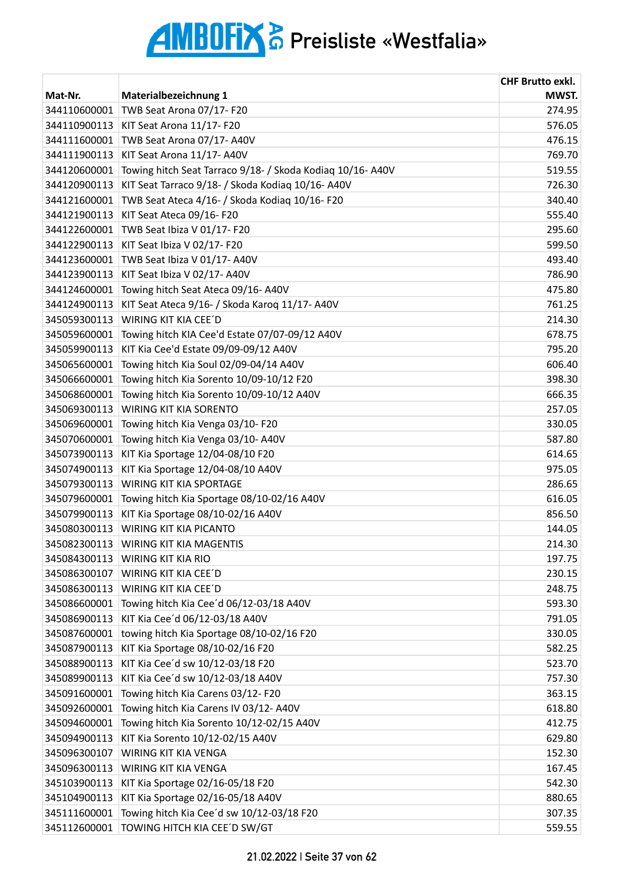|              |                                                            | <b>CHF Brutto exkl.</b> |
|--------------|------------------------------------------------------------|-------------------------|
| Mat-Nr.      | Materialbezeichnung 1                                      | MWST.                   |
| 344110600001 | TWB Seat Arona 07/17-F20                                   | 274.95                  |
| 344110900113 | KIT Seat Arona 11/17- F20                                  | 576.05                  |
| 344111600001 | TWB Seat Arona 07/17-A40V                                  | 476.15                  |
| 344111900113 | KIT Seat Arona 11/17- A40V                                 | 769.70                  |
| 344120600001 | Towing hitch Seat Tarraco 9/18- / Skoda Kodiaq 10/16- A40V | 519.55                  |
| 344120900113 | KIT Seat Tarraco 9/18- / Skoda Kodiaq 10/16- A40V          | 726.30                  |
| 344121600001 | TWB Seat Ateca 4/16- / Skoda Kodiaq 10/16- F20             | 340.40                  |
| 344121900113 | KIT Seat Ateca 09/16-F20                                   | 555.40                  |
| 344122600001 | TWB Seat Ibiza V 01/17-F20                                 | 295.60                  |
| 344122900113 | KIT Seat Ibiza V 02/17- F20                                | 599.50                  |
| 344123600001 | TWB Seat Ibiza V 01/17- A40V                               | 493.40                  |
| 344123900113 | KIT Seat Ibiza V 02/17- A40V                               | 786.90                  |
| 344124600001 | Towing hitch Seat Ateca 09/16- A40V                        | 475.80                  |
| 344124900113 | KIT Seat Ateca 9/16- / Skoda Karoq 11/17- A40V             | 761.25                  |
| 345059300113 | WIRING KIT KIA CEE'D                                       | 214.30                  |
| 345059600001 | Towing hitch KIA Cee'd Estate 07/07-09/12 A40V             | 678.75                  |
| 345059900113 | KIT Kia Cee'd Estate 09/09-09/12 A40V                      | 795.20                  |
| 345065600001 | Towing hitch Kia Soul 02/09-04/14 A40V                     | 606.40                  |
| 345066600001 | Towing hitch Kia Sorento 10/09-10/12 F20                   | 398.30                  |
| 345068600001 | Towing hitch Kia Sorento 10/09-10/12 A40V                  | 666.35                  |
| 345069300113 | <b>WIRING KIT KIA SORENTO</b>                              | 257.05                  |
| 345069600001 | Towing hitch Kia Venga 03/10-F20                           | 330.05                  |
| 345070600001 | Towing hitch Kia Venga 03/10- A40V                         | 587.80                  |
| 345073900113 | KIT Kia Sportage 12/04-08/10 F20                           | 614.65                  |
| 345074900113 | KIT Kia Sportage 12/04-08/10 A40V                          | 975.05                  |
| 345079300113 | WIRING KIT KIA SPORTAGE                                    | 286.65                  |
| 345079600001 | Towing hitch Kia Sportage 08/10-02/16 A40V                 | 616.05                  |
| 345079900113 | KIT Kia Sportage 08/10-02/16 A40V                          | 856.50                  |
| 345080300113 | WIRING KIT KIA PICANTO                                     | 144.05                  |
|              | 345082300113 WIRING KIT KIA MAGENTIS                       | 214.30                  |
| 345084300113 | <b>WIRING KIT KIA RIO</b>                                  | 197.75                  |
| 345086300107 | WIRING KIT KIA CEE'D                                       | 230.15                  |
| 345086300113 | WIRING KIT KIA CEE'D                                       | 248.75                  |
| 345086600001 | Towing hitch Kia Cee'd 06/12-03/18 A40V                    | 593.30                  |
| 345086900113 | KIT Kia Cee'd 06/12-03/18 A40V                             | 791.05                  |
| 345087600001 | towing hitch Kia Sportage 08/10-02/16 F20                  | 330.05                  |
| 345087900113 | KIT Kia Sportage 08/10-02/16 F20                           | 582.25                  |
| 345088900113 | KIT Kia Cee'd sw 10/12-03/18 F20                           | 523.70                  |
| 345089900113 | KIT Kia Cee'd sw 10/12-03/18 A40V                          | 757.30                  |
| 345091600001 | Towing hitch Kia Carens 03/12-F20                          | 363.15                  |
| 345092600001 | Towing hitch Kia Carens IV 03/12- A40V                     | 618.80                  |
| 345094600001 | Towing hitch Kia Sorento 10/12-02/15 A40V                  | 412.75                  |
| 345094900113 | KIT Kia Sorento 10/12-02/15 A40V                           | 629.80                  |
| 345096300107 | WIRING KIT KIA VENGA                                       | 152.30                  |
| 345096300113 | <b>WIRING KIT KIA VENGA</b>                                | 167.45                  |
| 345103900113 | KIT Kia Sportage 02/16-05/18 F20                           | 542.30                  |
| 345104900113 | KIT Kia Sportage 02/16-05/18 A40V                          | 880.65                  |
| 345111600001 | Towing hitch Kia Cee'd sw 10/12-03/18 F20                  | 307.35                  |
| 345112600001 | TOWING HITCH KIA CEE'D SW/GT                               | 559.55                  |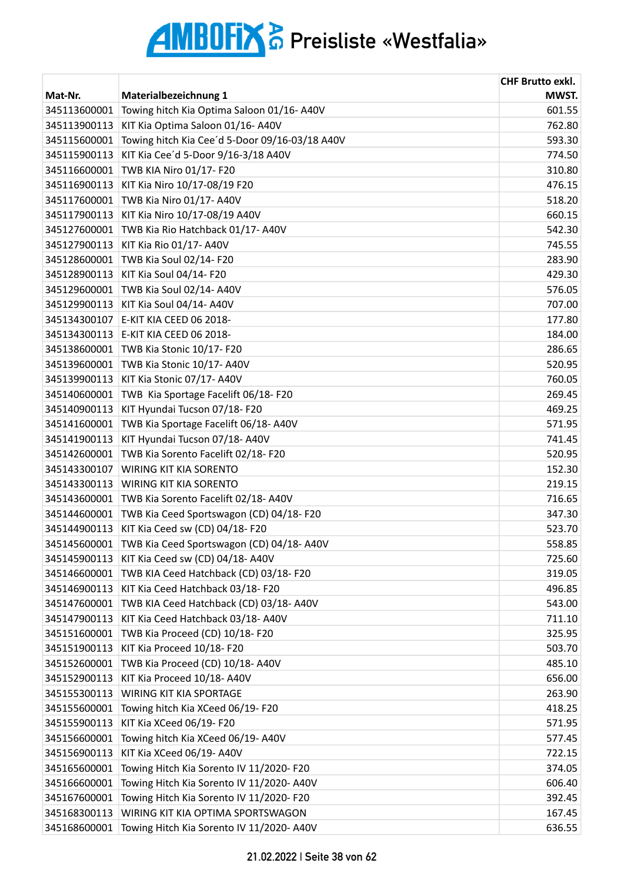| Mat-Nr.      | Materialbezeichnung 1                          | <b>CHF Brutto exkl.</b><br>MWST. |
|--------------|------------------------------------------------|----------------------------------|
| 345113600001 | Towing hitch Kia Optima Saloon 01/16-A40V      | 601.55                           |
| 345113900113 | KIT Kia Optima Saloon 01/16- A40V              | 762.80                           |
| 345115600001 | Towing hitch Kia Cee'd 5-Door 09/16-03/18 A40V | 593.30                           |
| 345115900113 | KIT Kia Cee'd 5-Door 9/16-3/18 A40V            | 774.50                           |
| 345116600001 | TWB KIA Niro 01/17- F20                        | 310.80                           |
| 345116900113 | KIT Kia Niro 10/17-08/19 F20                   | 476.15                           |
| 345117600001 | TWB Kia Niro 01/17- A40V                       | 518.20                           |
| 345117900113 | KIT Kia Niro 10/17-08/19 A40V                  | 660.15                           |
| 345127600001 | TWB Kia Rio Hatchback 01/17- A40V              | 542.30                           |
| 345127900113 | KIT Kia Rio 01/17- A40V                        | 745.55                           |
| 345128600001 | TWB Kia Soul 02/14-F20                         | 283.90                           |
| 345128900113 | KIT Kia Soul 04/14- F20                        | 429.30                           |
| 345129600001 | TWB Kia Soul 02/14- A40V                       | 576.05                           |
| 345129900113 | KIT Kia Soul 04/14- A40V                       | 707.00                           |
| 345134300107 | E-KIT KIA CEED 06 2018-                        | 177.80                           |
| 345134300113 | E-KIT KIA CEED 06 2018-                        | 184.00                           |
| 345138600001 | TWB Kia Stonic 10/17- F20                      | 286.65                           |
| 345139600001 | TWB Kia Stonic 10/17-A40V                      | 520.95                           |
| 345139900113 | KIT Kia Stonic 07/17- A40V                     | 760.05                           |
| 345140600001 | TWB Kia Sportage Facelift 06/18-F20            | 269.45                           |
| 345140900113 | KIT Hyundai Tucson 07/18- F20                  | 469.25                           |
| 345141600001 | TWB Kia Sportage Facelift 06/18-A40V           | 571.95                           |
| 345141900113 | KIT Hyundai Tucson 07/18-A40V                  | 741.45                           |
| 345142600001 | TWB Kia Sorento Facelift 02/18-F20             | 520.95                           |
| 345143300107 | WIRING KIT KIA SORENTO                         | 152.30                           |
| 345143300113 | WIRING KIT KIA SORENTO                         | 219.15                           |
| 345143600001 | TWB Kia Sorento Facelift 02/18- A40V           | 716.65                           |
| 345144600001 | TWB Kia Ceed Sportswagon (CD) 04/18-F20        | 347.30                           |
| 345144900113 | KIT Kia Ceed sw (CD) 04/18-F20                 | 523.70                           |
| 345145600001 | TWB Kia Ceed Sportswagon (CD) 04/18-A40V       | 558.85                           |
| 345145900113 | KIT Kia Ceed sw (CD) 04/18-A40V                | 725.60                           |
| 345146600001 | TWB KIA Ceed Hatchback (CD) 03/18-F20          | 319.05                           |
| 345146900113 | KIT Kia Ceed Hatchback 03/18-F20               | 496.85                           |
| 345147600001 | TWB KIA Ceed Hatchback (CD) 03/18-A40V         | 543.00                           |
| 345147900113 | KIT Kia Ceed Hatchback 03/18-A40V              | 711.10                           |
| 345151600001 | TWB Kia Proceed (CD) 10/18-F20                 | 325.95                           |
| 345151900113 | KIT Kia Proceed 10/18- F20                     | 503.70                           |
| 345152600001 | TWB Kia Proceed (CD) 10/18-A40V                | 485.10                           |
| 345152900113 | KIT Kia Proceed 10/18- A40V                    | 656.00                           |
| 345155300113 | WIRING KIT KIA SPORTAGE                        | 263.90                           |
| 345155600001 | Towing hitch Kia XCeed 06/19-F20               | 418.25                           |
| 345155900113 | KIT Kia XCeed 06/19- F20                       | 571.95                           |
| 345156600001 | Towing hitch Kia XCeed 06/19- A40V             | 577.45                           |
| 345156900113 | KIT Kia XCeed 06/19-A40V                       | 722.15                           |
| 345165600001 | Towing Hitch Kia Sorento IV 11/2020- F20       | 374.05                           |
| 345166600001 | Towing Hitch Kia Sorento IV 11/2020- A40V      | 606.40                           |
| 345167600001 | Towing Hitch Kia Sorento IV 11/2020- F20       | 392.45                           |
| 345168300113 | WIRING KIT KIA OPTIMA SPORTSWAGON              | 167.45                           |
| 345168600001 | Towing Hitch Kia Sorento IV 11/2020- A40V      | 636.55                           |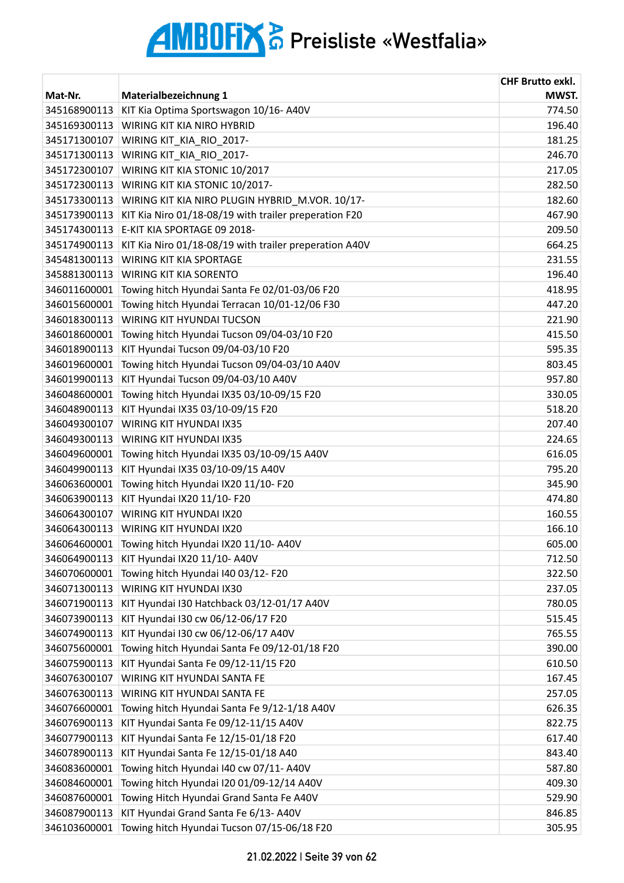| Mat-Nr.      | Materialbezeichnung 1                                  | <b>CHF Brutto exkl.</b><br>MWST. |
|--------------|--------------------------------------------------------|----------------------------------|
| 345168900113 | KIT Kia Optima Sportswagon 10/16-A40V                  | 774.50                           |
| 345169300113 | WIRING KIT KIA NIRO HYBRID                             | 196.40                           |
| 345171300107 | WIRING KIT_KIA_RIO_2017-                               | 181.25                           |
| 345171300113 | WIRING KIT_KIA_RIO_2017-                               | 246.70                           |
| 345172300107 | WIRING KIT KIA STONIC 10/2017                          | 217.05                           |
| 345172300113 | WIRING KIT KIA STONIC 10/2017-                         | 282.50                           |
| 345173300113 | WIRING KIT KIA NIRO PLUGIN HYBRID_M.VOR. 10/17-        | 182.60                           |
| 345173900113 | KIT Kia Niro 01/18-08/19 with trailer preperation F20  | 467.90                           |
| 345174300113 | E-KIT KIA SPORTAGE 09 2018-                            | 209.50                           |
| 345174900113 | KIT Kia Niro 01/18-08/19 with trailer preperation A40V | 664.25                           |
| 345481300113 | <b>WIRING KIT KIA SPORTAGE</b>                         | 231.55                           |
| 345881300113 | WIRING KIT KIA SORENTO                                 | 196.40                           |
| 346011600001 | Towing hitch Hyundai Santa Fe 02/01-03/06 F20          | 418.95                           |
| 346015600001 | Towing hitch Hyundai Terracan 10/01-12/06 F30          | 447.20                           |
| 346018300113 | <b>WIRING KIT HYUNDAI TUCSON</b>                       | 221.90                           |
| 346018600001 | Towing hitch Hyundai Tucson 09/04-03/10 F20            | 415.50                           |
| 346018900113 | KIT Hyundai Tucson 09/04-03/10 F20                     | 595.35                           |
| 346019600001 | Towing hitch Hyundai Tucson 09/04-03/10 A40V           | 803.45                           |
| 346019900113 | KIT Hyundai Tucson 09/04-03/10 A40V                    | 957.80                           |
| 346048600001 | Towing hitch Hyundai IX35 03/10-09/15 F20              | 330.05                           |
| 346048900113 | KIT Hyundai IX35 03/10-09/15 F20                       | 518.20                           |
| 346049300107 | WIRING KIT HYUNDAI IX35                                | 207.40                           |
| 346049300113 | WIRING KIT HYUNDAI IX35                                | 224.65                           |
| 346049600001 | Towing hitch Hyundai IX35 03/10-09/15 A40V             | 616.05                           |
| 346049900113 | KIT Hyundai IX35 03/10-09/15 A40V                      | 795.20                           |
| 346063600001 | Towing hitch Hyundai IX20 11/10-F20                    | 345.90                           |
| 346063900113 | KIT Hyundai IX20 11/10- F20                            | 474.80                           |
| 346064300107 | WIRING KIT HYUNDAI IX20                                | 160.55                           |
| 346064300113 | WIRING KIT HYUNDAI IX20                                | 166.10                           |
| 346064600001 | Towing hitch Hyundai IX20 11/10- A40V                  | 605.00                           |
| 346064900113 | KIT Hyundai IX20 11/10- A40V                           | 712.50                           |
| 346070600001 | Towing hitch Hyundai I40 03/12-F20                     | 322.50                           |
| 346071300113 | WIRING KIT HYUNDAI IX30                                | 237.05                           |
| 346071900113 | KIT Hyundai I30 Hatchback 03/12-01/17 A40V             | 780.05                           |
| 346073900113 | KIT Hyundai I30 cw 06/12-06/17 F20                     | 515.45                           |
| 346074900113 | KIT Hyundai I30 cw 06/12-06/17 A40V                    | 765.55                           |
| 346075600001 | Towing hitch Hyundai Santa Fe 09/12-01/18 F20          | 390.00                           |
| 346075900113 | KIT Hyundai Santa Fe 09/12-11/15 F20                   | 610.50                           |
| 346076300107 | WIRING KIT HYUNDAI SANTA FE                            | 167.45                           |
| 346076300113 | WIRING KIT HYUNDAI SANTA FE                            | 257.05                           |
| 346076600001 | Towing hitch Hyundai Santa Fe 9/12-1/18 A40V           | 626.35                           |
| 346076900113 | KIT Hyundai Santa Fe 09/12-11/15 A40V                  | 822.75                           |
| 346077900113 | KIT Hyundai Santa Fe 12/15-01/18 F20                   | 617.40                           |
| 346078900113 | KIT Hyundai Santa Fe 12/15-01/18 A40                   | 843.40                           |
| 346083600001 | Towing hitch Hyundai I40 cw 07/11- A40V                | 587.80                           |
| 346084600001 | Towing hitch Hyundai I20 01/09-12/14 A40V              | 409.30                           |
| 346087600001 | Towing Hitch Hyundai Grand Santa Fe A40V               | 529.90                           |
| 346087900113 | KIT Hyundai Grand Santa Fe 6/13- A40V                  | 846.85                           |
| 346103600001 | Towing hitch Hyundai Tucson 07/15-06/18 F20            | 305.95                           |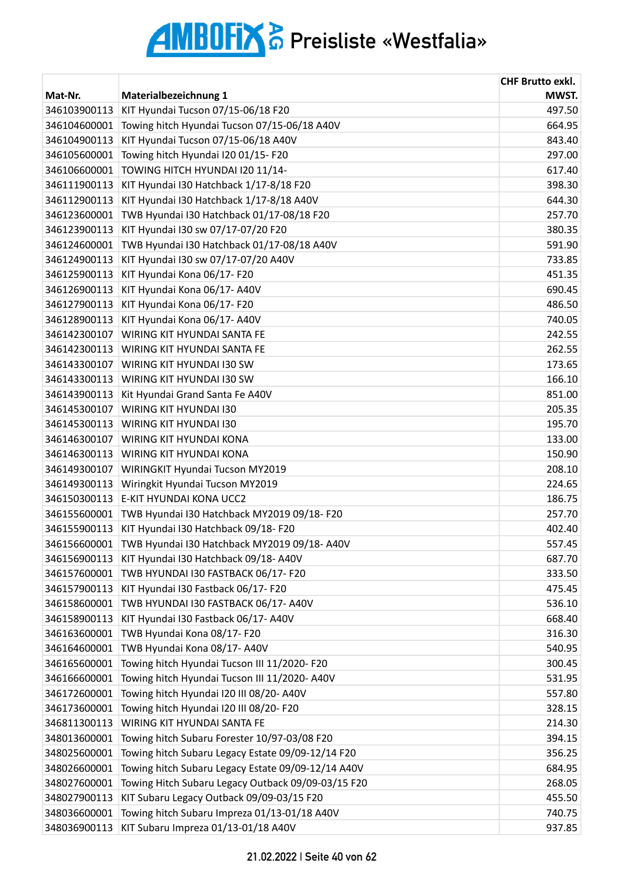| Mat-Nr.      | Materialbezeichnung 1                              | <b>CHF Brutto exkl.</b><br>MWST. |
|--------------|----------------------------------------------------|----------------------------------|
| 346103900113 | KIT Hyundai Tucson 07/15-06/18 F20                 | 497.50                           |
| 346104600001 | Towing hitch Hyundai Tucson 07/15-06/18 A40V       | 664.95                           |
| 346104900113 | KIT Hyundai Tucson 07/15-06/18 A40V                | 843.40                           |
| 346105600001 | Towing hitch Hyundai I20 01/15-F20                 | 297.00                           |
| 346106600001 | TOWING HITCH HYUNDAI I20 11/14-                    | 617.40                           |
| 346111900113 | KIT Hyundai I30 Hatchback 1/17-8/18 F20            | 398.30                           |
| 346112900113 | KIT Hyundai I30 Hatchback 1/17-8/18 A40V           | 644.30                           |
| 346123600001 | TWB Hyundai I30 Hatchback 01/17-08/18 F20          | 257.70                           |
| 346123900113 | KIT Hyundai I30 sw 07/17-07/20 F20                 | 380.35                           |
| 346124600001 | TWB Hyundai I30 Hatchback 01/17-08/18 A40V         | 591.90                           |
| 346124900113 | KIT Hyundai I30 sw 07/17-07/20 A40V                | 733.85                           |
| 346125900113 | KIT Hyundai Kona 06/17- F20                        | 451.35                           |
| 346126900113 | KIT Hyundai Kona 06/17- A40V                       | 690.45                           |
| 346127900113 | KIT Hyundai Kona 06/17- F20                        | 486.50                           |
| 346128900113 | KIT Hyundai Kona 06/17- A40V                       | 740.05                           |
| 346142300107 | WIRING KIT HYUNDAI SANTA FE                        | 242.55                           |
| 346142300113 | WIRING KIT HYUNDAI SANTA FE                        | 262.55                           |
| 346143300107 | WIRING KIT HYUNDAI I30 SW                          | 173.65                           |
| 346143300113 | WIRING KIT HYUNDAI I30 SW                          | 166.10                           |
| 346143900113 | Kit Hyundai Grand Santa Fe A40V                    | 851.00                           |
| 346145300107 | WIRING KIT HYUNDAI I30                             | 205.35                           |
| 346145300113 | WIRING KIT HYUNDAI I30                             | 195.70                           |
| 346146300107 | WIRING KIT HYUNDAI KONA                            | 133.00                           |
| 346146300113 | WIRING KIT HYUNDAI KONA                            | 150.90                           |
| 346149300107 | WIRINGKIT Hyundai Tucson MY2019                    | 208.10                           |
| 346149300113 | Wiringkit Hyundai Tucson MY2019                    | 224.65                           |
| 346150300113 | E-KIT HYUNDAI KONA UCC2                            | 186.75                           |
| 346155600001 | TWB Hyundai I30 Hatchback MY2019 09/18-F20         | 257.70                           |
| 346155900113 | KIT Hyundai I30 Hatchback 09/18-F20                | 402.40                           |
| 346156600001 | TWB Hyundai I30 Hatchback MY2019 09/18-A40V        | 557.45                           |
| 346156900113 | KIT Hyundai I30 Hatchback 09/18-A40V               | 687.70                           |
| 346157600001 | TWB HYUNDAI I30 FASTBACK 06/17-F20                 | 333.50                           |
| 346157900113 | KIT Hyundai I30 Fastback 06/17- F20                | 475.45                           |
| 346158600001 | TWB HYUNDAI I30 FASTBACK 06/17-A40V                | 536.10                           |
| 346158900113 | KIT Hyundai I30 Fastback 06/17-A40V                | 668.40                           |
| 346163600001 | TWB Hyundai Kona 08/17- F20                        | 316.30                           |
| 346164600001 | TWB Hyundai Kona 08/17- A40V                       | 540.95                           |
| 346165600001 | Towing hitch Hyundai Tucson III 11/2020- F20       | 300.45                           |
| 346166600001 | Towing hitch Hyundai Tucson III 11/2020- A40V      | 531.95                           |
| 346172600001 | Towing hitch Hyundai I20 III 08/20- A40V           | 557.80                           |
| 346173600001 | Towing hitch Hyundai I20 III 08/20- F20            | 328.15                           |
| 346811300113 | WIRING KIT HYUNDAI SANTA FE                        | 214.30                           |
| 348013600001 | Towing hitch Subaru Forester 10/97-03/08 F20       | 394.15                           |
| 348025600001 | Towing hitch Subaru Legacy Estate 09/09-12/14 F20  | 356.25                           |
| 348026600001 | Towing hitch Subaru Legacy Estate 09/09-12/14 A40V | 684.95                           |
| 348027600001 | Towing Hitch Subaru Legacy Outback 09/09-03/15 F20 | 268.05                           |
| 348027900113 | KIT Subaru Legacy Outback 09/09-03/15 F20          | 455.50                           |
| 348036600001 | Towing hitch Subaru Impreza 01/13-01/18 A40V       | 740.75                           |
| 348036900113 | KIT Subaru Impreza 01/13-01/18 A40V                | 937.85                           |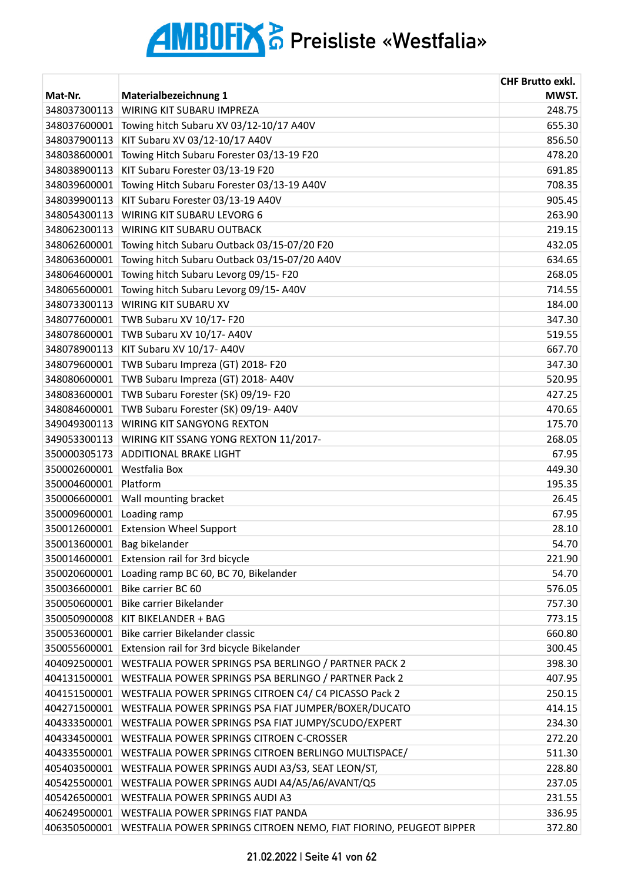|              |                                                                                   | <b>CHF Brutto exkl.</b> |
|--------------|-----------------------------------------------------------------------------------|-------------------------|
| Mat-Nr.      | <b>Materialbezeichnung 1</b>                                                      | MWST.                   |
| 348037300113 | WIRING KIT SUBARU IMPREZA                                                         | 248.75                  |
| 348037600001 | Towing hitch Subaru XV 03/12-10/17 A40V                                           | 655.30                  |
| 348037900113 | KIT Subaru XV 03/12-10/17 A40V                                                    | 856.50                  |
| 348038600001 | Towing Hitch Subaru Forester 03/13-19 F20                                         | 478.20                  |
| 348038900113 | KIT Subaru Forester 03/13-19 F20                                                  | 691.85                  |
| 348039600001 | Towing Hitch Subaru Forester 03/13-19 A40V                                        | 708.35                  |
| 348039900113 | KIT Subaru Forester 03/13-19 A40V                                                 | 905.45                  |
| 348054300113 | WIRING KIT SUBARU LEVORG 6                                                        | 263.90                  |
| 348062300113 | WIRING KIT SUBARU OUTBACK                                                         | 219.15                  |
| 348062600001 | Towing hitch Subaru Outback 03/15-07/20 F20                                       | 432.05                  |
| 348063600001 | Towing hitch Subaru Outback 03/15-07/20 A40V                                      | 634.65                  |
| 348064600001 | Towing hitch Subaru Levorg 09/15-F20                                              | 268.05                  |
| 348065600001 | Towing hitch Subaru Levorg 09/15-A40V                                             | 714.55                  |
| 348073300113 | WIRING KIT SUBARU XV                                                              | 184.00                  |
| 348077600001 | TWB Subaru XV 10/17- F20                                                          | 347.30                  |
| 348078600001 | TWB Subaru XV 10/17- A40V                                                         | 519.55                  |
| 348078900113 | KIT Subaru XV 10/17- A40V                                                         | 667.70                  |
| 348079600001 | TWB Subaru Impreza (GT) 2018- F20                                                 | 347.30                  |
| 348080600001 | TWB Subaru Impreza (GT) 2018- A40V                                                | 520.95                  |
| 348083600001 | TWB Subaru Forester (SK) 09/19- F20                                               | 427.25                  |
| 348084600001 | TWB Subaru Forester (SK) 09/19-A40V                                               | 470.65                  |
| 349049300113 | <b>WIRING KIT SANGYONG REXTON</b>                                                 | 175.70                  |
| 349053300113 | WIRING KIT SSANG YONG REXTON 11/2017-                                             | 268.05                  |
| 350000305173 | <b>ADDITIONAL BRAKE LIGHT</b>                                                     | 67.95                   |
| 350002600001 | Westfalia Box                                                                     | 449.30                  |
| 350004600001 | Platform                                                                          | 195.35                  |
| 350006600001 | Wall mounting bracket                                                             | 26.45                   |
| 350009600001 | Loading ramp                                                                      | 67.95                   |
| 350012600001 | <b>Extension Wheel Support</b>                                                    | 28.10                   |
| 350013600001 | Bag bikelander                                                                    | 54.70                   |
| 350014600001 | Extension rail for 3rd bicycle                                                    | 221.90                  |
| 350020600001 | Loading ramp BC 60, BC 70, Bikelander                                             | 54.70                   |
| 350036600001 | Bike carrier BC 60                                                                | 576.05                  |
| 350050600001 | Bike carrier Bikelander                                                           | 757.30                  |
| 350050900008 | KIT BIKELANDER + BAG                                                              | 773.15                  |
| 350053600001 | Bike carrier Bikelander classic                                                   | 660.80                  |
| 350055600001 | Extension rail for 3rd bicycle Bikelander                                         | 300.45                  |
| 404092500001 | WESTFALIA POWER SPRINGS PSA BERLINGO / PARTNER PACK 2                             | 398.30                  |
| 404131500001 | WESTFALIA POWER SPRINGS PSA BERLINGO / PARTNER Pack 2                             | 407.95                  |
| 404151500001 | WESTFALIA POWER SPRINGS CITROEN C4/ C4 PICASSO Pack 2                             | 250.15                  |
| 404271500001 | WESTFALIA POWER SPRINGS PSA FIAT JUMPER/BOXER/DUCATO                              | 414.15                  |
| 404333500001 | WESTFALIA POWER SPRINGS PSA FIAT JUMPY/SCUDO/EXPERT                               | 234.30                  |
| 404334500001 | WESTFALIA POWER SPRINGS CITROEN C-CROSSER                                         | 272.20                  |
| 404335500001 | WESTFALIA POWER SPRINGS CITROEN BERLINGO MULTISPACE/                              | 511.30                  |
| 405403500001 | WESTFALIA POWER SPRINGS AUDI A3/S3, SEAT LEON/ST,                                 | 228.80                  |
| 405425500001 | WESTFALIA POWER SPRINGS AUDI A4/A5/A6/AVANT/Q5                                    | 237.05                  |
| 405426500001 | WESTFALIA POWER SPRINGS AUDI A3                                                   | 231.55                  |
| 406249500001 | WESTFALIA POWER SPRINGS FIAT PANDA                                                | 336.95                  |
|              | 406350500001   WESTFALIA POWER SPRINGS CITROEN NEMO, FIAT FIORINO, PEUGEOT BIPPER | 372.80                  |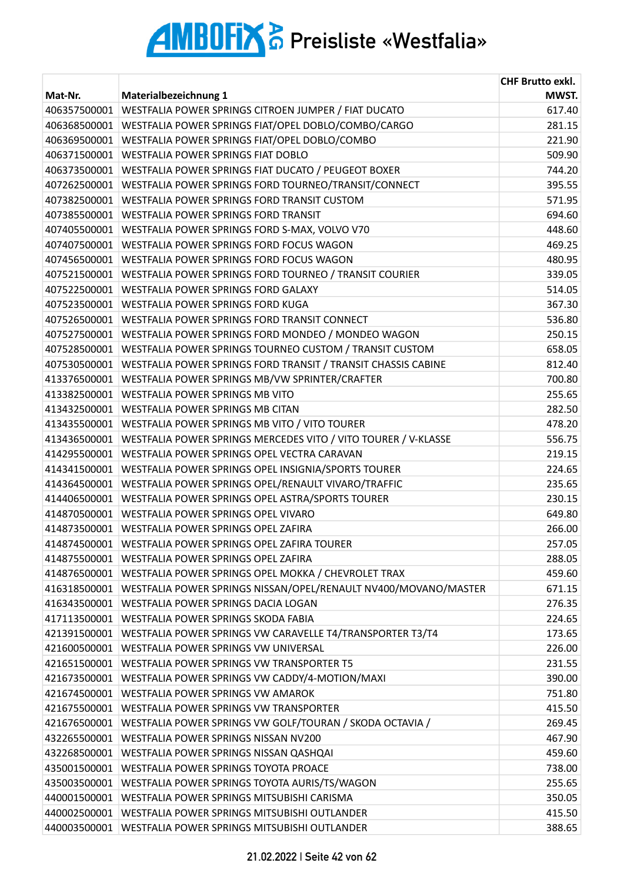| Mat-Nr.      | Materialbezeichnung 1                                                          | <b>CHF Brutto exkl.</b><br>MWST. |
|--------------|--------------------------------------------------------------------------------|----------------------------------|
| 406357500001 | WESTFALIA POWER SPRINGS CITROEN JUMPER / FIAT DUCATO                           | 617.40                           |
| 406368500001 | WESTFALIA POWER SPRINGS FIAT/OPEL DOBLO/COMBO/CARGO                            | 281.15                           |
| 406369500001 | WESTFALIA POWER SPRINGS FIAT/OPEL DOBLO/COMBO                                  | 221.90                           |
| 406371500001 | WESTFALIA POWER SPRINGS FIAT DOBLO                                             | 509.90                           |
| 406373500001 | WESTFALIA POWER SPRINGS FIAT DUCATO / PEUGEOT BOXER                            | 744.20                           |
| 407262500001 | WESTFALIA POWER SPRINGS FORD TOURNEO/TRANSIT/CONNECT                           | 395.55                           |
| 407382500001 | WESTFALIA POWER SPRINGS FORD TRANSIT CUSTOM                                    | 571.95                           |
| 407385500001 | WESTFALIA POWER SPRINGS FORD TRANSIT                                           | 694.60                           |
| 407405500001 | WESTFALIA POWER SPRINGS FORD S-MAX, VOLVO V70                                  | 448.60                           |
| 407407500001 | WESTFALIA POWER SPRINGS FORD FOCUS WAGON                                       | 469.25                           |
| 407456500001 | WESTFALIA POWER SPRINGS FORD FOCUS WAGON                                       | 480.95                           |
| 407521500001 | WESTFALIA POWER SPRINGS FORD TOURNEO / TRANSIT COURIER                         | 339.05                           |
| 407522500001 | WESTFALIA POWER SPRINGS FORD GALAXY                                            | 514.05                           |
| 407523500001 | WESTFALIA POWER SPRINGS FORD KUGA                                              | 367.30                           |
| 407526500001 | WESTFALIA POWER SPRINGS FORD TRANSIT CONNECT                                   | 536.80                           |
| 407527500001 | WESTFALIA POWER SPRINGS FORD MONDEO / MONDEO WAGON                             | 250.15                           |
| 407528500001 | WESTFALIA POWER SPRINGS TOURNEO CUSTOM / TRANSIT CUSTOM                        | 658.05                           |
| 407530500001 | WESTFALIA POWER SPRINGS FORD TRANSIT / TRANSIT CHASSIS CABINE                  | 812.40                           |
| 413376500001 | WESTFALIA POWER SPRINGS MB/VW SPRINTER/CRAFTER                                 | 700.80                           |
| 413382500001 | WESTFALIA POWER SPRINGS MB VITO                                                | 255.65                           |
| 413432500001 | <b>WESTFALIA POWER SPRINGS MB CITAN</b>                                        | 282.50                           |
| 413435500001 | WESTFALIA POWER SPRINGS MB VITO / VITO TOURER                                  | 478.20                           |
| 413436500001 | WESTFALIA POWER SPRINGS MERCEDES VITO / VITO TOURER / V-KLASSE                 | 556.75                           |
| 414295500001 | WESTFALIA POWER SPRINGS OPEL VECTRA CARAVAN                                    | 219.15                           |
| 414341500001 | WESTFALIA POWER SPRINGS OPEL INSIGNIA/SPORTS TOURER                            | 224.65                           |
| 414364500001 | WESTFALIA POWER SPRINGS OPEL/RENAULT VIVARO/TRAFFIC                            | 235.65                           |
| 414406500001 | WESTFALIA POWER SPRINGS OPEL ASTRA/SPORTS TOURER                               | 230.15                           |
| 414870500001 | <b>WESTFALIA POWER SPRINGS OPEL VIVARO</b>                                     | 649.80                           |
| 414873500001 | WESTFALIA POWER SPRINGS OPEL ZAFIRA                                            | 266.00                           |
|              | 414874500001   WESTFALIA POWER SPRINGS OPEL ZAFIRA TOURER                      | 257.05                           |
| 414875500001 | <b>WESTFALIA POWER SPRINGS OPEL ZAFIRA</b>                                     | 288.05                           |
| 414876500001 | WESTFALIA POWER SPRINGS OPEL MOKKA / CHEVROLET TRAX                            | 459.60                           |
|              | 416318500001   WESTFALIA POWER SPRINGS NISSAN/OPEL/RENAULT NV400/MOVANO/MASTER | 671.15                           |
|              | 416343500001 WESTFALIA POWER SPRINGS DACIA LOGAN                               | 276.35                           |
|              | 417113500001 WESTFALIA POWER SPRINGS SKODA FABIA                               | 224.65                           |
| 421391500001 | WESTFALIA POWER SPRINGS VW CARAVELLE T4/TRANSPORTER T3/T4                      | 173.65                           |
| 421600500001 | WESTFALIA POWER SPRINGS VW UNIVERSAL                                           | 226.00                           |
| 421651500001 | <b>WESTFALIA POWER SPRINGS VW TRANSPORTER T5</b>                               | 231.55                           |
|              | 421673500001   WESTFALIA POWER SPRINGS VW CADDY/4-MOTION/MAXI                  | 390.00                           |
| 421674500001 | <b>WESTFALIA POWER SPRINGS VW AMAROK</b>                                       | 751.80                           |
|              | 421675500001   WESTFALIA POWER SPRINGS VW TRANSPORTER                          | 415.50                           |
| 421676500001 | WESTFALIA POWER SPRINGS VW GOLF/TOURAN / SKODA OCTAVIA /                       | 269.45                           |
| 432265500001 | WESTFALIA POWER SPRINGS NISSAN NV200                                           | 467.90                           |
| 432268500001 | WESTFALIA POWER SPRINGS NISSAN QASHQAI                                         | 459.60                           |
| 435001500001 | WESTFALIA POWER SPRINGS TOYOTA PROACE                                          | 738.00                           |
|              | 435003500001   WESTFALIA POWER SPRINGS TOYOTA AURIS/TS/WAGON                   | 255.65                           |
| 440001500001 | WESTFALIA POWER SPRINGS MITSUBISHI CARISMA                                     | 350.05                           |
| 440002500001 | WESTFALIA POWER SPRINGS MITSUBISHI OUTLANDER                                   | 415.50                           |
|              | 440003500001   WESTFALIA POWER SPRINGS MITSUBISHI OUTLANDER                    | 388.65                           |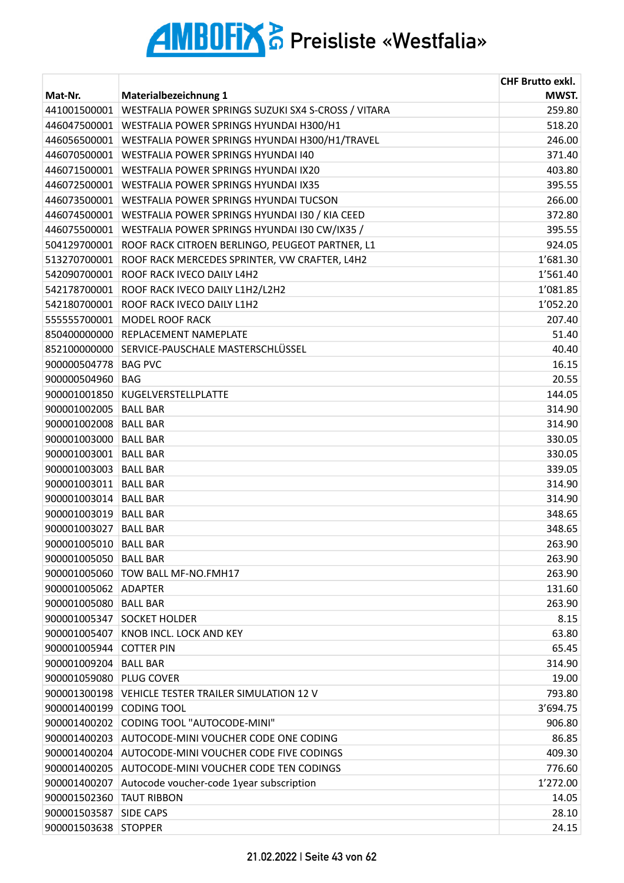|                       |                                                     | <b>CHF Brutto exkl.</b> |
|-----------------------|-----------------------------------------------------|-------------------------|
| Mat-Nr.               | Materialbezeichnung 1                               | MWST.                   |
| 441001500001          | WESTFALIA POWER SPRINGS SUZUKI SX4 S-CROSS / VITARA | 259.80                  |
| 446047500001          | WESTFALIA POWER SPRINGS HYUNDAI H300/H1             | 518.20                  |
| 446056500001          | WESTFALIA POWER SPRINGS HYUNDAI H300/H1/TRAVEL      | 246.00                  |
| 446070500001          | WESTFALIA POWER SPRINGS HYUNDAI 140                 | 371.40                  |
| 446071500001          | WESTFALIA POWER SPRINGS HYUNDAI IX20                | 403.80                  |
| 446072500001          | WESTFALIA POWER SPRINGS HYUNDAI IX35                | 395.55                  |
| 446073500001          | WESTFALIA POWER SPRINGS HYUNDAI TUCSON              | 266.00                  |
| 446074500001          | WESTFALIA POWER SPRINGS HYUNDAI I30 / KIA CEED      | 372.80                  |
| 446075500001          | WESTFALIA POWER SPRINGS HYUNDAI I30 CW/IX35 /       | 395.55                  |
| 504129700001          | ROOF RACK CITROEN BERLINGO, PEUGEOT PARTNER, L1     | 924.05                  |
| 513270700001          | ROOF RACK MERCEDES SPRINTER, VW CRAFTER, L4H2       | 1'681.30                |
| 542090700001          | ROOF RACK IVECO DAILY L4H2                          | 1'561.40                |
| 542178700001          | ROOF RACK IVECO DAILY L1H2/L2H2                     | 1'081.85                |
| 542180700001          | ROOF RACK IVECO DAILY L1H2                          | 1'052.20                |
| 555555700001          | <b>MODEL ROOF RACK</b>                              | 207.40                  |
| 850400000000          | <b>REPLACEMENT NAMEPLATE</b>                        | 51.40                   |
| 852100000000          | SERVICE-PAUSCHALE MASTERSCHLÜSSEL                   | 40.40                   |
| 900000504778          | <b>BAG PVC</b>                                      | 16.15                   |
| 900000504960          | <b>BAG</b>                                          | 20.55                   |
| 900001001850          | KUGELVERSTELLPLATTE                                 | 144.05                  |
| 900001002005          | <b>BALL BAR</b>                                     | 314.90                  |
| 900001002008          | <b>BALL BAR</b>                                     | 314.90                  |
| 900001003000          | <b>BALL BAR</b>                                     | 330.05                  |
| 900001003001          | <b>BALL BAR</b>                                     | 330.05                  |
| 900001003003 BALL BAR |                                                     | 339.05                  |
| 900001003011 BALL BAR |                                                     | 314.90                  |
| 900001003014          | <b>BALL BAR</b>                                     | 314.90                  |
| 900001003019          | <b>BALL BAR</b>                                     | 348.65                  |
| 900001003027          | <b>BALL BAR</b>                                     | 348.65                  |
| 900001005010          | <b>BALL BAR</b>                                     | 263.90                  |
| 900001005050          | <b>BALL BAR</b>                                     | 263.90                  |
| 900001005060          | TOW BALL MF-NO.FMH17                                | 263.90                  |
| 900001005062          | <b>ADAPTER</b>                                      | 131.60                  |
| 900001005080          | <b>BALL BAR</b>                                     | 263.90                  |
| 900001005347          | <b>SOCKET HOLDER</b>                                | 8.15                    |
| 900001005407          | KNOB INCL. LOCK AND KEY                             | 63.80                   |
| 900001005944          | <b>COTTER PIN</b>                                   | 65.45                   |
| 900001009204          | <b>BALL BAR</b>                                     | 314.90                  |
| 900001059080          | <b>PLUG COVER</b>                                   | 19.00                   |
| 900001300198          | VEHICLE TESTER TRAILER SIMULATION 12 V              | 793.80                  |
| 900001400199          | <b>CODING TOOL</b>                                  | 3'694.75                |
| 900001400202          | CODING TOOL "AUTOCODE-MINI"                         | 906.80                  |
| 900001400203          | AUTOCODE-MINI VOUCHER CODE ONE CODING               | 86.85                   |
| 900001400204          | AUTOCODE-MINI VOUCHER CODE FIVE CODINGS             | 409.30                  |
| 900001400205          | AUTOCODE-MINI VOUCHER CODE TEN CODINGS              | 776.60                  |
| 900001400207          | Autocode voucher-code 1year subscription            | 1'272.00                |
| 900001502360          | <b>TAUT RIBBON</b>                                  | 14.05                   |
| 900001503587          | <b>SIDE CAPS</b>                                    | 28.10                   |
| 900001503638          | <b>STOPPER</b>                                      | 24.15                   |
|                       |                                                     |                         |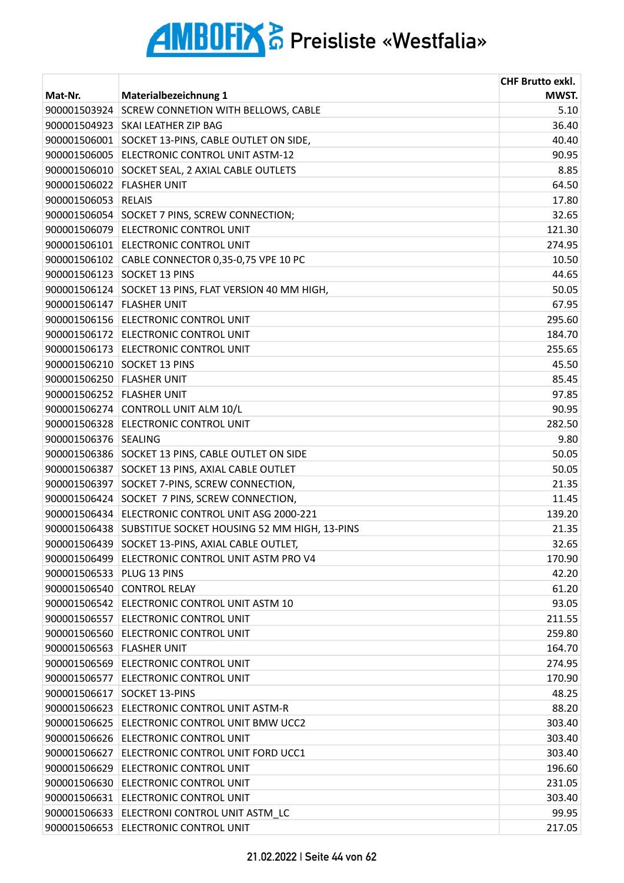| Mat-Nr.                   | Materialbezeichnung 1                                     | <b>CHF Brutto exkl.</b><br>MWST. |
|---------------------------|-----------------------------------------------------------|----------------------------------|
| 900001503924              | <b>SCREW CONNETION WITH BELLOWS, CABLE</b>                | 5.10                             |
| 900001504923              | <b>SKAI LEATHER ZIP BAG</b>                               | 36.40                            |
| 900001506001              | SOCKET 13-PINS, CABLE OUTLET ON SIDE,                     | 40.40                            |
| 900001506005              | ELECTRONIC CONTROL UNIT ASTM-12                           | 90.95                            |
| 900001506010              | SOCKET SEAL, 2 AXIAL CABLE OUTLETS                        | 8.85                             |
| 900001506022 FLASHER UNIT |                                                           | 64.50                            |
| 900001506053              | <b>RELAIS</b>                                             | 17.80                            |
| 900001506054              | SOCKET 7 PINS, SCREW CONNECTION;                          | 32.65                            |
| 900001506079              | <b>ELECTRONIC CONTROL UNIT</b>                            | 121.30                           |
|                           | 900001506101 ELECTRONIC CONTROL UNIT                      | 274.95                           |
|                           | 900001506102 CABLE CONNECTOR 0,35-0,75 VPE 10 PC          | 10.50                            |
| 900001506123              | <b>SOCKET 13 PINS</b>                                     | 44.65                            |
| 900001506124              | SOCKET 13 PINS, FLAT VERSION 40 MM HIGH,                  | 50.05                            |
| 900001506147 FLASHER UNIT |                                                           | 67.95                            |
|                           | 900001506156 ELECTRONIC CONTROL UNIT                      | 295.60                           |
|                           | 900001506172 ELECTRONIC CONTROL UNIT                      | 184.70                           |
|                           | 900001506173 ELECTRONIC CONTROL UNIT                      | 255.65                           |
|                           | 900001506210 SOCKET 13 PINS                               | 45.50                            |
| 900001506250 FLASHER UNIT |                                                           | 85.45                            |
| 900001506252 FLASHER UNIT |                                                           | 97.85                            |
|                           | 900001506274 CONTROLL UNIT ALM 10/L                       | 90.95                            |
|                           | 900001506328 ELECTRONIC CONTROL UNIT                      | 282.50                           |
| 900001506376              | SEALING                                                   | 9.80                             |
|                           | 900001506386 SOCKET 13 PINS, CABLE OUTLET ON SIDE         | 50.05                            |
| 900001506387              | SOCKET 13 PINS, AXIAL CABLE OUTLET                        | 50.05                            |
| 900001506397              | SOCKET 7-PINS, SCREW CONNECTION,                          | 21.35                            |
|                           | 900001506424 SOCKET 7 PINS, SCREW CONNECTION,             | 11.45                            |
|                           | 900001506434 ELECTRONIC CONTROL UNIT ASG 2000-221         | 139.20                           |
|                           | 900001506438 SUBSTITUE SOCKET HOUSING 52 MM HIGH, 13-PINS | 21.35                            |
|                           | 900001506439 SOCKET 13-PINS, AXIAL CABLE OUTLET,          | 32.65                            |
|                           | 900001506499 ELECTRONIC CONTROL UNIT ASTM PRO V4          | 170.90                           |
| 900001506533 PLUG 13 PINS |                                                           | 42.20                            |
|                           | 900001506540 CONTROL RELAY                                | 61.20                            |
|                           | 900001506542 ELECTRONIC CONTROL UNIT ASTM 10              | 93.05                            |
|                           | 900001506557 ELECTRONIC CONTROL UNIT                      | 211.55                           |
|                           | 900001506560 ELECTRONIC CONTROL UNIT                      | 259.80                           |
| 900001506563 FLASHER UNIT |                                                           | 164.70                           |
|                           | 900001506569 ELECTRONIC CONTROL UNIT                      | 274.95                           |
|                           | 900001506577 ELECTRONIC CONTROL UNIT                      | 170.90                           |
|                           | 900001506617 SOCKET 13-PINS                               | 48.25                            |
|                           | 900001506623 ELECTRONIC CONTROL UNIT ASTM-R               | 88.20                            |
| 900001506625              | ELECTRONIC CONTROL UNIT BMW UCC2                          | 303.40                           |
|                           | 900001506626 ELECTRONIC CONTROL UNIT                      | 303.40                           |
|                           | 900001506627 ELECTRONIC CONTROL UNIT FORD UCC1            | 303.40                           |
|                           | 900001506629 ELECTRONIC CONTROL UNIT                      | 196.60                           |
|                           | 900001506630 ELECTRONIC CONTROL UNIT                      | 231.05                           |
|                           | 900001506631 ELECTRONIC CONTROL UNIT                      | 303.40                           |
|                           | 900001506633 ELECTRONI CONTROL UNIT ASTM LC               | 99.95                            |
|                           | 900001506653 ELECTRONIC CONTROL UNIT                      | 217.05                           |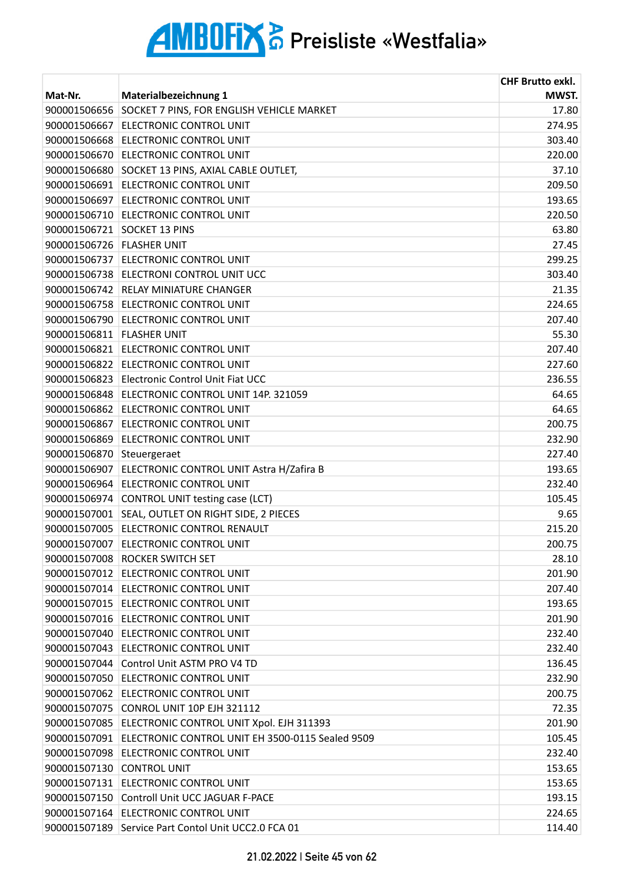|                           |                                                       | <b>CHF Brutto exkl.</b> |
|---------------------------|-------------------------------------------------------|-------------------------|
| Mat-Nr.                   | Materialbezeichnung 1                                 | MWST.                   |
| 900001506656              | SOCKET 7 PINS, FOR ENGLISH VEHICLE MARKET             | 17.80                   |
| 900001506667              | <b>ELECTRONIC CONTROL UNIT</b>                        | 274.95                  |
|                           | 900001506668 ELECTRONIC CONTROL UNIT                  | 303.40                  |
|                           | 900001506670 ELECTRONIC CONTROL UNIT                  | 220.00                  |
|                           | 900001506680 SOCKET 13 PINS, AXIAL CABLE OUTLET,      | 37.10                   |
|                           | 900001506691 ELECTRONIC CONTROL UNIT                  | 209.50                  |
|                           | 900001506697 ELECTRONIC CONTROL UNIT                  | 193.65                  |
| 900001506710              | <b>ELECTRONIC CONTROL UNIT</b>                        | 220.50                  |
|                           | 900001506721 SOCKET 13 PINS                           | 63.80                   |
| 900001506726 FLASHER UNIT |                                                       | 27.45                   |
|                           | 900001506737 ELECTRONIC CONTROL UNIT                  | 299.25                  |
|                           | 900001506738 ELECTRONI CONTROL UNIT UCC               | 303.40                  |
|                           | 900001506742 RELAY MINIATURE CHANGER                  | 21.35                   |
|                           | 900001506758 ELECTRONIC CONTROL UNIT                  | 224.65                  |
|                           | 900001506790 ELECTRONIC CONTROL UNIT                  | 207.40                  |
| 900001506811 FLASHER UNIT |                                                       | 55.30                   |
|                           | 900001506821 ELECTRONIC CONTROL UNIT                  | 207.40                  |
|                           | 900001506822 ELECTRONIC CONTROL UNIT                  | 227.60                  |
|                           | 900001506823 Electronic Control Unit Fiat UCC         | 236.55                  |
|                           | 900001506848 ELECTRONIC CONTROL UNIT 14P. 321059      | 64.65                   |
|                           | 900001506862 ELECTRONIC CONTROL UNIT                  | 64.65                   |
|                           | 900001506867 ELECTRONIC CONTROL UNIT                  | 200.75                  |
| 900001506869              | <b>ELECTRONIC CONTROL UNIT</b>                        | 232.90                  |
| 900001506870              | Steuergeraet                                          | 227.40                  |
|                           | 900001506907 ELECTRONIC CONTROL UNIT Astra H/Zafira B | 193.65                  |
|                           | 900001506964 ELECTRONIC CONTROL UNIT                  | 232.40                  |
|                           | 900001506974 CONTROL UNIT testing case (LCT)          | 105.45                  |
| 900001507001              | SEAL, OUTLET ON RIGHT SIDE, 2 PIECES                  | 9.65                    |
|                           | 900001507005 ELECTRONIC CONTROL RENAULT               | 215.20                  |
|                           | 900001507007 ELECTRONIC CONTROL UNIT                  | 200.75                  |
|                           | 900001507008 ROCKER SWITCH SET                        | 28.10                   |
|                           | 900001507012 ELECTRONIC CONTROL UNIT                  | 201.90                  |
|                           | 900001507014 ELECTRONIC CONTROL UNIT                  | 207.40                  |
|                           | 900001507015 ELECTRONIC CONTROL UNIT                  | 193.65                  |
|                           | 900001507016 ELECTRONIC CONTROL UNIT                  | 201.90                  |
|                           | 900001507040 ELECTRONIC CONTROL UNIT                  | 232.40                  |
|                           | 900001507043 ELECTRONIC CONTROL UNIT                  | 232.40                  |
| 900001507044              | Control Unit ASTM PRO V4 TD                           | 136.45                  |
|                           | 900001507050 ELECTRONIC CONTROL UNIT                  | 232.90                  |
|                           | 900001507062 ELECTRONIC CONTROL UNIT                  | 200.75                  |
|                           | 900001507075 CONROL UNIT 10P EJH 321112               | 72.35                   |
|                           | 900001507085 ELECTRONIC CONTROL UNIT Xpol. EJH 311393 | 201.90                  |
| 900001507091              | ELECTRONIC CONTROL UNIT EH 3500-0115 Sealed 9509      | 105.45                  |
|                           | 900001507098 ELECTRONIC CONTROL UNIT                  | 232.40                  |
|                           | 900001507130 CONTROL UNIT                             | 153.65                  |
|                           | 900001507131 ELECTRONIC CONTROL UNIT                  | 153.65                  |
| 900001507150              | Controll Unit UCC JAGUAR F-PACE                       | 193.15                  |
| 900001507164              | <b>ELECTRONIC CONTROL UNIT</b>                        | 224.65                  |
|                           | 900001507189 Service Part Contol Unit UCC2.0 FCA 01   | 114.40                  |
|                           |                                                       |                         |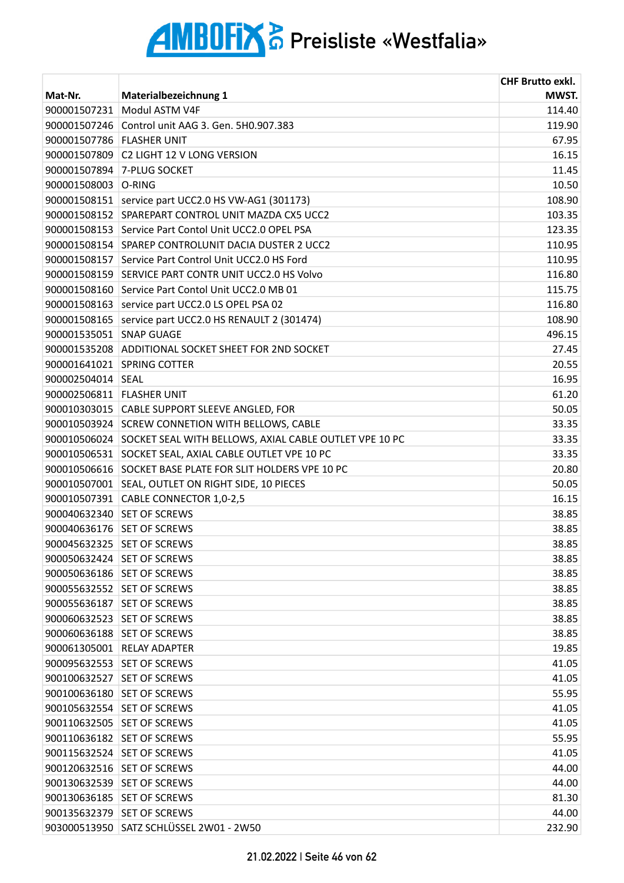|                           |                                                           | <b>CHF Brutto exkl.</b> |
|---------------------------|-----------------------------------------------------------|-------------------------|
| Mat-Nr.                   | Materialbezeichnung 1                                     | MWST.                   |
| 900001507231              | Modul ASTM V4F                                            | 114.40                  |
|                           | 900001507246 Control unit AAG 3. Gen. 5H0.907.383         | 119.90                  |
| 900001507786 FLASHER UNIT |                                                           | 67.95                   |
|                           | 900001507809 C2 LIGHT 12 V LONG VERSION                   | 16.15                   |
|                           | 900001507894 7-PLUG SOCKET                                | 11.45                   |
| 900001508003 O-RING       |                                                           | 10.50                   |
|                           | 900001508151   service part UCC2.0 HS VW-AG1 (301173)     | 108.90                  |
| 900001508152              | SPAREPART CONTROL UNIT MAZDA CX5 UCC2                     | 103.35                  |
|                           | 900001508153 Service Part Contol Unit UCC2.0 OPEL PSA     | 123.35                  |
|                           | 900001508154 SPAREP CONTROLUNIT DACIA DUSTER 2 UCC2       | 110.95                  |
|                           | 900001508157 Service Part Control Unit UCC2.0 HS Ford     | 110.95                  |
|                           | 900001508159 SERVICE PART CONTR UNIT UCC2.0 HS Volvo      | 116.80                  |
| 900001508160              | Service Part Contol Unit UCC2.0 MB 01                     | 115.75                  |
|                           | 900001508163 service part UCC2.0 LS OPEL PSA 02           | 116.80                  |
| 900001508165              | service part UCC2.0 HS RENAULT 2 (301474)                 | 108.90                  |
| 900001535051 SNAP GUAGE   |                                                           | 496.15                  |
|                           | 900001535208 ADDITIONAL SOCKET SHEET FOR 2ND SOCKET       | 27.45                   |
|                           | 900001641021 SPRING COTTER                                | 20.55                   |
| 900002504014 SEAL         |                                                           | 16.95                   |
| 900002506811 FLASHER UNIT |                                                           | 61.20                   |
|                           | 900010303015 CABLE SUPPORT SLEEVE ANGLED, FOR             | 50.05                   |
|                           | 900010503924 SCREW CONNETION WITH BELLOWS, CABLE          | 33.35                   |
| 900010506024              | SOCKET SEAL WITH BELLOWS, AXIAL CABLE OUTLET VPE 10 PC    | 33.35                   |
| 900010506531              | SOCKET SEAL, AXIAL CABLE OUTLET VPE 10 PC                 | 33.35                   |
|                           | 900010506616 SOCKET BASE PLATE FOR SLIT HOLDERS VPE 10 PC | 20.80                   |
|                           | 900010507001 SEAL, OUTLET ON RIGHT SIDE, 10 PIECES        | 50.05                   |
|                           | 900010507391 CABLE CONNECTOR 1,0-2,5                      | 16.15                   |
|                           | 900040632340 SET OF SCREWS                                | 38.85                   |
|                           | 900040636176 SET OF SCREWS                                | 38.85                   |
|                           | 900045632325 SET OF SCREWS                                | 38.85                   |
| 900050632424              | <b>SET OF SCREWS</b>                                      | 38.85                   |
| 900050636186              | <b>SET OF SCREWS</b>                                      | 38.85                   |
| 900055632552              | <b>SET OF SCREWS</b>                                      | 38.85                   |
| 900055636187              | <b>SET OF SCREWS</b>                                      | 38.85                   |
| 900060632523              | <b>SET OF SCREWS</b>                                      | 38.85                   |
| 900060636188              | <b>SET OF SCREWS</b>                                      | 38.85                   |
| 900061305001              | <b>RELAY ADAPTER</b>                                      | 19.85                   |
| 900095632553              | <b>SET OF SCREWS</b>                                      | 41.05                   |
| 900100632527              | <b>SET OF SCREWS</b>                                      | 41.05                   |
| 900100636180              | <b>SET OF SCREWS</b>                                      | 55.95                   |
| 900105632554              | <b>SET OF SCREWS</b>                                      | 41.05                   |
| 900110632505              | <b>SET OF SCREWS</b>                                      | 41.05                   |
| 900110636182              | <b>SET OF SCREWS</b>                                      | 55.95                   |
| 900115632524              | <b>SET OF SCREWS</b>                                      | 41.05                   |
| 900120632516              | <b>SET OF SCREWS</b>                                      | 44.00                   |
| 900130632539              | <b>SET OF SCREWS</b>                                      | 44.00                   |
| 900130636185              | <b>SET OF SCREWS</b>                                      | 81.30                   |
| 900135632379              | <b>SET OF SCREWS</b>                                      | 44.00                   |
|                           | 903000513950 SATZ SCHLÜSSEL 2W01 - 2W50                   | 232.90                  |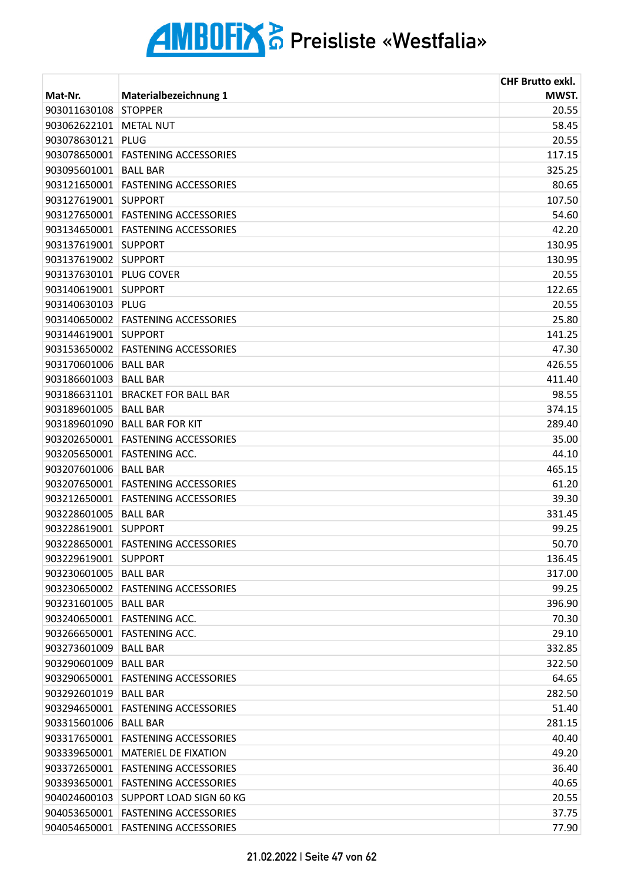|                         |                                    | <b>CHF Brutto exkl.</b> |
|-------------------------|------------------------------------|-------------------------|
| Mat-Nr.                 | Materialbezeichnung 1              | MWST.                   |
| 903011630108            | <b>STOPPER</b>                     | 20.55                   |
| 903062622101            | <b>METAL NUT</b>                   | 58.45                   |
| 903078630121            | <b>PLUG</b>                        | 20.55                   |
|                         | 903078650001 FASTENING ACCESSORIES | 117.15                  |
| 903095601001   BALL BAR |                                    | 325.25                  |
|                         | 903121650001 FASTENING ACCESSORIES | 80.65                   |
| 903127619001            | <b>SUPPORT</b>                     | 107.50                  |
|                         | 903127650001 FASTENING ACCESSORIES | 54.60                   |
|                         | 903134650001 FASTENING ACCESSORIES | 42.20                   |
| 903137619001 SUPPORT    |                                    | 130.95                  |
| 903137619002 SUPPORT    |                                    | 130.95                  |
| 903137630101 PLUG COVER |                                    | 20.55                   |
| 903140619001 SUPPORT    |                                    | 122.65                  |
| 903140630103            | PLUG                               | 20.55                   |
|                         | 903140650002 FASTENING ACCESSORIES | 25.80                   |
| 903144619001            | <b>SUPPORT</b>                     | 141.25                  |
|                         | 903153650002 FASTENING ACCESSORIES | 47.30                   |
| 903170601006            | <b>BALL BAR</b>                    | 426.55                  |
| 903186601003            | <b>BALL BAR</b>                    | 411.40                  |
|                         | 903186631101 BRACKET FOR BALL BAR  | 98.55                   |
| 903189601005            | <b>BALL BAR</b>                    | 374.15                  |
|                         | 903189601090   BALL BAR FOR KIT    | 289.40                  |
| 903202650001            | <b>FASTENING ACCESSORIES</b>       | 35.00                   |
| 903205650001            | <b>FASTENING ACC.</b>              | 44.10                   |
| 903207601006            | <b>BALL BAR</b>                    | 465.15                  |
|                         | 903207650001 FASTENING ACCESSORIES | 61.20                   |
| 903212650001            | <b>FASTENING ACCESSORIES</b>       | 39.30                   |
| 903228601005            | <b>BALL BAR</b>                    | 331.45                  |
| 903228619001            | <b>SUPPORT</b>                     | 99.25                   |
|                         | 903228650001 FASTENING ACCESSORIES | 50.70                   |
| 903229619001            | <b>SUPPORT</b>                     | 136.45                  |
| 903230601005            | <b>BALL BAR</b>                    | 317.00                  |
|                         | 903230650002 FASTENING ACCESSORIES | 99.25                   |
| 903231601005            | <b>BALL BAR</b>                    | 396.90                  |
|                         | 903240650001 FASTENING ACC.        | 70.30                   |
| 903266650001            | <b>FASTENING ACC.</b>              | 29.10                   |
| 903273601009            | <b>BALL BAR</b>                    | 332.85                  |
| 903290601009            | <b>BALL BAR</b>                    | 322.50                  |
|                         | 903290650001 FASTENING ACCESSORIES | 64.65                   |
| 903292601019            | <b>BALL BAR</b>                    | 282.50                  |
|                         | 903294650001 FASTENING ACCESSORIES | 51.40                   |
| 903315601006            | <b>BALL BAR</b>                    | 281.15                  |
| 903317650001            | <b>FASTENING ACCESSORIES</b>       | 40.40                   |
| 903339650001            | <b>MATERIEL DE FIXATION</b>        | 49.20                   |
|                         | 903372650001 FASTENING ACCESSORIES | 36.40                   |
|                         | 903393650001 FASTENING ACCESSORIES | 40.65                   |
| 904024600103            | <b>SUPPORT LOAD SIGN 60 KG</b>     | 20.55                   |
| 904053650001            | <b>FASTENING ACCESSORIES</b>       | 37.75                   |
|                         | 904054650001 FASTENING ACCESSORIES | 77.90                   |
|                         |                                    |                         |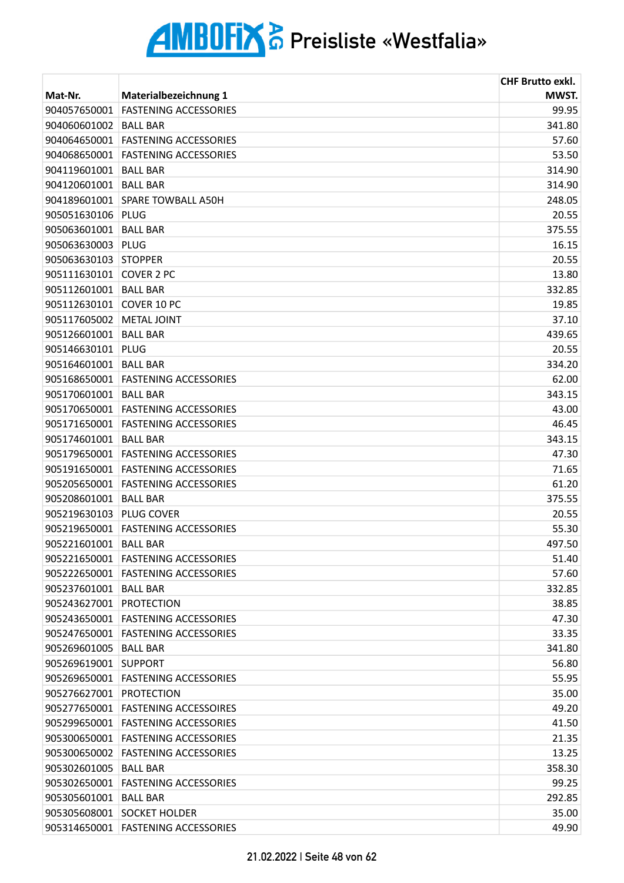|                         |                                    | <b>CHF Brutto exkl.</b> |
|-------------------------|------------------------------------|-------------------------|
| Mat-Nr.                 | Materialbezeichnung 1              | MWST.                   |
| 904057650001            | <b>FASTENING ACCESSORIES</b>       | 99.95                   |
| 904060601002            | <b>BALL BAR</b>                    | 341.80                  |
| 904064650001            | <b>FASTENING ACCESSORIES</b>       | 57.60                   |
| 904068650001            | <b>FASTENING ACCESSORIES</b>       | 53.50                   |
| 904119601001            | <b>BALL BAR</b>                    | 314.90                  |
| 904120601001            | <b>BALL BAR</b>                    | 314.90                  |
| 904189601001            | SPARE TOWBALL A50H                 | 248.05                  |
| 905051630106            | <b>PLUG</b>                        | 20.55                   |
| 905063601001 BALL BAR   |                                    | 375.55                  |
| 905063630003            | PLUG                               | 16.15                   |
| 905063630103            | <b>STOPPER</b>                     | 20.55                   |
| 905111630101            | COVER 2 PC                         | 13.80                   |
| 905112601001            | <b>BALL BAR</b>                    | 332.85                  |
| 905112630101            | COVER 10 PC                        | 19.85                   |
| 905117605002            | <b>METAL JOINT</b>                 | 37.10                   |
| 905126601001            | <b>BALL BAR</b>                    | 439.65                  |
| 905146630101            | PLUG                               | 20.55                   |
| 905164601001            | <b>BALL BAR</b>                    | 334.20                  |
| 905168650001            | <b>FASTENING ACCESSORIES</b>       | 62.00                   |
| 905170601001            | <b>BALL BAR</b>                    | 343.15                  |
|                         | 905170650001 FASTENING ACCESSORIES | 43.00                   |
| 905171650001            | <b>FASTENING ACCESSORIES</b>       | 46.45                   |
| 905174601001            | <b>BALL BAR</b>                    | 343.15                  |
| 905179650001            | <b>FASTENING ACCESSORIES</b>       | 47.30                   |
|                         | 905191650001 FASTENING ACCESSORIES | 71.65                   |
| 905205650001            | <b>FASTENING ACCESSORIES</b>       | 61.20                   |
| 905208601001            | <b>BALL BAR</b>                    | 375.55                  |
| 905219630103            | PLUG COVER                         | 20.55                   |
| 905219650001            | <b>FASTENING ACCESSORIES</b>       | 55.30                   |
| 905221601001            | <b>BALL BAR</b>                    | 497.50                  |
| 905221650001            | <b>FASTENING ACCESSORIES</b>       | 51.40                   |
| 905222650001            | <b>FASTENING ACCESSORIES</b>       | 57.60                   |
| 905237601001 BALL BAR   |                                    | 332.85                  |
| 905243627001 PROTECTION |                                    | 38.85                   |
|                         | 905243650001 FASTENING ACCESSORIES | 47.30                   |
| 905247650001            | <b>FASTENING ACCESSORIES</b>       | 33.35                   |
| 905269601005            | <b>BALL BAR</b>                    | 341.80                  |
| 905269619001 SUPPORT    |                                    | 56.80                   |
|                         | 905269650001 FASTENING ACCESSORIES | 55.95                   |
| 905276627001            | <b>PROTECTION</b>                  | 35.00                   |
|                         | 905277650001 FASTENING ACCESSOIRES | 49.20                   |
|                         | 905299650001 FASTENING ACCESSORIES | 41.50                   |
| 905300650001            | <b>FASTENING ACCESSORIES</b>       | 21.35                   |
| 905300650002            | <b>FASTENING ACCESSORIES</b>       | 13.25                   |
| 905302601005            | <b>BALL BAR</b>                    | 358.30                  |
|                         | 905302650001 FASTENING ACCESSORIES | 99.25                   |
| 905305601001            | <b>BALL BAR</b>                    | 292.85                  |
| 905305608001            | <b>SOCKET HOLDER</b>               | 35.00                   |
|                         | 905314650001 FASTENING ACCESSORIES | 49.90                   |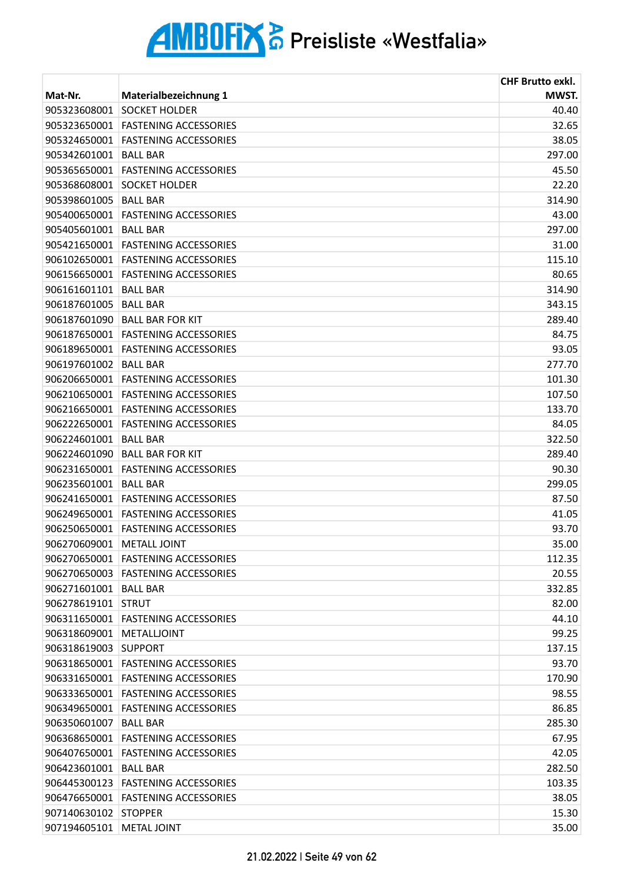|                           |                                      | <b>CHF Brutto exkl.</b> |
|---------------------------|--------------------------------------|-------------------------|
| Mat-Nr.                   | <b>Materialbezeichnung 1</b>         | MWST.                   |
| 905323608001              | <b>SOCKET HOLDER</b>                 | 40.40                   |
| 905323650001              | <b>FASTENING ACCESSORIES</b>         | 32.65                   |
| 905324650001              | <b>FASTENING ACCESSORIES</b>         | 38.05                   |
| 905342601001              | <b>BALL BAR</b>                      | 297.00                  |
| 905365650001              | <b>FASTENING ACCESSORIES</b>         | 45.50                   |
| 905368608001              | <b>SOCKET HOLDER</b>                 | 22.20                   |
| 905398601005              | <b>BALL BAR</b>                      | 314.90                  |
| 905400650001              | <b>FASTENING ACCESSORIES</b>         | 43.00                   |
| 905405601001 BALL BAR     |                                      | 297.00                  |
|                           | 905421650001 FASTENING ACCESSORIES   | 31.00                   |
| 906102650001              | <b>FASTENING ACCESSORIES</b>         | 115.10                  |
| 906156650001              | <b>FASTENING ACCESSORIES</b>         | 80.65                   |
| 906161601101              | <b>BALL BAR</b>                      | 314.90                  |
| 906187601005              | <b>BALL BAR</b>                      | 343.15                  |
| 906187601090              | <b>BALL BAR FOR KIT</b>              | 289.40                  |
|                           | 906187650001 FASTENING ACCESSORIES   | 84.75                   |
|                           | 906189650001 FASTENING ACCESSORIES   | 93.05                   |
| 906197601002              | <b>BALL BAR</b>                      | 277.70                  |
| 906206650001              | <b>FASTENING ACCESSORIES</b>         | 101.30                  |
|                           | 906210650001 FASTENING ACCESSORIES   | 107.50                  |
|                           | 906216650001 FASTENING ACCESSORIES   | 133.70                  |
| 906222650001              | <b>FASTENING ACCESSORIES</b>         | 84.05                   |
| 906224601001              | <b>BALL BAR</b>                      | 322.50                  |
| 906224601090              | <b>BALL BAR FOR KIT</b>              | 289.40                  |
|                           | 906231650001 FASTENING ACCESSORIES   | 90.30                   |
| 906235601001              | <b>BALL BAR</b>                      | 299.05                  |
| 906241650001              | <b>FASTENING ACCESSORIES</b>         | 87.50                   |
| 906249650001              | <b>FASTENING ACCESSORIES</b>         | 41.05                   |
|                           | 906250650001 FASTENING ACCESSORIES   | 93.70                   |
| 906270609001 METALL JOINT |                                      | 35.00                   |
| 906270650001              | <b>FASTENING ACCESSORIES</b>         | 112.35                  |
|                           | 906270650003 FASTENING ACCESSORIES   | 20.55                   |
| 906271601001 BALL BAR     |                                      | 332.85                  |
| 906278619101 STRUT        |                                      | 82.00                   |
| 906311650001              | <b>FASTENING ACCESSORIES</b>         | 44.10                   |
| 906318609001              | METALLJOINT                          | 99.25                   |
| 906318619003              | <b>SUPPORT</b>                       | 137.15                  |
| 906318650001              | <b>FASTENING ACCESSORIES</b>         | 93.70                   |
| 906331650001              | <b>FASTENING ACCESSORIES</b>         | 170.90                  |
| 906333650001              | <b>FASTENING ACCESSORIES</b>         | 98.55                   |
|                           | 906349650001 FASTENING ACCESSORIES   | 86.85                   |
| 906350601007              | <b>BALL BAR</b>                      | 285.30                  |
| 906368650001              | <b>FASTENING ACCESSORIES</b>         | 67.95                   |
| 906407650001              | <b>FASTENING ACCESSORIES</b>         | 42.05                   |
| 906423601001 BALL BAR     |                                      | 282.50                  |
|                           | 906445300123   FASTENING ACCESSORIES | 103.35                  |
| 906476650001              | <b>FASTENING ACCESSORIES</b>         | 38.05                   |
| 907140630102 STOPPER      |                                      | 15.30                   |
| 907194605101 METAL JOINT  |                                      | 35.00                   |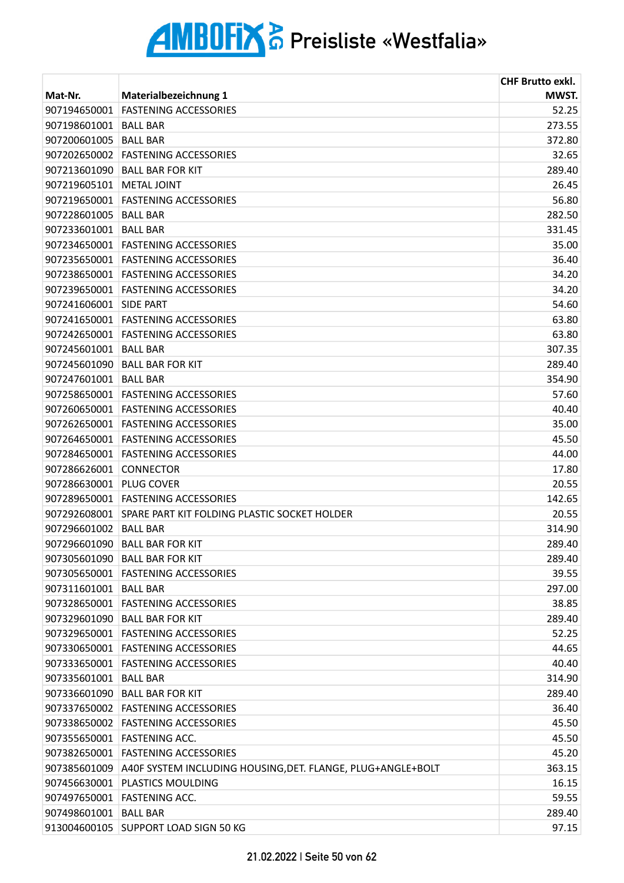|                       |                                                                          | <b>CHF Brutto exkl.</b> |
|-----------------------|--------------------------------------------------------------------------|-------------------------|
| Mat-Nr.               | Materialbezeichnung 1                                                    | MWST.                   |
| 907194650001          | <b>FASTENING ACCESSORIES</b>                                             | 52.25                   |
| 907198601001          | <b>BALL BAR</b>                                                          | 273.55                  |
| 907200601005          | <b>BALL BAR</b>                                                          | 372.80                  |
|                       | 907202650002 FASTENING ACCESSORIES                                       | 32.65                   |
| 907213601090          | <b>BALL BAR FOR KIT</b>                                                  | 289.40                  |
| 907219605101          | <b>METAL JOINT</b>                                                       | 26.45                   |
|                       | 907219650001 FASTENING ACCESSORIES                                       | 56.80                   |
| 907228601005          | <b>BALL BAR</b>                                                          | 282.50                  |
| 907233601001 BALL BAR |                                                                          | 331.45                  |
| 907234650001          | <b>FASTENING ACCESSORIES</b>                                             | 35.00                   |
|                       | 907235650001 FASTENING ACCESSORIES                                       | 36.40                   |
|                       | 907238650001 FASTENING ACCESSORIES                                       | 34.20                   |
| 907239650001          | <b>FASTENING ACCESSORIES</b>                                             | 34.20                   |
| 907241606001          | <b>SIDE PART</b>                                                         | 54.60                   |
|                       | 907241650001 FASTENING ACCESSORIES                                       | 63.80                   |
|                       | 907242650001 FASTENING ACCESSORIES                                       | 63.80                   |
| 907245601001          | <b>BALL BAR</b>                                                          | 307.35                  |
| 907245601090          | <b>BALL BAR FOR KIT</b>                                                  | 289.40                  |
| 907247601001          | <b>BALL BAR</b>                                                          | 354.90                  |
|                       | 907258650001 FASTENING ACCESSORIES                                       | 57.60                   |
|                       | 907260650001 FASTENING ACCESSORIES                                       | 40.40                   |
| 907262650001          | <b>FASTENING ACCESSORIES</b>                                             | 35.00                   |
| 907264650001          | <b>FASTENING ACCESSORIES</b>                                             | 45.50                   |
| 907284650001          | <b>FASTENING ACCESSORIES</b>                                             | 44.00                   |
| 907286626001          | <b>CONNECTOR</b>                                                         | 17.80                   |
| 907286630001          | <b>PLUG COVER</b>                                                        | 20.55                   |
|                       | 907289650001 FASTENING ACCESSORIES                                       | 142.65                  |
|                       | 907292608001 SPARE PART KIT FOLDING PLASTIC SOCKET HOLDER                | 20.55                   |
| 907296601002          | <b>BALL BAR</b>                                                          | 314.90                  |
|                       | 907296601090 BALL BAR FOR KIT                                            | 289.40                  |
|                       | 907305601090 BALL BAR FOR KIT                                            | 289.40                  |
|                       | 907305650001 FASTENING ACCESSORIES                                       | 39.55                   |
| 907311601001 BALL BAR |                                                                          | 297.00                  |
|                       | 907328650001 FASTENING ACCESSORIES                                       | 38.85                   |
|                       | 907329601090 BALL BAR FOR KIT                                            | 289.40                  |
|                       | 907329650001 FASTENING ACCESSORIES                                       | 52.25                   |
|                       | 907330650001 FASTENING ACCESSORIES                                       | 44.65                   |
| 907333650001          | <b>FASTENING ACCESSORIES</b>                                             | 40.40                   |
| 907335601001          | <b>BALL BAR</b>                                                          | 314.90                  |
|                       | 907336601090 BALL BAR FOR KIT                                            | 289.40                  |
|                       | 907337650002 FASTENING ACCESSORIES                                       | 36.40                   |
|                       | 907338650002 FASTENING ACCESSORIES                                       | 45.50                   |
| 907355650001          | <b>FASTENING ACC.</b>                                                    | 45.50                   |
|                       | 907382650001 FASTENING ACCESSORIES                                       | 45.20                   |
|                       | 907385601009 A40F SYSTEM INCLUDING HOUSING, DET. FLANGE, PLUG+ANGLE+BOLT | 363.15                  |
| 907456630001          | <b>PLASTICS MOULDING</b>                                                 | 16.15                   |
|                       | 907497650001 FASTENING ACC.                                              | 59.55                   |
| 907498601001 BALL BAR |                                                                          | 289.40                  |
|                       | 913004600105 SUPPORT LOAD SIGN 50 KG                                     | 97.15                   |
|                       |                                                                          |                         |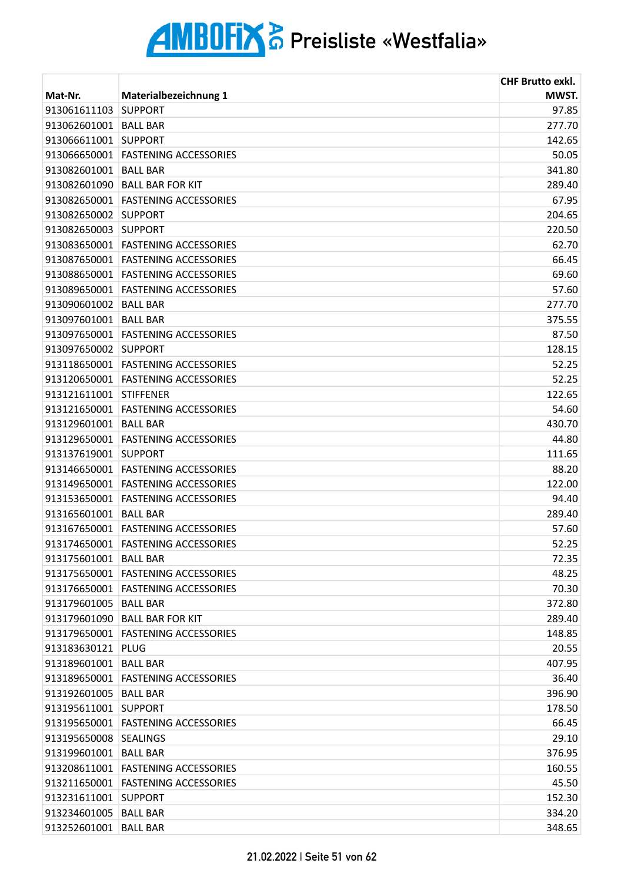| Materialbezeichnung 1<br>MWST.<br>Mat-Nr.<br>913061611103<br>97.85<br><b>SUPPORT</b><br>277.70<br>913062601001<br><b>BALL BAR</b><br>913066611001<br><b>SUPPORT</b><br>142.65<br>913066650001<br>50.05<br><b>FASTENING ACCESSORIES</b><br>341.80<br>913082601001<br><b>BALL BAR</b><br>289.40<br>913082601090<br><b>BALL BAR FOR KIT</b><br><b>FASTENING ACCESSORIES</b><br>67.95<br>913082650001<br>913082650002<br><b>SUPPORT</b><br>204.65<br>913082650003<br>220.50<br><b>SUPPORT</b><br>913083650001<br>62.70<br><b>FASTENING ACCESSORIES</b><br>913087650001<br><b>FASTENING ACCESSORIES</b><br>66.45<br>69.60<br>913088650001 FASTENING ACCESSORIES<br>913089650001<br><b>FASTENING ACCESSORIES</b><br>57.60<br>913090601002<br><b>BALL BAR</b><br>277.70<br>913097601001<br><b>BALL BAR</b><br>375.55<br>913097650001<br><b>FASTENING ACCESSORIES</b><br>87.50<br>128.15<br>913097650002 SUPPORT<br>913118650001<br><b>FASTENING ACCESSORIES</b><br>52.25<br>913120650001<br><b>FASTENING ACCESSORIES</b><br>52.25<br>913121611001<br>122.65<br><b>STIFFENER</b><br>54.60<br>913121650001 FASTENING ACCESSORIES<br>913129601001<br>430.70<br><b>BALL BAR</b><br>913129650001<br><b>FASTENING ACCESSORIES</b><br>44.80<br>913137619001<br><b>SUPPORT</b><br>111.65<br>88.20<br>913146650001 FASTENING ACCESSORIES<br>122.00<br>913149650001<br><b>FASTENING ACCESSORIES</b><br>913153650001<br><b>FASTENING ACCESSORIES</b><br>94.40<br>289.40<br>913165601001<br><b>BALL BAR</b><br>913167650001 FASTENING ACCESSORIES<br>57.60<br>52.25<br>913174650001 FASTENING ACCESSORIES<br>913175601001<br>72.35<br>BALL BAR<br>913175650001<br><b>FASTENING ACCESSORIES</b><br>48.25<br>70.30<br>913176650001   FASTENING ACCESSORIES<br>913179601005   BALL BAR<br>372.80<br>913179601090   BALL BAR FOR KIT<br>289.40<br>913179650001 FASTENING ACCESSORIES<br>148.85<br>913183630121 PLUG<br>20.55<br>913189601001 BALL BAR<br>407.95<br>913189650001 FASTENING ACCESSORIES<br>36.40<br>396.90<br>913192601005   BALL BAR<br>178.50<br>913195611001 SUPPORT<br>913195650001 FASTENING ACCESSORIES<br>66.45<br>913195650008 SEALINGS<br>29.10<br>913199601001<br><b>BALL BAR</b><br>376.95<br>913208611001 FASTENING ACCESSORIES<br>160.55<br>913211650001 FASTENING ACCESSORIES<br>45.50<br>913231611001 SUPPORT<br>152.30<br>913234601005<br>334.20<br><b>BALL BAR</b><br>913252601001 BALL BAR<br>348.65 |  | <b>CHF Brutto exkl.</b> |
|---------------------------------------------------------------------------------------------------------------------------------------------------------------------------------------------------------------------------------------------------------------------------------------------------------------------------------------------------------------------------------------------------------------------------------------------------------------------------------------------------------------------------------------------------------------------------------------------------------------------------------------------------------------------------------------------------------------------------------------------------------------------------------------------------------------------------------------------------------------------------------------------------------------------------------------------------------------------------------------------------------------------------------------------------------------------------------------------------------------------------------------------------------------------------------------------------------------------------------------------------------------------------------------------------------------------------------------------------------------------------------------------------------------------------------------------------------------------------------------------------------------------------------------------------------------------------------------------------------------------------------------------------------------------------------------------------------------------------------------------------------------------------------------------------------------------------------------------------------------------------------------------------------------------------------------------------------------------------------------------------------------------------------------------------------------------------------------------------------------------------------------------------------------------------------------------------------------------------------------------------------------------------------------------------------------------------------------------------------------------------------------------------------------|--|-------------------------|
|                                                                                                                                                                                                                                                                                                                                                                                                                                                                                                                                                                                                                                                                                                                                                                                                                                                                                                                                                                                                                                                                                                                                                                                                                                                                                                                                                                                                                                                                                                                                                                                                                                                                                                                                                                                                                                                                                                                                                                                                                                                                                                                                                                                                                                                                                                                                                                                                               |  |                         |
|                                                                                                                                                                                                                                                                                                                                                                                                                                                                                                                                                                                                                                                                                                                                                                                                                                                                                                                                                                                                                                                                                                                                                                                                                                                                                                                                                                                                                                                                                                                                                                                                                                                                                                                                                                                                                                                                                                                                                                                                                                                                                                                                                                                                                                                                                                                                                                                                               |  |                         |
|                                                                                                                                                                                                                                                                                                                                                                                                                                                                                                                                                                                                                                                                                                                                                                                                                                                                                                                                                                                                                                                                                                                                                                                                                                                                                                                                                                                                                                                                                                                                                                                                                                                                                                                                                                                                                                                                                                                                                                                                                                                                                                                                                                                                                                                                                                                                                                                                               |  |                         |
|                                                                                                                                                                                                                                                                                                                                                                                                                                                                                                                                                                                                                                                                                                                                                                                                                                                                                                                                                                                                                                                                                                                                                                                                                                                                                                                                                                                                                                                                                                                                                                                                                                                                                                                                                                                                                                                                                                                                                                                                                                                                                                                                                                                                                                                                                                                                                                                                               |  |                         |
|                                                                                                                                                                                                                                                                                                                                                                                                                                                                                                                                                                                                                                                                                                                                                                                                                                                                                                                                                                                                                                                                                                                                                                                                                                                                                                                                                                                                                                                                                                                                                                                                                                                                                                                                                                                                                                                                                                                                                                                                                                                                                                                                                                                                                                                                                                                                                                                                               |  |                         |
|                                                                                                                                                                                                                                                                                                                                                                                                                                                                                                                                                                                                                                                                                                                                                                                                                                                                                                                                                                                                                                                                                                                                                                                                                                                                                                                                                                                                                                                                                                                                                                                                                                                                                                                                                                                                                                                                                                                                                                                                                                                                                                                                                                                                                                                                                                                                                                                                               |  |                         |
|                                                                                                                                                                                                                                                                                                                                                                                                                                                                                                                                                                                                                                                                                                                                                                                                                                                                                                                                                                                                                                                                                                                                                                                                                                                                                                                                                                                                                                                                                                                                                                                                                                                                                                                                                                                                                                                                                                                                                                                                                                                                                                                                                                                                                                                                                                                                                                                                               |  |                         |
|                                                                                                                                                                                                                                                                                                                                                                                                                                                                                                                                                                                                                                                                                                                                                                                                                                                                                                                                                                                                                                                                                                                                                                                                                                                                                                                                                                                                                                                                                                                                                                                                                                                                                                                                                                                                                                                                                                                                                                                                                                                                                                                                                                                                                                                                                                                                                                                                               |  |                         |
|                                                                                                                                                                                                                                                                                                                                                                                                                                                                                                                                                                                                                                                                                                                                                                                                                                                                                                                                                                                                                                                                                                                                                                                                                                                                                                                                                                                                                                                                                                                                                                                                                                                                                                                                                                                                                                                                                                                                                                                                                                                                                                                                                                                                                                                                                                                                                                                                               |  |                         |
|                                                                                                                                                                                                                                                                                                                                                                                                                                                                                                                                                                                                                                                                                                                                                                                                                                                                                                                                                                                                                                                                                                                                                                                                                                                                                                                                                                                                                                                                                                                                                                                                                                                                                                                                                                                                                                                                                                                                                                                                                                                                                                                                                                                                                                                                                                                                                                                                               |  |                         |
|                                                                                                                                                                                                                                                                                                                                                                                                                                                                                                                                                                                                                                                                                                                                                                                                                                                                                                                                                                                                                                                                                                                                                                                                                                                                                                                                                                                                                                                                                                                                                                                                                                                                                                                                                                                                                                                                                                                                                                                                                                                                                                                                                                                                                                                                                                                                                                                                               |  |                         |
|                                                                                                                                                                                                                                                                                                                                                                                                                                                                                                                                                                                                                                                                                                                                                                                                                                                                                                                                                                                                                                                                                                                                                                                                                                                                                                                                                                                                                                                                                                                                                                                                                                                                                                                                                                                                                                                                                                                                                                                                                                                                                                                                                                                                                                                                                                                                                                                                               |  |                         |
|                                                                                                                                                                                                                                                                                                                                                                                                                                                                                                                                                                                                                                                                                                                                                                                                                                                                                                                                                                                                                                                                                                                                                                                                                                                                                                                                                                                                                                                                                                                                                                                                                                                                                                                                                                                                                                                                                                                                                                                                                                                                                                                                                                                                                                                                                                                                                                                                               |  |                         |
|                                                                                                                                                                                                                                                                                                                                                                                                                                                                                                                                                                                                                                                                                                                                                                                                                                                                                                                                                                                                                                                                                                                                                                                                                                                                                                                                                                                                                                                                                                                                                                                                                                                                                                                                                                                                                                                                                                                                                                                                                                                                                                                                                                                                                                                                                                                                                                                                               |  |                         |
|                                                                                                                                                                                                                                                                                                                                                                                                                                                                                                                                                                                                                                                                                                                                                                                                                                                                                                                                                                                                                                                                                                                                                                                                                                                                                                                                                                                                                                                                                                                                                                                                                                                                                                                                                                                                                                                                                                                                                                                                                                                                                                                                                                                                                                                                                                                                                                                                               |  |                         |
|                                                                                                                                                                                                                                                                                                                                                                                                                                                                                                                                                                                                                                                                                                                                                                                                                                                                                                                                                                                                                                                                                                                                                                                                                                                                                                                                                                                                                                                                                                                                                                                                                                                                                                                                                                                                                                                                                                                                                                                                                                                                                                                                                                                                                                                                                                                                                                                                               |  |                         |
|                                                                                                                                                                                                                                                                                                                                                                                                                                                                                                                                                                                                                                                                                                                                                                                                                                                                                                                                                                                                                                                                                                                                                                                                                                                                                                                                                                                                                                                                                                                                                                                                                                                                                                                                                                                                                                                                                                                                                                                                                                                                                                                                                                                                                                                                                                                                                                                                               |  |                         |
|                                                                                                                                                                                                                                                                                                                                                                                                                                                                                                                                                                                                                                                                                                                                                                                                                                                                                                                                                                                                                                                                                                                                                                                                                                                                                                                                                                                                                                                                                                                                                                                                                                                                                                                                                                                                                                                                                                                                                                                                                                                                                                                                                                                                                                                                                                                                                                                                               |  |                         |
|                                                                                                                                                                                                                                                                                                                                                                                                                                                                                                                                                                                                                                                                                                                                                                                                                                                                                                                                                                                                                                                                                                                                                                                                                                                                                                                                                                                                                                                                                                                                                                                                                                                                                                                                                                                                                                                                                                                                                                                                                                                                                                                                                                                                                                                                                                                                                                                                               |  |                         |
|                                                                                                                                                                                                                                                                                                                                                                                                                                                                                                                                                                                                                                                                                                                                                                                                                                                                                                                                                                                                                                                                                                                                                                                                                                                                                                                                                                                                                                                                                                                                                                                                                                                                                                                                                                                                                                                                                                                                                                                                                                                                                                                                                                                                                                                                                                                                                                                                               |  |                         |
|                                                                                                                                                                                                                                                                                                                                                                                                                                                                                                                                                                                                                                                                                                                                                                                                                                                                                                                                                                                                                                                                                                                                                                                                                                                                                                                                                                                                                                                                                                                                                                                                                                                                                                                                                                                                                                                                                                                                                                                                                                                                                                                                                                                                                                                                                                                                                                                                               |  |                         |
|                                                                                                                                                                                                                                                                                                                                                                                                                                                                                                                                                                                                                                                                                                                                                                                                                                                                                                                                                                                                                                                                                                                                                                                                                                                                                                                                                                                                                                                                                                                                                                                                                                                                                                                                                                                                                                                                                                                                                                                                                                                                                                                                                                                                                                                                                                                                                                                                               |  |                         |
|                                                                                                                                                                                                                                                                                                                                                                                                                                                                                                                                                                                                                                                                                                                                                                                                                                                                                                                                                                                                                                                                                                                                                                                                                                                                                                                                                                                                                                                                                                                                                                                                                                                                                                                                                                                                                                                                                                                                                                                                                                                                                                                                                                                                                                                                                                                                                                                                               |  |                         |
|                                                                                                                                                                                                                                                                                                                                                                                                                                                                                                                                                                                                                                                                                                                                                                                                                                                                                                                                                                                                                                                                                                                                                                                                                                                                                                                                                                                                                                                                                                                                                                                                                                                                                                                                                                                                                                                                                                                                                                                                                                                                                                                                                                                                                                                                                                                                                                                                               |  |                         |
|                                                                                                                                                                                                                                                                                                                                                                                                                                                                                                                                                                                                                                                                                                                                                                                                                                                                                                                                                                                                                                                                                                                                                                                                                                                                                                                                                                                                                                                                                                                                                                                                                                                                                                                                                                                                                                                                                                                                                                                                                                                                                                                                                                                                                                                                                                                                                                                                               |  |                         |
|                                                                                                                                                                                                                                                                                                                                                                                                                                                                                                                                                                                                                                                                                                                                                                                                                                                                                                                                                                                                                                                                                                                                                                                                                                                                                                                                                                                                                                                                                                                                                                                                                                                                                                                                                                                                                                                                                                                                                                                                                                                                                                                                                                                                                                                                                                                                                                                                               |  |                         |
|                                                                                                                                                                                                                                                                                                                                                                                                                                                                                                                                                                                                                                                                                                                                                                                                                                                                                                                                                                                                                                                                                                                                                                                                                                                                                                                                                                                                                                                                                                                                                                                                                                                                                                                                                                                                                                                                                                                                                                                                                                                                                                                                                                                                                                                                                                                                                                                                               |  |                         |
|                                                                                                                                                                                                                                                                                                                                                                                                                                                                                                                                                                                                                                                                                                                                                                                                                                                                                                                                                                                                                                                                                                                                                                                                                                                                                                                                                                                                                                                                                                                                                                                                                                                                                                                                                                                                                                                                                                                                                                                                                                                                                                                                                                                                                                                                                                                                                                                                               |  |                         |
|                                                                                                                                                                                                                                                                                                                                                                                                                                                                                                                                                                                                                                                                                                                                                                                                                                                                                                                                                                                                                                                                                                                                                                                                                                                                                                                                                                                                                                                                                                                                                                                                                                                                                                                                                                                                                                                                                                                                                                                                                                                                                                                                                                                                                                                                                                                                                                                                               |  |                         |
|                                                                                                                                                                                                                                                                                                                                                                                                                                                                                                                                                                                                                                                                                                                                                                                                                                                                                                                                                                                                                                                                                                                                                                                                                                                                                                                                                                                                                                                                                                                                                                                                                                                                                                                                                                                                                                                                                                                                                                                                                                                                                                                                                                                                                                                                                                                                                                                                               |  |                         |
|                                                                                                                                                                                                                                                                                                                                                                                                                                                                                                                                                                                                                                                                                                                                                                                                                                                                                                                                                                                                                                                                                                                                                                                                                                                                                                                                                                                                                                                                                                                                                                                                                                                                                                                                                                                                                                                                                                                                                                                                                                                                                                                                                                                                                                                                                                                                                                                                               |  |                         |
|                                                                                                                                                                                                                                                                                                                                                                                                                                                                                                                                                                                                                                                                                                                                                                                                                                                                                                                                                                                                                                                                                                                                                                                                                                                                                                                                                                                                                                                                                                                                                                                                                                                                                                                                                                                                                                                                                                                                                                                                                                                                                                                                                                                                                                                                                                                                                                                                               |  |                         |
|                                                                                                                                                                                                                                                                                                                                                                                                                                                                                                                                                                                                                                                                                                                                                                                                                                                                                                                                                                                                                                                                                                                                                                                                                                                                                                                                                                                                                                                                                                                                                                                                                                                                                                                                                                                                                                                                                                                                                                                                                                                                                                                                                                                                                                                                                                                                                                                                               |  |                         |
|                                                                                                                                                                                                                                                                                                                                                                                                                                                                                                                                                                                                                                                                                                                                                                                                                                                                                                                                                                                                                                                                                                                                                                                                                                                                                                                                                                                                                                                                                                                                                                                                                                                                                                                                                                                                                                                                                                                                                                                                                                                                                                                                                                                                                                                                                                                                                                                                               |  |                         |
|                                                                                                                                                                                                                                                                                                                                                                                                                                                                                                                                                                                                                                                                                                                                                                                                                                                                                                                                                                                                                                                                                                                                                                                                                                                                                                                                                                                                                                                                                                                                                                                                                                                                                                                                                                                                                                                                                                                                                                                                                                                                                                                                                                                                                                                                                                                                                                                                               |  |                         |
|                                                                                                                                                                                                                                                                                                                                                                                                                                                                                                                                                                                                                                                                                                                                                                                                                                                                                                                                                                                                                                                                                                                                                                                                                                                                                                                                                                                                                                                                                                                                                                                                                                                                                                                                                                                                                                                                                                                                                                                                                                                                                                                                                                                                                                                                                                                                                                                                               |  |                         |
|                                                                                                                                                                                                                                                                                                                                                                                                                                                                                                                                                                                                                                                                                                                                                                                                                                                                                                                                                                                                                                                                                                                                                                                                                                                                                                                                                                                                                                                                                                                                                                                                                                                                                                                                                                                                                                                                                                                                                                                                                                                                                                                                                                                                                                                                                                                                                                                                               |  |                         |
|                                                                                                                                                                                                                                                                                                                                                                                                                                                                                                                                                                                                                                                                                                                                                                                                                                                                                                                                                                                                                                                                                                                                                                                                                                                                                                                                                                                                                                                                                                                                                                                                                                                                                                                                                                                                                                                                                                                                                                                                                                                                                                                                                                                                                                                                                                                                                                                                               |  |                         |
|                                                                                                                                                                                                                                                                                                                                                                                                                                                                                                                                                                                                                                                                                                                                                                                                                                                                                                                                                                                                                                                                                                                                                                                                                                                                                                                                                                                                                                                                                                                                                                                                                                                                                                                                                                                                                                                                                                                                                                                                                                                                                                                                                                                                                                                                                                                                                                                                               |  |                         |
|                                                                                                                                                                                                                                                                                                                                                                                                                                                                                                                                                                                                                                                                                                                                                                                                                                                                                                                                                                                                                                                                                                                                                                                                                                                                                                                                                                                                                                                                                                                                                                                                                                                                                                                                                                                                                                                                                                                                                                                                                                                                                                                                                                                                                                                                                                                                                                                                               |  |                         |
|                                                                                                                                                                                                                                                                                                                                                                                                                                                                                                                                                                                                                                                                                                                                                                                                                                                                                                                                                                                                                                                                                                                                                                                                                                                                                                                                                                                                                                                                                                                                                                                                                                                                                                                                                                                                                                                                                                                                                                                                                                                                                                                                                                                                                                                                                                                                                                                                               |  |                         |
|                                                                                                                                                                                                                                                                                                                                                                                                                                                                                                                                                                                                                                                                                                                                                                                                                                                                                                                                                                                                                                                                                                                                                                                                                                                                                                                                                                                                                                                                                                                                                                                                                                                                                                                                                                                                                                                                                                                                                                                                                                                                                                                                                                                                                                                                                                                                                                                                               |  |                         |
|                                                                                                                                                                                                                                                                                                                                                                                                                                                                                                                                                                                                                                                                                                                                                                                                                                                                                                                                                                                                                                                                                                                                                                                                                                                                                                                                                                                                                                                                                                                                                                                                                                                                                                                                                                                                                                                                                                                                                                                                                                                                                                                                                                                                                                                                                                                                                                                                               |  |                         |
|                                                                                                                                                                                                                                                                                                                                                                                                                                                                                                                                                                                                                                                                                                                                                                                                                                                                                                                                                                                                                                                                                                                                                                                                                                                                                                                                                                                                                                                                                                                                                                                                                                                                                                                                                                                                                                                                                                                                                                                                                                                                                                                                                                                                                                                                                                                                                                                                               |  |                         |
|                                                                                                                                                                                                                                                                                                                                                                                                                                                                                                                                                                                                                                                                                                                                                                                                                                                                                                                                                                                                                                                                                                                                                                                                                                                                                                                                                                                                                                                                                                                                                                                                                                                                                                                                                                                                                                                                                                                                                                                                                                                                                                                                                                                                                                                                                                                                                                                                               |  |                         |
|                                                                                                                                                                                                                                                                                                                                                                                                                                                                                                                                                                                                                                                                                                                                                                                                                                                                                                                                                                                                                                                                                                                                                                                                                                                                                                                                                                                                                                                                                                                                                                                                                                                                                                                                                                                                                                                                                                                                                                                                                                                                                                                                                                                                                                                                                                                                                                                                               |  |                         |
|                                                                                                                                                                                                                                                                                                                                                                                                                                                                                                                                                                                                                                                                                                                                                                                                                                                                                                                                                                                                                                                                                                                                                                                                                                                                                                                                                                                                                                                                                                                                                                                                                                                                                                                                                                                                                                                                                                                                                                                                                                                                                                                                                                                                                                                                                                                                                                                                               |  |                         |
|                                                                                                                                                                                                                                                                                                                                                                                                                                                                                                                                                                                                                                                                                                                                                                                                                                                                                                                                                                                                                                                                                                                                                                                                                                                                                                                                                                                                                                                                                                                                                                                                                                                                                                                                                                                                                                                                                                                                                                                                                                                                                                                                                                                                                                                                                                                                                                                                               |  |                         |
|                                                                                                                                                                                                                                                                                                                                                                                                                                                                                                                                                                                                                                                                                                                                                                                                                                                                                                                                                                                                                                                                                                                                                                                                                                                                                                                                                                                                                                                                                                                                                                                                                                                                                                                                                                                                                                                                                                                                                                                                                                                                                                                                                                                                                                                                                                                                                                                                               |  |                         |
|                                                                                                                                                                                                                                                                                                                                                                                                                                                                                                                                                                                                                                                                                                                                                                                                                                                                                                                                                                                                                                                                                                                                                                                                                                                                                                                                                                                                                                                                                                                                                                                                                                                                                                                                                                                                                                                                                                                                                                                                                                                                                                                                                                                                                                                                                                                                                                                                               |  |                         |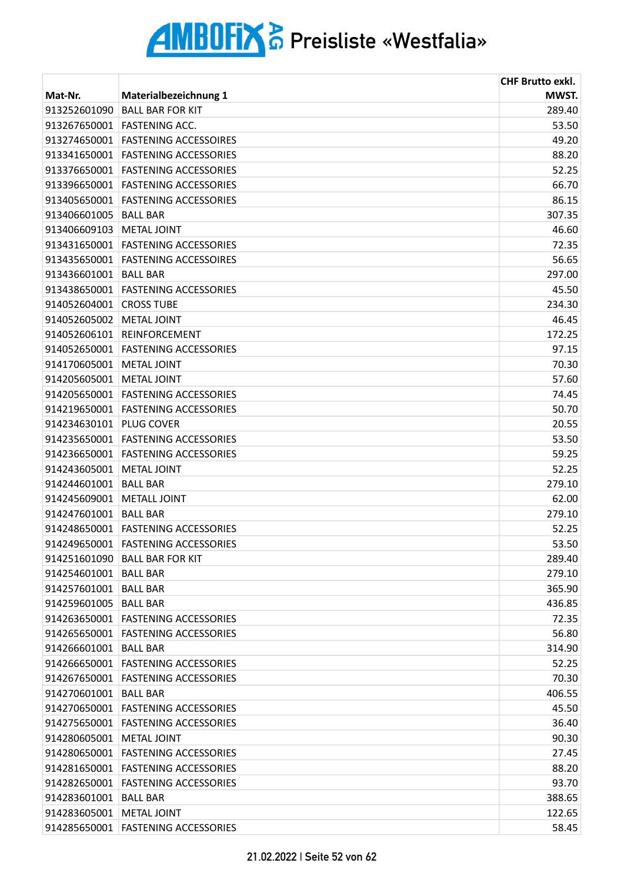|                         |                                      | <b>CHF Brutto exkl.</b> |
|-------------------------|--------------------------------------|-------------------------|
| Mat-Nr.                 | Materialbezeichnung 1                | MWST.                   |
| 913252601090            | <b>BALL BAR FOR KIT</b>              | 289.40                  |
| 913267650001            | <b>FASTENING ACC.</b>                | 53.50                   |
| 913274650001            | <b>FASTENING ACCESSOIRES</b>         | 49.20                   |
|                         | 913341650001   FASTENING ACCESSORIES | 88.20                   |
| 913376650001            | <b>FASTENING ACCESSORIES</b>         | 52.25                   |
| 913396650001            | <b>FASTENING ACCESSORIES</b>         | 66.70                   |
| 913405650001            | <b>FASTENING ACCESSORIES</b>         | 86.15                   |
| 913406601005            | <b>BALL BAR</b>                      | 307.35                  |
| 913406609103            | METAL JOINT                          | 46.60                   |
|                         | 913431650001 FASTENING ACCESSORIES   | 72.35                   |
| 913435650001            | <b>FASTENING ACCESSOIRES</b>         | 56.65                   |
| 913436601001            | <b>BALL BAR</b>                      | 297.00                  |
| 913438650001            | <b>FASTENING ACCESSORIES</b>         | 45.50                   |
| 914052604001            | <b>CROSS TUBE</b>                    | 234.30                  |
| 914052605002            | <b>METAL JOINT</b>                   | 46.45                   |
|                         | 914052606101 REINFORCEMENT           | 172.25                  |
|                         | 914052650001 FASTENING ACCESSORIES   | 97.15                   |
| 914170605001            | <b>METAL JOINT</b>                   | 70.30                   |
| 914205605001            | <b>METAL JOINT</b>                   | 57.60                   |
|                         | 914205650001 FASTENING ACCESSORIES   | 74.45                   |
|                         | 914219650001 FASTENING ACCESSORIES   | 50.70                   |
| 914234630101            | <b>PLUG COVER</b>                    | 20.55                   |
| 914235650001            | <b>FASTENING ACCESSORIES</b>         | 53.50                   |
| 914236650001            | <b>FASTENING ACCESSORIES</b>         | 59.25                   |
| 914243605001            | METAL JOINT                          | 52.25                   |
| 914244601001            | <b>BALL BAR</b>                      | 279.10                  |
| 914245609001            | <b>METALL JOINT</b>                  | 62.00                   |
| 914247601001            | <b>BALL BAR</b>                      | 279.10                  |
|                         | 914248650001 FASTENING ACCESSORIES   | 52.25                   |
|                         | 914249650001 FASTENING ACCESSORIES   | 53.50                   |
| 914251601090            | <b>BALL BAR FOR KIT</b>              | 289.40                  |
| 914254601001            | <b>BALL BAR</b>                      | 279.10                  |
| 914257601001 BALL BAR   |                                      | 365.90                  |
| 914259601005   BALL BAR |                                      | 436.85                  |
|                         | 914263650001 FASTENING ACCESSORIES   | 72.35                   |
|                         | 914265650001 FASTENING ACCESSORIES   | 56.80                   |
| 914266601001 BALL BAR   |                                      | 314.90                  |
|                         | 914266650001 FASTENING ACCESSORIES   | 52.25                   |
|                         | 914267650001 FASTENING ACCESSORIES   | 70.30                   |
| 914270601001            | <b>BALL BAR</b>                      | 406.55                  |
|                         | 914270650001 FASTENING ACCESSORIES   | 45.50                   |
|                         | 914275650001 FASTENING ACCESSORIES   | 36.40                   |
| 914280605001            | <b>METAL JOINT</b>                   | 90.30                   |
| 914280650001            | <b>FASTENING ACCESSORIES</b>         | 27.45                   |
|                         | 914281650001 FASTENING ACCESSORIES   | 88.20                   |
|                         | 914282650001 FASTENING ACCESSORIES   | 93.70                   |
| 914283601001            | <b>BALL BAR</b>                      | 388.65                  |
| 914283605001            | <b>METAL JOINT</b>                   | 122.65                  |
|                         | 914285650001 FASTENING ACCESSORIES   | 58.45                   |
|                         |                                      |                         |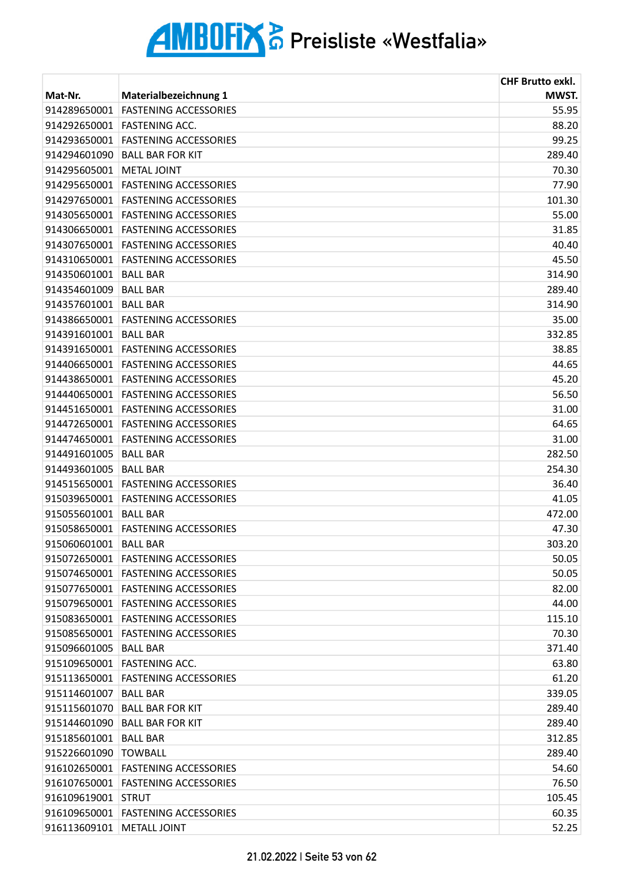|                             |                                    | <b>CHF Brutto exkl.</b> |
|-----------------------------|------------------------------------|-------------------------|
| Mat-Nr.                     | Materialbezeichnung 1              | MWST.                   |
| 914289650001                | <b>FASTENING ACCESSORIES</b>       | 55.95                   |
| 914292650001                | <b>FASTENING ACC.</b>              | 88.20                   |
| 914293650001                | <b>FASTENING ACCESSORIES</b>       | 99.25                   |
| 914294601090                | <b>BALL BAR FOR KIT</b>            | 289.40                  |
| 914295605001                | <b>METAL JOINT</b>                 | 70.30                   |
| 914295650001                | <b>FASTENING ACCESSORIES</b>       | 77.90                   |
| 914297650001                | <b>FASTENING ACCESSORIES</b>       | 101.30                  |
| 914305650001                | <b>FASTENING ACCESSORIES</b>       | 55.00                   |
| 914306650001                | <b>FASTENING ACCESSORIES</b>       | 31.85                   |
| 914307650001                | <b>FASTENING ACCESSORIES</b>       | 40.40                   |
| 914310650001                | <b>FASTENING ACCESSORIES</b>       | 45.50                   |
| 914350601001                | <b>BALL BAR</b>                    | 314.90                  |
| 914354601009                | <b>BALL BAR</b>                    | 289.40                  |
| 914357601001                | <b>BALL BAR</b>                    | 314.90                  |
| 914386650001                | <b>FASTENING ACCESSORIES</b>       | 35.00                   |
| 914391601001                | <b>BALL BAR</b>                    | 332.85                  |
| 914391650001                | <b>FASTENING ACCESSORIES</b>       | 38.85                   |
| 914406650001                | <b>FASTENING ACCESSORIES</b>       | 44.65                   |
| 914438650001                | <b>FASTENING ACCESSORIES</b>       | 45.20                   |
| 914440650001                | <b>FASTENING ACCESSORIES</b>       | 56.50                   |
|                             | 914451650001 FASTENING ACCESSORIES | 31.00                   |
| 914472650001                | <b>FASTENING ACCESSORIES</b>       | 64.65                   |
| 914474650001                | <b>FASTENING ACCESSORIES</b>       | 31.00                   |
| 914491601005                | <b>BALL BAR</b>                    | 282.50                  |
| 914493601005                | <b>BALL BAR</b>                    | 254.30                  |
| 914515650001                | <b>FASTENING ACCESSORIES</b>       | 36.40                   |
| 915039650001                | <b>FASTENING ACCESSORIES</b>       | 41.05                   |
| 915055601001                | <b>BALL BAR</b>                    | 472.00                  |
| 915058650001                | <b>FASTENING ACCESSORIES</b>       | 47.30                   |
| 915060601001                | <b>BALL BAR</b>                    | 303.20                  |
| 915072650001                | <b>FASTENING ACCESSORIES</b>       | 50.05                   |
| 915074650001                | <b>FASTENING ACCESSORIES</b>       | 50.05                   |
|                             | 915077650001 FASTENING ACCESSORIES | 82.00                   |
|                             | 915079650001 FASTENING ACCESSORIES | 44.00                   |
| 915083650001                | <b>FASTENING ACCESSORIES</b>       | 115.10                  |
| 915085650001                | <b>FASTENING ACCESSORIES</b>       | 70.30                   |
| 915096601005                | <b>BALL BAR</b>                    | 371.40                  |
| 915109650001                | <b>FASTENING ACC.</b>              | 63.80                   |
| 915113650001                | <b>FASTENING ACCESSORIES</b>       | 61.20                   |
| 915114601007                | <b>BALL BAR</b>                    | 339.05                  |
| 915115601070                | <b>BALL BAR FOR KIT</b>            | 289.40                  |
| 915144601090                | <b>BALL BAR FOR KIT</b>            | 289.40                  |
| 915185601001                | <b>BALL BAR</b>                    | 312.85                  |
| 915226601090                | <b>TOWBALL</b>                     | 289.40                  |
|                             | 916102650001 FASTENING ACCESSORIES | 54.60                   |
|                             | 916107650001 FASTENING ACCESSORIES | 76.50                   |
| 916109619001                | <b>STRUT</b>                       | 105.45                  |
| 916109650001                | <b>FASTENING ACCESSORIES</b>       | 60.35                   |
| 916113609101   METALL JOINT |                                    | 52.25                   |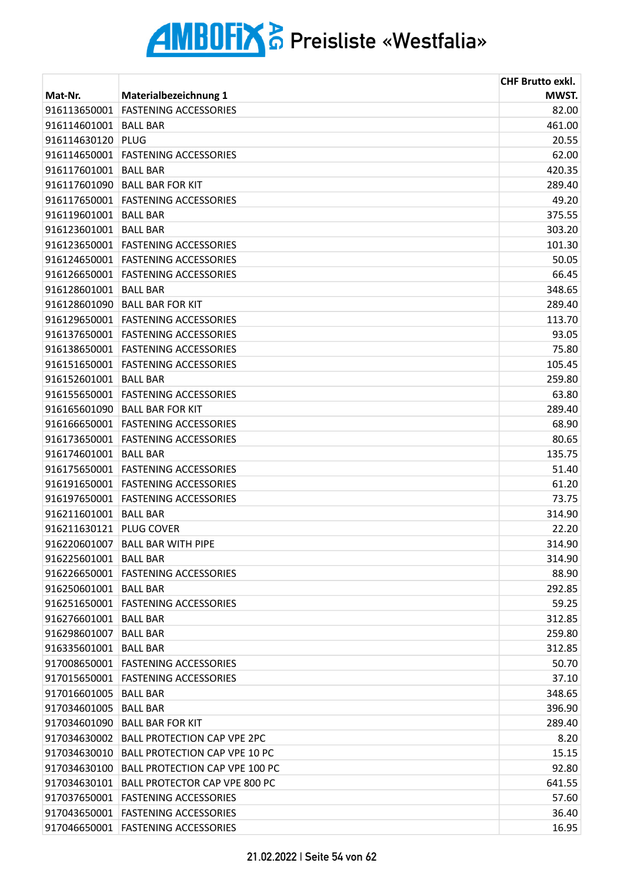|                         |                                             | <b>CHF Brutto exkl.</b> |
|-------------------------|---------------------------------------------|-------------------------|
| Mat-Nr.                 | Materialbezeichnung 1                       | MWST.                   |
| 916113650001            | <b>FASTENING ACCESSORIES</b>                | 82.00                   |
| 916114601001            | <b>BALL BAR</b>                             | 461.00                  |
| 916114630120            | PLUG                                        | 20.55                   |
| 916114650001            | <b>FASTENING ACCESSORIES</b>                | 62.00                   |
| 916117601001            | <b>BALL BAR</b>                             | 420.35                  |
| 916117601090            | <b>BALL BAR FOR KIT</b>                     | 289.40                  |
|                         | 916117650001 FASTENING ACCESSORIES          | 49.20                   |
| 916119601001            | <b>BALL BAR</b>                             | 375.55                  |
| 916123601001            | <b>BALL BAR</b>                             | 303.20                  |
|                         | 916123650001 FASTENING ACCESSORIES          | 101.30                  |
|                         | 916124650001 FASTENING ACCESSORIES          | 50.05                   |
|                         | 916126650001 FASTENING ACCESSORIES          | 66.45                   |
| 916128601001            | <b>BALL BAR</b>                             | 348.65                  |
| 916128601090            | <b>BALL BAR FOR KIT</b>                     | 289.40                  |
|                         | 916129650001 FASTENING ACCESSORIES          | 113.70                  |
|                         | 916137650001 FASTENING ACCESSORIES          | 93.05                   |
|                         | 916138650001 FASTENING ACCESSORIES          | 75.80                   |
| 916151650001            | <b>FASTENING ACCESSORIES</b>                | 105.45                  |
| 916152601001            | <b>BALL BAR</b>                             | 259.80                  |
|                         | 916155650001 FASTENING ACCESSORIES          | 63.80                   |
| 916165601090            | <b>BALL BAR FOR KIT</b>                     | 289.40                  |
| 916166650001            | <b>FASTENING ACCESSORIES</b>                | 68.90                   |
| 916173650001            | <b>FASTENING ACCESSORIES</b>                | 80.65                   |
| 916174601001            | <b>BALL BAR</b>                             | 135.75                  |
|                         | 916175650001 FASTENING ACCESSORIES          | 51.40                   |
| 916191650001            | <b>FASTENING ACCESSORIES</b>                | 61.20                   |
|                         | 916197650001 FASTENING ACCESSORIES          | 73.75                   |
| 916211601001            | <b>BALL BAR</b>                             | 314.90                  |
| 916211630121 PLUG COVER |                                             | 22.20                   |
|                         | 916220601007 BALL BAR WITH PIPE             | 314.90                  |
| 916225601001            | BALL BAR                                    | 314.90                  |
|                         | 916226650001 FASTENING ACCESSORIES          | 88.90                   |
| 916250601001 BALL BAR   |                                             | 292.85                  |
|                         | 916251650001 FASTENING ACCESSORIES          | 59.25                   |
| 916276601001            | <b>BALL BAR</b>                             | 312.85                  |
| 916298601007            | <b>BALL BAR</b>                             | 259.80                  |
| 916335601001            | <b>BALL BAR</b>                             | 312.85                  |
| 917008650001            | <b>FASTENING ACCESSORIES</b>                | 50.70                   |
|                         | 917015650001 FASTENING ACCESSORIES          | 37.10                   |
| 917016601005   BALL BAR |                                             | 348.65                  |
| 917034601005   BALL BAR |                                             | 396.90                  |
| 917034601090            | <b>BALL BAR FOR KIT</b>                     | 289.40                  |
| 917034630002            | <b>BALL PROTECTION CAP VPE 2PC</b>          | 8.20                    |
|                         |                                             |                         |
|                         | 917034630010 BALL PROTECTION CAP VPE 10 PC  | 15.15                   |
|                         | 917034630100 BALL PROTECTION CAP VPE 100 PC | 92.80                   |
|                         | 917034630101 BALL PROTECTOR CAP VPE 800 PC  | 641.55                  |
|                         | 917037650001 FASTENING ACCESSORIES          | 57.60                   |
|                         | 917043650001 FASTENING ACCESSORIES          | 36.40                   |
|                         | 917046650001 FASTENING ACCESSORIES          | 16.95                   |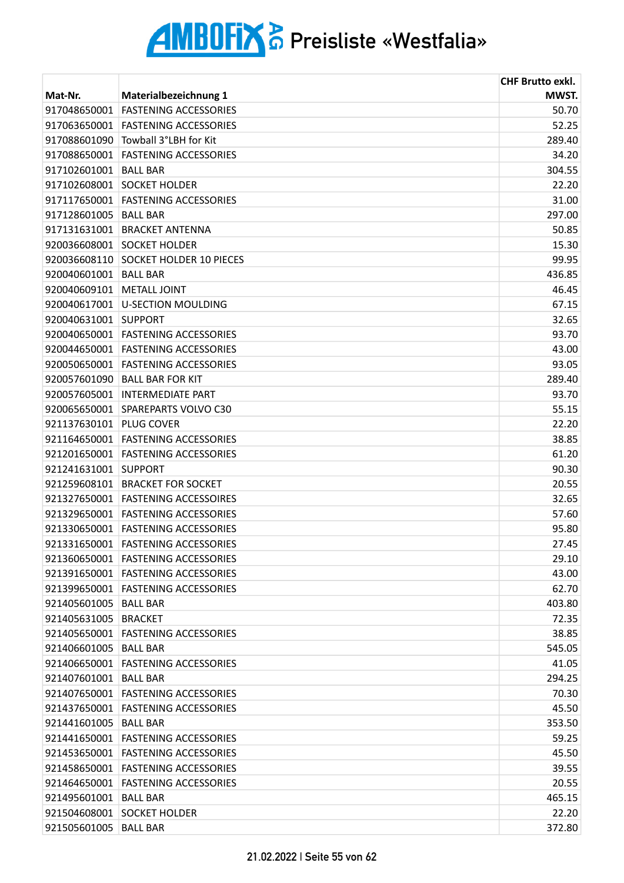|                         |                                    | <b>CHF Brutto exkl.</b> |
|-------------------------|------------------------------------|-------------------------|
| Mat-Nr.                 | <b>Materialbezeichnung 1</b>       | MWST.                   |
| 917048650001            | <b>FASTENING ACCESSORIES</b>       | 50.70                   |
| 917063650001            | <b>FASTENING ACCESSORIES</b>       | 52.25                   |
| 917088601090            | Towball 3°LBH for Kit              | 289.40                  |
| 917088650001            | <b>FASTENING ACCESSORIES</b>       | 34.20                   |
| 917102601001            | <b>BALL BAR</b>                    | 304.55                  |
| 917102608001            | <b>SOCKET HOLDER</b>               | 22.20                   |
| 917117650001            | <b>FASTENING ACCESSORIES</b>       | 31.00                   |
| 917128601005            | <b>BALL BAR</b>                    | 297.00                  |
|                         | 917131631001 BRACKET ANTENNA       | 50.85                   |
|                         | 920036608001 SOCKET HOLDER         | 15.30                   |
| 920036608110            | <b>SOCKET HOLDER 10 PIECES</b>     | 99.95                   |
| 920040601001            | <b>BALL BAR</b>                    | 436.85                  |
| 920040609101            | <b>METALL JOINT</b>                | 46.45                   |
| 920040617001            | <b>U-SECTION MOULDING</b>          | 67.15                   |
| 920040631001            | <b>SUPPORT</b>                     | 32.65                   |
| 920040650001            | <b>FASTENING ACCESSORIES</b>       | 93.70                   |
|                         | 920044650001 FASTENING ACCESSORIES | 43.00                   |
| 920050650001            | <b>FASTENING ACCESSORIES</b>       | 93.05                   |
| 920057601090            | <b>BALL BAR FOR KIT</b>            | 289.40                  |
| 920057605001            | <b>INTERMEDIATE PART</b>           | 93.70                   |
|                         | 920065650001 SPAREPARTS VOLVO C30  | 55.15                   |
| 921137630101 PLUG COVER |                                    | 22.20                   |
| 921164650001            | <b>FASTENING ACCESSORIES</b>       | 38.85                   |
| 921201650001            | <b>FASTENING ACCESSORIES</b>       | 61.20                   |
| 921241631001 SUPPORT    |                                    | 90.30                   |
|                         | 921259608101 BRACKET FOR SOCKET    | 20.55                   |
|                         | 921327650001 FASTENING ACCESSOIRES | 32.65                   |
| 921329650001            | <b>FASTENING ACCESSORIES</b>       | 57.60                   |
|                         | 921330650001 FASTENING ACCESSORIES | 95.80                   |
|                         | 921331650001 FASTENING ACCESSORIES | 27.45                   |
|                         | 921360650001 FASTENING ACCESSORIES | 29.10                   |
| 921391650001            | <b>FASTENING ACCESSORIES</b>       | 43.00                   |
|                         | 921399650001 FASTENING ACCESSORIES | 62.70                   |
| 921405601005   BALL BAR |                                    | 403.80                  |
| 921405631005 BRACKET    |                                    | 72.35                   |
| 921405650001            | <b>FASTENING ACCESSORIES</b>       | 38.85                   |
| 921406601005 BALL BAR   |                                    | 545.05                  |
|                         | 921406650001 FASTENING ACCESSORIES | 41.05                   |
| 921407601001 BALL BAR   |                                    | 294.25                  |
| 921407650001            | <b>FASTENING ACCESSORIES</b>       | 70.30                   |
|                         | 921437650001 FASTENING ACCESSORIES | 45.50                   |
| 921441601005            | <b>BALL BAR</b>                    | 353.50                  |
|                         | 921441650001 FASTENING ACCESSORIES | 59.25                   |
|                         | 921453650001 FASTENING ACCESSORIES | 45.50                   |
|                         | 921458650001 FASTENING ACCESSORIES | 39.55                   |
|                         | 921464650001 FASTENING ACCESSORIES | 20.55                   |
| 921495601001 BALL BAR   |                                    | 465.15                  |
|                         | 921504608001 SOCKET HOLDER         | 22.20                   |
| 921505601005 BALL BAR   |                                    | 372.80                  |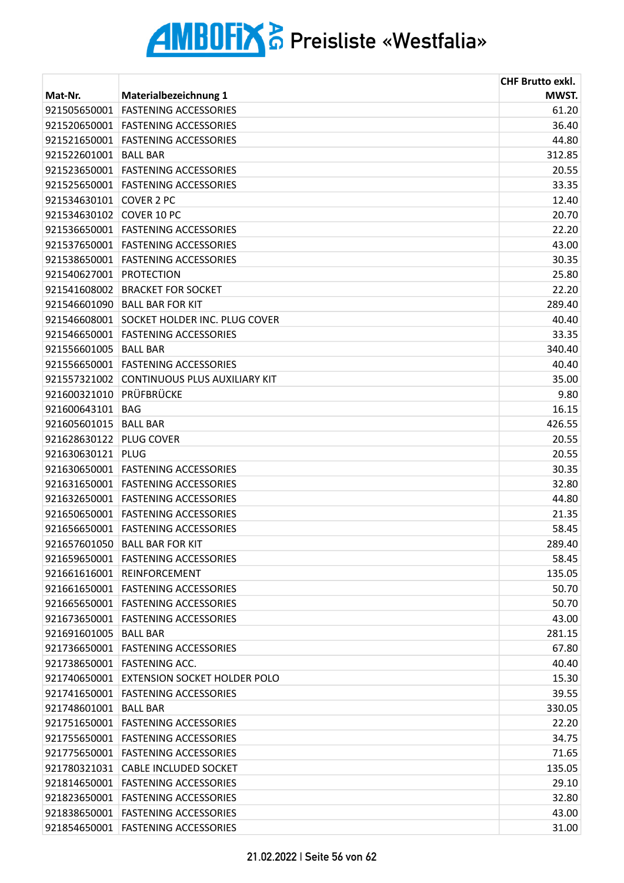|              |                                           | <b>CHF Brutto exkl.</b> |
|--------------|-------------------------------------------|-------------------------|
| Mat-Nr.      | Materialbezeichnung 1                     | MWST.                   |
| 921505650001 | <b>FASTENING ACCESSORIES</b>              | 61.20                   |
| 921520650001 | <b>FASTENING ACCESSORIES</b>              | 36.40                   |
| 921521650001 | <b>FASTENING ACCESSORIES</b>              | 44.80                   |
| 921522601001 | <b>BALL BAR</b>                           | 312.85                  |
|              | 921523650001 FASTENING ACCESSORIES        | 20.55                   |
|              | 921525650001 FASTENING ACCESSORIES        | 33.35                   |
| 921534630101 | <b>COVER 2 PC</b>                         | 12.40                   |
| 921534630102 | COVER 10 PC                               | 20.70                   |
|              | 921536650001 FASTENING ACCESSORIES        | 22.20                   |
|              | 921537650001 FASTENING ACCESSORIES        | 43.00                   |
| 921538650001 | <b>FASTENING ACCESSORIES</b>              | 30.35                   |
| 921540627001 | <b>PROTECTION</b>                         | 25.80                   |
| 921541608002 | <b>BRACKET FOR SOCKET</b>                 | 22.20                   |
| 921546601090 | <b>BALL BAR FOR KIT</b>                   | 289.40                  |
| 921546608001 | <b>SOCKET HOLDER INC. PLUG COVER</b>      | 40.40                   |
| 921546650001 | <b>FASTENING ACCESSORIES</b>              | 33.35                   |
| 921556601005 | <b>BALL BAR</b>                           | 340.40                  |
| 921556650001 | <b>FASTENING ACCESSORIES</b>              | 40.40                   |
| 921557321002 | <b>CONTINUOUS PLUS AUXILIARY KIT</b>      | 35.00                   |
| 921600321010 | PRÜFBRÜCKE                                | 9.80                    |
| 921600643101 | <b>BAG</b>                                | 16.15                   |
| 921605601015 | <b>BALL BAR</b>                           | 426.55                  |
| 921628630122 | <b>PLUG COVER</b>                         | 20.55                   |
| 921630630121 | PLUG                                      | 20.55                   |
|              | 921630650001 FASTENING ACCESSORIES        | 30.35                   |
|              | 921631650001 FASTENING ACCESSORIES        | 32.80                   |
|              | 921632650001 FASTENING ACCESSORIES        | 44.80                   |
| 921650650001 | <b>FASTENING ACCESSORIES</b>              | 21.35                   |
|              | 921656650001 FASTENING ACCESSORIES        | 58.45                   |
|              | 921657601050 BALL BAR FOR KIT             | 289.40                  |
| 921659650001 | <b>FASTENING ACCESSORIES</b>              | 58.45                   |
| 921661616001 | <b>REINFORCEMENT</b>                      | 135.05                  |
|              | 921661650001 FASTENING ACCESSORIES        | 50.70                   |
|              | 921665650001 FASTENING ACCESSORIES        | 50.70                   |
|              | 921673650001 FASTENING ACCESSORIES        | 43.00                   |
| 921691601005 | <b>BALL BAR</b>                           | 281.15                  |
| 921736650001 | <b>FASTENING ACCESSORIES</b>              | 67.80                   |
|              | 921738650001 FASTENING ACC.               | 40.40                   |
|              | 921740650001 EXTENSION SOCKET HOLDER POLO | 15.30                   |
| 921741650001 | <b>FASTENING ACCESSORIES</b>              | 39.55                   |
| 921748601001 | <b>BALL BAR</b>                           | 330.05                  |
| 921751650001 | <b>FASTENING ACCESSORIES</b>              | 22.20                   |
|              | 921755650001 FASTENING ACCESSORIES        | 34.75                   |
|              | 921775650001 FASTENING ACCESSORIES        | 71.65                   |
|              | 921780321031 CABLE INCLUDED SOCKET        | 135.05                  |
|              | 921814650001 FASTENING ACCESSORIES        | 29.10                   |
| 921823650001 | <b>FASTENING ACCESSORIES</b>              | 32.80                   |
| 921838650001 | <b>FASTENING ACCESSORIES</b>              | 43.00                   |
|              | 921854650001 FASTENING ACCESSORIES        | 31.00                   |
|              |                                           |                         |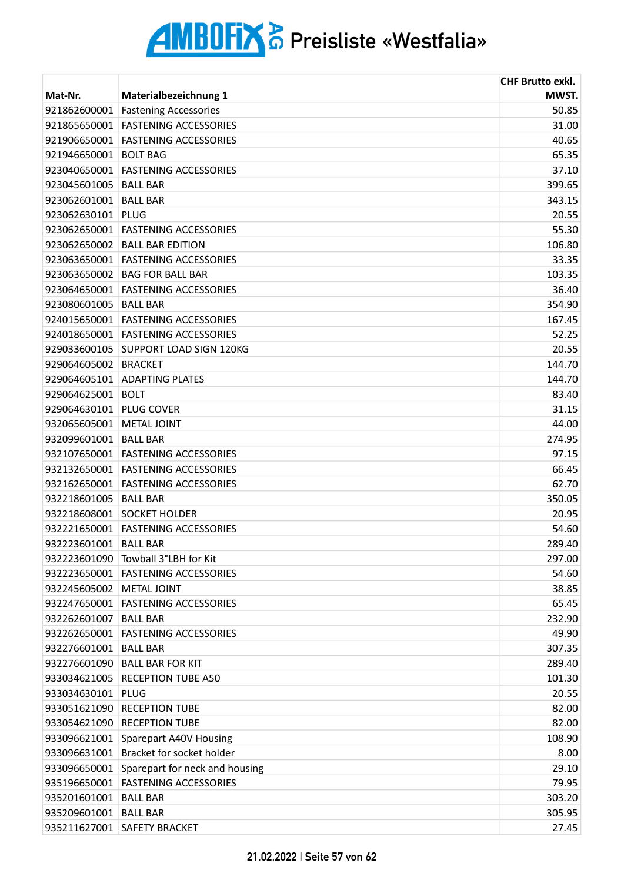|                          |                                             | <b>CHF Brutto exkl.</b> |
|--------------------------|---------------------------------------------|-------------------------|
| Mat-Nr.                  | Materialbezeichnung 1                       | MWST.                   |
| 921862600001             | <b>Fastening Accessories</b>                | 50.85                   |
| 921865650001             | <b>FASTENING ACCESSORIES</b>                | 31.00                   |
| 921906650001             | <b>FASTENING ACCESSORIES</b>                | 40.65                   |
| 921946650001             | <b>BOLT BAG</b>                             | 65.35                   |
| 923040650001             | <b>FASTENING ACCESSORIES</b>                | 37.10                   |
| 923045601005             | <b>BALL BAR</b>                             | 399.65                  |
| 923062601001             | <b>BALL BAR</b>                             | 343.15                  |
| 923062630101             | PLUG                                        | 20.55                   |
|                          | 923062650001 FASTENING ACCESSORIES          | 55.30                   |
|                          | 923062650002 BALL BAR EDITION               | 106.80                  |
| 923063650001             | <b>FASTENING ACCESSORIES</b>                | 33.35                   |
| 923063650002             | <b>BAG FOR BALL BAR</b>                     | 103.35                  |
| 923064650001             | <b>FASTENING ACCESSORIES</b>                | 36.40                   |
| 923080601005             | <b>BALL BAR</b>                             | 354.90                  |
| 924015650001             | <b>FASTENING ACCESSORIES</b>                | 167.45                  |
|                          | 924018650001 FASTENING ACCESSORIES          | 52.25                   |
| 929033600105             | <b>SUPPORT LOAD SIGN 120KG</b>              | 20.55                   |
| 929064605002             | <b>BRACKET</b>                              | 144.70                  |
| 929064605101             | <b>ADAPTING PLATES</b>                      | 144.70                  |
| 929064625001             | <b>BOLT</b>                                 | 83.40                   |
| 929064630101 PLUG COVER  |                                             | 31.15                   |
| 932065605001             | <b>METAL JOINT</b>                          | 44.00                   |
| 932099601001             | <b>BALL BAR</b>                             | 274.95                  |
| 932107650001             | <b>FASTENING ACCESSORIES</b>                | 97.15                   |
|                          | 932132650001 FASTENING ACCESSORIES          | 66.45                   |
|                          | 932162650001 FASTENING ACCESSORIES          | 62.70                   |
| 932218601005             | <b>BALL BAR</b>                             | 350.05                  |
| 932218608001             | <b>SOCKET HOLDER</b>                        | 20.95                   |
|                          | 932221650001 FASTENING ACCESSORIES          | 54.60                   |
| 932223601001             | <b>BALL BAR</b>                             | 289.40                  |
| 932223601090             | Towball 3°LBH for Kit                       | 297.00                  |
| 932223650001             | <b>FASTENING ACCESSORIES</b>                | 54.60                   |
| 932245605002 METAL JOINT |                                             | 38.85                   |
|                          | 932247650001 FASTENING ACCESSORIES          | 65.45                   |
| 932262601007 BALL BAR    |                                             | 232.90                  |
| 932262650001             | <b>FASTENING ACCESSORIES</b>                | 49.90                   |
| 932276601001 BALL BAR    |                                             | 307.35                  |
|                          | 932276601090 BALL BAR FOR KIT               | 289.40                  |
|                          | 933034621005 RECEPTION TUBE A50             | 101.30                  |
| 933034630101             | PLUG                                        | 20.55                   |
| 933051621090             | <b>RECEPTION TUBE</b>                       | 82.00                   |
| 933054621090             | <b>RECEPTION TUBE</b>                       | 82.00                   |
| 933096621001             | Sparepart A40V Housing                      | 108.90                  |
| 933096631001             | Bracket for socket holder                   | 8.00                    |
|                          | 933096650001 Sparepart for neck and housing | 29.10                   |
|                          | 935196650001 FASTENING ACCESSORIES          | 79.95                   |
| 935201601001             | <b>BALL BAR</b>                             | 303.20                  |
| 935209601001             | <b>BALL BAR</b>                             | 305.95                  |
|                          | 935211627001 SAFETY BRACKET                 | 27.45                   |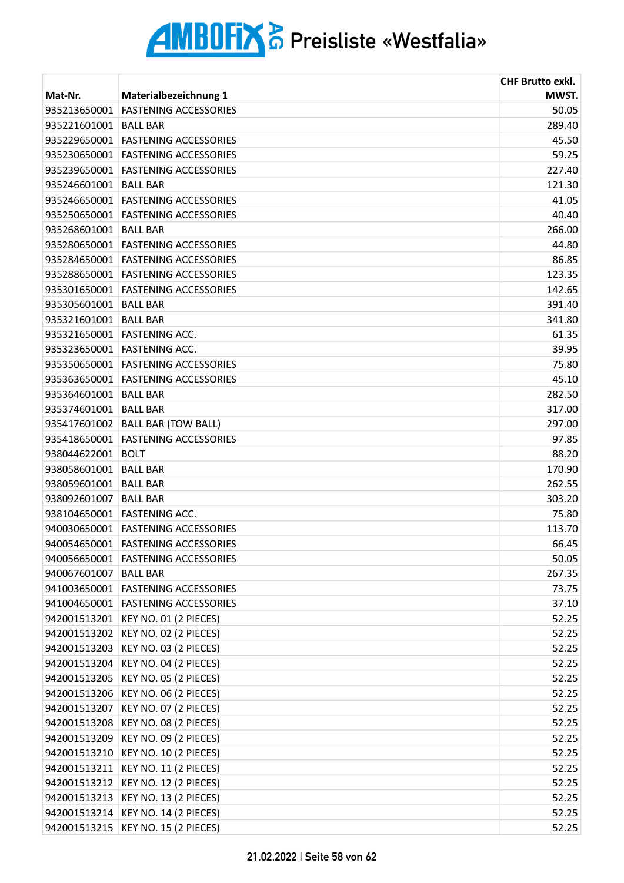|                       |                                    | <b>CHF Brutto exkl.</b> |
|-----------------------|------------------------------------|-------------------------|
| Mat-Nr.               | Materialbezeichnung 1              | MWST.                   |
| 935213650001          | <b>FASTENING ACCESSORIES</b>       | 50.05                   |
| 935221601001          | <b>BALL BAR</b>                    | 289.40                  |
| 935229650001          | <b>FASTENING ACCESSORIES</b>       | 45.50                   |
| 935230650001          | <b>FASTENING ACCESSORIES</b>       | 59.25                   |
| 935239650001          | <b>FASTENING ACCESSORIES</b>       | 227.40                  |
| 935246601001          | <b>BALL BAR</b>                    | 121.30                  |
| 935246650001          | <b>FASTENING ACCESSORIES</b>       | 41.05                   |
| 935250650001          | <b>FASTENING ACCESSORIES</b>       | 40.40                   |
| 935268601001          | <b>BALL BAR</b>                    | 266.00                  |
| 935280650001          | <b>FASTENING ACCESSORIES</b>       | 44.80                   |
| 935284650001          | <b>FASTENING ACCESSORIES</b>       | 86.85                   |
|                       | 935288650001 FASTENING ACCESSORIES | 123.35                  |
| 935301650001          | <b>FASTENING ACCESSORIES</b>       | 142.65                  |
| 935305601001          | <b>BALL BAR</b>                    | 391.40                  |
| 935321601001          | <b>BALL BAR</b>                    | 341.80                  |
| 935321650001          | <b>FASTENING ACC.</b>              | 61.35                   |
|                       | 935323650001 FASTENING ACC.        | 39.95                   |
| 935350650001          | <b>FASTENING ACCESSORIES</b>       | 75.80                   |
| 935363650001          | <b>FASTENING ACCESSORIES</b>       | 45.10                   |
| 935364601001          | <b>BALL BAR</b>                    | 282.50                  |
| 935374601001          | <b>BALL BAR</b>                    | 317.00                  |
| 935417601002          | <b>BALL BAR (TOW BALL)</b>         | 297.00                  |
| 935418650001          | <b>FASTENING ACCESSORIES</b>       | 97.85                   |
| 938044622001          | <b>BOLT</b>                        | 88.20                   |
| 938058601001 BALL BAR |                                    | 170.90                  |
| 938059601001          | <b>BALL BAR</b>                    | 262.55                  |
| 938092601007          | <b>BALL BAR</b>                    | 303.20                  |
| 938104650001          | <b>FASTENING ACC.</b>              | 75.80                   |
|                       | 940030650001 FASTENING ACCESSORIES | 113.70                  |
| 940054650001          | <b>FASTENING ACCESSORIES</b>       | 66.45                   |
| 940056650001          | <b>FASTENING ACCESSORIES</b>       | 50.05                   |
| 940067601007          | <b>BALL BAR</b>                    | 267.35                  |
|                       | 941003650001 FASTENING ACCESSORIES | 73.75                   |
|                       | 941004650001 FASTENING ACCESSORIES | 37.10                   |
| 942001513201          | KEY NO. 01 (2 PIECES)              | 52.25                   |
| 942001513202          | KEY NO. 02 (2 PIECES)              | 52.25                   |
| 942001513203          | KEY NO. 03 (2 PIECES)              | 52.25                   |
| 942001513204          | KEY NO. 04 (2 PIECES)              | 52.25                   |
| 942001513205          | KEY NO. 05 (2 PIECES)              | 52.25                   |
| 942001513206          | KEY NO. 06 (2 PIECES)              | 52.25                   |
| 942001513207          | KEY NO. 07 (2 PIECES)              | 52.25                   |
| 942001513208          | KEY NO. 08 (2 PIECES)              | 52.25                   |
| 942001513209          | KEY NO. 09 (2 PIECES)              | 52.25                   |
| 942001513210          | KEY NO. 10 (2 PIECES)              | 52.25                   |
| 942001513211          | KEY NO. 11 (2 PIECES)              | 52.25                   |
| 942001513212          | KEY NO. 12 (2 PIECES)              | 52.25                   |
| 942001513213          | KEY NO. 13 (2 PIECES)              | 52.25                   |
| 942001513214          | KEY NO. 14 (2 PIECES)              | 52.25                   |
|                       | 942001513215 KEY NO. 15 (2 PIECES) | 52.25                   |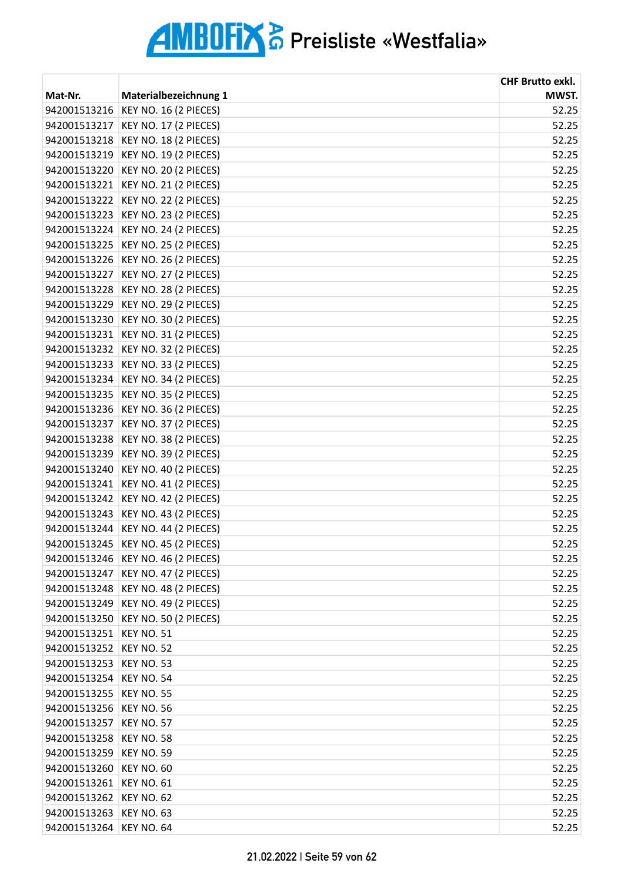|                         |                                    | <b>CHF Brutto exkl.</b> |
|-------------------------|------------------------------------|-------------------------|
| Mat-Nr.                 | Materialbezeichnung 1              | MWST.                   |
| 942001513216            | KEY NO. 16 (2 PIECES)              | 52.25                   |
| 942001513217            | KEY NO. 17 (2 PIECES)              | 52.25                   |
| 942001513218            | KEY NO. 18 (2 PIECES)              | 52.25                   |
| 942001513219            | KEY NO. 19 (2 PIECES)              | 52.25                   |
| 942001513220            | KEY NO. 20 (2 PIECES)              | 52.25                   |
| 942001513221            | KEY NO. 21 (2 PIECES)              | 52.25                   |
| 942001513222            | KEY NO. 22 (2 PIECES)              | 52.25                   |
| 942001513223            | KEY NO. 23 (2 PIECES)              | 52.25                   |
| 942001513224            | KEY NO. 24 (2 PIECES)              | 52.25                   |
| 942001513225            | KEY NO. 25 (2 PIECES)              | 52.25                   |
| 942001513226            | KEY NO. 26 (2 PIECES)              | 52.25                   |
| 942001513227            | KEY NO. 27 (2 PIECES)              | 52.25                   |
| 942001513228            | KEY NO. 28 (2 PIECES)              | 52.25                   |
| 942001513229            | KEY NO. 29 (2 PIECES)              | 52.25                   |
| 942001513230            | KEY NO. 30 (2 PIECES)              | 52.25                   |
| 942001513231            | KEY NO. 31 (2 PIECES)              | 52.25                   |
| 942001513232            | KEY NO. 32 (2 PIECES)              | 52.25                   |
| 942001513233            | KEY NO. 33 (2 PIECES)              | 52.25                   |
| 942001513234            | KEY NO. 34 (2 PIECES)              | 52.25                   |
| 942001513235            | KEY NO. 35 (2 PIECES)              | 52.25                   |
| 942001513236            | KEY NO. 36 (2 PIECES)              | 52.25                   |
| 942001513237            | KEY NO. 37 (2 PIECES)              | 52.25                   |
| 942001513238            | KEY NO. 38 (2 PIECES)              | 52.25                   |
| 942001513239            | KEY NO. 39 (2 PIECES)              | 52.25                   |
| 942001513240            | KEY NO. 40 (2 PIECES)              | 52.25                   |
| 942001513241            | KEY NO. 41 (2 PIECES)              | 52.25                   |
| 942001513242            | KEY NO. 42 (2 PIECES)              | 52.25                   |
| 942001513243            | KEY NO. 43 (2 PIECES)              | 52.25                   |
| 942001513244            | KEY NO. 44 (2 PIECES)              | 52.25                   |
|                         | 942001513245 KEY NO. 45 (2 PIECES) | 52.25                   |
|                         | 942001513246 KEY NO. 46 (2 PIECES) | 52.25                   |
| 942001513247            | KEY NO. 47 (2 PIECES)              | 52.25                   |
| 942001513248            | KEY NO. 48 (2 PIECES)              | 52.25                   |
| 942001513249            | KEY NO. 49 (2 PIECES)              | 52.25                   |
| 942001513250            | KEY NO. 50 (2 PIECES)              | 52.25                   |
| 942001513251            | KEY NO. 51                         | 52.25                   |
| 942001513252            | KEY NO. 52                         | 52.25                   |
| 942001513253            | <b>KEY NO. 53</b>                  | 52.25                   |
| 942001513254            | KEY NO. 54                         | 52.25                   |
| 942001513255            | <b>KEY NO. 55</b>                  | 52.25                   |
| 942001513256            | KEY NO. 56                         | 52.25                   |
| 942001513257            | <b>KEY NO. 57</b>                  | 52.25                   |
| 942001513258            | <b>KEY NO. 58</b>                  | 52.25                   |
| 942001513259            | KEY NO. 59                         | 52.25                   |
| 942001513260            | KEY NO. 60                         | 52.25                   |
| 942001513261            | <b>KEY NO. 61</b>                  | 52.25                   |
| 942001513262            | KEY NO. 62                         | 52.25                   |
| 942001513263            | KEY NO. 63                         | 52.25                   |
| 942001513264 KEY NO. 64 |                                    | 52.25                   |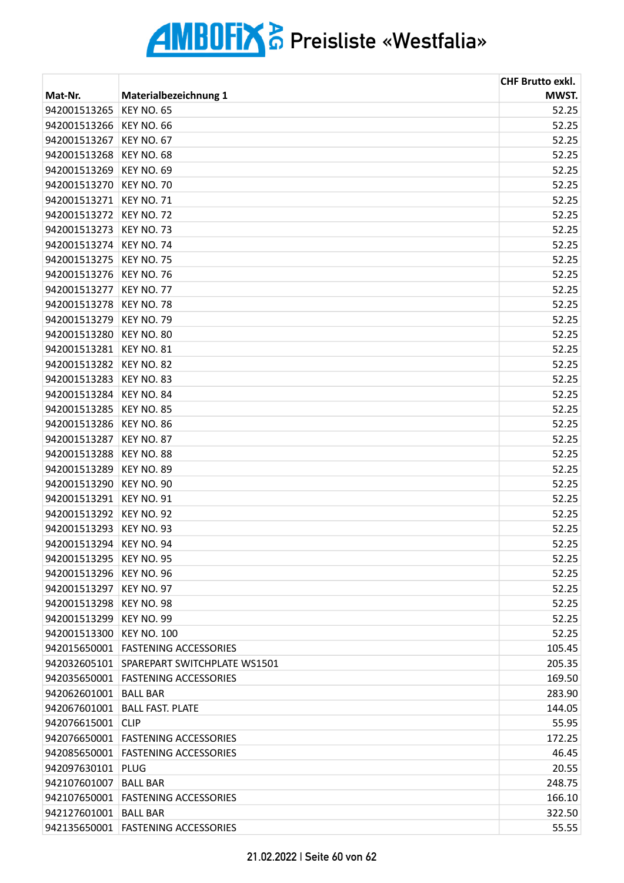|                         |                                    | <b>CHF Brutto exkl.</b> |
|-------------------------|------------------------------------|-------------------------|
| Mat-Nr.                 | Materialbezeichnung 1              | MWST.                   |
| 942001513265            | <b>KEY NO. 65</b>                  | 52.25                   |
| 942001513266            | <b>KEY NO. 66</b>                  | 52.25                   |
| 942001513267            | <b>KEY NO. 67</b>                  | 52.25                   |
| 942001513268            | <b>KEY NO. 68</b>                  | 52.25                   |
| 942001513269            | <b>KEY NO. 69</b>                  | 52.25                   |
| 942001513270            | <b>KEY NO. 70</b>                  | 52.25                   |
| 942001513271            | <b>KEY NO. 71</b>                  | 52.25                   |
| 942001513272            | <b>KEY NO. 72</b>                  | 52.25                   |
| 942001513273            | <b>KEY NO. 73</b>                  | 52.25                   |
| 942001513274            | <b>KEY NO. 74</b>                  | 52.25                   |
| 942001513275            | <b>KEY NO. 75</b>                  | 52.25                   |
| 942001513276            | <b>KEY NO. 76</b>                  | 52.25                   |
| 942001513277            | <b>KEY NO. 77</b>                  | 52.25                   |
| 942001513278            | <b>KEY NO. 78</b>                  | 52.25                   |
| 942001513279            | <b>KEY NO. 79</b>                  | 52.25                   |
| 942001513280            | <b>KEY NO. 80</b>                  | 52.25                   |
| 942001513281            | <b>KEY NO. 81</b>                  | 52.25                   |
| 942001513282            | <b>KEY NO. 82</b>                  | 52.25                   |
| 942001513283            | <b>KEY NO. 83</b>                  | 52.25                   |
| 942001513284            | KEY NO. 84                         | 52.25                   |
| 942001513285            | <b>KEY NO. 85</b>                  | 52.25                   |
| 942001513286            | <b>KEY NO. 86</b>                  | 52.25                   |
| 942001513287            | <b>KEY NO. 87</b>                  | 52.25                   |
| 942001513288            | KEY NO. 88                         | 52.25                   |
| 942001513289            | <b>KEY NO. 89</b>                  | 52.25                   |
| 942001513290            | <b>KEY NO. 90</b>                  | 52.25                   |
| 942001513291            | <b>KEY NO. 91</b>                  | 52.25                   |
| 942001513292            | KEY NO. 92                         | 52.25                   |
| 942001513293            | KEY NO. 93                         | 52.25                   |
| 942001513294 KEY NO. 94 |                                    | 52.25                   |
| 942001513295            | <b>KEY NO. 95</b>                  | 52.25                   |
| 942001513296            | KEY NO. 96                         | 52.25                   |
| 942001513297            | KEY NO. 97                         | 52.25                   |
| 942001513298            | KEY NO. 98                         | 52.25                   |
| 942001513299            | <b>KEY NO. 99</b>                  | 52.25                   |
| 942001513300            | <b>KEY NO. 100</b>                 | 52.25                   |
| 942015650001            | <b>FASTENING ACCESSORIES</b>       | 105.45                  |
| 942032605101            | SPAREPART SWITCHPLATE WS1501       | 205.35                  |
| 942035650001            | <b>FASTENING ACCESSORIES</b>       | 169.50                  |
| 942062601001 BALL BAR   |                                    | 283.90                  |
|                         | 942067601001 BALL FAST. PLATE      | 144.05                  |
| 942076615001            | <b>CLIP</b>                        | 55.95                   |
| 942076650001            | <b>FASTENING ACCESSORIES</b>       | 172.25                  |
|                         | 942085650001 FASTENING ACCESSORIES | 46.45                   |
| 942097630101 PLUG       |                                    | 20.55                   |
| 942107601007            | <b>BALL BAR</b>                    | 248.75                  |
| 942107650001            | <b>FASTENING ACCESSORIES</b>       | 166.10                  |
| 942127601001            | <b>BALL BAR</b>                    | 322.50                  |
|                         | 942135650001 FASTENING ACCESSORIES | 55.55                   |
|                         |                                    |                         |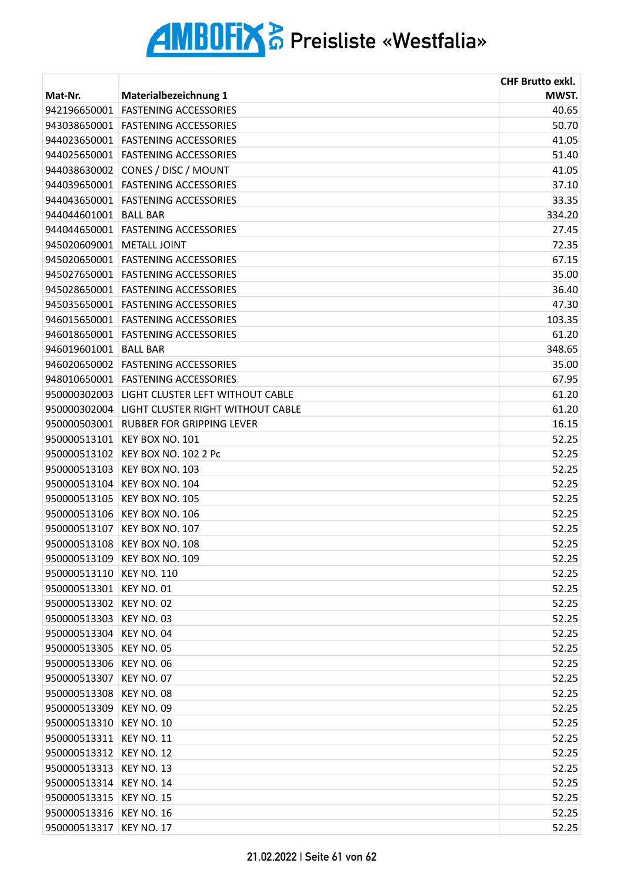|              |                                   | <b>CHF Brutto exkl.</b> |
|--------------|-----------------------------------|-------------------------|
| Mat-Nr.      | <b>Materialbezeichnung 1</b>      | MWST.                   |
| 942196650001 | <b>FASTENING ACCESSORIES</b>      | 40.65                   |
| 943038650001 | <b>FASTENING ACCESSORIES</b>      | 50.70                   |
| 944023650001 | <b>FASTENING ACCESSORIES</b>      | 41.05                   |
| 944025650001 | <b>FASTENING ACCESSORIES</b>      | 51.40                   |
| 944038630002 | CONES / DISC / MOUNT              | 41.05                   |
| 944039650001 | <b>FASTENING ACCESSORIES</b>      | 37.10                   |
| 944043650001 | <b>FASTENING ACCESSORIES</b>      | 33.35                   |
| 944044601001 | <b>BALL BAR</b>                   | 334.20                  |
| 944044650001 | <b>FASTENING ACCESSORIES</b>      | 27.45                   |
| 945020609001 | <b>METALL JOINT</b>               | 72.35                   |
| 945020650001 | <b>FASTENING ACCESSORIES</b>      | 67.15                   |
| 945027650001 | <b>FASTENING ACCESSORIES</b>      | 35.00                   |
| 945028650001 | <b>FASTENING ACCESSORIES</b>      | 36.40                   |
| 945035650001 | <b>FASTENING ACCESSORIES</b>      | 47.30                   |
| 946015650001 | <b>FASTENING ACCESSORIES</b>      | 103.35                  |
| 946018650001 | <b>FASTENING ACCESSORIES</b>      | 61.20                   |
| 946019601001 | <b>BALL BAR</b>                   | 348.65                  |
| 946020650002 | <b>FASTENING ACCESSORIES</b>      | 35.00                   |
| 948010650001 | <b>FASTENING ACCESSORIES</b>      | 67.95                   |
| 950000302003 | LIGHT CLUSTER LEFT WITHOUT CABLE  | 61.20                   |
| 950000302004 | LIGHT CLUSTER RIGHT WITHOUT CABLE | 61.20                   |
| 950000503001 | <b>RUBBER FOR GRIPPING LEVER</b>  | 16.15                   |
| 950000513101 | KEY BOX NO. 101                   | 52.25                   |
| 950000513102 | <b>KEY BOX NO. 102 2 Pc</b>       | 52.25                   |
| 950000513103 | KEY BOX NO. 103                   | 52.25                   |
| 950000513104 | KEY BOX NO. 104                   | 52.25                   |
| 950000513105 | KEY BOX NO. 105                   | 52.25                   |
| 950000513106 | KEY BOX NO. 106                   | 52.25                   |
| 950000513107 | KEY BOX NO. 107                   | 52.25                   |
| 950000513108 | KEY BOX NO. 108                   | 52.25                   |
| 950000513109 | KEY BOX NO. 109                   | 52.25                   |
| 950000513110 | <b>KEY NO. 110</b>                | 52.25                   |
| 950000513301 | KEY NO. 01                        | 52.25                   |
| 950000513302 | KEY NO. 02                        | 52.25                   |
| 950000513303 | KEY NO. 03                        | 52.25                   |
| 950000513304 | KEY NO. 04                        | 52.25                   |
| 950000513305 | <b>KEY NO. 05</b>                 | 52.25                   |
| 950000513306 | <b>KEY NO. 06</b>                 | 52.25                   |
| 950000513307 | KEY NO. 07                        | 52.25                   |
| 950000513308 | KEY NO. 08                        | 52.25                   |
| 950000513309 | KEY NO. 09                        | 52.25                   |
| 950000513310 | <b>KEY NO. 10</b>                 | 52.25                   |
| 950000513311 | <b>KEY NO. 11</b>                 | 52.25                   |
| 950000513312 | <b>KEY NO. 12</b>                 | 52.25                   |
| 950000513313 | KEY NO. 13                        | 52.25                   |
| 950000513314 | <b>KEY NO. 14</b>                 | 52.25                   |
| 950000513315 | <b>KEY NO. 15</b>                 | 52.25                   |
| 950000513316 | <b>KEY NO. 16</b>                 | 52.25                   |
| 950000513317 | <b>KEY NO. 17</b>                 | 52.25                   |